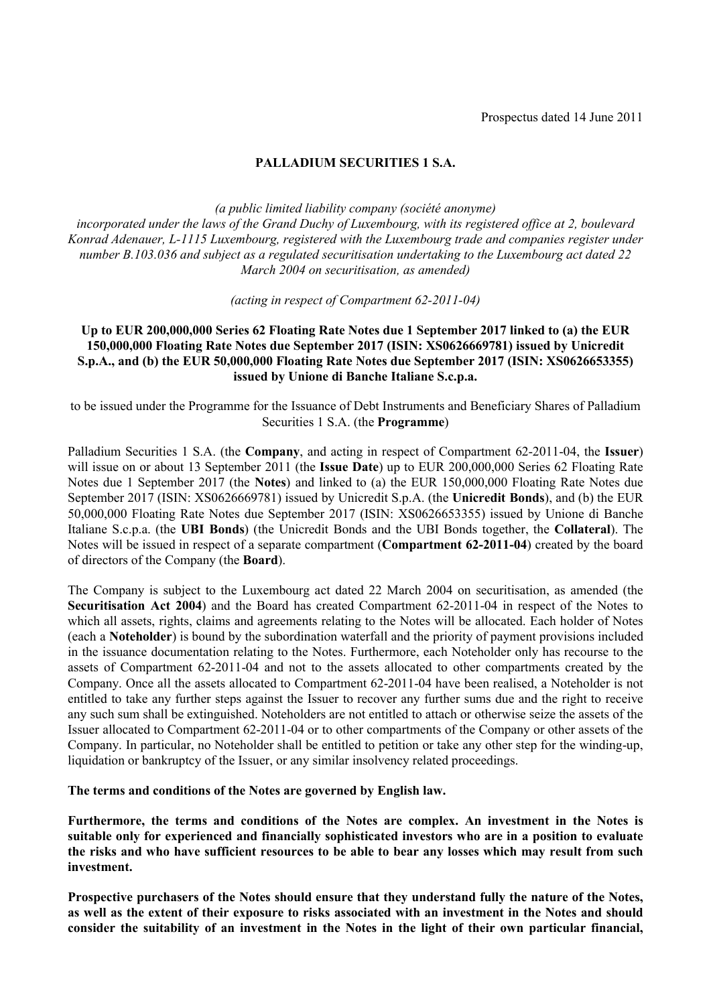# **PALLADIUM SECURITIES 1 S.A.**

*(a public limited liability company (société anonyme) incorporated under the laws of the Grand Duchy of Luxembourg, with its registered office at 2, boulevard Konrad Adenauer, L-1115 Luxembourg, registered with the Luxembourg trade and companies register under number B.103.036 and subject as a regulated securitisation undertaking to the Luxembourg act dated 22 March 2004 on securitisation, as amended)* 

*(acting in respect of Compartment 62-2011-04)*

# **Up to EUR 200,000,000 Series 62 Floating Rate Notes due 1 September 2017 linked to (a) the EUR 150,000,000 Floating Rate Notes due September 2017 (ISIN: XS0626669781) issued by Unicredit S.p.A., and (b) the EUR 50,000,000 Floating Rate Notes due September 2017 (ISIN: XS0626653355) issued by Unione di Banche Italiane S.c.p.a.**

to be issued under the Programme for the Issuance of Debt Instruments and Beneficiary Shares of Palladium Securities 1 S.A. (the **Programme**)

Palladium Securities 1 S.A. (the **Company**, and acting in respect of Compartment 62-2011-04, the **Issuer**) will issue on or about 13 September 2011 (the **Issue Date**) up to EUR 200,000,000 Series 62 Floating Rate Notes due 1 September 2017 (the **Notes**) and linked to (a) the EUR 150,000,000 Floating Rate Notes due September 2017 (ISIN: XS0626669781) issued by Unicredit S.p.A. (the **Unicredit Bonds**), and (b) the EUR 50,000,000 Floating Rate Notes due September 2017 (ISIN: XS0626653355) issued by Unione di Banche Italiane S.c.p.a. (the **UBI Bonds**) (the Unicredit Bonds and the UBI Bonds together, the **Collateral**). The Notes will be issued in respect of a separate compartment (**Compartment 62-2011-04**) created by the board of directors of the Company (the **Board**).

The Company is subject to the Luxembourg act dated 22 March 2004 on securitisation, as amended (the **Securitisation Act 2004**) and the Board has created Compartment 62-2011-04 in respect of the Notes to which all assets, rights, claims and agreements relating to the Notes will be allocated. Each holder of Notes (each a **Noteholder**) is bound by the subordination waterfall and the priority of payment provisions included in the issuance documentation relating to the Notes. Furthermore, each Noteholder only has recourse to the assets of Compartment 62-2011-04 and not to the assets allocated to other compartments created by the Company. Once all the assets allocated to Compartment 62-2011-04 have been realised, a Noteholder is not entitled to take any further steps against the Issuer to recover any further sums due and the right to receive any such sum shall be extinguished. Noteholders are not entitled to attach or otherwise seize the assets of the Issuer allocated to Compartment 62-2011-04 or to other compartments of the Company or other assets of the Company. In particular, no Noteholder shall be entitled to petition or take any other step for the winding-up, liquidation or bankruptcy of the Issuer, or any similar insolvency related proceedings.

**The terms and conditions of the Notes are governed by English law.**

**Furthermore, the terms and conditions of the Notes are complex. An investment in the Notes is suitable only for experienced and financially sophisticated investors who are in a position to evaluate the risks and who have sufficient resources to be able to bear any losses which may result from such investment.**

**Prospective purchasers of the Notes should ensure that they understand fully the nature of the Notes, as well as the extent of their exposure to risks associated with an investment in the Notes and should consider the suitability of an investment in the Notes in the light of their own particular financial,**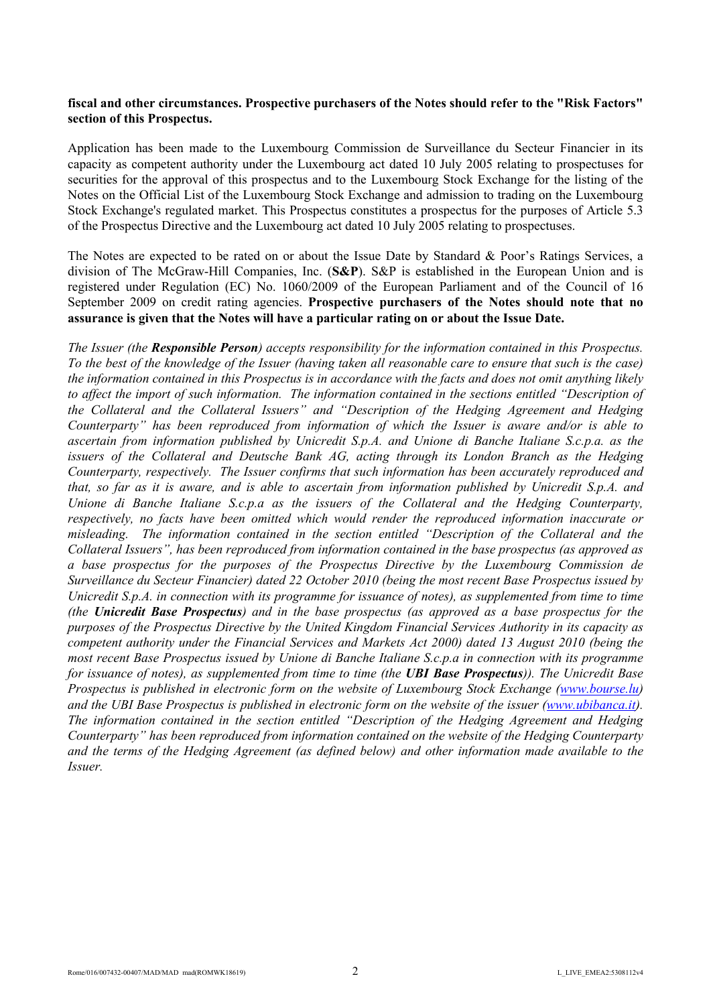## **fiscal and other circumstances. Prospective purchasers of the Notes should refer to the "Risk Factors" section of this Prospectus.**

Application has been made to the Luxembourg Commission de Surveillance du Secteur Financier in its capacity as competent authority under the Luxembourg act dated 10 July 2005 relating to prospectuses for securities for the approval of this prospectus and to the Luxembourg Stock Exchange for the listing of the Notes on the Official List of the Luxembourg Stock Exchange and admission to trading on the Luxembourg Stock Exchange's regulated market. This Prospectus constitutes a prospectus for the purposes of Article 5.3 of the Prospectus Directive and the Luxembourg act dated 10 July 2005 relating to prospectuses.

The Notes are expected to be rated on or about the Issue Date by Standard & Poor's Ratings Services, a division of The McGraw-Hill Companies, Inc. (**S&P**). S&P is established in the European Union and is registered under Regulation (EC) No. 1060/2009 of the European Parliament and of the Council of 16 September 2009 on credit rating agencies. **Prospective purchasers of the Notes should note that no assurance is given that the Notes will have a particular rating on or about the Issue Date.**

*The Issuer (the Responsible Person) accepts responsibility for the information contained in this Prospectus. To the best of the knowledge of the Issuer (having taken all reasonable care to ensure that such is the case) the information contained in this Prospectus is in accordance with the facts and does not omit anything likely*  to affect the import of such information. The information contained in the sections entitled "Description of *the Collateral and the Collateral Issuers" and "Description of the Hedging Agreement and Hedging Counterparty" has been reproduced from information of which the Issuer is aware and/or is able to ascertain from information published by Unicredit S.p.A. and Unione di Banche Italiane S.c.p.a. as the issuers of the Collateral and Deutsche Bank AG, acting through its London Branch as the Hedging Counterparty, respectively. The Issuer confirms that such information has been accurately reproduced and that, so far as it is aware, and is able to ascertain from information published by Unicredit S.p.A. and Unione di Banche Italiane S.c.p.a as the issuers of the Collateral and the Hedging Counterparty, respectively, no facts have been omitted which would render the reproduced information inaccurate or misleading. The information contained in the section entitled "Description of the Collateral and the Collateral Issuers", has been reproduced from information contained in the base prospectus (as approved as a base prospectus for the purposes of the Prospectus Directive by the Luxembourg Commission de Surveillance du Secteur Financier) dated 22 October 2010 (being the most recent Base Prospectus issued by Unicredit S.p.A. in connection with its programme for issuance of notes), as supplemented from time to time (the Unicredit Base Prospectus) and in the base prospectus (as approved as a base prospectus for the purposes of the Prospectus Directive by the United Kingdom Financial Services Authority in its capacity as competent authority under the Financial Services and Markets Act 2000) dated 13 August 2010 (being the most recent Base Prospectus issued by Unione di Banche Italiane S.c.p.a in connection with its programme for issuance of notes), as supplemented from time to time (the UBI Base Prospectus)). The Unicredit Base Prospectus is published in electronic form on the website of Luxembourg Stock Exchange (<www.bourse.lu>) and the UBI Base Prospectus is published in electronic form on the website of the issuer ([www.ubibanca.i](www.ubibanca.it)[t\)](http://www.bourse.lu/). The information contained in the section entitled "Description of the Hedging Agree[ment and Hedgin](http://www.ubibanca.it/)g Counterparty" has been reproduced from information contained on the website of the Hedging Counterparty and the terms of the Hedging Agreement (as defined below) and other information made available to the Issuer.*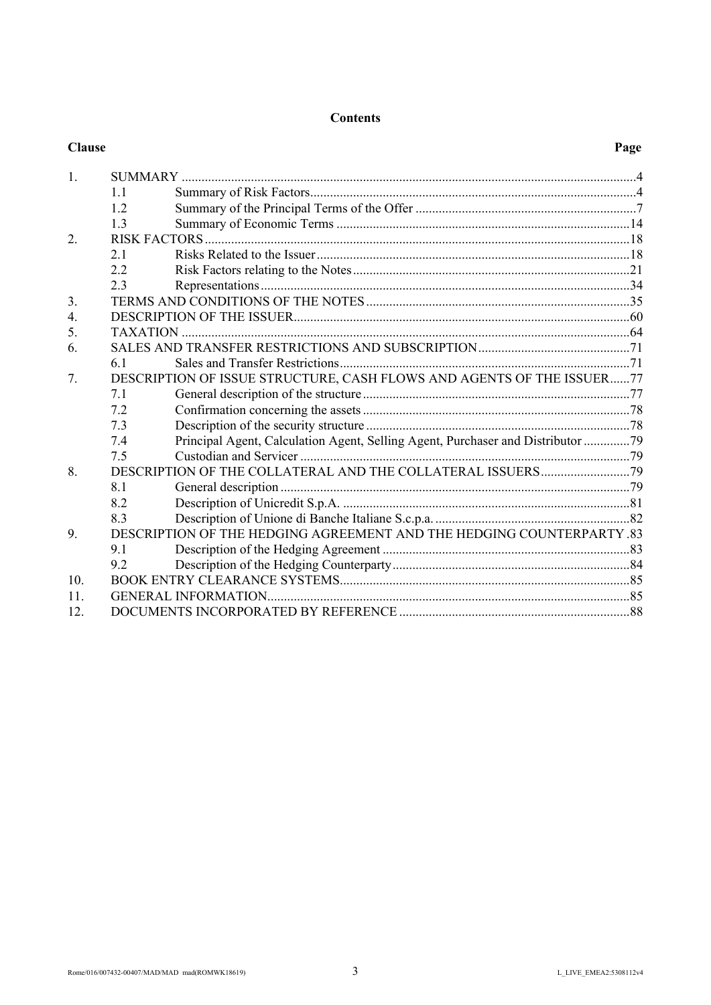# **Contents**

| <b>Clause</b>   |                                                                       |                                                                                 | Page |
|-----------------|-----------------------------------------------------------------------|---------------------------------------------------------------------------------|------|
| 1.              |                                                                       |                                                                                 |      |
|                 | 11                                                                    |                                                                                 |      |
|                 | 12                                                                    |                                                                                 |      |
|                 | 1.3                                                                   |                                                                                 |      |
| 2.              |                                                                       |                                                                                 |      |
|                 | 21                                                                    |                                                                                 |      |
|                 | 2.2                                                                   |                                                                                 |      |
|                 | 23                                                                    |                                                                                 |      |
| 3.              |                                                                       |                                                                                 |      |
| 4.              |                                                                       |                                                                                 |      |
| 5.              |                                                                       |                                                                                 |      |
| 6.              |                                                                       |                                                                                 |      |
|                 | 61                                                                    |                                                                                 |      |
| 7.              | DESCRIPTION OF ISSUE STRUCTURE, CASH FLOWS AND AGENTS OF THE ISSUER77 |                                                                                 |      |
|                 | 7.1                                                                   |                                                                                 |      |
|                 | 7.2                                                                   |                                                                                 |      |
|                 | 7.3                                                                   |                                                                                 |      |
|                 | 7.4                                                                   | Principal Agent, Calculation Agent, Selling Agent, Purchaser and Distributor 79 |      |
|                 | 7.5                                                                   |                                                                                 |      |
| 8.              |                                                                       |                                                                                 |      |
|                 | 8.1                                                                   |                                                                                 |      |
|                 | 8.2                                                                   |                                                                                 |      |
|                 | 83                                                                    |                                                                                 |      |
| 9.              | DESCRIPTION OF THE HEDGING AGREEMENT AND THE HEDGING COUNTERPARTY .83 |                                                                                 |      |
|                 | 9.1                                                                   |                                                                                 |      |
|                 | 9.2                                                                   |                                                                                 |      |
| 10 <sub>l</sub> |                                                                       |                                                                                 |      |
| 11.             |                                                                       |                                                                                 |      |
| 12.             |                                                                       |                                                                                 |      |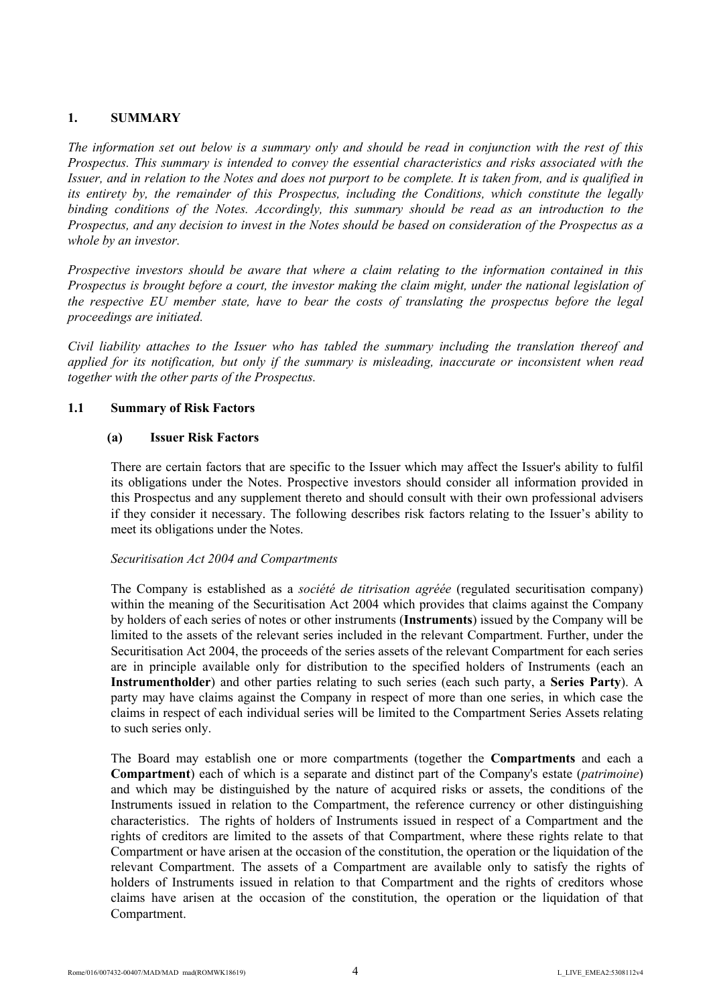# **1. SUMMARY**

*The information set out below is a summary only and should be read in conjunction with the rest of this Prospectus. This summary is intended to convey the essential characteristics and risks associated with the Issuer, and in relation to the Notes and does not purport to be complete. It is taken from, and is qualified in its entirety by, the remainder of this Prospectus, including the Conditions, which constitute the legally binding conditions of the Notes. Accordingly, this summary should be read as an introduction to the Prospectus, and any decision to invest in the Notes should be based on consideration of the Prospectus as a whole by an investor.*

*Prospective investors should be aware that where a claim relating to the information contained in this Prospectus is brought before a court, the investor making the claim might, under the national legislation of the respective EU member state, have to bear the costs of translating the prospectus before the legal proceedings are initiated.*

*Civil liability attaches to the Issuer who has tabled the summary including the translation thereof and applied for its notification, but only if the summary is misleading, inaccurate or inconsistent when read together with the other parts of the Prospectus.*

### **1.1 Summary of Risk Factors**

#### **(a) Issuer Risk Factors**

There are certain factors that are specific to the Issuer which may affect the Issuer's ability to fulfil its obligations under the Notes. Prospective investors should consider all information provided in this Prospectus and any supplement thereto and should consult with their own professional advisers if they consider it necessary. The following describes risk factors relating to the Issuer's ability to meet its obligations under the Notes.

### *Securitisation Act 2004 and Compartments*

The Company is established as a *société de titrisation agréée* (regulated securitisation company) within the meaning of the Securitisation Act 2004 which provides that claims against the Company by holders of each series of notes or other instruments (**Instruments**) issued by the Company will be limited to the assets of the relevant series included in the relevant Compartment. Further, under the Securitisation Act 2004, the proceeds of the series assets of the relevant Compartment for each series are in principle available only for distribution to the specified holders of Instruments (each an **Instrumentholder**) and other parties relating to such series (each such party, a **Series Party**). A party may have claims against the Company in respect of more than one series, in which case the claims in respect of each individual series will be limited to the Compartment Series Assets relating to such series only.

The Board may establish one or more compartments (together the **Compartments** and each a **Compartment**) each of which is a separate and distinct part of the Company's estate (*patrimoine*) and which may be distinguished by the nature of acquired risks or assets, the conditions of the Instruments issued in relation to the Compartment, the reference currency or other distinguishing characteristics. The rights of holders of Instruments issued in respect of a Compartment and the rights of creditors are limited to the assets of that Compartment, where these rights relate to that Compartment or have arisen at the occasion of the constitution, the operation or the liquidation of the relevant Compartment. The assets of a Compartment are available only to satisfy the rights of holders of Instruments issued in relation to that Compartment and the rights of creditors whose claims have arisen at the occasion of the constitution, the operation or the liquidation of that Compartment.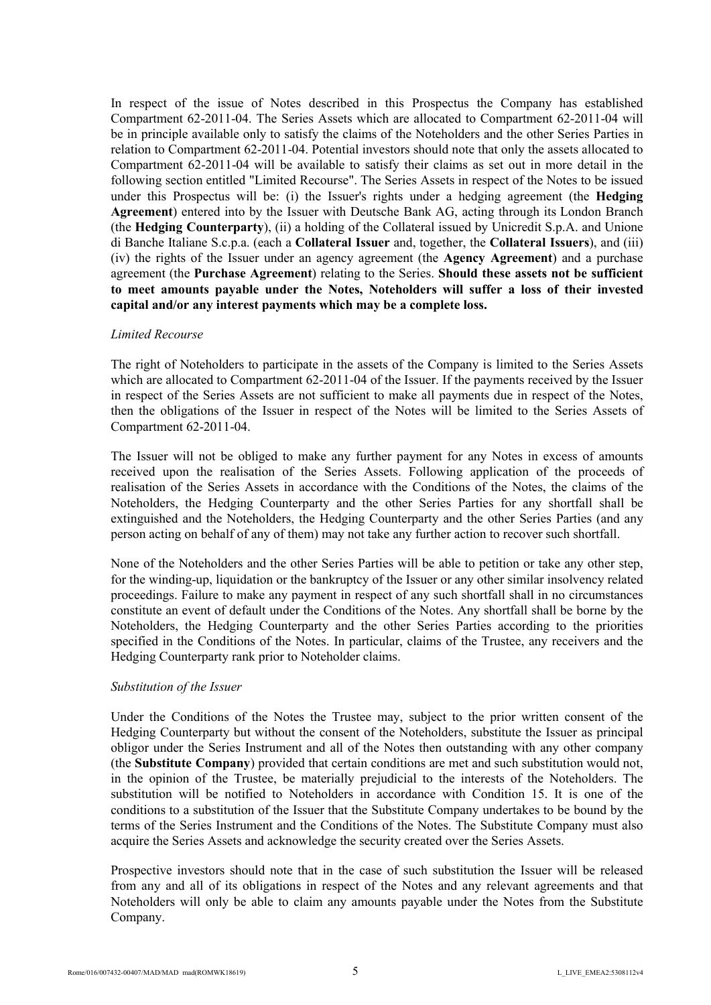In respect of the issue of Notes described in this Prospectus the Company has established Compartment 62-2011-04. The Series Assets which are allocated to Compartment 62-2011-04 will be in principle available only to satisfy the claims of the Noteholders and the other Series Parties in relation to Compartment 62-2011-04. Potential investors should note that only the assets allocated to Compartment 62-2011-04 will be available to satisfy their claims as set out in more detail in the following section entitled "Limited Recourse". The Series Assets in respect of the Notes to be issued under this Prospectus will be: (i) the Issuer's rights under a hedging agreement (the **Hedging Agreement**) entered into by the Issuer with Deutsche Bank AG, acting through its London Branch (the **Hedging Counterparty**), (ii) a holding of the Collateral issued by Unicredit S.p.A. and Unione di Banche Italiane S.c.p.a. (each a **Collateral Issuer** and, together, the **Collateral Issuers**), and (iii) (iv) the rights of the Issuer under an agency agreement (the **Agency Agreement**) and a purchase agreement (the **Purchase Agreement**) relating to the Series. **Should these assets not be sufficient to meet amounts payable under the Notes, Noteholders will suffer a loss of their invested capital and/or any interest payments which may be a complete loss.**

#### *Limited Recourse*

The right of Noteholders to participate in the assets of the Company is limited to the Series Assets which are allocated to Compartment 62-2011-04 of the Issuer. If the payments received by the Issuer in respect of the Series Assets are not sufficient to make all payments due in respect of the Notes, then the obligations of the Issuer in respect of the Notes will be limited to the Series Assets of Compartment 62-2011-04.

The Issuer will not be obliged to make any further payment for any Notes in excess of amounts received upon the realisation of the Series Assets. Following application of the proceeds of realisation of the Series Assets in accordance with the Conditions of the Notes, the claims of the Noteholders, the Hedging Counterparty and the other Series Parties for any shortfall shall be extinguished and the Noteholders, the Hedging Counterparty and the other Series Parties (and any person acting on behalf of any of them) may not take any further action to recover such shortfall.

None of the Noteholders and the other Series Parties will be able to petition or take any other step, for the winding-up, liquidation or the bankruptcy of the Issuer or any other similar insolvency related proceedings. Failure to make any payment in respect of any such shortfall shall in no circumstances constitute an event of default under the Conditions of the Notes. Any shortfall shall be borne by the Noteholders, the Hedging Counterparty and the other Series Parties according to the priorities specified in the Conditions of the Notes. In particular, claims of the Trustee, any receivers and the Hedging Counterparty rank prior to Noteholder claims.

### *Substitution of the Issuer*

Under the Conditions of the Notes the Trustee may, subject to the prior written consent of the Hedging Counterparty but without the consent of the Noteholders, substitute the Issuer as principal obligor under the Series Instrument and all of the Notes then outstanding with any other company (the **Substitute Company**) provided that certain conditions are met and such substitution would not, in the opinion of the Trustee, be materially prejudicial to the interests of the Noteholders. The substitution will be notified to Noteholders in accordance with Condition 15. It is one of the conditions to a substitution of the Issuer that the Substitute Company undertakes to be bound by the terms of the Series Instrument and the Conditions of the Notes. The Substitute Company must also acquire the Series Assets and acknowledge the security created over the Series Assets.

Prospective investors should note that in the case of such substitution the Issuer will be released from any and all of its obligations in respect of the Notes and any relevant agreements and that Noteholders will only be able to claim any amounts payable under the Notes from the Substitute Company.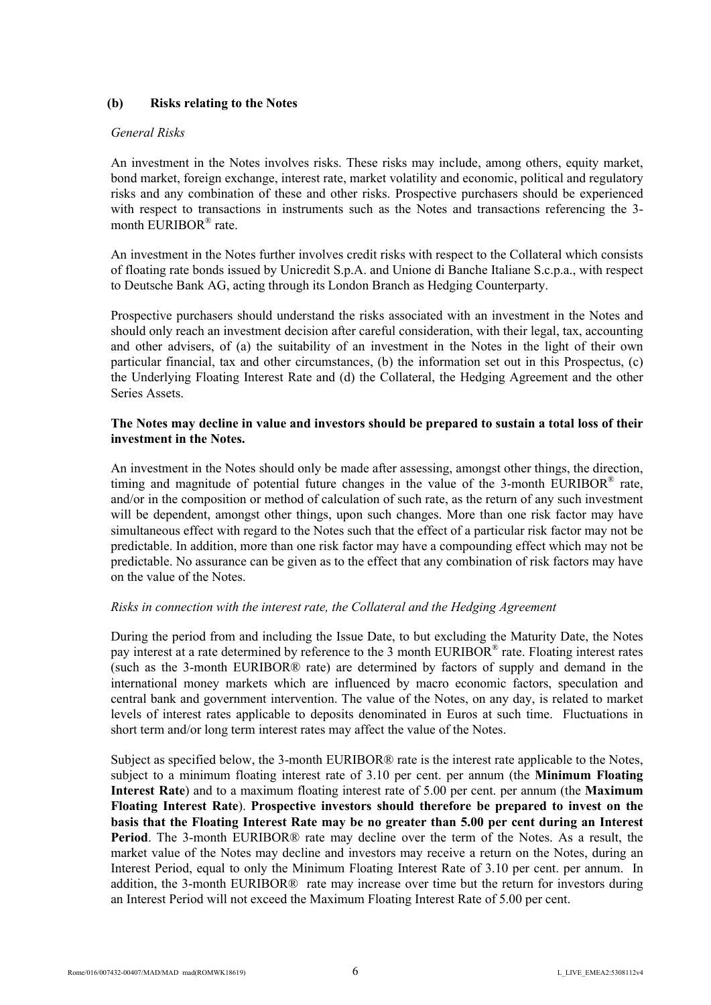# **(b) Risks relating to the Notes**

#### *General Risks*

An investment in the Notes involves risks. These risks may include, among others, equity market, bond market, foreign exchange, interest rate, market volatility and economic, political and regulatory risks and any combination of these and other risks. Prospective purchasers should be experienced with respect to transactions in instruments such as the Notes and transactions referencing the 3 month EURIBOR® rate.

An investment in the Notes further involves credit risks with respect to the Collateral which consists of floating rate bonds issued by Unicredit S.p.A. and Unione di Banche Italiane S.c.p.a., with respect to Deutsche Bank AG, acting through its London Branch as Hedging Counterparty.

Prospective purchasers should understand the risks associated with an investment in the Notes and should only reach an investment decision after careful consideration, with their legal, tax, accounting and other advisers, of (a) the suitability of an investment in the Notes in the light of their own particular financial, tax and other circumstances, (b) the information set out in this Prospectus, (c) the Underlying Floating Interest Rate and (d) the Collateral, the Hedging Agreement and the other Series Assets.

## **The Notes may decline in value and investors should be prepared to sustain a total loss of their investment in the Notes.**

An investment in the Notes should only be made after assessing, amongst other things, the direction, timing and magnitude of potential future changes in the value of the 3-month EURIBOR® rate, and/or in the composition or method of calculation of such rate, as the return of any such investment will be dependent, amongst other things, upon such changes. More than one risk factor may have simultaneous effect with regard to the Notes such that the effect of a particular risk factor may not be predictable. In addition, more than one risk factor may have a compounding effect which may not be predictable. No assurance can be given as to the effect that any combination of risk factors may have on the value of the Notes.

### *Risks in connection with the interest rate, the Collateral and the Hedging Agreement*

During the period from and including the Issue Date, to but excluding the Maturity Date, the Notes pay interest at a rate determined by reference to the 3 month EURIBOR® rate. Floating interest rates (such as the 3-month EURIBOR® rate) are determined by factors of supply and demand in the international money markets which are influenced by macro economic factors, speculation and central bank and government intervention. The value of the Notes, on any day, is related to market levels of interest rates applicable to deposits denominated in Euros at such time. Fluctuations in short term and/or long term interest rates may affect the value of the Notes.

Subject as specified below, the 3-month EURIBOR® rate is the interest rate applicable to the Notes, subject to a minimum floating interest rate of 3.10 per cent. per annum (the **Minimum Floating Interest Rate**) and to a maximum floating interest rate of 5.00 per cent. per annum (the **Maximum Floating Interest Rate**). **Prospective investors should therefore be prepared to invest on the basis that the Floating Interest Rate may be no greater than 5.00 per cent during an Interest Period**. The 3-month EURIBOR® rate may decline over the term of the Notes. As a result, the market value of the Notes may decline and investors may receive a return on the Notes, during an Interest Period, equal to only the Minimum Floating Interest Rate of 3.10 per cent. per annum. In addition, the 3-month EURIBOR® rate may increase over time but the return for investors during an Interest Period will not exceed the Maximum Floating Interest Rate of 5.00 per cent.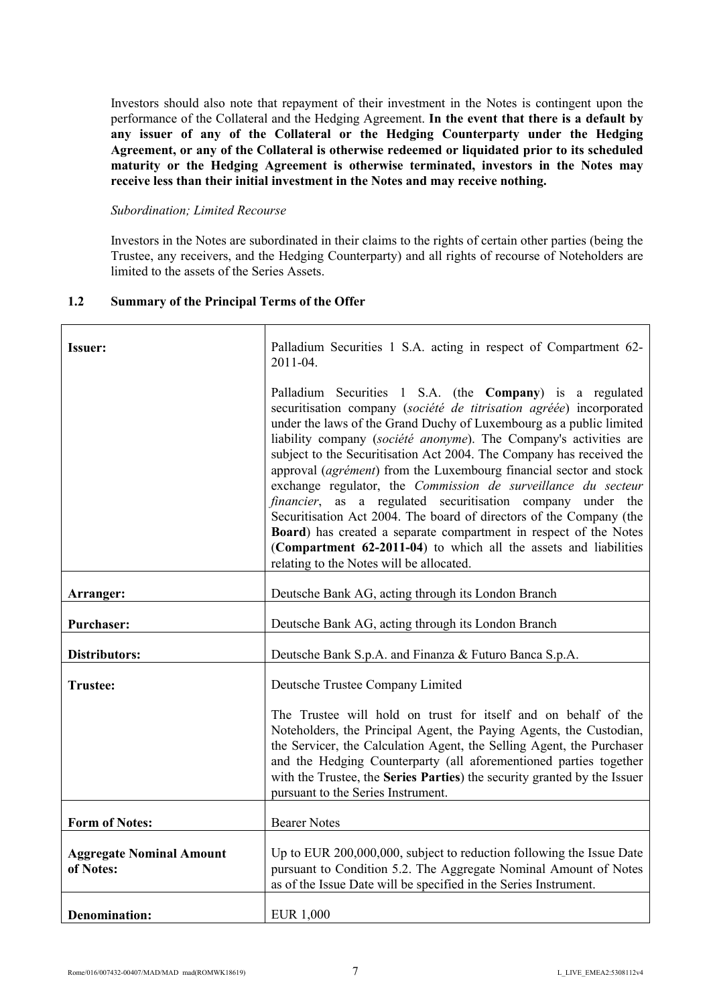Investors should also note that repayment of their investment in the Notes is contingent upon the performance of the Collateral and the Hedging Agreement. **In the event that there is a default by any issuer of any of the Collateral or the Hedging Counterparty under the Hedging Agreement, or any of the Collateral is otherwise redeemed or liquidated prior to its scheduled maturity or the Hedging Agreement is otherwise terminated, investors in the Notes may receive less than their initial investment in the Notes and may receive nothing.**

#### *Subordination; Limited Recourse*

Investors in the Notes are subordinated in their claims to the rights of certain other parties (being the Trustee, any receivers, and the Hedging Counterparty) and all rights of recourse of Noteholders are limited to the assets of the Series Assets.

# **1.2 Summary of the Principal Terms of the Offer**

| Issuer:                                      | Palladium Securities 1 S.A. acting in respect of Compartment 62-<br>2011-04.                                                                                                                                                                                                                                                                                                                                                                                                                                                                                                                                                                                                                                                                                                                                         |
|----------------------------------------------|----------------------------------------------------------------------------------------------------------------------------------------------------------------------------------------------------------------------------------------------------------------------------------------------------------------------------------------------------------------------------------------------------------------------------------------------------------------------------------------------------------------------------------------------------------------------------------------------------------------------------------------------------------------------------------------------------------------------------------------------------------------------------------------------------------------------|
|                                              | Palladium Securities 1 S.A. (the Company) is a regulated<br>securitisation company (société de titrisation agréée) incorporated<br>under the laws of the Grand Duchy of Luxembourg as a public limited<br>liability company (société anonyme). The Company's activities are<br>subject to the Securitisation Act 2004. The Company has received the<br>approval (agrément) from the Luxembourg financial sector and stock<br>exchange regulator, the Commission de surveillance du secteur<br>financier, as a regulated securitisation company under the<br>Securitisation Act 2004. The board of directors of the Company (the<br>Board) has created a separate compartment in respect of the Notes<br>(Compartment 62-2011-04) to which all the assets and liabilities<br>relating to the Notes will be allocated. |
| Arranger:                                    | Deutsche Bank AG, acting through its London Branch                                                                                                                                                                                                                                                                                                                                                                                                                                                                                                                                                                                                                                                                                                                                                                   |
| <b>Purchaser:</b>                            | Deutsche Bank AG, acting through its London Branch                                                                                                                                                                                                                                                                                                                                                                                                                                                                                                                                                                                                                                                                                                                                                                   |
| Distributors:                                | Deutsche Bank S.p.A. and Finanza & Futuro Banca S.p.A.                                                                                                                                                                                                                                                                                                                                                                                                                                                                                                                                                                                                                                                                                                                                                               |
| <b>Trustee:</b>                              | Deutsche Trustee Company Limited                                                                                                                                                                                                                                                                                                                                                                                                                                                                                                                                                                                                                                                                                                                                                                                     |
|                                              | The Trustee will hold on trust for itself and on behalf of the<br>Noteholders, the Principal Agent, the Paying Agents, the Custodian,<br>the Servicer, the Calculation Agent, the Selling Agent, the Purchaser<br>and the Hedging Counterparty (all aforementioned parties together<br>with the Trustee, the Series Parties) the security granted by the Issuer<br>pursuant to the Series Instrument.                                                                                                                                                                                                                                                                                                                                                                                                                |
| <b>Form of Notes:</b>                        | <b>Bearer Notes</b>                                                                                                                                                                                                                                                                                                                                                                                                                                                                                                                                                                                                                                                                                                                                                                                                  |
| <b>Aggregate Nominal Amount</b><br>of Notes: | Up to EUR 200,000,000, subject to reduction following the Issue Date<br>pursuant to Condition 5.2. The Aggregate Nominal Amount of Notes<br>as of the Issue Date will be specified in the Series Instrument.                                                                                                                                                                                                                                                                                                                                                                                                                                                                                                                                                                                                         |
| <b>Denomination:</b>                         | <b>EUR 1,000</b>                                                                                                                                                                                                                                                                                                                                                                                                                                                                                                                                                                                                                                                                                                                                                                                                     |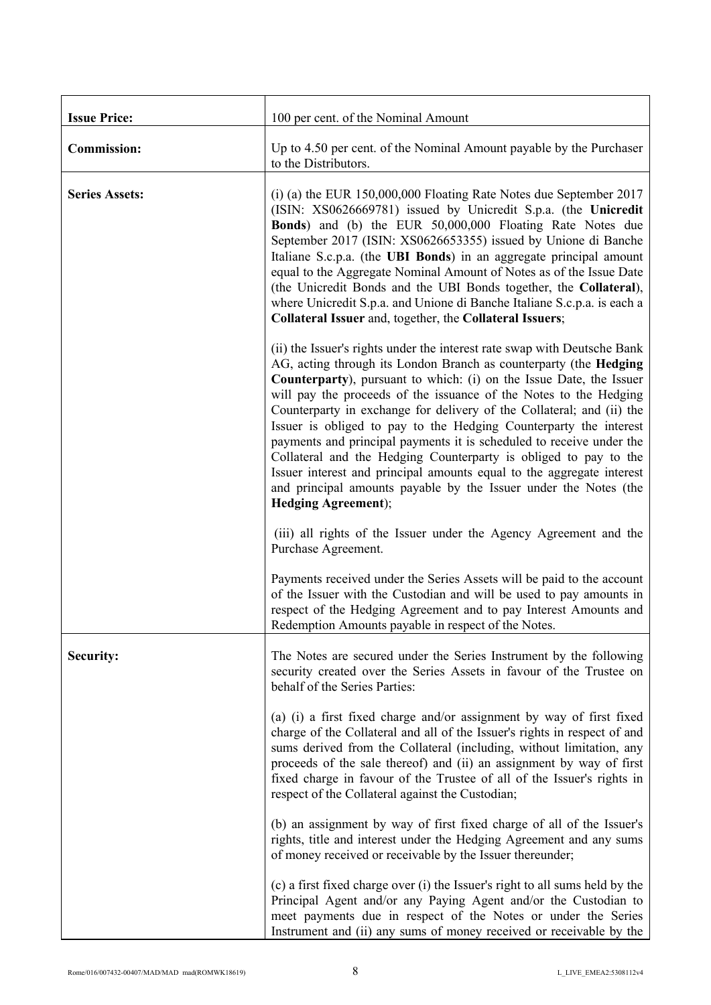| <b>Issue Price:</b>   | 100 per cent. of the Nominal Amount                                                                                                                                                                                                                                                                                                                                                                                                                                                                                                                                                                                                                                                                                                                             |
|-----------------------|-----------------------------------------------------------------------------------------------------------------------------------------------------------------------------------------------------------------------------------------------------------------------------------------------------------------------------------------------------------------------------------------------------------------------------------------------------------------------------------------------------------------------------------------------------------------------------------------------------------------------------------------------------------------------------------------------------------------------------------------------------------------|
| <b>Commission:</b>    | Up to 4.50 per cent. of the Nominal Amount payable by the Purchaser<br>to the Distributors.                                                                                                                                                                                                                                                                                                                                                                                                                                                                                                                                                                                                                                                                     |
| <b>Series Assets:</b> | $(i)$ (a) the EUR 150,000,000 Floating Rate Notes due September 2017<br>(ISIN: XS0626669781) issued by Unicredit S.p.a. (the Unicredit<br><b>Bonds</b> ) and (b) the EUR 50,000,000 Floating Rate Notes due<br>September 2017 (ISIN: XS0626653355) issued by Unione di Banche<br>Italiane S.c.p.a. (the UBI Bonds) in an aggregate principal amount<br>equal to the Aggregate Nominal Amount of Notes as of the Issue Date<br>(the Unicredit Bonds and the UBI Bonds together, the Collateral),<br>where Unicredit S.p.a. and Unione di Banche Italiane S.c.p.a. is each a<br>Collateral Issuer and, together, the Collateral Issuers;                                                                                                                          |
|                       | (ii) the Issuer's rights under the interest rate swap with Deutsche Bank<br>AG, acting through its London Branch as counterparty (the Hedging<br><b>Counterparty</b> ), pursuant to which: (i) on the Issue Date, the Issuer<br>will pay the proceeds of the issuance of the Notes to the Hedging<br>Counterparty in exchange for delivery of the Collateral; and (ii) the<br>Issuer is obliged to pay to the Hedging Counterparty the interest<br>payments and principal payments it is scheduled to receive under the<br>Collateral and the Hedging Counterparty is obliged to pay to the<br>Issuer interest and principal amounts equal to the aggregate interest<br>and principal amounts payable by the Issuer under the Notes (the<br>Hedging Agreement); |
|                       | (iii) all rights of the Issuer under the Agency Agreement and the<br>Purchase Agreement.                                                                                                                                                                                                                                                                                                                                                                                                                                                                                                                                                                                                                                                                        |
|                       | Payments received under the Series Assets will be paid to the account<br>of the Issuer with the Custodian and will be used to pay amounts in<br>respect of the Hedging Agreement and to pay Interest Amounts and<br>Redemption Amounts payable in respect of the Notes.                                                                                                                                                                                                                                                                                                                                                                                                                                                                                         |
| Security:             | The Notes are secured under the Series Instrument by the following<br>security created over the Series Assets in favour of the Trustee on<br>behalf of the Series Parties:                                                                                                                                                                                                                                                                                                                                                                                                                                                                                                                                                                                      |
|                       | (a) (i) a first fixed charge and/or assignment by way of first fixed<br>charge of the Collateral and all of the Issuer's rights in respect of and<br>sums derived from the Collateral (including, without limitation, any<br>proceeds of the sale thereof) and (ii) an assignment by way of first<br>fixed charge in favour of the Trustee of all of the Issuer's rights in<br>respect of the Collateral against the Custodian;                                                                                                                                                                                                                                                                                                                                 |
|                       | (b) an assignment by way of first fixed charge of all of the Issuer's<br>rights, title and interest under the Hedging Agreement and any sums<br>of money received or receivable by the Issuer thereunder;                                                                                                                                                                                                                                                                                                                                                                                                                                                                                                                                                       |
|                       | (c) a first fixed charge over (i) the Issuer's right to all sums held by the<br>Principal Agent and/or any Paying Agent and/or the Custodian to<br>meet payments due in respect of the Notes or under the Series<br>Instrument and (ii) any sums of money received or receivable by the                                                                                                                                                                                                                                                                                                                                                                                                                                                                         |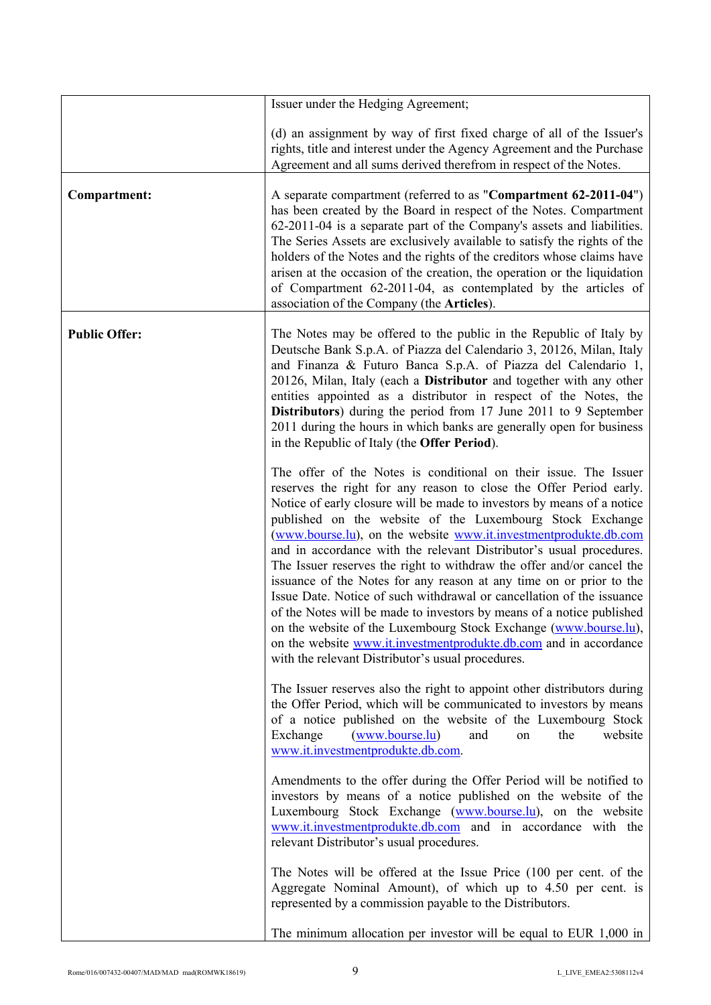|                      | Issuer under the Hedging Agreement;                                                                                                                                                                                                                                                                                                                                                                                                                                                                                                                                                                                                                                                                                                                                                                                                                                                                                      |
|----------------------|--------------------------------------------------------------------------------------------------------------------------------------------------------------------------------------------------------------------------------------------------------------------------------------------------------------------------------------------------------------------------------------------------------------------------------------------------------------------------------------------------------------------------------------------------------------------------------------------------------------------------------------------------------------------------------------------------------------------------------------------------------------------------------------------------------------------------------------------------------------------------------------------------------------------------|
|                      | (d) an assignment by way of first fixed charge of all of the Issuer's<br>rights, title and interest under the Agency Agreement and the Purchase<br>Agreement and all sums derived therefrom in respect of the Notes.                                                                                                                                                                                                                                                                                                                                                                                                                                                                                                                                                                                                                                                                                                     |
| Compartment:         | A separate compartment (referred to as "Compartment 62-2011-04")<br>has been created by the Board in respect of the Notes. Compartment<br>62-2011-04 is a separate part of the Company's assets and liabilities.<br>The Series Assets are exclusively available to satisfy the rights of the<br>holders of the Notes and the rights of the creditors whose claims have<br>arisen at the occasion of the creation, the operation or the liquidation<br>of Compartment 62-2011-04, as contemplated by the articles of<br>association of the Company (the Articles).                                                                                                                                                                                                                                                                                                                                                        |
| <b>Public Offer:</b> | The Notes may be offered to the public in the Republic of Italy by<br>Deutsche Bank S.p.A. of Piazza del Calendario 3, 20126, Milan, Italy<br>and Finanza & Futuro Banca S.p.A. of Piazza del Calendario 1,<br>20126, Milan, Italy (each a Distributor and together with any other<br>entities appointed as a distributor in respect of the Notes, the<br>Distributors) during the period from 17 June 2011 to 9 September<br>2011 during the hours in which banks are generally open for business<br>in the Republic of Italy (the <b>Offer Period</b> ).                                                                                                                                                                                                                                                                                                                                                               |
|                      | The offer of the Notes is conditional on their issue. The Issuer<br>reserves the right for any reason to close the Offer Period early.<br>Notice of early closure will be made to investors by means of a notice<br>published on the website of the Luxembourg Stock Exchange<br>(www.bourse.lu), on the website www.it.investmentprodukte.db.com<br>and in accordance with the relevant Distributor's usual procedures.<br>The Issuer reserves the right to withdraw the offer and/or cancel the<br>issuance of the Notes for any reason at any time on or prior to the<br>Issue Date. Notice of such withdrawal or cancellation of the issuance<br>of the Notes will be made to investors by means of a notice published<br>on the website of the Luxembourg Stock Exchange (www.bourse.lu),<br>on the website www.it.investmentprodukte.db.com and in accordance<br>with the relevant Distributor's usual procedures. |
|                      | The Issuer reserves also the right to appoint other distributors during<br>the Offer Period, which will be communicated to investors by means<br>of a notice published on the website of the Luxembourg Stock<br>( <u>www.bourne.lu</u> )<br>website<br>Exchange<br>and<br>the<br>on<br>www.it.investmentprodukte.db.com.                                                                                                                                                                                                                                                                                                                                                                                                                                                                                                                                                                                                |
|                      | Amendments to the offer during the Offer Period will be notified to<br>investors by means of a notice published on the website of the<br>Luxembourg Stock Exchange (www.bourse.lu), on the website<br>www.it.investmentprodukte.db.com and in accordance with the<br>relevant Distributor's usual procedures.                                                                                                                                                                                                                                                                                                                                                                                                                                                                                                                                                                                                            |
|                      | The Notes will be offered at the Issue Price (100 per cent. of the<br>Aggregate Nominal Amount), of which up to 4.50 per cent. is<br>represented by a commission payable to the Distributors.                                                                                                                                                                                                                                                                                                                                                                                                                                                                                                                                                                                                                                                                                                                            |
|                      | The minimum allocation per investor will be equal to EUR 1,000 in                                                                                                                                                                                                                                                                                                                                                                                                                                                                                                                                                                                                                                                                                                                                                                                                                                                        |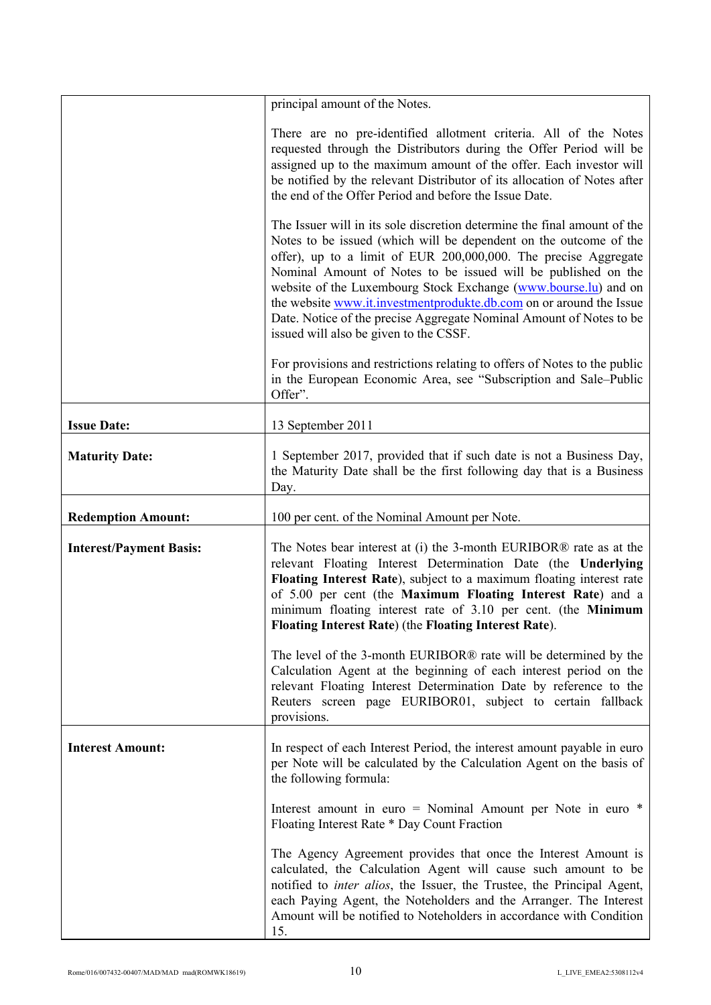|                                | principal amount of the Notes.                                                                                                                                                                                                                                                                                                                                                                                                                                                                                                               |
|--------------------------------|----------------------------------------------------------------------------------------------------------------------------------------------------------------------------------------------------------------------------------------------------------------------------------------------------------------------------------------------------------------------------------------------------------------------------------------------------------------------------------------------------------------------------------------------|
|                                | There are no pre-identified allotment criteria. All of the Notes<br>requested through the Distributors during the Offer Period will be<br>assigned up to the maximum amount of the offer. Each investor will<br>be notified by the relevant Distributor of its allocation of Notes after<br>the end of the Offer Period and before the Issue Date.                                                                                                                                                                                           |
|                                | The Issuer will in its sole discretion determine the final amount of the<br>Notes to be issued (which will be dependent on the outcome of the<br>offer), up to a limit of EUR 200,000,000. The precise Aggregate<br>Nominal Amount of Notes to be issued will be published on the<br>website of the Luxembourg Stock Exchange (www.bourse.lu) and on<br>the website www.it.investmentprodukte.db.com on or around the Issue<br>Date. Notice of the precise Aggregate Nominal Amount of Notes to be<br>issued will also be given to the CSSF. |
|                                | For provisions and restrictions relating to offers of Notes to the public<br>in the European Economic Area, see "Subscription and Sale-Public<br>Offer".                                                                                                                                                                                                                                                                                                                                                                                     |
| <b>Issue Date:</b>             | 13 September 2011                                                                                                                                                                                                                                                                                                                                                                                                                                                                                                                            |
| <b>Maturity Date:</b>          | 1 September 2017, provided that if such date is not a Business Day,<br>the Maturity Date shall be the first following day that is a Business<br>Day.                                                                                                                                                                                                                                                                                                                                                                                         |
| <b>Redemption Amount:</b>      | 100 per cent. of the Nominal Amount per Note.                                                                                                                                                                                                                                                                                                                                                                                                                                                                                                |
| <b>Interest/Payment Basis:</b> | The Notes bear interest at (i) the 3-month EURIBOR® rate as at the<br>relevant Floating Interest Determination Date (the Underlying<br>Floating Interest Rate), subject to a maximum floating interest rate<br>of 5.00 per cent (the Maximum Floating Interest Rate) and a<br>minimum floating interest rate of 3.10 per cent. (the Minimum<br><b>Floating Interest Rate</b> ) (the Floating Interest Rate).                                                                                                                                 |
|                                | The level of the 3-month EURIBOR® rate will be determined by the<br>Calculation Agent at the beginning of each interest period on the<br>relevant Floating Interest Determination Date by reference to the<br>Reuters screen page EURIBOR01, subject to certain fallback<br>provisions.                                                                                                                                                                                                                                                      |
| <b>Interest Amount:</b>        | In respect of each Interest Period, the interest amount payable in euro<br>per Note will be calculated by the Calculation Agent on the basis of<br>the following formula:                                                                                                                                                                                                                                                                                                                                                                    |
|                                | Interest amount in euro = Nominal Amount per Note in euro $*$<br>Floating Interest Rate * Day Count Fraction                                                                                                                                                                                                                                                                                                                                                                                                                                 |
|                                | The Agency Agreement provides that once the Interest Amount is<br>calculated, the Calculation Agent will cause such amount to be<br>notified to inter alios, the Issuer, the Trustee, the Principal Agent,<br>each Paying Agent, the Noteholders and the Arranger. The Interest<br>Amount will be notified to Noteholders in accordance with Condition<br>15.                                                                                                                                                                                |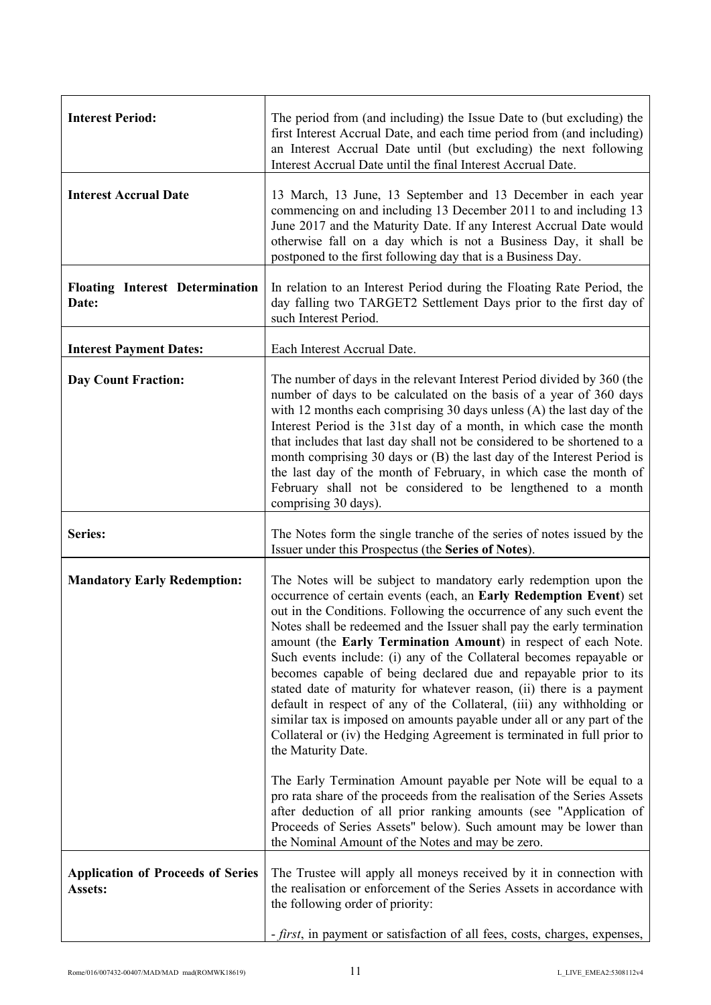| <b>Interest Period:</b>                             | The period from (and including) the Issue Date to (but excluding) the<br>first Interest Accrual Date, and each time period from (and including)<br>an Interest Accrual Date until (but excluding) the next following<br>Interest Accrual Date until the final Interest Accrual Date.                                                                                                                                                                                                                                                                                                                                                                                                                                                                                                                                               |
|-----------------------------------------------------|------------------------------------------------------------------------------------------------------------------------------------------------------------------------------------------------------------------------------------------------------------------------------------------------------------------------------------------------------------------------------------------------------------------------------------------------------------------------------------------------------------------------------------------------------------------------------------------------------------------------------------------------------------------------------------------------------------------------------------------------------------------------------------------------------------------------------------|
| <b>Interest Accrual Date</b>                        | 13 March, 13 June, 13 September and 13 December in each year<br>commencing on and including 13 December 2011 to and including 13<br>June 2017 and the Maturity Date. If any Interest Accrual Date would<br>otherwise fall on a day which is not a Business Day, it shall be<br>postponed to the first following day that is a Business Day.                                                                                                                                                                                                                                                                                                                                                                                                                                                                                        |
| <b>Floating Interest Determination</b><br>Date:     | In relation to an Interest Period during the Floating Rate Period, the<br>day falling two TARGET2 Settlement Days prior to the first day of<br>such Interest Period.                                                                                                                                                                                                                                                                                                                                                                                                                                                                                                                                                                                                                                                               |
| <b>Interest Payment Dates:</b>                      | Each Interest Accrual Date.                                                                                                                                                                                                                                                                                                                                                                                                                                                                                                                                                                                                                                                                                                                                                                                                        |
| <b>Day Count Fraction:</b>                          | The number of days in the relevant Interest Period divided by 360 (the<br>number of days to be calculated on the basis of a year of 360 days<br>with 12 months each comprising 30 days unless $(A)$ the last day of the<br>Interest Period is the 31st day of a month, in which case the month<br>that includes that last day shall not be considered to be shortened to a<br>month comprising 30 days or (B) the last day of the Interest Period is<br>the last day of the month of February, in which case the month of<br>February shall not be considered to be lengthened to a month<br>comprising 30 days).                                                                                                                                                                                                                  |
|                                                     |                                                                                                                                                                                                                                                                                                                                                                                                                                                                                                                                                                                                                                                                                                                                                                                                                                    |
| <b>Series:</b>                                      | The Notes form the single tranche of the series of notes issued by the<br>Issuer under this Prospectus (the Series of Notes).                                                                                                                                                                                                                                                                                                                                                                                                                                                                                                                                                                                                                                                                                                      |
| <b>Mandatory Early Redemption:</b>                  | The Notes will be subject to mandatory early redemption upon the<br>occurrence of certain events (each, an Early Redemption Event) set<br>out in the Conditions. Following the occurrence of any such event the<br>Notes shall be redeemed and the Issuer shall pay the early termination<br>amount (the Early Termination Amount) in respect of each Note.<br>Such events include: (i) any of the Collateral becomes repayable or<br>becomes capable of being declared due and repayable prior to its<br>stated date of maturity for whatever reason, (ii) there is a payment<br>default in respect of any of the Collateral, (iii) any withholding or<br>similar tax is imposed on amounts payable under all or any part of the<br>Collateral or (iv) the Hedging Agreement is terminated in full prior to<br>the Maturity Date. |
|                                                     | The Early Termination Amount payable per Note will be equal to a<br>pro rata share of the proceeds from the realisation of the Series Assets<br>after deduction of all prior ranking amounts (see "Application of<br>Proceeds of Series Assets" below). Such amount may be lower than<br>the Nominal Amount of the Notes and may be zero.                                                                                                                                                                                                                                                                                                                                                                                                                                                                                          |
| <b>Application of Proceeds of Series</b><br>Assets: | The Trustee will apply all moneys received by it in connection with<br>the realisation or enforcement of the Series Assets in accordance with<br>the following order of priority:                                                                                                                                                                                                                                                                                                                                                                                                                                                                                                                                                                                                                                                  |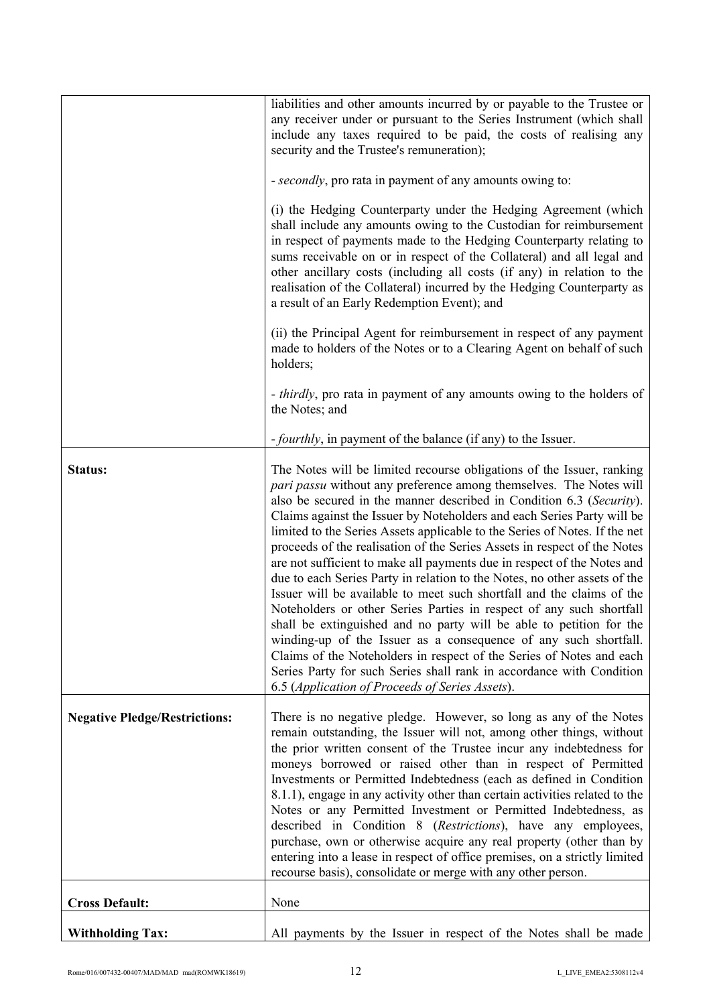|                                      | liabilities and other amounts incurred by or payable to the Trustee or<br>any receiver under or pursuant to the Series Instrument (which shall<br>include any taxes required to be paid, the costs of realising any<br>security and the Trustee's remuneration);                                                                                                                                                                                                                                                                                                                                                                                                                                                                                                                                                                                                                                                                                                                                                                                                                                               |
|--------------------------------------|----------------------------------------------------------------------------------------------------------------------------------------------------------------------------------------------------------------------------------------------------------------------------------------------------------------------------------------------------------------------------------------------------------------------------------------------------------------------------------------------------------------------------------------------------------------------------------------------------------------------------------------------------------------------------------------------------------------------------------------------------------------------------------------------------------------------------------------------------------------------------------------------------------------------------------------------------------------------------------------------------------------------------------------------------------------------------------------------------------------|
|                                      | - secondly, pro rata in payment of any amounts owing to:                                                                                                                                                                                                                                                                                                                                                                                                                                                                                                                                                                                                                                                                                                                                                                                                                                                                                                                                                                                                                                                       |
|                                      | (i) the Hedging Counterparty under the Hedging Agreement (which<br>shall include any amounts owing to the Custodian for reimbursement<br>in respect of payments made to the Hedging Counterparty relating to<br>sums receivable on or in respect of the Collateral) and all legal and<br>other ancillary costs (including all costs (if any) in relation to the<br>realisation of the Collateral) incurred by the Hedging Counterparty as<br>a result of an Early Redemption Event); and                                                                                                                                                                                                                                                                                                                                                                                                                                                                                                                                                                                                                       |
|                                      | (ii) the Principal Agent for reimbursement in respect of any payment<br>made to holders of the Notes or to a Clearing Agent on behalf of such<br>holders;                                                                                                                                                                                                                                                                                                                                                                                                                                                                                                                                                                                                                                                                                                                                                                                                                                                                                                                                                      |
|                                      | - <i>thirdly</i> , pro rata in payment of any amounts owing to the holders of<br>the Notes; and                                                                                                                                                                                                                                                                                                                                                                                                                                                                                                                                                                                                                                                                                                                                                                                                                                                                                                                                                                                                                |
|                                      | <i>fourthly</i> , in payment of the balance (if any) to the Issuer.                                                                                                                                                                                                                                                                                                                                                                                                                                                                                                                                                                                                                                                                                                                                                                                                                                                                                                                                                                                                                                            |
| Status:                              | The Notes will be limited recourse obligations of the Issuer, ranking<br>pari passu without any preference among themselves. The Notes will<br>also be secured in the manner described in Condition 6.3 (Security).<br>Claims against the Issuer by Noteholders and each Series Party will be<br>limited to the Series Assets applicable to the Series of Notes. If the net<br>proceeds of the realisation of the Series Assets in respect of the Notes<br>are not sufficient to make all payments due in respect of the Notes and<br>due to each Series Party in relation to the Notes, no other assets of the<br>Issuer will be available to meet such shortfall and the claims of the<br>Noteholders or other Series Parties in respect of any such shortfall<br>shall be extinguished and no party will be able to petition for the<br>winding-up of the Issuer as a consequence of any such shortfall.<br>Claims of the Noteholders in respect of the Series of Notes and each<br>Series Party for such Series shall rank in accordance with Condition<br>6.5 (Application of Proceeds of Series Assets). |
| <b>Negative Pledge/Restrictions:</b> | There is no negative pledge. However, so long as any of the Notes<br>remain outstanding, the Issuer will not, among other things, without<br>the prior written consent of the Trustee incur any indebtedness for<br>moneys borrowed or raised other than in respect of Permitted<br>Investments or Permitted Indebtedness (each as defined in Condition<br>8.1.1), engage in any activity other than certain activities related to the<br>Notes or any Permitted Investment or Permitted Indebtedness, as<br>described in Condition 8 (Restrictions), have any employees,<br>purchase, own or otherwise acquire any real property (other than by<br>entering into a lease in respect of office premises, on a strictly limited<br>recourse basis), consolidate or merge with any other person.                                                                                                                                                                                                                                                                                                                 |
| <b>Cross Default:</b>                | None                                                                                                                                                                                                                                                                                                                                                                                                                                                                                                                                                                                                                                                                                                                                                                                                                                                                                                                                                                                                                                                                                                           |
| <b>Withholding Tax:</b>              | All payments by the Issuer in respect of the Notes shall be made                                                                                                                                                                                                                                                                                                                                                                                                                                                                                                                                                                                                                                                                                                                                                                                                                                                                                                                                                                                                                                               |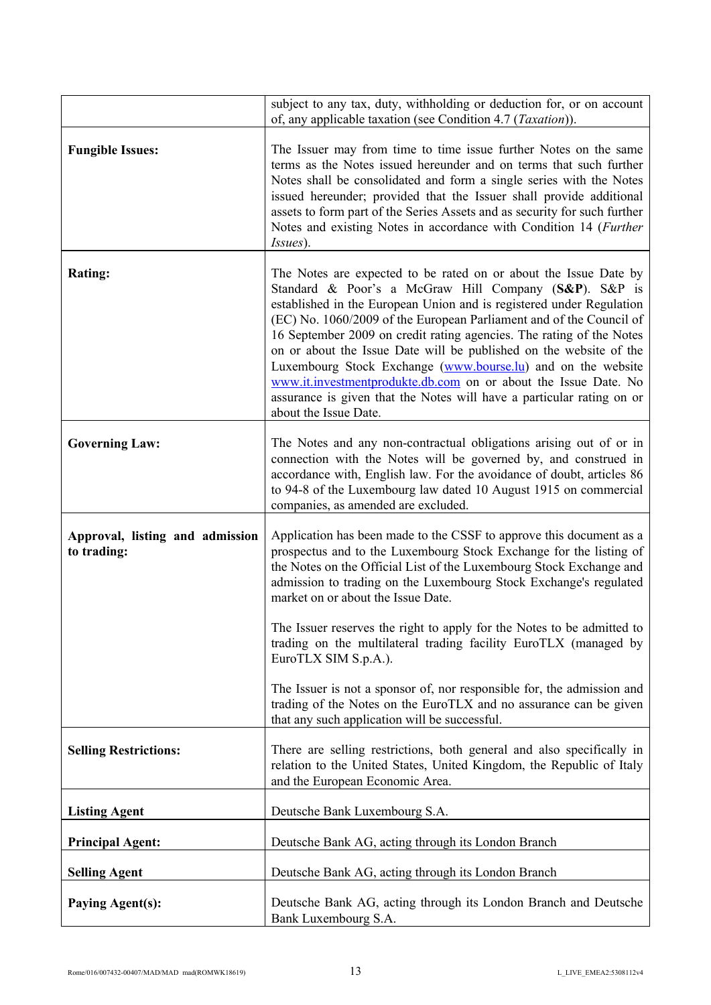|                                                | subject to any tax, duty, withholding or deduction for, or on account<br>of, any applicable taxation (see Condition 4.7 ( <i>Taxation</i> )).                                                                                                                                                                                                                                                                                                                                                                                                                                                                                                               |
|------------------------------------------------|-------------------------------------------------------------------------------------------------------------------------------------------------------------------------------------------------------------------------------------------------------------------------------------------------------------------------------------------------------------------------------------------------------------------------------------------------------------------------------------------------------------------------------------------------------------------------------------------------------------------------------------------------------------|
| <b>Fungible Issues:</b>                        | The Issuer may from time to time issue further Notes on the same<br>terms as the Notes issued hereunder and on terms that such further<br>Notes shall be consolidated and form a single series with the Notes<br>issued hereunder; provided that the Issuer shall provide additional<br>assets to form part of the Series Assets and as security for such further<br>Notes and existing Notes in accordance with Condition 14 (Further<br><i>Issues</i> ).                                                                                                                                                                                                  |
| <b>Rating:</b>                                 | The Notes are expected to be rated on or about the Issue Date by<br>Standard & Poor's a McGraw Hill Company (S&P). S&P is<br>established in the European Union and is registered under Regulation<br>(EC) No. 1060/2009 of the European Parliament and of the Council of<br>16 September 2009 on credit rating agencies. The rating of the Notes<br>on or about the Issue Date will be published on the website of the<br>Luxembourg Stock Exchange (www.bourse.lu) and on the website<br>www.it.investmentprodukte.db.com on or about the Issue Date. No<br>assurance is given that the Notes will have a particular rating on or<br>about the Issue Date. |
| <b>Governing Law:</b>                          | The Notes and any non-contractual obligations arising out of or in<br>connection with the Notes will be governed by, and construed in<br>accordance with, English law. For the avoidance of doubt, articles 86<br>to 94-8 of the Luxembourg law dated 10 August 1915 on commercial<br>companies, as amended are excluded.                                                                                                                                                                                                                                                                                                                                   |
| Approval, listing and admission<br>to trading: | Application has been made to the CSSF to approve this document as a<br>prospectus and to the Luxembourg Stock Exchange for the listing of<br>the Notes on the Official List of the Luxembourg Stock Exchange and<br>admission to trading on the Luxembourg Stock Exchange's regulated<br>market on or about the Issue Date.                                                                                                                                                                                                                                                                                                                                 |
|                                                | The Issuer reserves the right to apply for the Notes to be admitted to<br>trading on the multilateral trading facility EuroTLX (managed by<br>EuroTLX SIM S.p.A.).                                                                                                                                                                                                                                                                                                                                                                                                                                                                                          |
|                                                | The Issuer is not a sponsor of, nor responsible for, the admission and<br>trading of the Notes on the EuroTLX and no assurance can be given<br>that any such application will be successful.                                                                                                                                                                                                                                                                                                                                                                                                                                                                |
| <b>Selling Restrictions:</b>                   | There are selling restrictions, both general and also specifically in<br>relation to the United States, United Kingdom, the Republic of Italy<br>and the European Economic Area.                                                                                                                                                                                                                                                                                                                                                                                                                                                                            |
| <b>Listing Agent</b>                           | Deutsche Bank Luxembourg S.A.                                                                                                                                                                                                                                                                                                                                                                                                                                                                                                                                                                                                                               |
| <b>Principal Agent:</b>                        | Deutsche Bank AG, acting through its London Branch                                                                                                                                                                                                                                                                                                                                                                                                                                                                                                                                                                                                          |
| <b>Selling Agent</b>                           | Deutsche Bank AG, acting through its London Branch                                                                                                                                                                                                                                                                                                                                                                                                                                                                                                                                                                                                          |
| <b>Paying Agent(s):</b>                        | Deutsche Bank AG, acting through its London Branch and Deutsche<br>Bank Luxembourg S.A.                                                                                                                                                                                                                                                                                                                                                                                                                                                                                                                                                                     |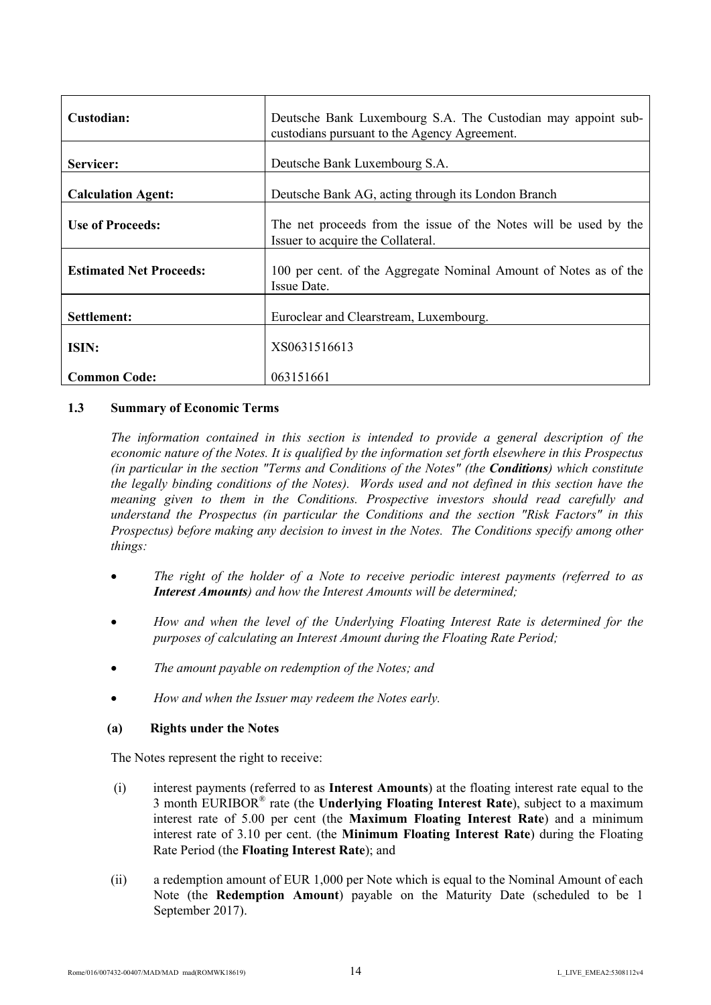| Custodian:                     | Deutsche Bank Luxembourg S.A. The Custodian may appoint sub-<br>custodians pursuant to the Agency Agreement. |
|--------------------------------|--------------------------------------------------------------------------------------------------------------|
| Servicer:                      | Deutsche Bank Luxembourg S.A.                                                                                |
| <b>Calculation Agent:</b>      | Deutsche Bank AG, acting through its London Branch                                                           |
| <b>Use of Proceeds:</b>        | The net proceeds from the issue of the Notes will be used by the<br>Issuer to acquire the Collateral.        |
| <b>Estimated Net Proceeds:</b> | 100 per cent. of the Aggregate Nominal Amount of Notes as of the<br>Issue Date.                              |
| Settlement:                    | Euroclear and Clearstream, Luxembourg.                                                                       |
| ISIN:                          | XS0631516613                                                                                                 |
| <b>Common Code:</b>            | 063151661                                                                                                    |

### **1.3 Summary of Economic Terms**

*The information contained in this section is intended to provide a general description of the economic nature of the Notes. It is qualified by the information set forth elsewhere in this Prospectus (in particular in the section "Terms and Conditions of the Notes" (the Conditions) which constitute the legally binding conditions of the Notes). Words used and not defined in this section have the meaning given to them in the Conditions. Prospective investors should read carefully and understand the Prospectus (in particular the Conditions and the section "Risk Factors" in this Prospectus) before making any decision to invest in the Notes. The Conditions specify among other things:*

- *The right of the holder of a Note to receive periodic interest payments (referred to as Interest Amounts) and how the Interest Amounts will be determined;*
- *How and when the level of the Underlying Floating Interest Rate is determined for the purposes of calculating an Interest Amount during the Floating Rate Period;*
- *The amount payable on redemption of the Notes; and*
- *How and when the Issuer may redeem the Notes early.*

### **(a) Rights under the Notes**

The Notes represent the right to receive:

- (i) interest payments (referred to as **Interest Amounts**) at the floating interest rate equal to the 3 month EURIBOR® rate (the **Underlying Floating Interest Rate**), subject to a maximum interest rate of 5.00 per cent (the **Maximum Floating Interest Rate**) and a minimum interest rate of 3.10 per cent. (the **Minimum Floating Interest Rate**) during the Floating Rate Period (the **Floating Interest Rate**); and
- (ii) a redemption amount of EUR 1,000 per Note which is equal to the Nominal Amount of each Note (the **Redemption Amount**) payable on the Maturity Date (scheduled to be 1 September 2017).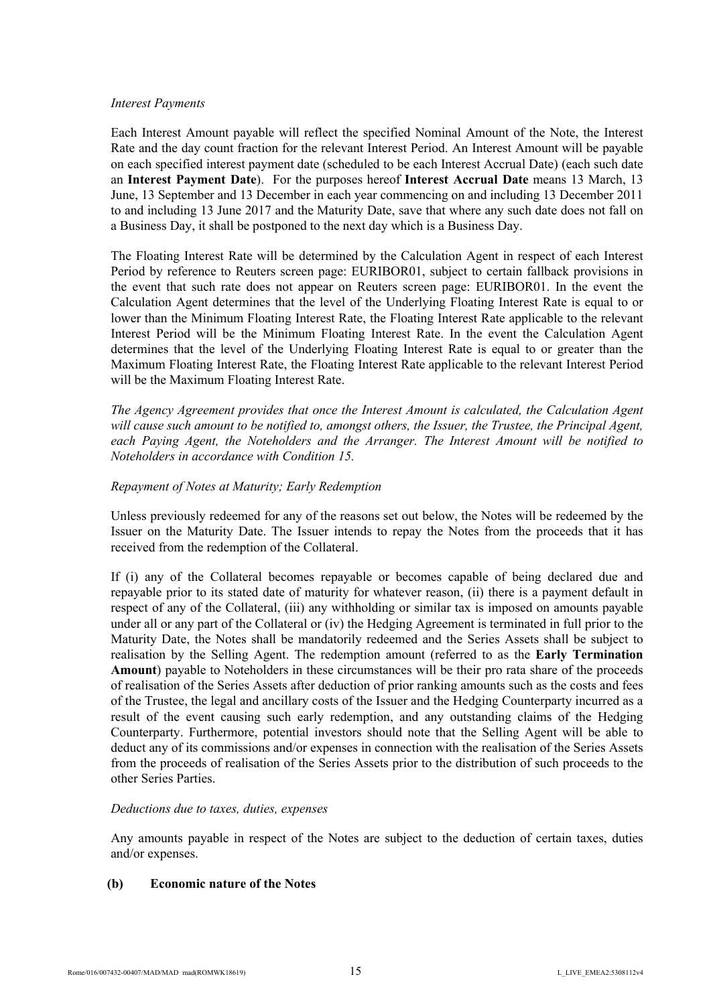### *Interest Payments*

Each Interest Amount payable will reflect the specified Nominal Amount of the Note, the Interest Rate and the day count fraction for the relevant Interest Period. An Interest Amount will be payable on each specified interest payment date (scheduled to be each Interest Accrual Date) (each such date an **Interest Payment Date**). For the purposes hereof **Interest Accrual Date** means 13 March, 13 June, 13 September and 13 December in each year commencing on and including 13 December 2011 to and including 13 June 2017 and the Maturity Date, save that where any such date does not fall on a Business Day, it shall be postponed to the next day which is a Business Day.

The Floating Interest Rate will be determined by the Calculation Agent in respect of each Interest Period by reference to Reuters screen page: EURIBOR01, subject to certain fallback provisions in the event that such rate does not appear on Reuters screen page: EURIBOR01. In the event the Calculation Agent determines that the level of the Underlying Floating Interest Rate is equal to or lower than the Minimum Floating Interest Rate, the Floating Interest Rate applicable to the relevant Interest Period will be the Minimum Floating Interest Rate. In the event the Calculation Agent determines that the level of the Underlying Floating Interest Rate is equal to or greater than the Maximum Floating Interest Rate, the Floating Interest Rate applicable to the relevant Interest Period will be the Maximum Floating Interest Rate.

*The Agency Agreement provides that once the Interest Amount is calculated, the Calculation Agent will cause such amount to be notified to, amongst others, the Issuer, the Trustee, the Principal Agent, each Paying Agent, the Noteholders and the Arranger. The Interest Amount will be notified to Noteholders in accordance with Condition 15.*

# *Repayment of Notes at Maturity; Early Redemption*

Unless previously redeemed for any of the reasons set out below, the Notes will be redeemed by the Issuer on the Maturity Date. The Issuer intends to repay the Notes from the proceeds that it has received from the redemption of the Collateral.

If (i) any of the Collateral becomes repayable or becomes capable of being declared due and repayable prior to its stated date of maturity for whatever reason, (ii) there is a payment default in respect of any of the Collateral, (iii) any withholding or similar tax is imposed on amounts payable under all or any part of the Collateral or (iv) the Hedging Agreement is terminated in full prior to the Maturity Date, the Notes shall be mandatorily redeemed and the Series Assets shall be subject to realisation by the Selling Agent. The redemption amount (referred to as the **Early Termination Amount**) payable to Noteholders in these circumstances will be their pro rata share of the proceeds of realisation of the Series Assets after deduction of prior ranking amounts such as the costs and fees of the Trustee, the legal and ancillary costs of the Issuer and the Hedging Counterparty incurred as a result of the event causing such early redemption, and any outstanding claims of the Hedging Counterparty. Furthermore, potential investors should note that the Selling Agent will be able to deduct any of its commissions and/or expenses in connection with the realisation of the Series Assets from the proceeds of realisation of the Series Assets prior to the distribution of such proceeds to the other Series Parties.

### *Deductions due to taxes, duties, expenses*

Any amounts payable in respect of the Notes are subject to the deduction of certain taxes, duties and/or expenses.

### **(b) Economic nature of the Notes**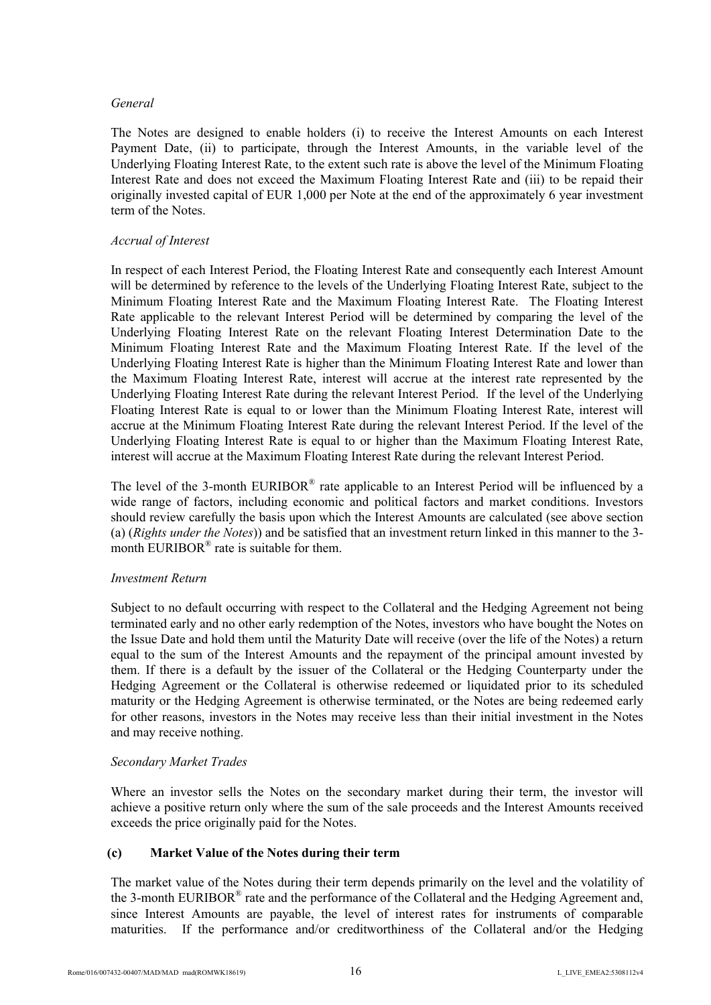### *General*

The Notes are designed to enable holders (i) to receive the Interest Amounts on each Interest Payment Date, (ii) to participate, through the Interest Amounts, in the variable level of the Underlying Floating Interest Rate, to the extent such rate is above the level of the Minimum Floating Interest Rate and does not exceed the Maximum Floating Interest Rate and (iii) to be repaid their originally invested capital of EUR 1,000 per Note at the end of the approximately 6 year investment term of the Notes.

# *Accrual of Interest*

In respect of each Interest Period, the Floating Interest Rate and consequently each Interest Amount will be determined by reference to the levels of the Underlying Floating Interest Rate, subject to the Minimum Floating Interest Rate and the Maximum Floating Interest Rate. The Floating Interest Rate applicable to the relevant Interest Period will be determined by comparing the level of the Underlying Floating Interest Rate on the relevant Floating Interest Determination Date to the Minimum Floating Interest Rate and the Maximum Floating Interest Rate. If the level of the Underlying Floating Interest Rate is higher than the Minimum Floating Interest Rate and lower than the Maximum Floating Interest Rate, interest will accrue at the interest rate represented by the Underlying Floating Interest Rate during the relevant Interest Period. If the level of the Underlying Floating Interest Rate is equal to or lower than the Minimum Floating Interest Rate, interest will accrue at the Minimum Floating Interest Rate during the relevant Interest Period. If the level of the Underlying Floating Interest Rate is equal to or higher than the Maximum Floating Interest Rate, interest will accrue at the Maximum Floating Interest Rate during the relevant Interest Period.

The level of the 3-month EURIBOR<sup>®</sup> rate applicable to an Interest Period will be influenced by a wide range of factors, including economic and political factors and market conditions. Investors should review carefully the basis upon which the Interest Amounts are calculated (see above section (a) (*Rights under the Notes*)) and be satisfied that an investment return linked in this manner to the 3 month EURIBOR<sup>®</sup> rate is suitable for them.

### *Investment Return*

Subject to no default occurring with respect to the Collateral and the Hedging Agreement not being terminated early and no other early redemption of the Notes, investors who have bought the Notes on the Issue Date and hold them until the Maturity Date will receive (over the life of the Notes) a return equal to the sum of the Interest Amounts and the repayment of the principal amount invested by them. If there is a default by the issuer of the Collateral or the Hedging Counterparty under the Hedging Agreement or the Collateral is otherwise redeemed or liquidated prior to its scheduled maturity or the Hedging Agreement is otherwise terminated, or the Notes are being redeemed early for other reasons, investors in the Notes may receive less than their initial investment in the Notes and may receive nothing.

### *Secondary Market Trades*

Where an investor sells the Notes on the secondary market during their term, the investor will achieve a positive return only where the sum of the sale proceeds and the Interest Amounts received exceeds the price originally paid for the Notes.

# **(c) Market Value of the Notes during their term**

The market value of the Notes during their term depends primarily on the level and the volatility of the 3-month EURIBOR® rate and the performance of the Collateral and the Hedging Agreement and, since Interest Amounts are payable, the level of interest rates for instruments of comparable maturities. If the performance and/or creditworthiness of the Collateral and/or the Hedging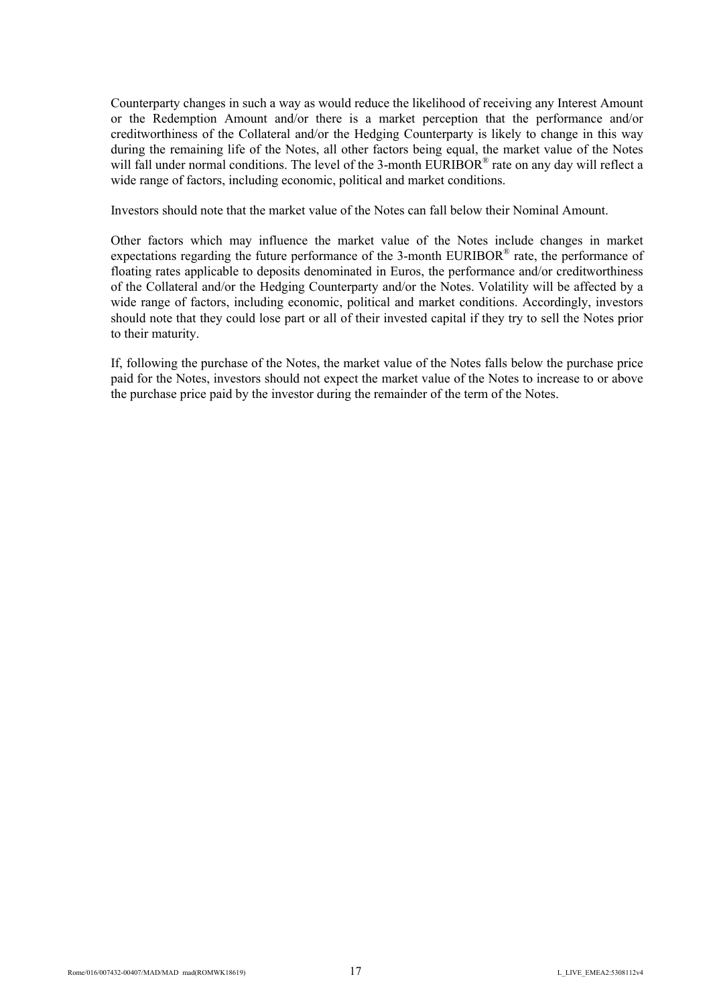Counterparty changes in such a way as would reduce the likelihood of receiving any Interest Amount or the Redemption Amount and/or there is a market perception that the performance and/or creditworthiness of the Collateral and/or the Hedging Counterparty is likely to change in this way during the remaining life of the Notes, all other factors being equal, the market value of the Notes will fall under normal conditions. The level of the 3-month EURIBOR® rate on any day will reflect a wide range of factors, including economic, political and market conditions.

Investors should note that the market value of the Notes can fall below their Nominal Amount.

Other factors which may influence the market value of the Notes include changes in market expectations regarding the future performance of the 3-month EURIBOR<sup>®</sup> rate, the performance of floating rates applicable to deposits denominated in Euros, the performance and/or creditworthiness of the Collateral and/or the Hedging Counterparty and/or the Notes. Volatility will be affected by a wide range of factors, including economic, political and market conditions. Accordingly, investors should note that they could lose part or all of their invested capital if they try to sell the Notes prior to their maturity.

If, following the purchase of the Notes, the market value of the Notes falls below the purchase price paid for the Notes, investors should not expect the market value of the Notes to increase to or above the purchase price paid by the investor during the remainder of the term of the Notes.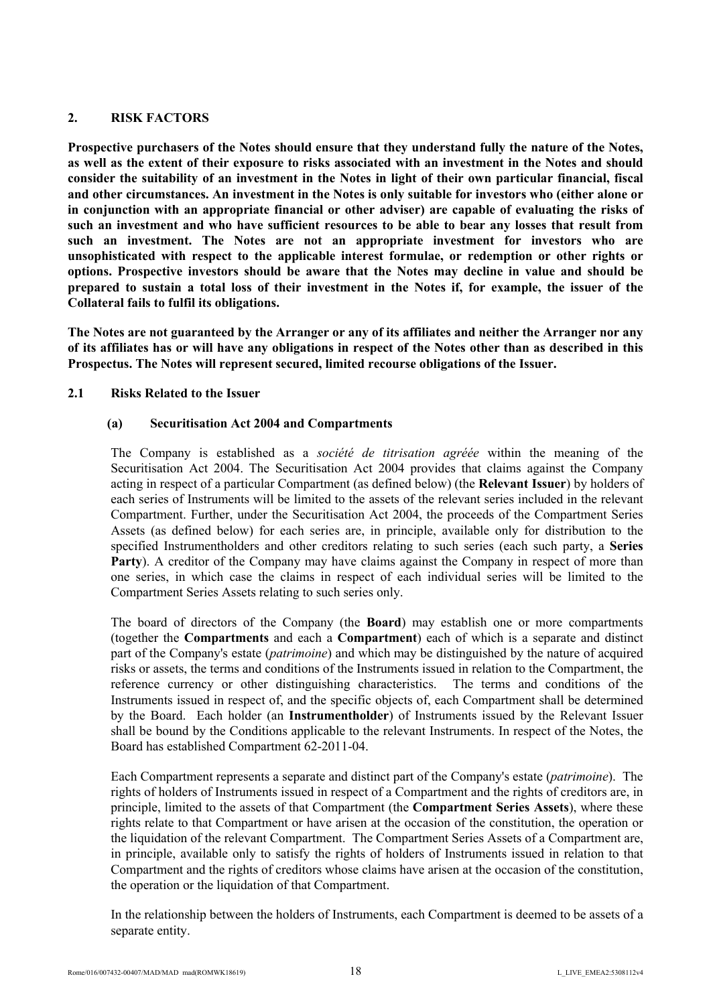# **2. RISK FACTORS**

**Prospective purchasers of the Notes should ensure that they understand fully the nature of the Notes, as well as the extent of their exposure to risks associated with an investment in the Notes and should consider the suitability of an investment in the Notes in light of their own particular financial, fiscal and other circumstances. An investment in the Notes is only suitable for investors who (either alone or in conjunction with an appropriate financial or other adviser) are capable of evaluating the risks of such an investment and who have sufficient resources to be able to bear any losses that result from such an investment. The Notes are not an appropriate investment for investors who are unsophisticated with respect to the applicable interest formulae, or redemption or other rights or options. Prospective investors should be aware that the Notes may decline in value and should be prepared to sustain a total loss of their investment in the Notes if, for example, the issuer of the Collateral fails to fulfil its obligations.** 

**The Notes are not guaranteed by the Arranger or any of its affiliates and neither the Arranger nor any of its affiliates has or will have any obligations in respect of the Notes other than as described in this Prospectus. The Notes will represent secured, limited recourse obligations of the Issuer.** 

# **2.1 Risks Related to the Issuer**

# **(a) Securitisation Act 2004 and Compartments**

The Company is established as a *société de titrisation agréée* within the meaning of the Securitisation Act 2004. The Securitisation Act 2004 provides that claims against the Company acting in respect of a particular Compartment (as defined below) (the **Relevant Issuer**) by holders of each series of Instruments will be limited to the assets of the relevant series included in the relevant Compartment. Further, under the Securitisation Act 2004, the proceeds of the Compartment Series Assets (as defined below) for each series are, in principle, available only for distribution to the specified Instrumentholders and other creditors relating to such series (each such party, a **Series**  Party). A creditor of the Company may have claims against the Company in respect of more than one series, in which case the claims in respect of each individual series will be limited to the Compartment Series Assets relating to such series only.

The board of directors of the Company (the **Board**) may establish one or more compartments (together the **Compartments** and each a **Compartment**) each of which is a separate and distinct part of the Company's estate (*patrimoine*) and which may be distinguished by the nature of acquired risks or assets, the terms and conditions of the Instruments issued in relation to the Compartment, the reference currency or other distinguishing characteristics. The terms and conditions of the Instruments issued in respect of, and the specific objects of, each Compartment shall be determined by the Board. Each holder (an **Instrumentholder**) of Instruments issued by the Relevant Issuer shall be bound by the Conditions applicable to the relevant Instruments. In respect of the Notes, the Board has established Compartment 62-2011-04.

Each Compartment represents a separate and distinct part of the Company's estate (*patrimoine*). The rights of holders of Instruments issued in respect of a Compartment and the rights of creditors are, in principle, limited to the assets of that Compartment (the **Compartment Series Assets**), where these rights relate to that Compartment or have arisen at the occasion of the constitution, the operation or the liquidation of the relevant Compartment. The Compartment Series Assets of a Compartment are, in principle, available only to satisfy the rights of holders of Instruments issued in relation to that Compartment and the rights of creditors whose claims have arisen at the occasion of the constitution, the operation or the liquidation of that Compartment.

In the relationship between the holders of Instruments, each Compartment is deemed to be assets of a separate entity.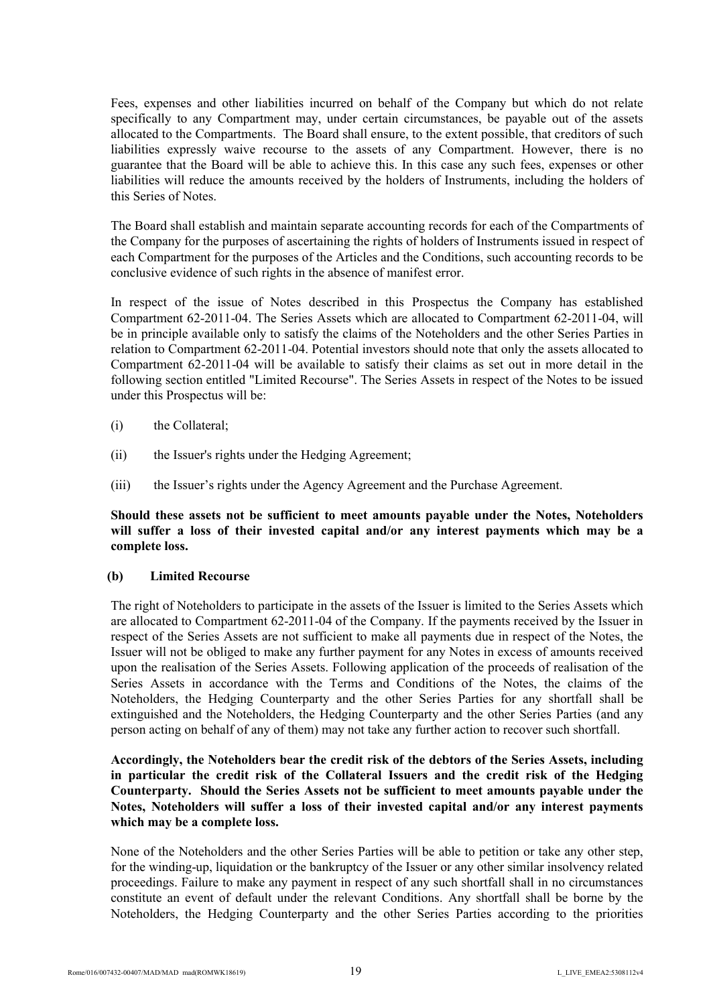Fees, expenses and other liabilities incurred on behalf of the Company but which do not relate specifically to any Compartment may, under certain circumstances, be payable out of the assets allocated to the Compartments. The Board shall ensure, to the extent possible, that creditors of such liabilities expressly waive recourse to the assets of any Compartment. However, there is no guarantee that the Board will be able to achieve this. In this case any such fees, expenses or other liabilities will reduce the amounts received by the holders of Instruments, including the holders of this Series of Notes.

The Board shall establish and maintain separate accounting records for each of the Compartments of the Company for the purposes of ascertaining the rights of holders of Instruments issued in respect of each Compartment for the purposes of the Articles and the Conditions, such accounting records to be conclusive evidence of such rights in the absence of manifest error.

In respect of the issue of Notes described in this Prospectus the Company has established Compartment 62-2011-04. The Series Assets which are allocated to Compartment 62-2011-04, will be in principle available only to satisfy the claims of the Noteholders and the other Series Parties in relation to Compartment 62-2011-04. Potential investors should note that only the assets allocated to Compartment 62-2011-04 will be available to satisfy their claims as set out in more detail in the following section entitled "Limited Recourse". The Series Assets in respect of the Notes to be issued under this Prospectus will be:

- (i) the Collateral;
- (ii) the Issuer's rights under the Hedging Agreement;
- (iii) the Issuer's rights under the Agency Agreement and the Purchase Agreement.

**Should these assets not be sufficient to meet amounts payable under the Notes, Noteholders will suffer a loss of their invested capital and/or any interest payments which may be a complete loss.**

# **(b) Limited Recourse**

The right of Noteholders to participate in the assets of the Issuer is limited to the Series Assets which are allocated to Compartment 62-2011-04 of the Company. If the payments received by the Issuer in respect of the Series Assets are not sufficient to make all payments due in respect of the Notes, the Issuer will not be obliged to make any further payment for any Notes in excess of amounts received upon the realisation of the Series Assets. Following application of the proceeds of realisation of the Series Assets in accordance with the Terms and Conditions of the Notes, the claims of the Noteholders, the Hedging Counterparty and the other Series Parties for any shortfall shall be extinguished and the Noteholders, the Hedging Counterparty and the other Series Parties (and any person acting on behalf of any of them) may not take any further action to recover such shortfall.

# **Accordingly, the Noteholders bear the credit risk of the debtors of the Series Assets, including in particular the credit risk of the Collateral Issuers and the credit risk of the Hedging Counterparty. Should the Series Assets not be sufficient to meet amounts payable under the Notes, Noteholders will suffer a loss of their invested capital and/or any interest payments which may be a complete loss.**

None of the Noteholders and the other Series Parties will be able to petition or take any other step, for the winding-up, liquidation or the bankruptcy of the Issuer or any other similar insolvency related proceedings. Failure to make any payment in respect of any such shortfall shall in no circumstances constitute an event of default under the relevant Conditions. Any shortfall shall be borne by the Noteholders, the Hedging Counterparty and the other Series Parties according to the priorities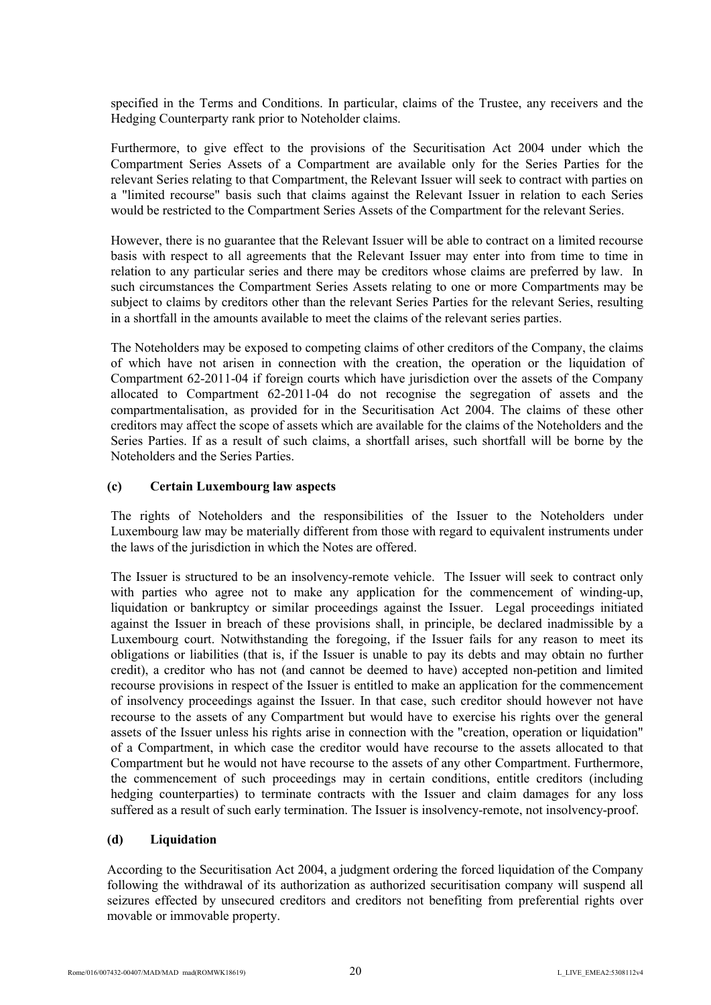specified in the Terms and Conditions. In particular, claims of the Trustee, any receivers and the Hedging Counterparty rank prior to Noteholder claims.

Furthermore, to give effect to the provisions of the Securitisation Act 2004 under which the Compartment Series Assets of a Compartment are available only for the Series Parties for the relevant Series relating to that Compartment, the Relevant Issuer will seek to contract with parties on a "limited recourse" basis such that claims against the Relevant Issuer in relation to each Series would be restricted to the Compartment Series Assets of the Compartment for the relevant Series.

However, there is no guarantee that the Relevant Issuer will be able to contract on a limited recourse basis with respect to all agreements that the Relevant Issuer may enter into from time to time in relation to any particular series and there may be creditors whose claims are preferred by law. In such circumstances the Compartment Series Assets relating to one or more Compartments may be subject to claims by creditors other than the relevant Series Parties for the relevant Series, resulting in a shortfall in the amounts available to meet the claims of the relevant series parties.

The Noteholders may be exposed to competing claims of other creditors of the Company, the claims of which have not arisen in connection with the creation, the operation or the liquidation of Compartment 62-2011-04 if foreign courts which have jurisdiction over the assets of the Company allocated to Compartment 62-2011-04 do not recognise the segregation of assets and the compartmentalisation, as provided for in the Securitisation Act 2004. The claims of these other creditors may affect the scope of assets which are available for the claims of the Noteholders and the Series Parties. If as a result of such claims, a shortfall arises, such shortfall will be borne by the Noteholders and the Series Parties.

#### **(c) Certain Luxembourg law aspects**

The rights of Noteholders and the responsibilities of the Issuer to the Noteholders under Luxembourg law may be materially different from those with regard to equivalent instruments under the laws of the jurisdiction in which the Notes are offered.

The Issuer is structured to be an insolvency-remote vehicle. The Issuer will seek to contract only with parties who agree not to make any application for the commencement of winding-up, liquidation or bankruptcy or similar proceedings against the Issuer. Legal proceedings initiated against the Issuer in breach of these provisions shall, in principle, be declared inadmissible by a Luxembourg court. Notwithstanding the foregoing, if the Issuer fails for any reason to meet its obligations or liabilities (that is, if the Issuer is unable to pay its debts and may obtain no further credit), a creditor who has not (and cannot be deemed to have) accepted non-petition and limited recourse provisions in respect of the Issuer is entitled to make an application for the commencement of insolvency proceedings against the Issuer. In that case, such creditor should however not have recourse to the assets of any Compartment but would have to exercise his rights over the general assets of the Issuer unless his rights arise in connection with the "creation, operation or liquidation" of a Compartment, in which case the creditor would have recourse to the assets allocated to that Compartment but he would not have recourse to the assets of any other Compartment. Furthermore, the commencement of such proceedings may in certain conditions, entitle creditors (including hedging counterparties) to terminate contracts with the Issuer and claim damages for any loss suffered as a result of such early termination. The Issuer is insolvency-remote, not insolvency-proof.

### **(d) Liquidation**

According to the Securitisation Act 2004, a judgment ordering the forced liquidation of the Company following the withdrawal of its authorization as authorized securitisation company will suspend all seizures effected by unsecured creditors and creditors not benefiting from preferential rights over movable or immovable property.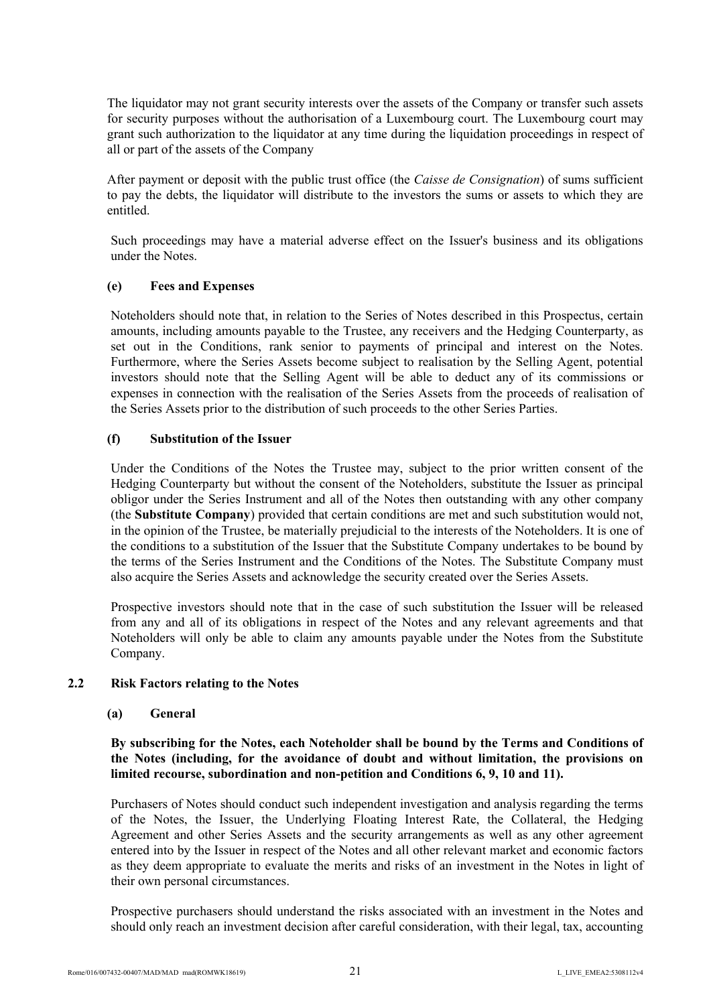The liquidator may not grant security interests over the assets of the Company or transfer such assets for security purposes without the authorisation of a Luxembourg court. The Luxembourg court may grant such authorization to the liquidator at any time during the liquidation proceedings in respect of all or part of the assets of the Company

After payment or deposit with the public trust office (the *Caisse de Consignation*) of sums sufficient to pay the debts, the liquidator will distribute to the investors the sums or assets to which they are entitled.

Such proceedings may have a material adverse effect on the Issuer's business and its obligations under the Notes.

### **(e) Fees and Expenses**

Noteholders should note that, in relation to the Series of Notes described in this Prospectus, certain amounts, including amounts payable to the Trustee, any receivers and the Hedging Counterparty, as set out in the Conditions, rank senior to payments of principal and interest on the Notes. Furthermore, where the Series Assets become subject to realisation by the Selling Agent, potential investors should note that the Selling Agent will be able to deduct any of its commissions or expenses in connection with the realisation of the Series Assets from the proceeds of realisation of the Series Assets prior to the distribution of such proceeds to the other Series Parties.

#### **(f) Substitution of the Issuer**

Under the Conditions of the Notes the Trustee may, subject to the prior written consent of the Hedging Counterparty but without the consent of the Noteholders, substitute the Issuer as principal obligor under the Series Instrument and all of the Notes then outstanding with any other company (the **Substitute Company**) provided that certain conditions are met and such substitution would not, in the opinion of the Trustee, be materially prejudicial to the interests of the Noteholders. It is one of the conditions to a substitution of the Issuer that the Substitute Company undertakes to be bound by the terms of the Series Instrument and the Conditions of the Notes. The Substitute Company must also acquire the Series Assets and acknowledge the security created over the Series Assets.

Prospective investors should note that in the case of such substitution the Issuer will be released from any and all of its obligations in respect of the Notes and any relevant agreements and that Noteholders will only be able to claim any amounts payable under the Notes from the Substitute Company.

#### **2.2 Risk Factors relating to the Notes**

#### **(a) General**

# **By subscribing for the Notes, each Noteholder shall be bound by the Terms and Conditions of the Notes (including, for the avoidance of doubt and without limitation, the provisions on limited recourse, subordination and non-petition and Conditions 6, 9, 10 and 11).**

Purchasers of Notes should conduct such independent investigation and analysis regarding the terms of the Notes, the Issuer, the Underlying Floating Interest Rate, the Collateral, the Hedging Agreement and other Series Assets and the security arrangements as well as any other agreement entered into by the Issuer in respect of the Notes and all other relevant market and economic factors as they deem appropriate to evaluate the merits and risks of an investment in the Notes in light of their own personal circumstances.

Prospective purchasers should understand the risks associated with an investment in the Notes and should only reach an investment decision after careful consideration, with their legal, tax, accounting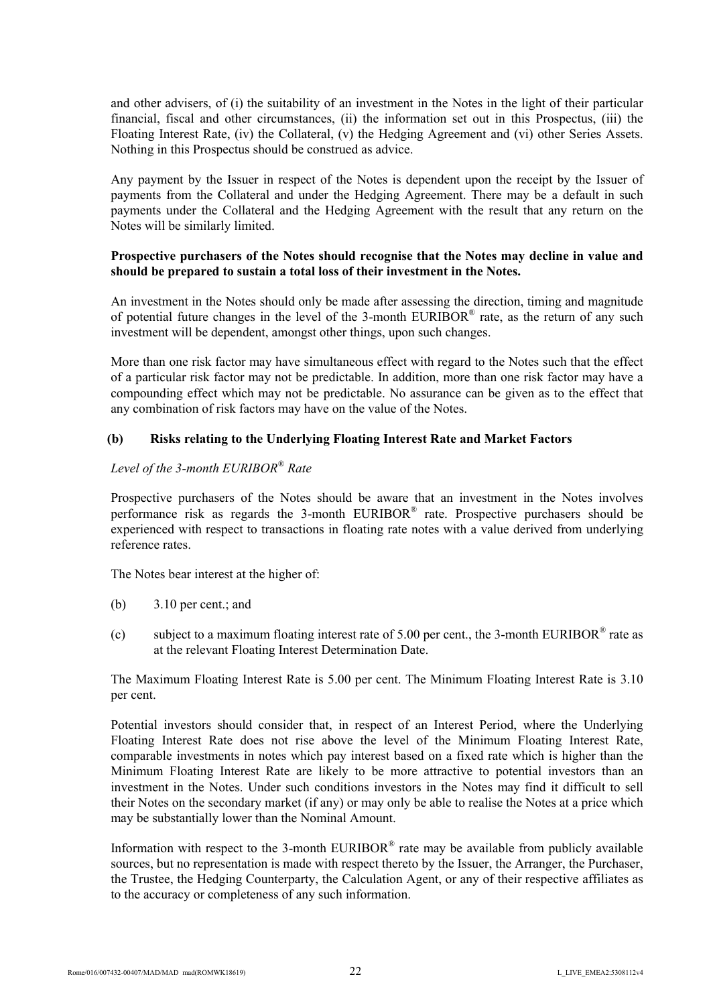and other advisers, of (i) the suitability of an investment in the Notes in the light of their particular financial, fiscal and other circumstances, (ii) the information set out in this Prospectus, (iii) the Floating Interest Rate, (iv) the Collateral, (v) the Hedging Agreement and (vi) other Series Assets. Nothing in this Prospectus should be construed as advice.

Any payment by the Issuer in respect of the Notes is dependent upon the receipt by the Issuer of payments from the Collateral and under the Hedging Agreement. There may be a default in such payments under the Collateral and the Hedging Agreement with the result that any return on the Notes will be similarly limited.

## **Prospective purchasers of the Notes should recognise that the Notes may decline in value and should be prepared to sustain a total loss of their investment in the Notes.**

An investment in the Notes should only be made after assessing the direction, timing and magnitude of potential future changes in the level of the 3-month  $EURIBOR^{\otimes}$  rate, as the return of any such investment will be dependent, amongst other things, upon such changes.

More than one risk factor may have simultaneous effect with regard to the Notes such that the effect of a particular risk factor may not be predictable. In addition, more than one risk factor may have a compounding effect which may not be predictable. No assurance can be given as to the effect that any combination of risk factors may have on the value of the Notes.

# **(b) Risks relating to the Underlying Floating Interest Rate and Market Factors**

# *Level of the 3-month EURIBOR® Rate*

Prospective purchasers of the Notes should be aware that an investment in the Notes involves performance risk as regards the 3-month EURIBOR® rate. Prospective purchasers should be experienced with respect to transactions in floating rate notes with a value derived from underlying reference rates.

The Notes bear interest at the higher of:

- (b) 3.10 per cent.; and
- (c) subject to a maximum floating interest rate of 5.00 per cent., the 3-month EURIBOR® rate as at the relevant Floating Interest Determination Date.

The Maximum Floating Interest Rate is 5.00 per cent. The Minimum Floating Interest Rate is 3.10 per cent.

Potential investors should consider that, in respect of an Interest Period, where the Underlying Floating Interest Rate does not rise above the level of the Minimum Floating Interest Rate, comparable investments in notes which pay interest based on a fixed rate which is higher than the Minimum Floating Interest Rate are likely to be more attractive to potential investors than an investment in the Notes. Under such conditions investors in the Notes may find it difficult to sell their Notes on the secondary market (if any) or may only be able to realise the Notes at a price which may be substantially lower than the Nominal Amount.

Information with respect to the 3-month EURIBOR<sup>®</sup> rate may be available from publicly available sources, but no representation is made with respect thereto by the Issuer, the Arranger, the Purchaser, the Trustee, the Hedging Counterparty, the Calculation Agent, or any of their respective affiliates as to the accuracy or completeness of any such information.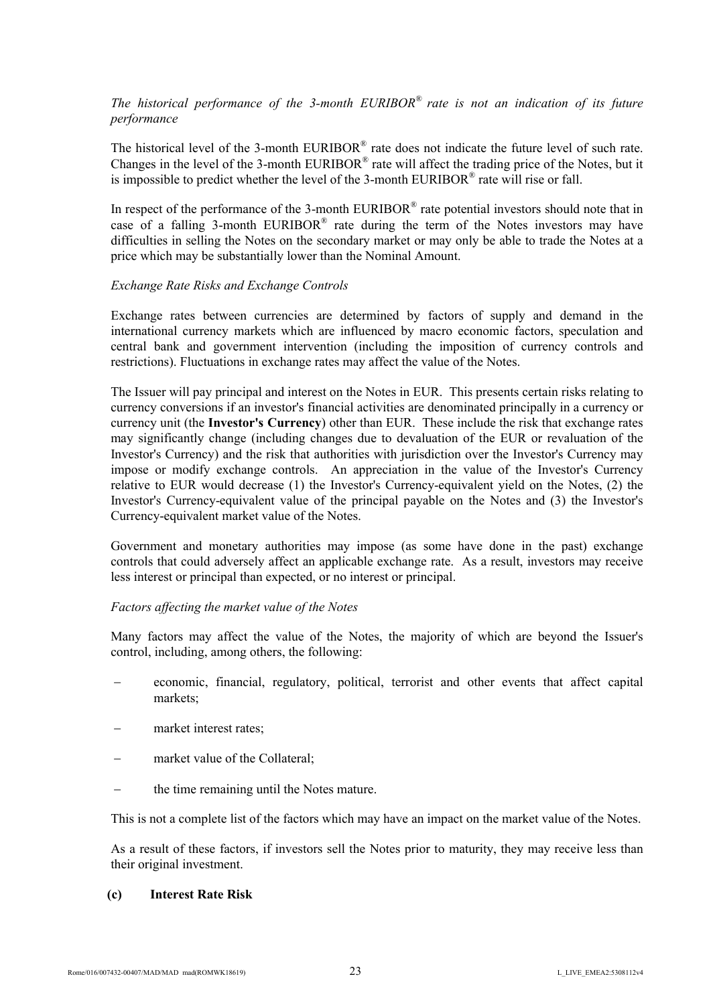# *The historical performance of the 3-month EURIBOR® rate is not an indication of its future performance*

The historical level of the 3-month EURIBOR® rate does not indicate the future level of such rate. Changes in the level of the 3-month EURIBOR® rate will affect the trading price of the Notes, but it is impossible to predict whether the level of the 3-month  $EURIBOR^*$  rate will rise or fall.

In respect of the performance of the 3-month EURIBOR® rate potential investors should note that in case of a falling 3-month EURIBOR® rate during the term of the Notes investors may have difficulties in selling the Notes on the secondary market or may only be able to trade the Notes at a price which may be substantially lower than the Nominal Amount.

#### *Exchange Rate Risks and Exchange Controls*

Exchange rates between currencies are determined by factors of supply and demand in the international currency markets which are influenced by macro economic factors, speculation and central bank and government intervention (including the imposition of currency controls and restrictions). Fluctuations in exchange rates may affect the value of the Notes.

The Issuer will pay principal and interest on the Notes in EUR. This presents certain risks relating to currency conversions if an investor's financial activities are denominated principally in a currency or currency unit (the **Investor's Currency**) other than EUR. These include the risk that exchange rates may significantly change (including changes due to devaluation of the EUR or revaluation of the Investor's Currency) and the risk that authorities with jurisdiction over the Investor's Currency may impose or modify exchange controls. An appreciation in the value of the Investor's Currency relative to EUR would decrease (1) the Investor's Currency-equivalent yield on the Notes, (2) the Investor's Currency-equivalent value of the principal payable on the Notes and (3) the Investor's Currency-equivalent market value of the Notes.

Government and monetary authorities may impose (as some have done in the past) exchange controls that could adversely affect an applicable exchange rate. As a result, investors may receive less interest or principal than expected, or no interest or principal.

#### *Factors affecting the market value of the Notes*

Many factors may affect the value of the Notes, the majority of which are beyond the Issuer's control, including, among others, the following:

- economic, financial, regulatory, political, terrorist and other events that affect capital markets;
- market interest rates;
- market value of the Collateral;
- the time remaining until the Notes mature.

This is not a complete list of the factors which may have an impact on the market value of the Notes.

As a result of these factors, if investors sell the Notes prior to maturity, they may receive less than their original investment.

#### **(c) Interest Rate Risk**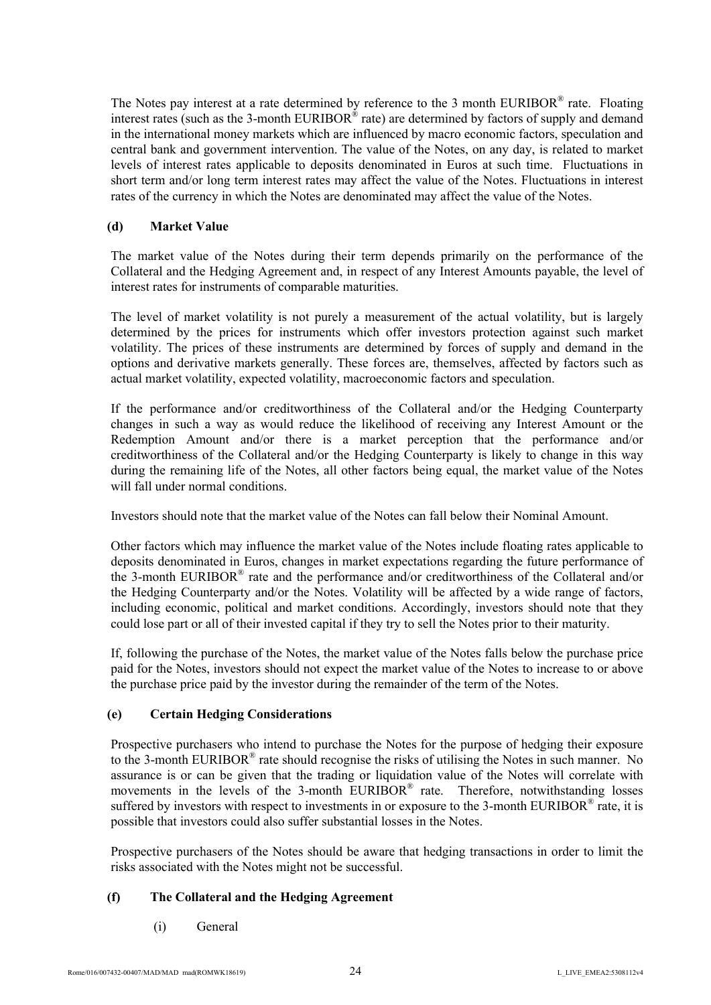The Notes pay interest at a rate determined by reference to the 3 month EURIBOR® rate. Floating interest rates (such as the 3-month EURIBOR® rate) are determined by factors of supply and demand in the international money markets which are influenced by macro economic factors, speculation and central bank and government intervention. The value of the Notes, on any day, is related to market levels of interest rates applicable to deposits denominated in Euros at such time. Fluctuations in short term and/or long term interest rates may affect the value of the Notes. Fluctuations in interest rates of the currency in which the Notes are denominated may affect the value of the Notes.

## **(d) Market Value**

The market value of the Notes during their term depends primarily on the performance of the Collateral and the Hedging Agreement and, in respect of any Interest Amounts payable, the level of interest rates for instruments of comparable maturities.

The level of market volatility is not purely a measurement of the actual volatility, but is largely determined by the prices for instruments which offer investors protection against such market volatility. The prices of these instruments are determined by forces of supply and demand in the options and derivative markets generally. These forces are, themselves, affected by factors such as actual market volatility, expected volatility, macroeconomic factors and speculation.

If the performance and/or creditworthiness of the Collateral and/or the Hedging Counterparty changes in such a way as would reduce the likelihood of receiving any Interest Amount or the Redemption Amount and/or there is a market perception that the performance and/or creditworthiness of the Collateral and/or the Hedging Counterparty is likely to change in this way during the remaining life of the Notes, all other factors being equal, the market value of the Notes will fall under normal conditions.

Investors should note that the market value of the Notes can fall below their Nominal Amount.

Other factors which may influence the market value of the Notes include floating rates applicable to deposits denominated in Euros, changes in market expectations regarding the future performance of the 3-month EURIBOR® rate and the performance and/or creditworthiness of the Collateral and/or the Hedging Counterparty and/or the Notes. Volatility will be affected by a wide range of factors, including economic, political and market conditions. Accordingly, investors should note that they could lose part or all of their invested capital if they try to sell the Notes prior to their maturity.

If, following the purchase of the Notes, the market value of the Notes falls below the purchase price paid for the Notes, investors should not expect the market value of the Notes to increase to or above the purchase price paid by the investor during the remainder of the term of the Notes.

# **(e) Certain Hedging Considerations**

Prospective purchasers who intend to purchase the Notes for the purpose of hedging their exposure to the 3-month EURIBOR® rate should recognise the risks of utilising the Notes in such manner. No assurance is or can be given that the trading or liquidation value of the Notes will correlate with movements in the levels of the 3-month EURIBOR® rate. Therefore, notwithstanding losses suffered by investors with respect to investments in or exposure to the 3-month EURIBOR® rate, it is possible that investors could also suffer substantial losses in the Notes.

Prospective purchasers of the Notes should be aware that hedging transactions in order to limit the risks associated with the Notes might not be successful.

# **(f) The Collateral and the Hedging Agreement**

(i) General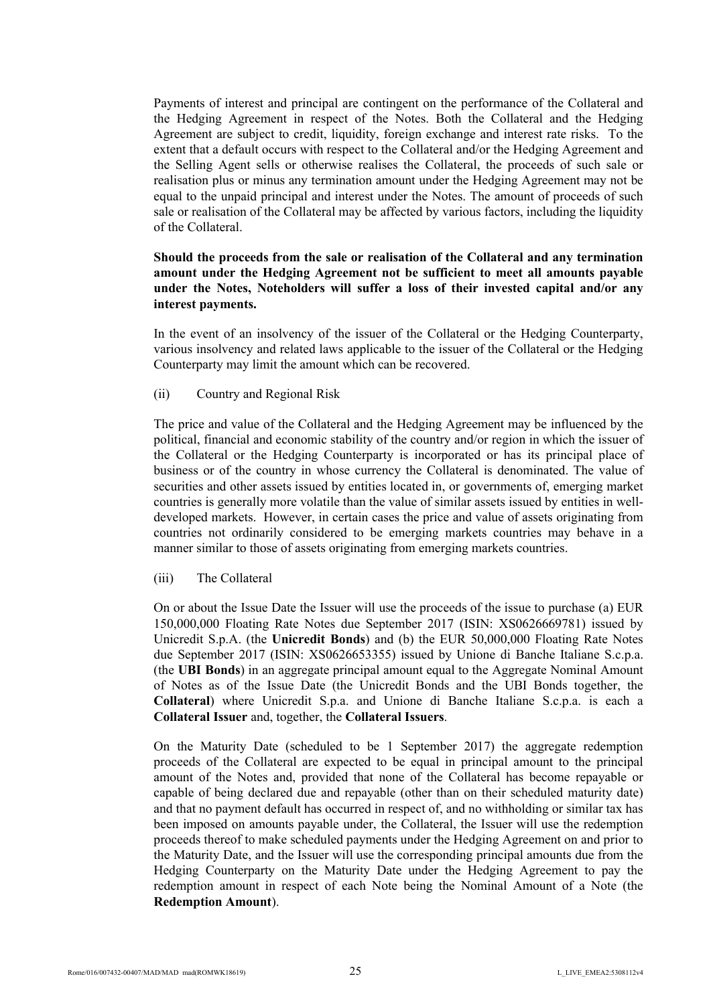Payments of interest and principal are contingent on the performance of the Collateral and the Hedging Agreement in respect of the Notes. Both the Collateral and the Hedging Agreement are subject to credit, liquidity, foreign exchange and interest rate risks. To the extent that a default occurs with respect to the Collateral and/or the Hedging Agreement and the Selling Agent sells or otherwise realises the Collateral, the proceeds of such sale or realisation plus or minus any termination amount under the Hedging Agreement may not be equal to the unpaid principal and interest under the Notes. The amount of proceeds of such sale or realisation of the Collateral may be affected by various factors, including the liquidity of the Collateral.

## **Should the proceeds from the sale or realisation of the Collateral and any termination amount under the Hedging Agreement not be sufficient to meet all amounts payable under the Notes, Noteholders will suffer a loss of their invested capital and/or any interest payments.**

In the event of an insolvency of the issuer of the Collateral or the Hedging Counterparty, various insolvency and related laws applicable to the issuer of the Collateral or the Hedging Counterparty may limit the amount which can be recovered.

(ii) Country and Regional Risk

The price and value of the Collateral and the Hedging Agreement may be influenced by the political, financial and economic stability of the country and/or region in which the issuer of the Collateral or the Hedging Counterparty is incorporated or has its principal place of business or of the country in whose currency the Collateral is denominated. The value of securities and other assets issued by entities located in, or governments of, emerging market countries is generally more volatile than the value of similar assets issued by entities in welldeveloped markets. However, in certain cases the price and value of assets originating from countries not ordinarily considered to be emerging markets countries may behave in a manner similar to those of assets originating from emerging markets countries.

(iii) The Collateral

On or about the Issue Date the Issuer will use the proceeds of the issue to purchase (a) EUR 150,000,000 Floating Rate Notes due September 2017 (ISIN: XS0626669781) issued by Unicredit S.p.A. (the **Unicredit Bonds**) and (b) the EUR 50,000,000 Floating Rate Notes due September 2017 (ISIN: XS0626653355) issued by Unione di Banche Italiane S.c.p.a. (the **UBI Bonds**) in an aggregate principal amount equal to the Aggregate Nominal Amount of Notes as of the Issue Date (the Unicredit Bonds and the UBI Bonds together, the **Collateral**) where Unicredit S.p.a. and Unione di Banche Italiane S.c.p.a. is each a **Collateral Issuer** and, together, the **Collateral Issuers**.

On the Maturity Date (scheduled to be 1 September 2017) the aggregate redemption proceeds of the Collateral are expected to be equal in principal amount to the principal amount of the Notes and, provided that none of the Collateral has become repayable or capable of being declared due and repayable (other than on their scheduled maturity date) and that no payment default has occurred in respect of, and no withholding or similar tax has been imposed on amounts payable under, the Collateral, the Issuer will use the redemption proceeds thereof to make scheduled payments under the Hedging Agreement on and prior to the Maturity Date, and the Issuer will use the corresponding principal amounts due from the Hedging Counterparty on the Maturity Date under the Hedging Agreement to pay the redemption amount in respect of each Note being the Nominal Amount of a Note (the **Redemption Amount**).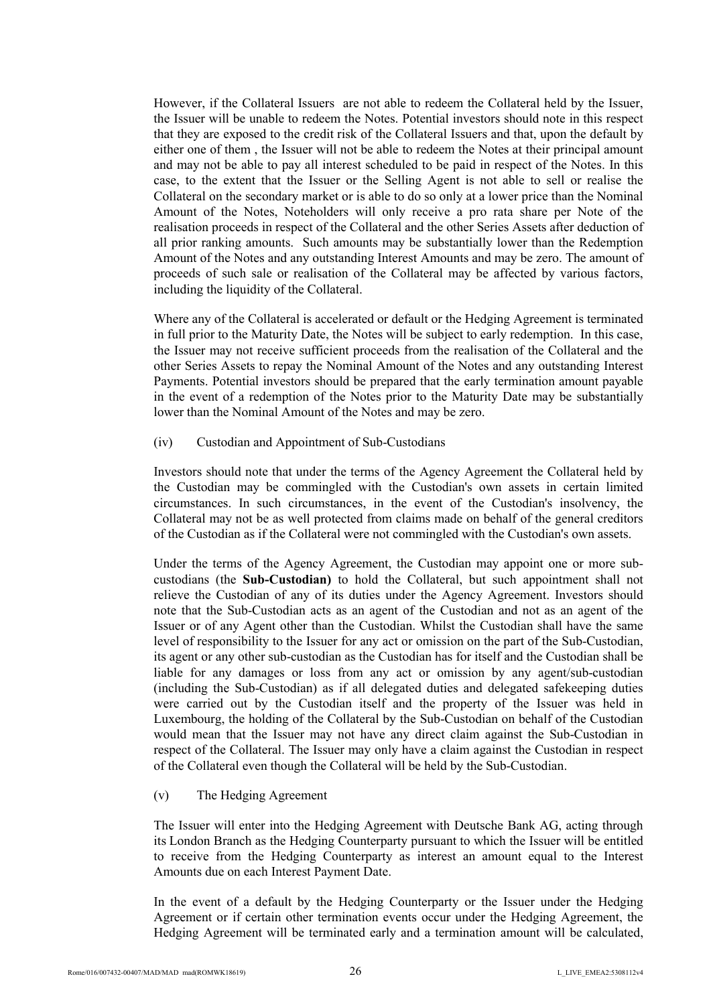However, if the Collateral Issuers are not able to redeem the Collateral held by the Issuer, the Issuer will be unable to redeem the Notes. Potential investors should note in this respect that they are exposed to the credit risk of the Collateral Issuers and that, upon the default by either one of them , the Issuer will not be able to redeem the Notes at their principal amount and may not be able to pay all interest scheduled to be paid in respect of the Notes. In this case, to the extent that the Issuer or the Selling Agent is not able to sell or realise the Collateral on the secondary market or is able to do so only at a lower price than the Nominal Amount of the Notes, Noteholders will only receive a pro rata share per Note of the realisation proceeds in respect of the Collateral and the other Series Assets after deduction of all prior ranking amounts. Such amounts may be substantially lower than the Redemption Amount of the Notes and any outstanding Interest Amounts and may be zero. The amount of proceeds of such sale or realisation of the Collateral may be affected by various factors, including the liquidity of the Collateral.

Where any of the Collateral is accelerated or default or the Hedging Agreement is terminated in full prior to the Maturity Date, the Notes will be subject to early redemption. In this case, the Issuer may not receive sufficient proceeds from the realisation of the Collateral and the other Series Assets to repay the Nominal Amount of the Notes and any outstanding Interest Payments. Potential investors should be prepared that the early termination amount payable in the event of a redemption of the Notes prior to the Maturity Date may be substantially lower than the Nominal Amount of the Notes and may be zero.

(iv) Custodian and Appointment of Sub-Custodians

Investors should note that under the terms of the Agency Agreement the Collateral held by the Custodian may be commingled with the Custodian's own assets in certain limited circumstances. In such circumstances, in the event of the Custodian's insolvency, the Collateral may not be as well protected from claims made on behalf of the general creditors of the Custodian as if the Collateral were not commingled with the Custodian's own assets.

Under the terms of the Agency Agreement, the Custodian may appoint one or more subcustodians (the **Sub-Custodian)** to hold the Collateral, but such appointment shall not relieve the Custodian of any of its duties under the Agency Agreement. Investors should note that the Sub-Custodian acts as an agent of the Custodian and not as an agent of the Issuer or of any Agent other than the Custodian. Whilst the Custodian shall have the same level of responsibility to the Issuer for any act or omission on the part of the Sub-Custodian, its agent or any other sub-custodian as the Custodian has for itself and the Custodian shall be liable for any damages or loss from any act or omission by any agent/sub-custodian (including the Sub-Custodian) as if all delegated duties and delegated safekeeping duties were carried out by the Custodian itself and the property of the Issuer was held in Luxembourg, the holding of the Collateral by the Sub-Custodian on behalf of the Custodian would mean that the Issuer may not have any direct claim against the Sub-Custodian in respect of the Collateral. The Issuer may only have a claim against the Custodian in respect of the Collateral even though the Collateral will be held by the Sub-Custodian.

(v) The Hedging Agreement

The Issuer will enter into the Hedging Agreement with Deutsche Bank AG, acting through its London Branch as the Hedging Counterparty pursuant to which the Issuer will be entitled to receive from the Hedging Counterparty as interest an amount equal to the Interest Amounts due on each Interest Payment Date.

In the event of a default by the Hedging Counterparty or the Issuer under the Hedging Agreement or if certain other termination events occur under the Hedging Agreement, the Hedging Agreement will be terminated early and a termination amount will be calculated,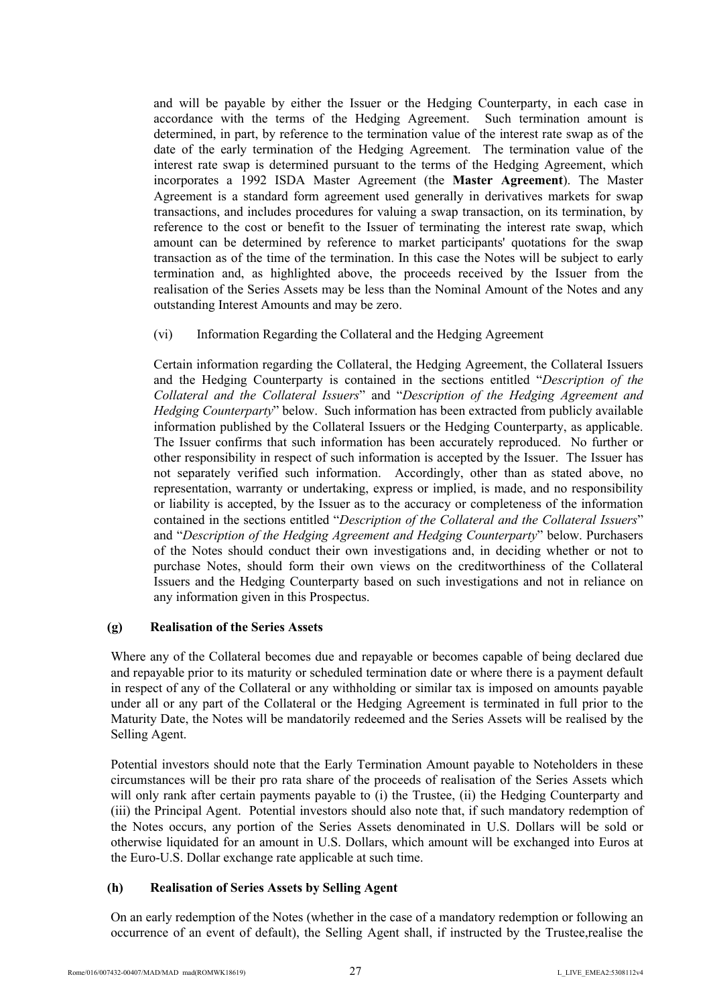and will be payable by either the Issuer or the Hedging Counterparty, in each case in accordance with the terms of the Hedging Agreement. Such termination amount is determined, in part, by reference to the termination value of the interest rate swap as of the date of the early termination of the Hedging Agreement. The termination value of the interest rate swap is determined pursuant to the terms of the Hedging Agreement, which incorporates a 1992 ISDA Master Agreement (the **Master Agreement**). The Master Agreement is a standard form agreement used generally in derivatives markets for swap transactions, and includes procedures for valuing a swap transaction, on its termination, by reference to the cost or benefit to the Issuer of terminating the interest rate swap, which amount can be determined by reference to market participants' quotations for the swap transaction as of the time of the termination. In this case the Notes will be subject to early termination and, as highlighted above, the proceeds received by the Issuer from the realisation of the Series Assets may be less than the Nominal Amount of the Notes and any outstanding Interest Amounts and may be zero.

(vi) Information Regarding the Collateral and the Hedging Agreement

Certain information regarding the Collateral, the Hedging Agreement, the Collateral Issuers and the Hedging Counterparty is contained in the sections entitled "*Description of the Collateral and the Collateral Issuers*" and "*Description of the Hedging Agreement and Hedging Counterparty*" below. Such information has been extracted from publicly available information published by the Collateral Issuers or the Hedging Counterparty, as applicable. The Issuer confirms that such information has been accurately reproduced. No further or other responsibility in respect of such information is accepted by the Issuer. The Issuer has not separately verified such information. Accordingly, other than as stated above, no representation, warranty or undertaking, express or implied, is made, and no responsibility or liability is accepted, by the Issuer as to the accuracy or completeness of the information contained in the sections entitled "*Description of the Collateral and the Collateral Issuers*" and "*Description of the Hedging Agreement and Hedging Counterparty*" below. Purchasers of the Notes should conduct their own investigations and, in deciding whether or not to purchase Notes, should form their own views on the creditworthiness of the Collateral Issuers and the Hedging Counterparty based on such investigations and not in reliance on any information given in this Prospectus.

### **(g) Realisation of the Series Assets**

Where any of the Collateral becomes due and repayable or becomes capable of being declared due and repayable prior to its maturity or scheduled termination date or where there is a payment default in respect of any of the Collateral or any withholding or similar tax is imposed on amounts payable under all or any part of the Collateral or the Hedging Agreement is terminated in full prior to the Maturity Date, the Notes will be mandatorily redeemed and the Series Assets will be realised by the Selling Agent.

Potential investors should note that the Early Termination Amount payable to Noteholders in these circumstances will be their pro rata share of the proceeds of realisation of the Series Assets which will only rank after certain payments payable to (i) the Trustee, (ii) the Hedging Counterparty and (iii) the Principal Agent. Potential investors should also note that, if such mandatory redemption of the Notes occurs, any portion of the Series Assets denominated in U.S. Dollars will be sold or otherwise liquidated for an amount in U.S. Dollars, which amount will be exchanged into Euros at the Euro-U.S. Dollar exchange rate applicable at such time.

### **(h) Realisation of Series Assets by Selling Agent**

On an early redemption of the Notes (whether in the case of a mandatory redemption or following an occurrence of an event of default), the Selling Agent shall, if instructed by the Trustee,realise the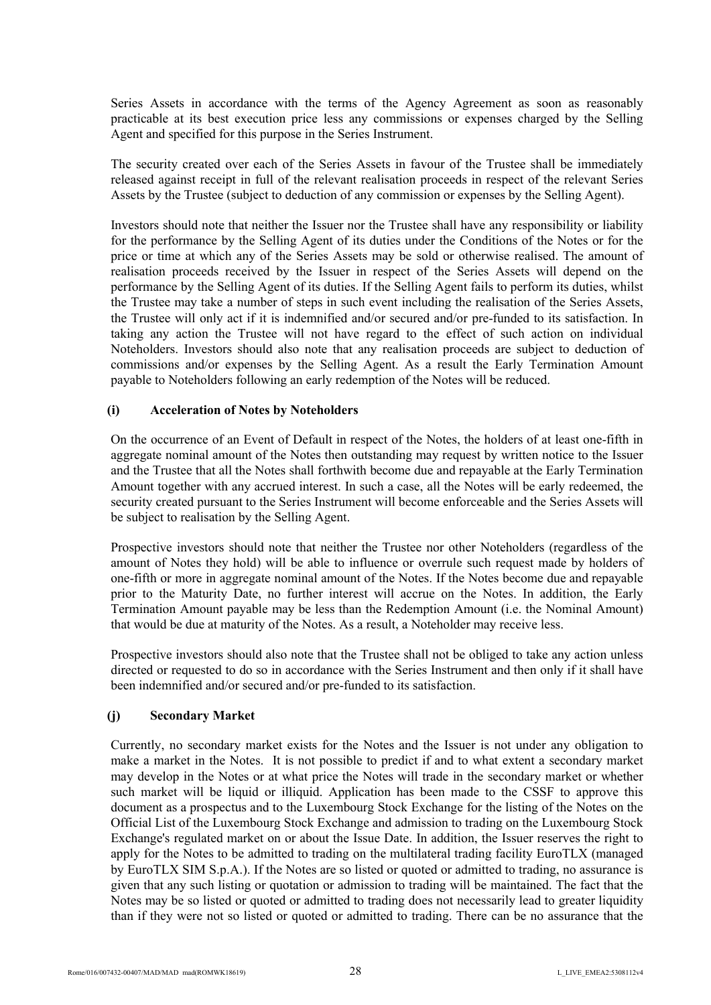Series Assets in accordance with the terms of the Agency Agreement as soon as reasonably practicable at its best execution price less any commissions or expenses charged by the Selling Agent and specified for this purpose in the Series Instrument.

The security created over each of the Series Assets in favour of the Trustee shall be immediately released against receipt in full of the relevant realisation proceeds in respect of the relevant Series Assets by the Trustee (subject to deduction of any commission or expenses by the Selling Agent).

Investors should note that neither the Issuer nor the Trustee shall have any responsibility or liability for the performance by the Selling Agent of its duties under the Conditions of the Notes or for the price or time at which any of the Series Assets may be sold or otherwise realised. The amount of realisation proceeds received by the Issuer in respect of the Series Assets will depend on the performance by the Selling Agent of its duties. If the Selling Agent fails to perform its duties, whilst the Trustee may take a number of steps in such event including the realisation of the Series Assets, the Trustee will only act if it is indemnified and/or secured and/or pre-funded to its satisfaction. In taking any action the Trustee will not have regard to the effect of such action on individual Noteholders. Investors should also note that any realisation proceeds are subject to deduction of commissions and/or expenses by the Selling Agent. As a result the Early Termination Amount payable to Noteholders following an early redemption of the Notes will be reduced.

### **(i) Acceleration of Notes by Noteholders**

On the occurrence of an Event of Default in respect of the Notes, the holders of at least one-fifth in aggregate nominal amount of the Notes then outstanding may request by written notice to the Issuer and the Trustee that all the Notes shall forthwith become due and repayable at the Early Termination Amount together with any accrued interest. In such a case, all the Notes will be early redeemed, the security created pursuant to the Series Instrument will become enforceable and the Series Assets will be subject to realisation by the Selling Agent.

Prospective investors should note that neither the Trustee nor other Noteholders (regardless of the amount of Notes they hold) will be able to influence or overrule such request made by holders of one-fifth or more in aggregate nominal amount of the Notes. If the Notes become due and repayable prior to the Maturity Date, no further interest will accrue on the Notes. In addition, the Early Termination Amount payable may be less than the Redemption Amount (i.e. the Nominal Amount) that would be due at maturity of the Notes. As a result, a Noteholder may receive less.

Prospective investors should also note that the Trustee shall not be obliged to take any action unless directed or requested to do so in accordance with the Series Instrument and then only if it shall have been indemnified and/or secured and/or pre-funded to its satisfaction.

### **(j) Secondary Market**

Currently, no secondary market exists for the Notes and the Issuer is not under any obligation to make a market in the Notes. It is not possible to predict if and to what extent a secondary market may develop in the Notes or at what price the Notes will trade in the secondary market or whether such market will be liquid or illiquid. Application has been made to the CSSF to approve this document as a prospectus and to the Luxembourg Stock Exchange for the listing of the Notes on the Official List of the Luxembourg Stock Exchange and admission to trading on the Luxembourg Stock Exchange's regulated market on or about the Issue Date. In addition, the Issuer reserves the right to apply for the Notes to be admitted to trading on the multilateral trading facility EuroTLX (managed by EuroTLX SIM S.p.A.). If the Notes are so listed or quoted or admitted to trading, no assurance is given that any such listing or quotation or admission to trading will be maintained. The fact that the Notes may be so listed or quoted or admitted to trading does not necessarily lead to greater liquidity than if they were not so listed or quoted or admitted to trading. There can be no assurance that the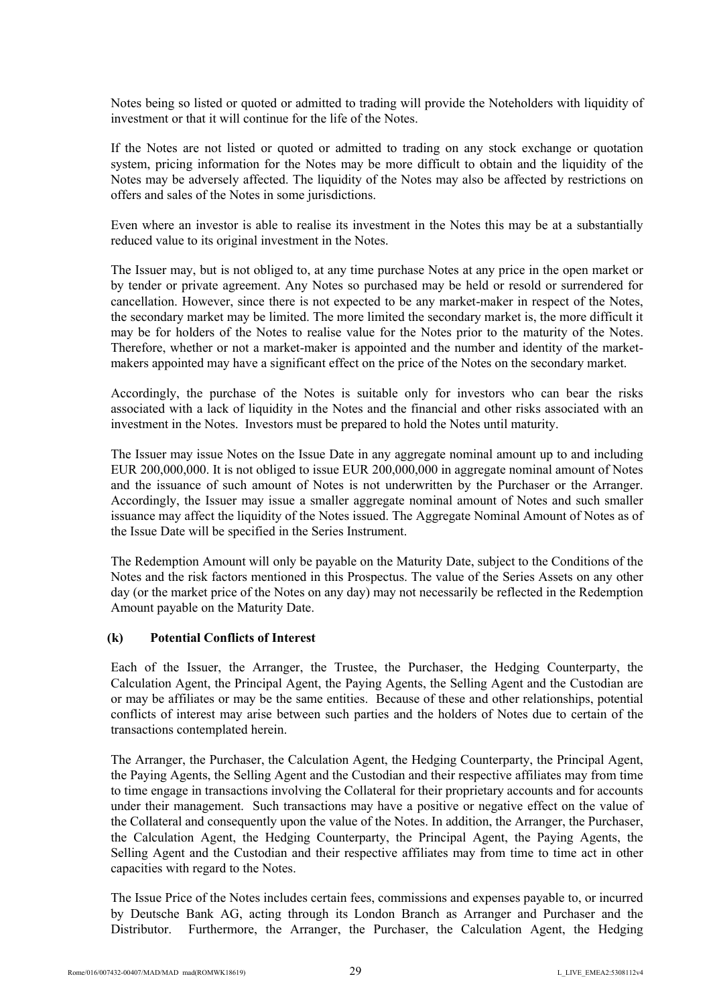Notes being so listed or quoted or admitted to trading will provide the Noteholders with liquidity of investment or that it will continue for the life of the Notes.

If the Notes are not listed or quoted or admitted to trading on any stock exchange or quotation system, pricing information for the Notes may be more difficult to obtain and the liquidity of the Notes may be adversely affected. The liquidity of the Notes may also be affected by restrictions on offers and sales of the Notes in some jurisdictions.

Even where an investor is able to realise its investment in the Notes this may be at a substantially reduced value to its original investment in the Notes.

The Issuer may, but is not obliged to, at any time purchase Notes at any price in the open market or by tender or private agreement. Any Notes so purchased may be held or resold or surrendered for cancellation. However, since there is not expected to be any market-maker in respect of the Notes, the secondary market may be limited. The more limited the secondary market is, the more difficult it may be for holders of the Notes to realise value for the Notes prior to the maturity of the Notes. Therefore, whether or not a market-maker is appointed and the number and identity of the marketmakers appointed may have a significant effect on the price of the Notes on the secondary market.

Accordingly, the purchase of the Notes is suitable only for investors who can bear the risks associated with a lack of liquidity in the Notes and the financial and other risks associated with an investment in the Notes. Investors must be prepared to hold the Notes until maturity.

The Issuer may issue Notes on the Issue Date in any aggregate nominal amount up to and including EUR 200,000,000. It is not obliged to issue EUR 200,000,000 in aggregate nominal amount of Notes and the issuance of such amount of Notes is not underwritten by the Purchaser or the Arranger. Accordingly, the Issuer may issue a smaller aggregate nominal amount of Notes and such smaller issuance may affect the liquidity of the Notes issued. The Aggregate Nominal Amount of Notes as of the Issue Date will be specified in the Series Instrument.

The Redemption Amount will only be payable on the Maturity Date, subject to the Conditions of the Notes and the risk factors mentioned in this Prospectus. The value of the Series Assets on any other day (or the market price of the Notes on any day) may not necessarily be reflected in the Redemption Amount payable on the Maturity Date.

#### **(k) Potential Conflicts of Interest**

Each of the Issuer, the Arranger, the Trustee, the Purchaser, the Hedging Counterparty, the Calculation Agent, the Principal Agent, the Paying Agents, the Selling Agent and the Custodian are or may be affiliates or may be the same entities. Because of these and other relationships, potential conflicts of interest may arise between such parties and the holders of Notes due to certain of the transactions contemplated herein.

The Arranger, the Purchaser, the Calculation Agent, the Hedging Counterparty, the Principal Agent, the Paying Agents, the Selling Agent and the Custodian and their respective affiliates may from time to time engage in transactions involving the Collateral for their proprietary accounts and for accounts under their management. Such transactions may have a positive or negative effect on the value of the Collateral and consequently upon the value of the Notes. In addition, the Arranger, the Purchaser, the Calculation Agent, the Hedging Counterparty, the Principal Agent, the Paying Agents, the Selling Agent and the Custodian and their respective affiliates may from time to time act in other capacities with regard to the Notes.

The Issue Price of the Notes includes certain fees, commissions and expenses payable to, or incurred by Deutsche Bank AG, acting through its London Branch as Arranger and Purchaser and the Distributor. Furthermore, the Arranger, the Purchaser, the Calculation Agent, the Hedging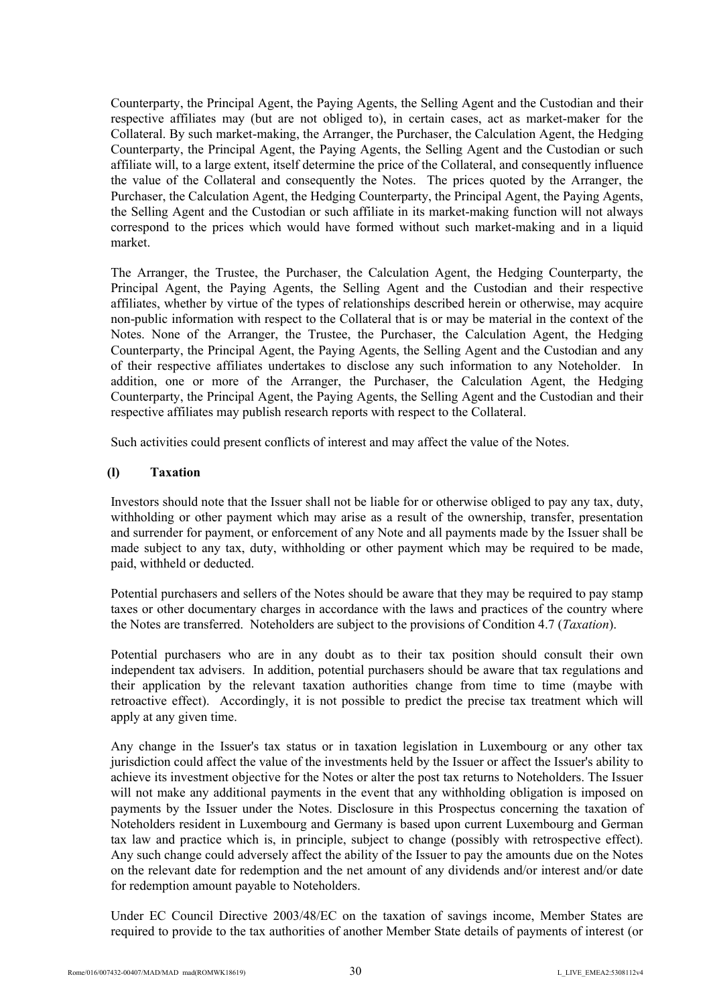Counterparty, the Principal Agent, the Paying Agents, the Selling Agent and the Custodian and their respective affiliates may (but are not obliged to), in certain cases, act as market-maker for the Collateral. By such market-making, the Arranger, the Purchaser, the Calculation Agent, the Hedging Counterparty, the Principal Agent, the Paying Agents, the Selling Agent and the Custodian or such affiliate will, to a large extent, itself determine the price of the Collateral, and consequently influence the value of the Collateral and consequently the Notes. The prices quoted by the Arranger, the Purchaser, the Calculation Agent, the Hedging Counterparty, the Principal Agent, the Paying Agents, the Selling Agent and the Custodian or such affiliate in its market-making function will not always correspond to the prices which would have formed without such market-making and in a liquid market.

The Arranger, the Trustee, the Purchaser, the Calculation Agent, the Hedging Counterparty, the Principal Agent, the Paying Agents, the Selling Agent and the Custodian and their respective affiliates, whether by virtue of the types of relationships described herein or otherwise, may acquire non-public information with respect to the Collateral that is or may be material in the context of the Notes. None of the Arranger, the Trustee, the Purchaser, the Calculation Agent, the Hedging Counterparty, the Principal Agent, the Paying Agents, the Selling Agent and the Custodian and any of their respective affiliates undertakes to disclose any such information to any Noteholder. In addition, one or more of the Arranger, the Purchaser, the Calculation Agent, the Hedging Counterparty, the Principal Agent, the Paying Agents, the Selling Agent and the Custodian and their respective affiliates may publish research reports with respect to the Collateral.

Such activities could present conflicts of interest and may affect the value of the Notes.

#### **(l) Taxation**

Investors should note that the Issuer shall not be liable for or otherwise obliged to pay any tax, duty, withholding or other payment which may arise as a result of the ownership, transfer, presentation and surrender for payment, or enforcement of any Note and all payments made by the Issuer shall be made subject to any tax, duty, withholding or other payment which may be required to be made, paid, withheld or deducted.

Potential purchasers and sellers of the Notes should be aware that they may be required to pay stamp taxes or other documentary charges in accordance with the laws and practices of the country where the Notes are transferred. Noteholders are subject to the provisions of Condition 4.7 (*Taxation*).

Potential purchasers who are in any doubt as to their tax position should consult their own independent tax advisers. In addition, potential purchasers should be aware that tax regulations and their application by the relevant taxation authorities change from time to time (maybe with retroactive effect). Accordingly, it is not possible to predict the precise tax treatment which will apply at any given time.

Any change in the Issuer's tax status or in taxation legislation in Luxembourg or any other tax jurisdiction could affect the value of the investments held by the Issuer or affect the Issuer's ability to achieve its investment objective for the Notes or alter the post tax returns to Noteholders. The Issuer will not make any additional payments in the event that any withholding obligation is imposed on payments by the Issuer under the Notes. Disclosure in this Prospectus concerning the taxation of Noteholders resident in Luxembourg and Germany is based upon current Luxembourg and German tax law and practice which is, in principle, subject to change (possibly with retrospective effect). Any such change could adversely affect the ability of the Issuer to pay the amounts due on the Notes on the relevant date for redemption and the net amount of any dividends and/or interest and/or date for redemption amount payable to Noteholders.

Under EC Council Directive 2003/48/EC on the taxation of savings income, Member States are required to provide to the tax authorities of another Member State details of payments of interest (or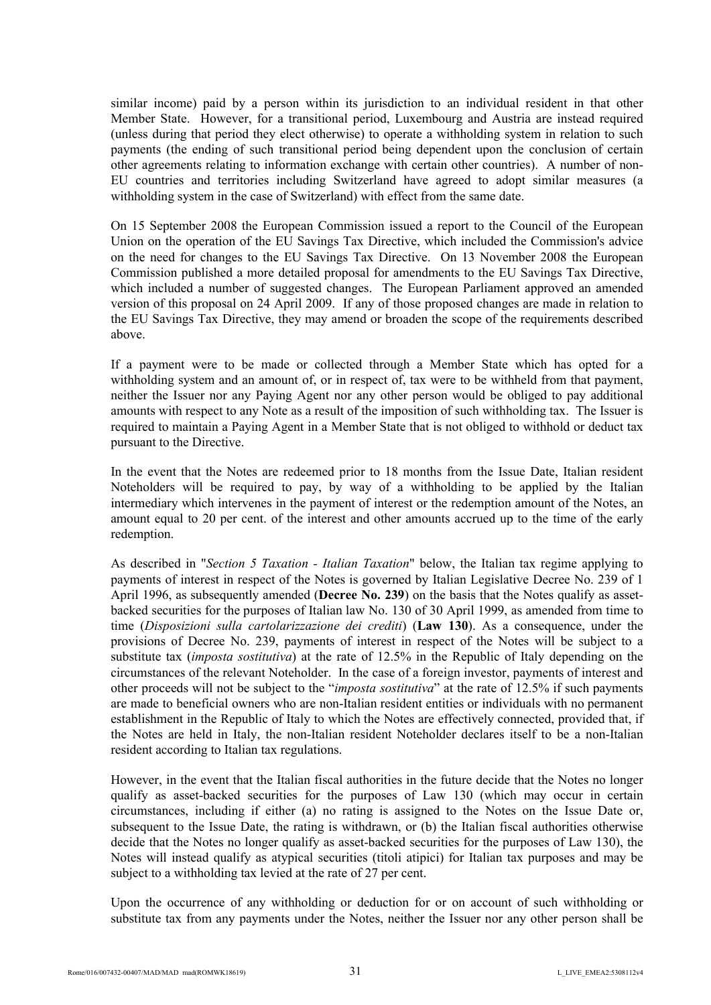similar income) paid by a person within its jurisdiction to an individual resident in that other Member State. However, for a transitional period, Luxembourg and Austria are instead required (unless during that period they elect otherwise) to operate a withholding system in relation to such payments (the ending of such transitional period being dependent upon the conclusion of certain other agreements relating to information exchange with certain other countries). A number of non-EU countries and territories including Switzerland have agreed to adopt similar measures (a withholding system in the case of Switzerland) with effect from the same date.

On 15 September 2008 the European Commission issued a report to the Council of the European Union on the operation of the EU Savings Tax Directive, which included the Commission's advice on the need for changes to the EU Savings Tax Directive. On 13 November 2008 the European Commission published a more detailed proposal for amendments to the EU Savings Tax Directive, which included a number of suggested changes. The European Parliament approved an amended version of this proposal on 24 April 2009. If any of those proposed changes are made in relation to the EU Savings Tax Directive, they may amend or broaden the scope of the requirements described above.

If a payment were to be made or collected through a Member State which has opted for a withholding system and an amount of, or in respect of, tax were to be withheld from that payment, neither the Issuer nor any Paying Agent nor any other person would be obliged to pay additional amounts with respect to any Note as a result of the imposition of such withholding tax. The Issuer is required to maintain a Paying Agent in a Member State that is not obliged to withhold or deduct tax pursuant to the Directive.

In the event that the Notes are redeemed prior to 18 months from the Issue Date, Italian resident Noteholders will be required to pay, by way of a withholding to be applied by the Italian intermediary which intervenes in the payment of interest or the redemption amount of the Notes, an amount equal to 20 per cent. of the interest and other amounts accrued up to the time of the early redemption.

As described in "*Section 5 Taxation - Italian Taxation*" below, the Italian tax regime applying to payments of interest in respect of the Notes is governed by Italian Legislative Decree No. 239 of 1 April 1996, as subsequently amended (**Decree No. 239**) on the basis that the Notes qualify as assetbacked securities for the purposes of Italian law No. 130 of 30 April 1999, as amended from time to time (*Disposizioni sulla cartolarizzazione dei crediti*) (**Law 130**). As a consequence, under the provisions of Decree No. 239, payments of interest in respect of the Notes will be subject to a substitute tax (*imposta sostitutiva*) at the rate of 12.5% in the Republic of Italy depending on the circumstances of the relevant Noteholder. In the case of a foreign investor, payments of interest and other proceeds will not be subject to the "*imposta sostitutiva*" at the rate of 12.5% if such payments are made to beneficial owners who are non-Italian resident entities or individuals with no permanent establishment in the Republic of Italy to which the Notes are effectively connected, provided that, if the Notes are held in Italy, the non-Italian resident Noteholder declares itself to be a non-Italian resident according to Italian tax regulations.

However, in the event that the Italian fiscal authorities in the future decide that the Notes no longer qualify as asset-backed securities for the purposes of Law 130 (which may occur in certain circumstances, including if either (a) no rating is assigned to the Notes on the Issue Date or, subsequent to the Issue Date, the rating is withdrawn, or (b) the Italian fiscal authorities otherwise decide that the Notes no longer qualify as asset-backed securities for the purposes of Law 130), the Notes will instead qualify as atypical securities (titoli atipici) for Italian tax purposes and may be subject to a withholding tax levied at the rate of 27 per cent.

Upon the occurrence of any withholding or deduction for or on account of such withholding or substitute tax from any payments under the Notes, neither the Issuer nor any other person shall be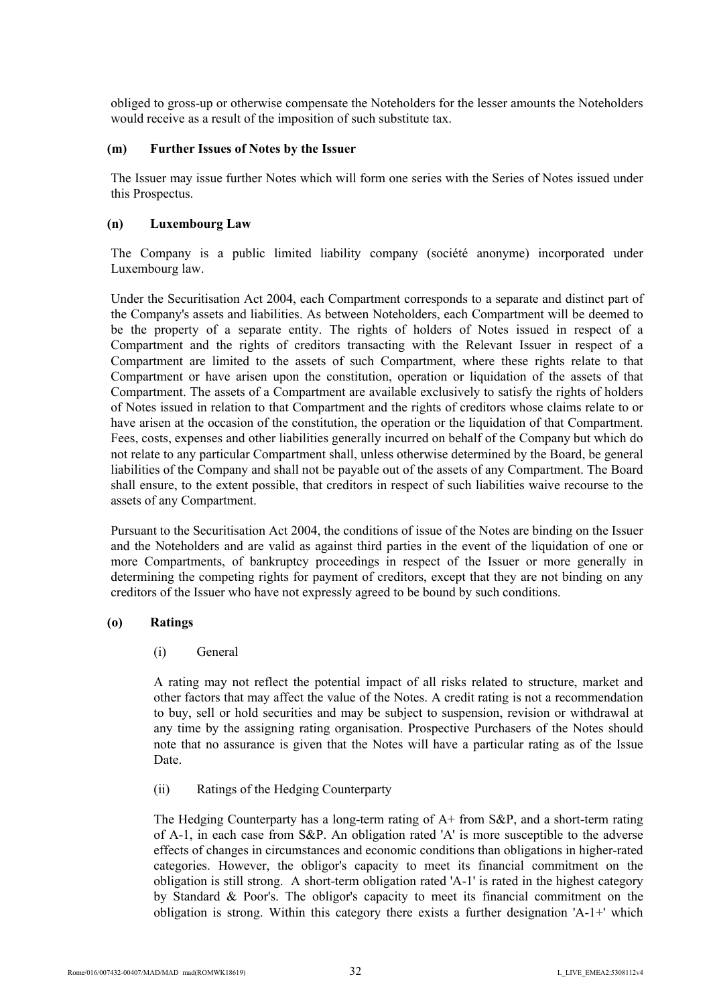obliged to gross-up or otherwise compensate the Noteholders for the lesser amounts the Noteholders would receive as a result of the imposition of such substitute tax.

#### **(m) Further Issues of Notes by the Issuer**

The Issuer may issue further Notes which will form one series with the Series of Notes issued under this Prospectus.

#### **(n) Luxembourg Law**

The Company is a public limited liability company (société anonyme) incorporated under Luxembourg law.

Under the Securitisation Act 2004, each Compartment corresponds to a separate and distinct part of the Company's assets and liabilities. As between Noteholders, each Compartment will be deemed to be the property of a separate entity. The rights of holders of Notes issued in respect of a Compartment and the rights of creditors transacting with the Relevant Issuer in respect of a Compartment are limited to the assets of such Compartment, where these rights relate to that Compartment or have arisen upon the constitution, operation or liquidation of the assets of that Compartment. The assets of a Compartment are available exclusively to satisfy the rights of holders of Notes issued in relation to that Compartment and the rights of creditors whose claims relate to or have arisen at the occasion of the constitution, the operation or the liquidation of that Compartment. Fees, costs, expenses and other liabilities generally incurred on behalf of the Company but which do not relate to any particular Compartment shall, unless otherwise determined by the Board, be general liabilities of the Company and shall not be payable out of the assets of any Compartment. The Board shall ensure, to the extent possible, that creditors in respect of such liabilities waive recourse to the assets of any Compartment.

Pursuant to the Securitisation Act 2004, the conditions of issue of the Notes are binding on the Issuer and the Noteholders and are valid as against third parties in the event of the liquidation of one or more Compartments, of bankruptcy proceedings in respect of the Issuer or more generally in determining the competing rights for payment of creditors, except that they are not binding on any creditors of the Issuer who have not expressly agreed to be bound by such conditions.

#### **(o) Ratings**

### (i) General

A rating may not reflect the potential impact of all risks related to structure, market and other factors that may affect the value of the Notes. A credit rating is not a recommendation to buy, sell or hold securities and may be subject to suspension, revision or withdrawal at any time by the assigning rating organisation. Prospective Purchasers of the Notes should note that no assurance is given that the Notes will have a particular rating as of the Issue Date.

(ii) Ratings of the Hedging Counterparty

The Hedging Counterparty has a long-term rating of A+ from S&P, and a short-term rating of A-1, in each case from S&P. An obligation rated 'A' is more susceptible to the adverse effects of changes in circumstances and economic conditions than obligations in higher-rated categories. However, the obligor's capacity to meet its financial commitment on the obligation is still strong. A short-term obligation rated 'A-1' is rated in the highest category by Standard & Poor's. The obligor's capacity to meet its financial commitment on the obligation is strong. Within this category there exists a further designation 'A-1+' which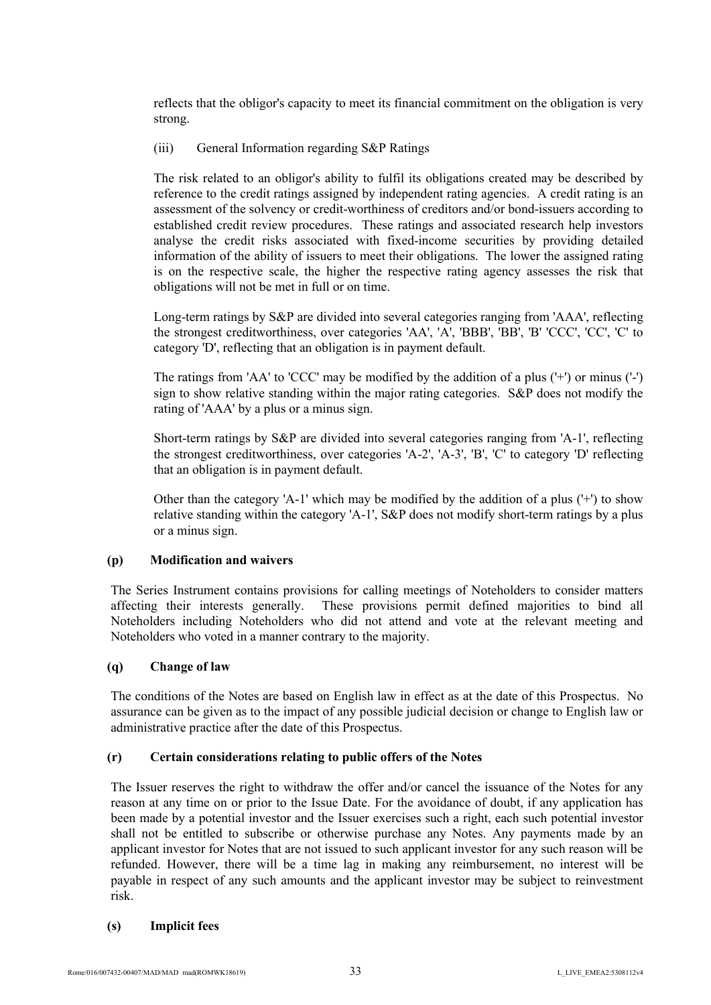reflects that the obligor's capacity to meet its financial commitment on the obligation is very strong.

## (iii) General Information regarding S&P Ratings

The risk related to an obligor's ability to fulfil its obligations created may be described by reference to the credit ratings assigned by independent rating agencies. A credit rating is an assessment of the solvency or credit-worthiness of creditors and/or bond-issuers according to established credit review procedures. These ratings and associated research help investors analyse the credit risks associated with fixed-income securities by providing detailed information of the ability of issuers to meet their obligations. The lower the assigned rating is on the respective scale, the higher the respective rating agency assesses the risk that obligations will not be met in full or on time.

Long-term ratings by S&P are divided into several categories ranging from 'AAA', reflecting the strongest creditworthiness, over categories 'AA', 'A', 'BBB', 'BB', 'B' 'CCC', 'CC', 'C' to category 'D', reflecting that an obligation is in payment default.

The ratings from 'AA' to 'CCC' may be modified by the addition of a plus ('+') or minus ('-') sign to show relative standing within the major rating categories. S&P does not modify the rating of 'AAA' by a plus or a minus sign.

Short-term ratings by S&P are divided into several categories ranging from 'A-1', reflecting the strongest creditworthiness, over categories 'A-2', 'A-3', 'B', 'C' to category 'D' reflecting that an obligation is in payment default.

Other than the category 'A-1' which may be modified by the addition of a plus  $(+)$  to show relative standing within the category 'A-1', S&P does not modify short-term ratings by a plus or a minus sign.

# **(p) Modification and waivers**

The Series Instrument contains provisions for calling meetings of Noteholders to consider matters affecting their interests generally. These provisions permit defined majorities to bind all Noteholders including Noteholders who did not attend and vote at the relevant meeting and Noteholders who voted in a manner contrary to the majority.

### **(q) Change of law**

The conditions of the Notes are based on English law in effect as at the date of this Prospectus. No assurance can be given as to the impact of any possible judicial decision or change to English law or administrative practice after the date of this Prospectus.

### **(r) Certain considerations relating to public offers of the Notes**

The Issuer reserves the right to withdraw the offer and/or cancel the issuance of the Notes for any reason at any time on or prior to the Issue Date. For the avoidance of doubt, if any application has been made by a potential investor and the Issuer exercises such a right, each such potential investor shall not be entitled to subscribe or otherwise purchase any Notes. Any payments made by an applicant investor for Notes that are not issued to such applicant investor for any such reason will be refunded. However, there will be a time lag in making any reimbursement, no interest will be payable in respect of any such amounts and the applicant investor may be subject to reinvestment risk.

### **(s) Implicit fees**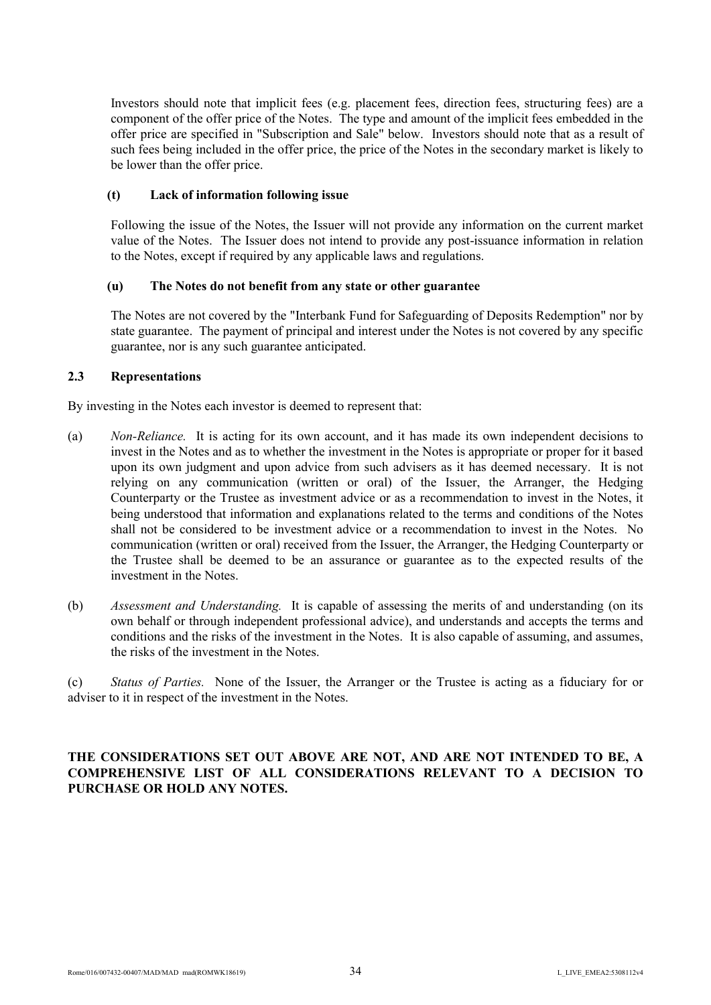Investors should note that implicit fees (e.g. placement fees, direction fees, structuring fees) are a component of the offer price of the Notes. The type and amount of the implicit fees embedded in the offer price are specified in "Subscription and Sale" below. Investors should note that as a result of such fees being included in the offer price, the price of the Notes in the secondary market is likely to be lower than the offer price.

### **(t) Lack of information following issue**

Following the issue of the Notes, the Issuer will not provide any information on the current market value of the Notes. The Issuer does not intend to provide any post-issuance information in relation to the Notes, except if required by any applicable laws and regulations.

# **(u) The Notes do not benefit from any state or other guarantee**

The Notes are not covered by the "Interbank Fund for Safeguarding of Deposits Redemption" nor by state guarantee. The payment of principal and interest under the Notes is not covered by any specific guarantee, nor is any such guarantee anticipated.

# **2.3 Representations**

By investing in the Notes each investor is deemed to represent that:

- (a) *Non-Reliance.* It is acting for its own account, and it has made its own independent decisions to invest in the Notes and as to whether the investment in the Notes is appropriate or proper for it based upon its own judgment and upon advice from such advisers as it has deemed necessary. It is not relying on any communication (written or oral) of the Issuer, the Arranger, the Hedging Counterparty or the Trustee as investment advice or as a recommendation to invest in the Notes, it being understood that information and explanations related to the terms and conditions of the Notes shall not be considered to be investment advice or a recommendation to invest in the Notes. No communication (written or oral) received from the Issuer, the Arranger, the Hedging Counterparty or the Trustee shall be deemed to be an assurance or guarantee as to the expected results of the investment in the Notes.
- (b) *Assessment and Understanding.* It is capable of assessing the merits of and understanding (on its own behalf or through independent professional advice), and understands and accepts the terms and conditions and the risks of the investment in the Notes. It is also capable of assuming, and assumes, the risks of the investment in the Notes.

(c) *Status of Parties.* None of the Issuer, the Arranger or the Trustee is acting as a fiduciary for or adviser to it in respect of the investment in the Notes.

# **THE CONSIDERATIONS SET OUT ABOVE ARE NOT, AND ARE NOT INTENDED TO BE, A COMPREHENSIVE LIST OF ALL CONSIDERATIONS RELEVANT TO A DECISION TO PURCHASE OR HOLD ANY NOTES.**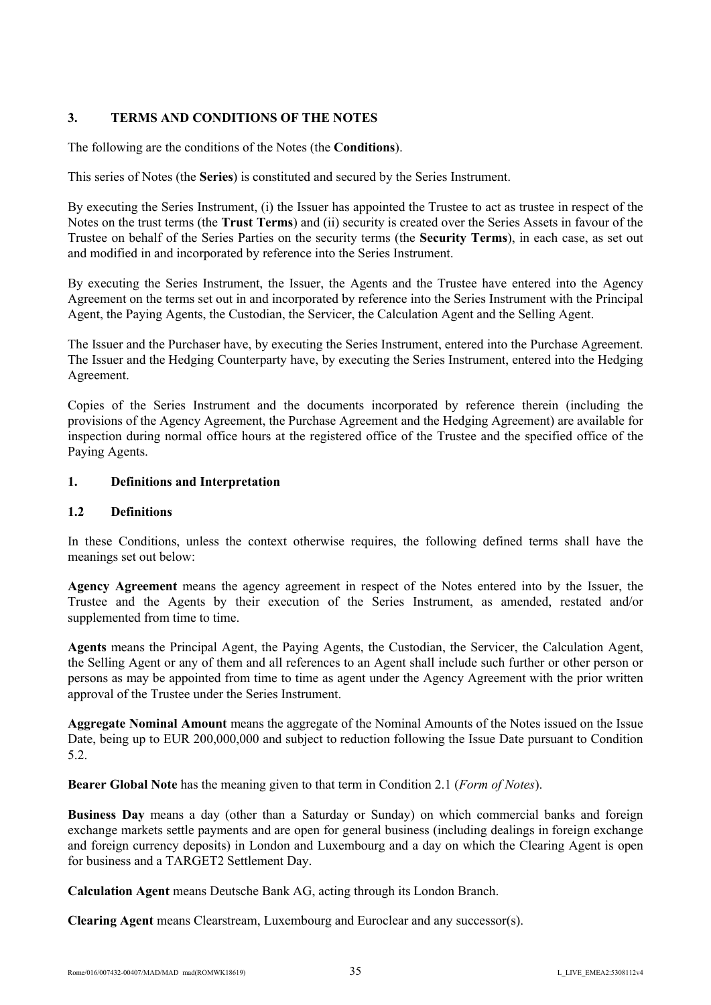# **3. TERMS AND CONDITIONS OF THE NOTES**

The following are the conditions of the Notes (the **Conditions**).

This series of Notes (the **Series**) is constituted and secured by the Series Instrument.

By executing the Series Instrument, (i) the Issuer has appointed the Trustee to act as trustee in respect of the Notes on the trust terms (the **Trust Terms**) and (ii) security is created over the Series Assets in favour of the Trustee on behalf of the Series Parties on the security terms (the **Security Terms**), in each case, as set out and modified in and incorporated by reference into the Series Instrument.

By executing the Series Instrument, the Issuer, the Agents and the Trustee have entered into the Agency Agreement on the terms set out in and incorporated by reference into the Series Instrument with the Principal Agent, the Paying Agents, the Custodian, the Servicer, the Calculation Agent and the Selling Agent.

The Issuer and the Purchaser have, by executing the Series Instrument, entered into the Purchase Agreement. The Issuer and the Hedging Counterparty have, by executing the Series Instrument, entered into the Hedging Agreement.

Copies of the Series Instrument and the documents incorporated by reference therein (including the provisions of the Agency Agreement, the Purchase Agreement and the Hedging Agreement) are available for inspection during normal office hours at the registered office of the Trustee and the specified office of the Paying Agents.

# **1. Definitions and Interpretation**

# **1.2 Definitions**

In these Conditions, unless the context otherwise requires, the following defined terms shall have the meanings set out below:

**Agency Agreement** means the agency agreement in respect of the Notes entered into by the Issuer, the Trustee and the Agents by their execution of the Series Instrument, as amended, restated and/or supplemented from time to time.

**Agents** means the Principal Agent, the Paying Agents, the Custodian, the Servicer, the Calculation Agent, the Selling Agent or any of them and all references to an Agent shall include such further or other person or persons as may be appointed from time to time as agent under the Agency Agreement with the prior written approval of the Trustee under the Series Instrument.

**Aggregate Nominal Amount** means the aggregate of the Nominal Amounts of the Notes issued on the Issue Date, being up to EUR 200,000,000 and subject to reduction following the Issue Date pursuant to Condition 5.2.

**Bearer Global Note** has the meaning given to that term in Condition 2.1 (*Form of Notes*).

**Business Day** means a day (other than a Saturday or Sunday) on which commercial banks and foreign exchange markets settle payments and are open for general business (including dealings in foreign exchange and foreign currency deposits) in London and Luxembourg and a day on which the Clearing Agent is open for business and a TARGET2 Settlement Day.

**Calculation Agent** means Deutsche Bank AG, acting through its London Branch.

**Clearing Agent** means Clearstream, Luxembourg and Euroclear and any successor(s).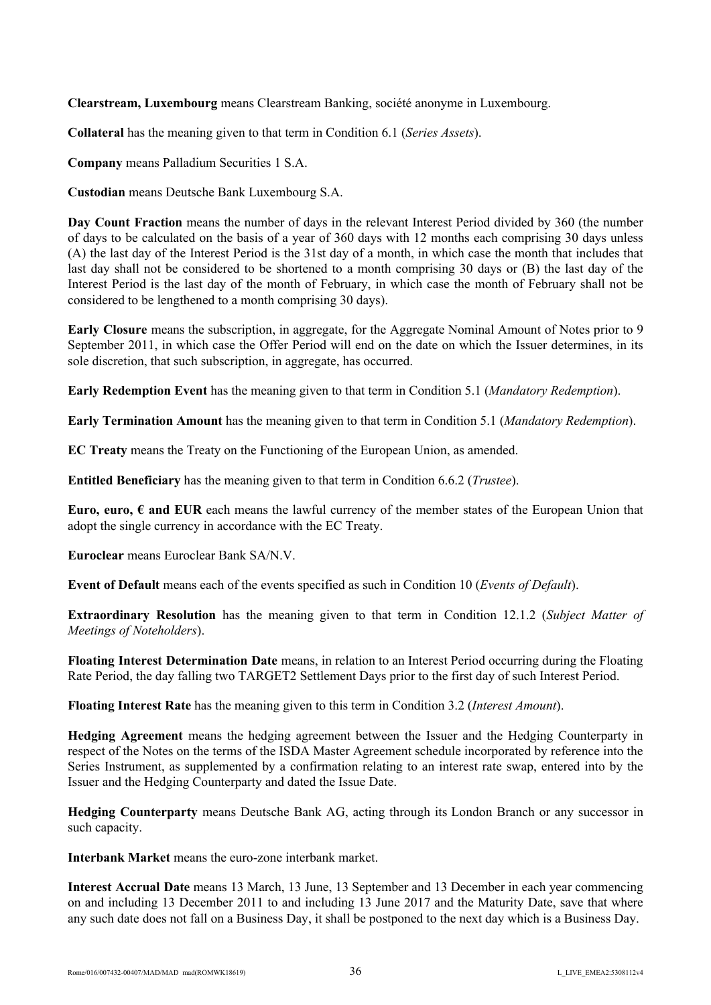**Clearstream, Luxembourg** means Clearstream Banking, société anonyme in Luxembourg.

**Collateral** has the meaning given to that term in Condition 6.1 (*Series Assets*).

**Company** means Palladium Securities 1 S.A.

**Custodian** means Deutsche Bank Luxembourg S.A.

**Day Count Fraction** means the number of days in the relevant Interest Period divided by 360 (the number of days to be calculated on the basis of a year of 360 days with 12 months each comprising 30 days unless (A) the last day of the Interest Period is the 31st day of a month, in which case the month that includes that last day shall not be considered to be shortened to a month comprising 30 days or (B) the last day of the Interest Period is the last day of the month of February, in which case the month of February shall not be considered to be lengthened to a month comprising 30 days).

**Early Closure** means the subscription, in aggregate, for the Aggregate Nominal Amount of Notes prior to 9 September 2011, in which case the Offer Period will end on the date on which the Issuer determines, in its sole discretion, that such subscription, in aggregate, has occurred.

**Early Redemption Event** has the meaning given to that term in Condition 5.1 (*Mandatory Redemption*).

**Early Termination Amount** has the meaning given to that term in Condition 5.1 (*Mandatory Redemption*).

**EC Treaty** means the Treaty on the Functioning of the European Union, as amended.

**Entitled Beneficiary** has the meaning given to that term in Condition 6.6.2 (*Trustee*).

**Euro, euro,**  $\epsilon$  **and EUR** each means the lawful currency of the member states of the European Union that adopt the single currency in accordance with the EC Treaty.

**Euroclear** means Euroclear Bank SA/N.V.

**Event of Default** means each of the events specified as such in Condition 10 (*Events of Default*).

**Extraordinary Resolution** has the meaning given to that term in Condition 12.1.2 (*Subject Matter of Meetings of Noteholders*).

**Floating Interest Determination Date** means, in relation to an Interest Period occurring during the Floating Rate Period, the day falling two TARGET2 Settlement Days prior to the first day of such Interest Period.

**Floating Interest Rate** has the meaning given to this term in Condition 3.2 (*Interest Amount*).

**Hedging Agreement** means the hedging agreement between the Issuer and the Hedging Counterparty in respect of the Notes on the terms of the ISDA Master Agreement schedule incorporated by reference into the Series Instrument, as supplemented by a confirmation relating to an interest rate swap, entered into by the Issuer and the Hedging Counterparty and dated the Issue Date.

**Hedging Counterparty** means Deutsche Bank AG, acting through its London Branch or any successor in such capacity.

**Interbank Market** means the euro-zone interbank market.

**Interest Accrual Date** means 13 March, 13 June, 13 September and 13 December in each year commencing on and including 13 December 2011 to and including 13 June 2017 and the Maturity Date, save that where any such date does not fall on a Business Day, it shall be postponed to the next day which is a Business Day.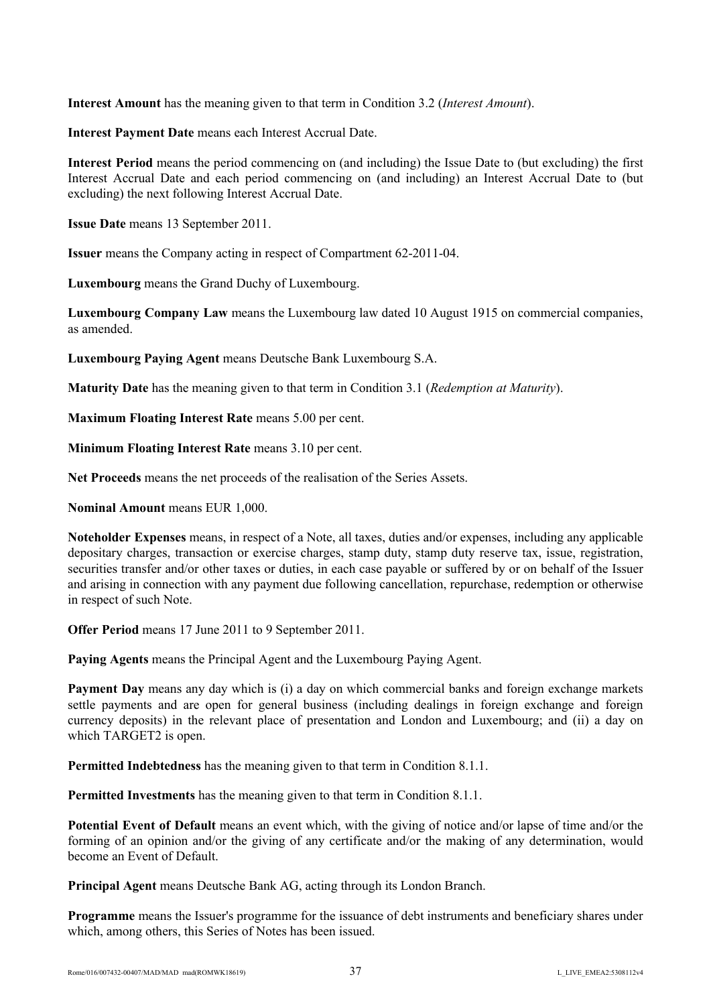**Interest Amount** has the meaning given to that term in Condition 3.2 (*Interest Amount*).

**Interest Payment Date** means each Interest Accrual Date.

**Interest Period** means the period commencing on (and including) the Issue Date to (but excluding) the first Interest Accrual Date and each period commencing on (and including) an Interest Accrual Date to (but excluding) the next following Interest Accrual Date.

**Issue Date** means 13 September 2011.

**Issuer** means the Company acting in respect of Compartment 62-2011-04.

**Luxembourg** means the Grand Duchy of Luxembourg.

**Luxembourg Company Law** means the Luxembourg law dated 10 August 1915 on commercial companies, as amended.

**Luxembourg Paying Agent** means Deutsche Bank Luxembourg S.A.

**Maturity Date** has the meaning given to that term in Condition 3.1 (*Redemption at Maturity*).

**Maximum Floating Interest Rate means 5.00 per cent.** 

**Minimum Floating Interest Rate** means 3.10 per cent.

**Net Proceeds** means the net proceeds of the realisation of the Series Assets.

**Nominal Amount** means EUR 1,000.

**Noteholder Expenses** means, in respect of a Note, all taxes, duties and/or expenses, including any applicable depositary charges, transaction or exercise charges, stamp duty, stamp duty reserve tax, issue, registration, securities transfer and/or other taxes or duties, in each case payable or suffered by or on behalf of the Issuer and arising in connection with any payment due following cancellation, repurchase, redemption or otherwise in respect of such Note.

**Offer Period** means 17 June 2011 to 9 September 2011.

**Paying Agents** means the Principal Agent and the Luxembourg Paying Agent.

**Payment Day** means any day which is (i) a day on which commercial banks and foreign exchange markets settle payments and are open for general business (including dealings in foreign exchange and foreign currency deposits) in the relevant place of presentation and London and Luxembourg; and (ii) a day on which TARGET<sub>2</sub> is open.

**Permitted Indebtedness** has the meaning given to that term in Condition 8.1.1.

**Permitted Investments** has the meaning given to that term in Condition 8.1.1.

**Potential Event of Default** means an event which, with the giving of notice and/or lapse of time and/or the forming of an opinion and/or the giving of any certificate and/or the making of any determination, would become an Event of Default.

**Principal Agent** means Deutsche Bank AG, acting through its London Branch.

**Programme** means the Issuer's programme for the issuance of debt instruments and beneficiary shares under which, among others, this Series of Notes has been issued.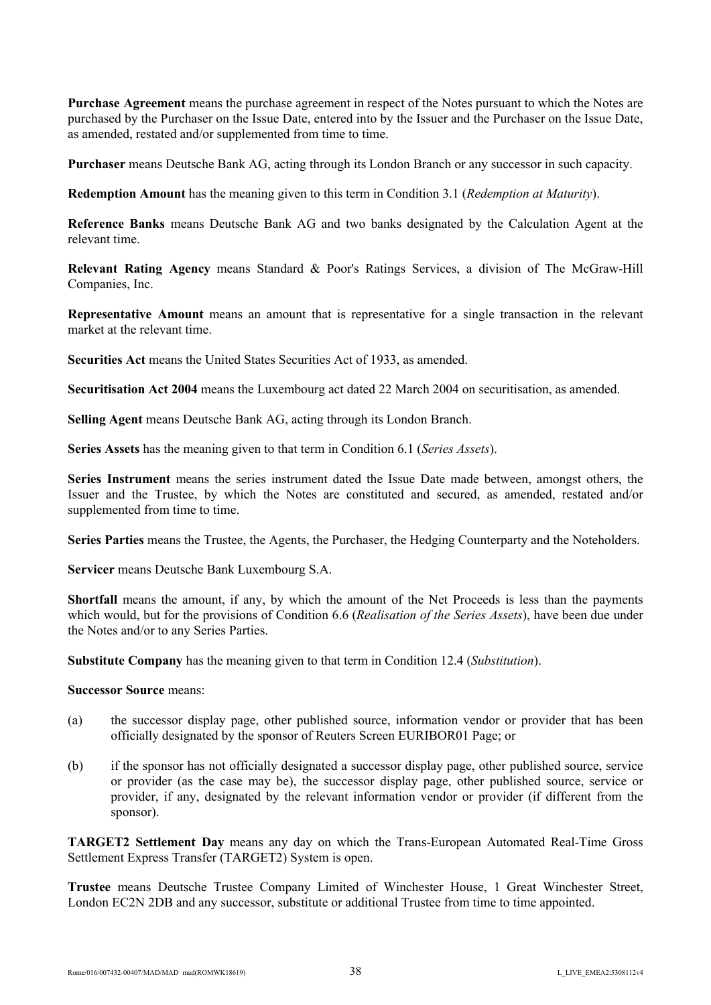**Purchase Agreement** means the purchase agreement in respect of the Notes pursuant to which the Notes are purchased by the Purchaser on the Issue Date, entered into by the Issuer and the Purchaser on the Issue Date, as amended, restated and/or supplemented from time to time.

**Purchaser** means Deutsche Bank AG, acting through its London Branch or any successor in such capacity.

**Redemption Amount** has the meaning given to this term in Condition 3.1 (*Redemption at Maturity*).

**Reference Banks** means Deutsche Bank AG and two banks designated by the Calculation Agent at the relevant time.

**Relevant Rating Agency** means Standard & Poor's Ratings Services, a division of The McGraw-Hill Companies, Inc.

**Representative Amount** means an amount that is representative for a single transaction in the relevant market at the relevant time.

**Securities Act** means the United States Securities Act of 1933, as amended.

**Securitisation Act 2004** means the Luxembourg act dated 22 March 2004 on securitisation, as amended.

**Selling Agent** means Deutsche Bank AG, acting through its London Branch.

**Series Assets** has the meaning given to that term in Condition 6.1 (*Series Assets*).

**Series Instrument** means the series instrument dated the Issue Date made between, amongst others, the Issuer and the Trustee, by which the Notes are constituted and secured, as amended, restated and/or supplemented from time to time.

**Series Parties** means the Trustee, the Agents, the Purchaser, the Hedging Counterparty and the Noteholders.

**Servicer** means Deutsche Bank Luxembourg S.A.

**Shortfall** means the amount, if any, by which the amount of the Net Proceeds is less than the payments which would, but for the provisions of Condition 6.6 (*Realisation of the Series Assets*), have been due under the Notes and/or to any Series Parties.

**Substitute Company** has the meaning given to that term in Condition 12.4 (*Substitution*).

#### **Successor Source** means:

- (a) the successor display page, other published source, information vendor or provider that has been officially designated by the sponsor of Reuters Screen EURIBOR01 Page; or
- (b) if the sponsor has not officially designated a successor display page, other published source, service or provider (as the case may be), the successor display page, other published source, service or provider, if any, designated by the relevant information vendor or provider (if different from the sponsor).

**TARGET2 Settlement Day** means any day on which the Trans-European Automated Real-Time Gross Settlement Express Transfer (TARGET2) System is open.

**Trustee** means Deutsche Trustee Company Limited of Winchester House, 1 Great Winchester Street, London EC2N 2DB and any successor, substitute or additional Trustee from time to time appointed.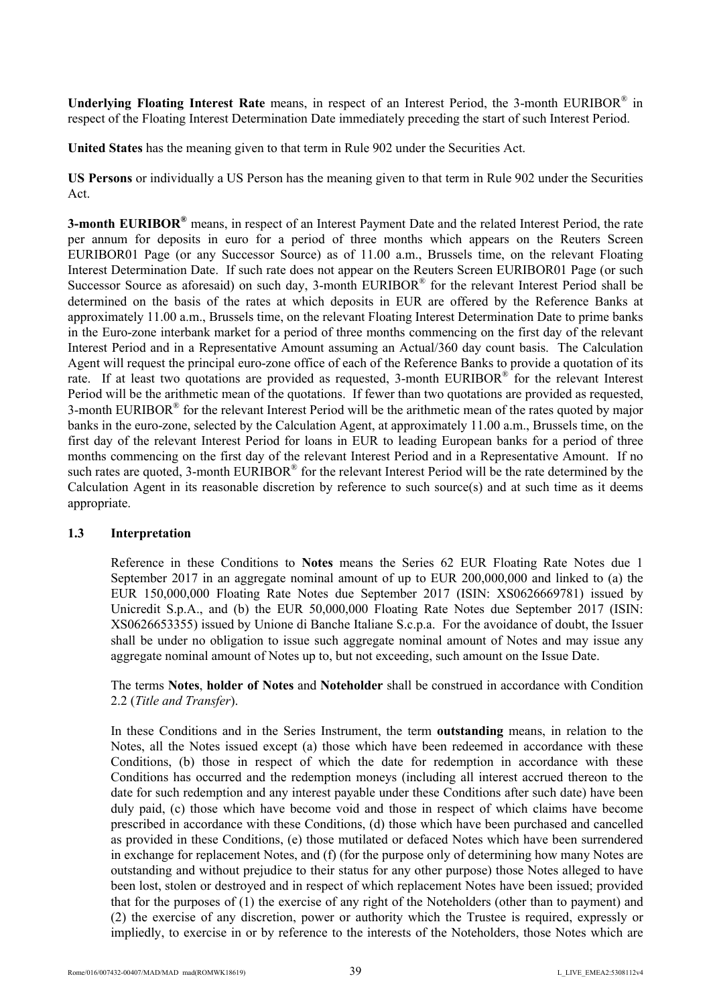**Underlying Floating Interest Rate** means, in respect of an Interest Period, the 3-month EURIBOR® in respect of the Floating Interest Determination Date immediately preceding the start of such Interest Period.

**United States** has the meaning given to that term in Rule 902 under the Securities Act.

**US Persons** or individually a US Person has the meaning given to that term in Rule 902 under the Securities Act.

**3-month EURIBOR®** means, in respect of an Interest Payment Date and the related Interest Period, the rate per annum for deposits in euro for a period of three months which appears on the Reuters Screen EURIBOR01 Page (or any Successor Source) as of 11.00 a.m., Brussels time, on the relevant Floating Interest Determination Date. If such rate does not appear on the Reuters Screen EURIBOR01 Page (or such Successor Source as aforesaid) on such day, 3-month  $EURIBOR^{\otimes}$  for the relevant Interest Period shall be determined on the basis of the rates at which deposits in EUR are offered by the Reference Banks at approximately 11.00 a.m., Brussels time, on the relevant Floating Interest Determination Date to prime banks in the Euro-zone interbank market for a period of three months commencing on the first day of the relevant Interest Period and in a Representative Amount assuming an Actual/360 day count basis. The Calculation Agent will request the principal euro-zone office of each of the Reference Banks to provide a quotation of its rate. If at least two quotations are provided as requested, 3-month EURIBOR® for the relevant Interest Period will be the arithmetic mean of the quotations. If fewer than two quotations are provided as requested, 3-month EURIBOR<sup>®</sup> for the relevant Interest Period will be the arithmetic mean of the rates quoted by major banks in the euro-zone, selected by the Calculation Agent, at approximately 11.00 a.m., Brussels time, on the first day of the relevant Interest Period for loans in EUR to leading European banks for a period of three months commencing on the first day of the relevant Interest Period and in a Representative Amount. If no such rates are quoted, 3-month EURIBOR<sup>®</sup> for the relevant Interest Period will be the rate determined by the Calculation Agent in its reasonable discretion by reference to such source(s) and at such time as it deems appropriate.

#### **1.3 Interpretation**

Reference in these Conditions to **Notes** means the Series 62 EUR Floating Rate Notes due 1 September 2017 in an aggregate nominal amount of up to EUR 200,000,000 and linked to (a) the EUR 150,000,000 Floating Rate Notes due September 2017 (ISIN: XS0626669781) issued by Unicredit S.p.A., and (b) the EUR 50,000,000 Floating Rate Notes due September 2017 (ISIN: XS0626653355) issued by Unione di Banche Italiane S.c.p.a. For the avoidance of doubt, the Issuer shall be under no obligation to issue such aggregate nominal amount of Notes and may issue any aggregate nominal amount of Notes up to, but not exceeding, such amount on the Issue Date.

The terms **Notes**, **holder of Notes** and **Noteholder** shall be construed in accordance with Condition 2.2 (*Title and Transfer*).

In these Conditions and in the Series Instrument, the term **outstanding** means, in relation to the Notes, all the Notes issued except (a) those which have been redeemed in accordance with these Conditions, (b) those in respect of which the date for redemption in accordance with these Conditions has occurred and the redemption moneys (including all interest accrued thereon to the date for such redemption and any interest payable under these Conditions after such date) have been duly paid, (c) those which have become void and those in respect of which claims have become prescribed in accordance with these Conditions, (d) those which have been purchased and cancelled as provided in these Conditions, (e) those mutilated or defaced Notes which have been surrendered in exchange for replacement Notes, and (f) (for the purpose only of determining how many Notes are outstanding and without prejudice to their status for any other purpose) those Notes alleged to have been lost, stolen or destroyed and in respect of which replacement Notes have been issued; provided that for the purposes of (1) the exercise of any right of the Noteholders (other than to payment) and (2) the exercise of any discretion, power or authority which the Trustee is required, expressly or impliedly, to exercise in or by reference to the interests of the Noteholders, those Notes which are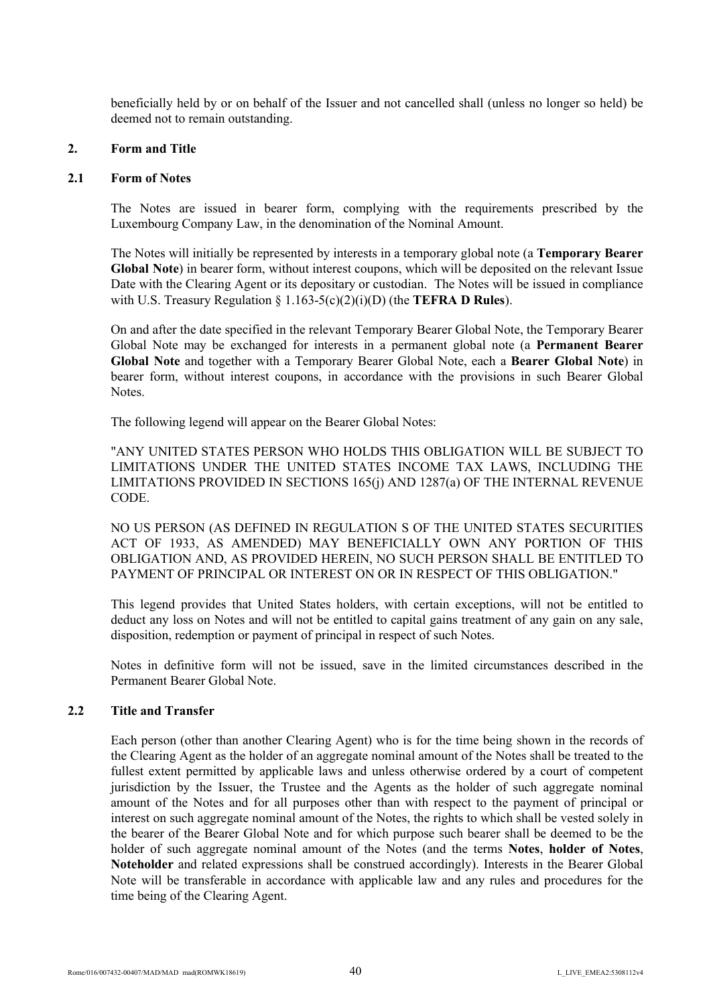beneficially held by or on behalf of the Issuer and not cancelled shall (unless no longer so held) be deemed not to remain outstanding.

#### **2. Form and Title**

#### **2.1 Form of Notes**

The Notes are issued in bearer form, complying with the requirements prescribed by the Luxembourg Company Law, in the denomination of the Nominal Amount.

The Notes will initially be represented by interests in a temporary global note (a **Temporary Bearer Global Note**) in bearer form, without interest coupons, which will be deposited on the relevant Issue Date with the Clearing Agent or its depositary or custodian. The Notes will be issued in compliance with U.S. Treasury Regulation § 1.163-5(c)(2)(i)(D) (the **TEFRA D Rules**).

On and after the date specified in the relevant Temporary Bearer Global Note, the Temporary Bearer Global Note may be exchanged for interests in a permanent global note (a **Permanent Bearer Global Note** and together with a Temporary Bearer Global Note, each a **Bearer Global Note**) in bearer form, without interest coupons, in accordance with the provisions in such Bearer Global Notes.

The following legend will appear on the Bearer Global Notes:

"ANY UNITED STATES PERSON WHO HOLDS THIS OBLIGATION WILL BE SUBJECT TO LIMITATIONS UNDER THE UNITED STATES INCOME TAX LAWS, INCLUDING THE LIMITATIONS PROVIDED IN SECTIONS 165(j) AND 1287(a) OF THE INTERNAL REVENUE CODE.

NO US PERSON (AS DEFINED IN REGULATION S OF THE UNITED STATES SECURITIES ACT OF 1933, AS AMENDED) MAY BENEFICIALLY OWN ANY PORTION OF THIS OBLIGATION AND, AS PROVIDED HEREIN, NO SUCH PERSON SHALL BE ENTITLED TO PAYMENT OF PRINCIPAL OR INTEREST ON OR IN RESPECT OF THIS OBLIGATION."

This legend provides that United States holders, with certain exceptions, will not be entitled to deduct any loss on Notes and will not be entitled to capital gains treatment of any gain on any sale, disposition, redemption or payment of principal in respect of such Notes.

Notes in definitive form will not be issued, save in the limited circumstances described in the Permanent Bearer Global Note.

#### **2.2 Title and Transfer**

Each person (other than another Clearing Agent) who is for the time being shown in the records of the Clearing Agent as the holder of an aggregate nominal amount of the Notes shall be treated to the fullest extent permitted by applicable laws and unless otherwise ordered by a court of competent jurisdiction by the Issuer, the Trustee and the Agents as the holder of such aggregate nominal amount of the Notes and for all purposes other than with respect to the payment of principal or interest on such aggregate nominal amount of the Notes, the rights to which shall be vested solely in the bearer of the Bearer Global Note and for which purpose such bearer shall be deemed to be the holder of such aggregate nominal amount of the Notes (and the terms **Notes**, **holder of Notes**, **Noteholder** and related expressions shall be construed accordingly). Interests in the Bearer Global Note will be transferable in accordance with applicable law and any rules and procedures for the time being of the Clearing Agent.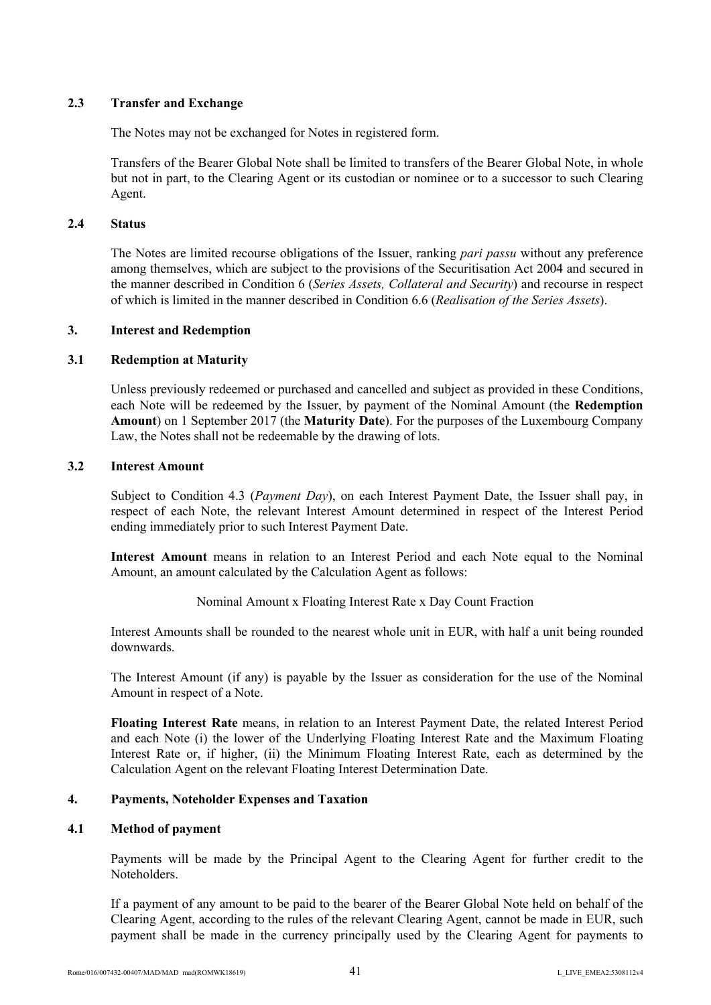# **2.3 Transfer and Exchange**

The Notes may not be exchanged for Notes in registered form.

Transfers of the Bearer Global Note shall be limited to transfers of the Bearer Global Note, in whole but not in part, to the Clearing Agent or its custodian or nominee or to a successor to such Clearing Agent.

### **2.4 Status**

The Notes are limited recourse obligations of the Issuer, ranking *pari passu* without any preference among themselves, which are subject to the provisions of the Securitisation Act 2004 and secured in the manner described in Condition 6 (*Series Assets, Collateral and Security*) and recourse in respect of which is limited in the manner described in Condition 6.6 (*Realisation of the Series Assets*).

# **3. Interest and Redemption**

# **3.1 Redemption at Maturity**

Unless previously redeemed or purchased and cancelled and subject as provided in these Conditions, each Note will be redeemed by the Issuer, by payment of the Nominal Amount (the **Redemption Amount**) on 1 September 2017 (the **Maturity Date**). For the purposes of the Luxembourg Company Law, the Notes shall not be redeemable by the drawing of lots.

### **3.2 Interest Amount**

Subject to Condition 4.3 (*Payment Day*), on each Interest Payment Date, the Issuer shall pay, in respect of each Note, the relevant Interest Amount determined in respect of the Interest Period ending immediately prior to such Interest Payment Date.

**Interest Amount** means in relation to an Interest Period and each Note equal to the Nominal Amount, an amount calculated by the Calculation Agent as follows:

Nominal Amount x Floating Interest Rate x Day Count Fraction

Interest Amounts shall be rounded to the nearest whole unit in EUR, with half a unit being rounded downwards.

The Interest Amount (if any) is payable by the Issuer as consideration for the use of the Nominal Amount in respect of a Note.

**Floating Interest Rate** means, in relation to an Interest Payment Date, the related Interest Period and each Note (i) the lower of the Underlying Floating Interest Rate and the Maximum Floating Interest Rate or, if higher, (ii) the Minimum Floating Interest Rate, each as determined by the Calculation Agent on the relevant Floating Interest Determination Date.

# **4. Payments, Noteholder Expenses and Taxation**

# **4.1 Method of payment**

Payments will be made by the Principal Agent to the Clearing Agent for further credit to the Noteholders.

If a payment of any amount to be paid to the bearer of the Bearer Global Note held on behalf of the Clearing Agent, according to the rules of the relevant Clearing Agent, cannot be made in EUR, such payment shall be made in the currency principally used by the Clearing Agent for payments to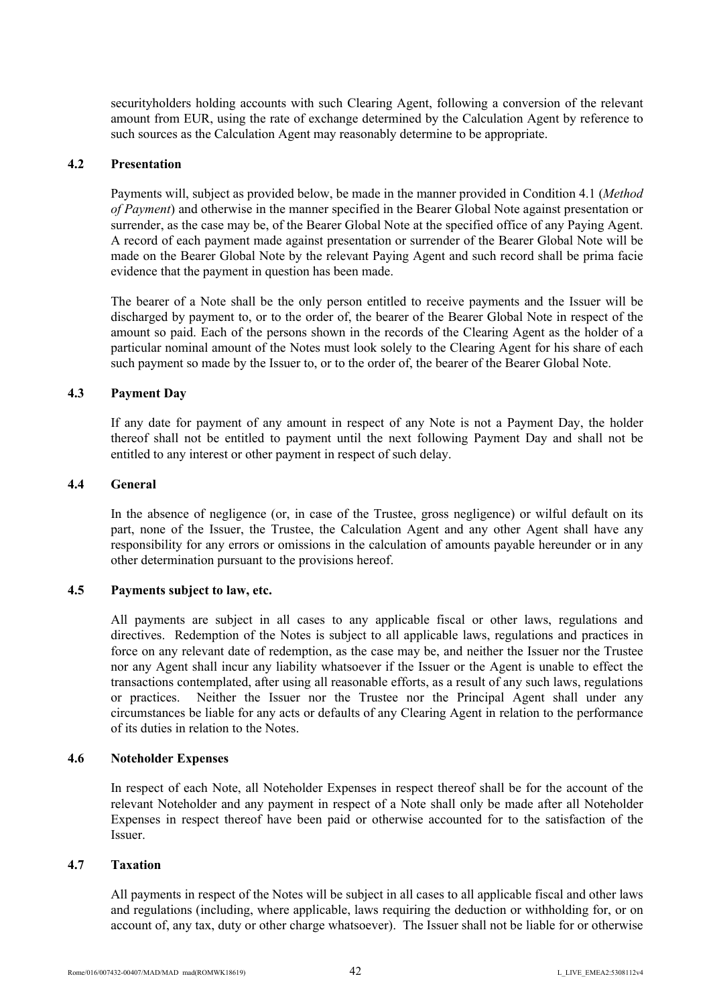securityholders holding accounts with such Clearing Agent, following a conversion of the relevant amount from EUR, using the rate of exchange determined by the Calculation Agent by reference to such sources as the Calculation Agent may reasonably determine to be appropriate.

### **4.2 Presentation**

Payments will, subject as provided below, be made in the manner provided in Condition 4.1 (*Method of Payment*) and otherwise in the manner specified in the Bearer Global Note against presentation or surrender, as the case may be, of the Bearer Global Note at the specified office of any Paying Agent. A record of each payment made against presentation or surrender of the Bearer Global Note will be made on the Bearer Global Note by the relevant Paying Agent and such record shall be prima facie evidence that the payment in question has been made.

The bearer of a Note shall be the only person entitled to receive payments and the Issuer will be discharged by payment to, or to the order of, the bearer of the Bearer Global Note in respect of the amount so paid. Each of the persons shown in the records of the Clearing Agent as the holder of a particular nominal amount of the Notes must look solely to the Clearing Agent for his share of each such payment so made by the Issuer to, or to the order of, the bearer of the Bearer Global Note.

#### **4.3 Payment Day**

If any date for payment of any amount in respect of any Note is not a Payment Day, the holder thereof shall not be entitled to payment until the next following Payment Day and shall not be entitled to any interest or other payment in respect of such delay.

#### **4.4 General**

In the absence of negligence (or, in case of the Trustee, gross negligence) or wilful default on its part, none of the Issuer, the Trustee, the Calculation Agent and any other Agent shall have any responsibility for any errors or omissions in the calculation of amounts payable hereunder or in any other determination pursuant to the provisions hereof.

### **4.5 Payments subject to law, etc.**

All payments are subject in all cases to any applicable fiscal or other laws, regulations and directives. Redemption of the Notes is subject to all applicable laws, regulations and practices in force on any relevant date of redemption, as the case may be, and neither the Issuer nor the Trustee nor any Agent shall incur any liability whatsoever if the Issuer or the Agent is unable to effect the transactions contemplated, after using all reasonable efforts, as a result of any such laws, regulations or practices. Neither the Issuer nor the Trustee nor the Principal Agent shall under any circumstances be liable for any acts or defaults of any Clearing Agent in relation to the performance of its duties in relation to the Notes.

### **4.6 Noteholder Expenses**

In respect of each Note, all Noteholder Expenses in respect thereof shall be for the account of the relevant Noteholder and any payment in respect of a Note shall only be made after all Noteholder Expenses in respect thereof have been paid or otherwise accounted for to the satisfaction of the Issuer.

#### **4.7 Taxation**

All payments in respect of the Notes will be subject in all cases to all applicable fiscal and other laws and regulations (including, where applicable, laws requiring the deduction or withholding for, or on account of, any tax, duty or other charge whatsoever). The Issuer shall not be liable for or otherwise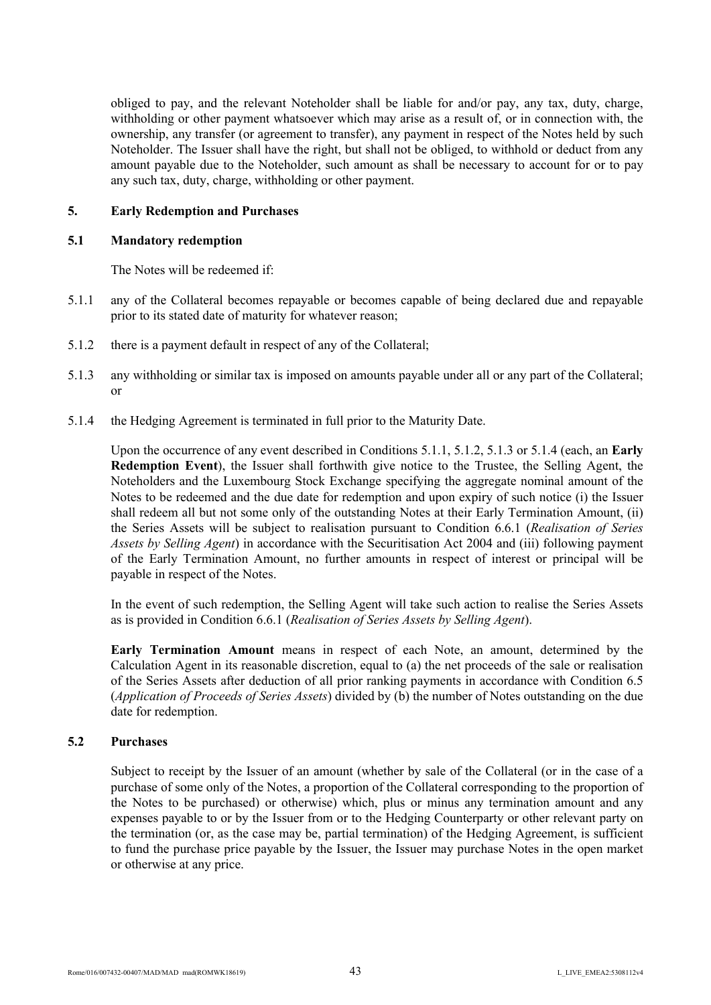obliged to pay, and the relevant Noteholder shall be liable for and/or pay, any tax, duty, charge, withholding or other payment whatsoever which may arise as a result of, or in connection with, the ownership, any transfer (or agreement to transfer), any payment in respect of the Notes held by such Noteholder. The Issuer shall have the right, but shall not be obliged, to withhold or deduct from any amount payable due to the Noteholder, such amount as shall be necessary to account for or to pay any such tax, duty, charge, withholding or other payment.

#### **5. Early Redemption and Purchases**

#### **5.1 Mandatory redemption**

The Notes will be redeemed if:

- 5.1.1 any of the Collateral becomes repayable or becomes capable of being declared due and repayable prior to its stated date of maturity for whatever reason;
- 5.1.2 there is a payment default in respect of any of the Collateral;
- 5.1.3 any withholding or similar tax is imposed on amounts payable under all or any part of the Collateral; or
- 5.1.4 the Hedging Agreement is terminated in full prior to the Maturity Date.

Upon the occurrence of any event described in Conditions 5.1.1, 5.1.2, 5.1.3 or 5.1.4 (each, an **Early Redemption Event**), the Issuer shall forthwith give notice to the Trustee, the Selling Agent, the Noteholders and the Luxembourg Stock Exchange specifying the aggregate nominal amount of the Notes to be redeemed and the due date for redemption and upon expiry of such notice (i) the Issuer shall redeem all but not some only of the outstanding Notes at their Early Termination Amount, (ii) the Series Assets will be subject to realisation pursuant to Condition 6.6.1 (*Realisation of Series Assets by Selling Agent*) in accordance with the Securitisation Act 2004 and (iii) following payment of the Early Termination Amount, no further amounts in respect of interest or principal will be payable in respect of the Notes.

In the event of such redemption, the Selling Agent will take such action to realise the Series Assets as is provided in Condition 6.6.1 (*Realisation of Series Assets by Selling Agent*).

**Early Termination Amount** means in respect of each Note, an amount, determined by the Calculation Agent in its reasonable discretion, equal to (a) the net proceeds of the sale or realisation of the Series Assets after deduction of all prior ranking payments in accordance with Condition 6.5 (*Application of Proceeds of Series Assets*) divided by (b) the number of Notes outstanding on the due date for redemption.

### **5.2 Purchases**

Subject to receipt by the Issuer of an amount (whether by sale of the Collateral (or in the case of a purchase of some only of the Notes, a proportion of the Collateral corresponding to the proportion of the Notes to be purchased) or otherwise) which, plus or minus any termination amount and any expenses payable to or by the Issuer from or to the Hedging Counterparty or other relevant party on the termination (or, as the case may be, partial termination) of the Hedging Agreement, is sufficient to fund the purchase price payable by the Issuer, the Issuer may purchase Notes in the open market or otherwise at any price.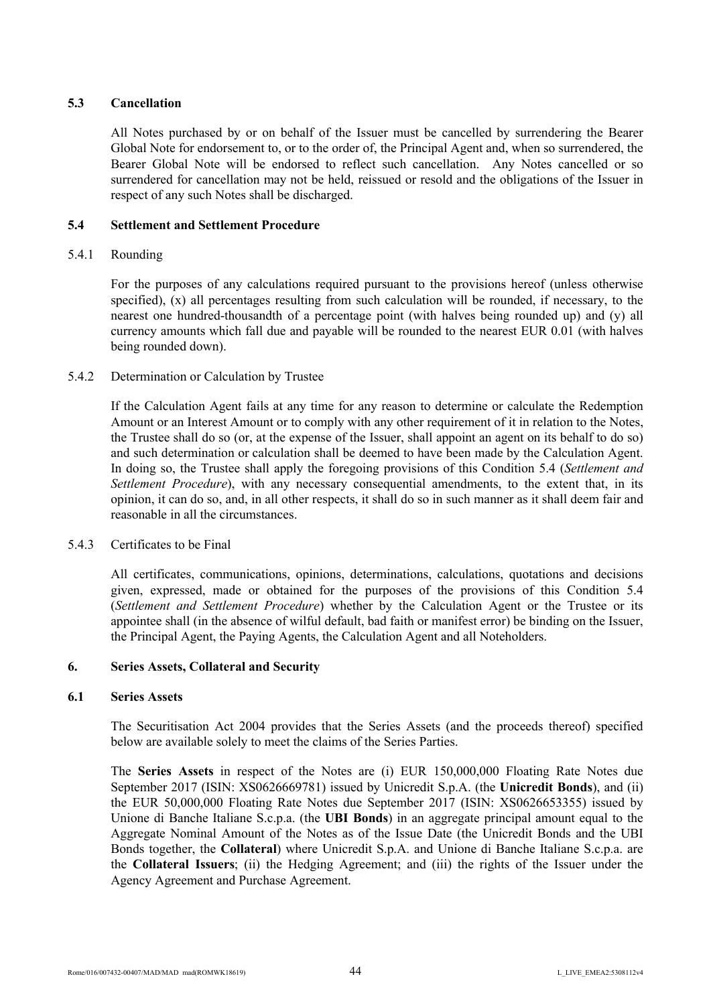# **5.3 Cancellation**

All Notes purchased by or on behalf of the Issuer must be cancelled by surrendering the Bearer Global Note for endorsement to, or to the order of, the Principal Agent and, when so surrendered, the Bearer Global Note will be endorsed to reflect such cancellation. Any Notes cancelled or so surrendered for cancellation may not be held, reissued or resold and the obligations of the Issuer in respect of any such Notes shall be discharged.

# **5.4 Settlement and Settlement Procedure**

# 5.4.1 Rounding

For the purposes of any calculations required pursuant to the provisions hereof (unless otherwise specified), (x) all percentages resulting from such calculation will be rounded, if necessary, to the nearest one hundred-thousandth of a percentage point (with halves being rounded up) and (y) all currency amounts which fall due and payable will be rounded to the nearest EUR 0.01 (with halves being rounded down).

# 5.4.2 Determination or Calculation by Trustee

If the Calculation Agent fails at any time for any reason to determine or calculate the Redemption Amount or an Interest Amount or to comply with any other requirement of it in relation to the Notes, the Trustee shall do so (or, at the expense of the Issuer, shall appoint an agent on its behalf to do so) and such determination or calculation shall be deemed to have been made by the Calculation Agent. In doing so, the Trustee shall apply the foregoing provisions of this Condition 5.4 (*Settlement and Settlement Procedure*), with any necessary consequential amendments, to the extent that, in its opinion, it can do so, and, in all other respects, it shall do so in such manner as it shall deem fair and reasonable in all the circumstances.

### 5.4.3 Certificates to be Final

All certificates, communications, opinions, determinations, calculations, quotations and decisions given, expressed, made or obtained for the purposes of the provisions of this Condition 5.4 (*Settlement and Settlement Procedure*) whether by the Calculation Agent or the Trustee or its appointee shall (in the absence of wilful default, bad faith or manifest error) be binding on the Issuer, the Principal Agent, the Paying Agents, the Calculation Agent and all Noteholders.

### **6. Series Assets, Collateral and Security**

### **6.1 Series Assets**

The Securitisation Act 2004 provides that the Series Assets (and the proceeds thereof) specified below are available solely to meet the claims of the Series Parties.

The **Series Assets** in respect of the Notes are (i) EUR 150,000,000 Floating Rate Notes due September 2017 (ISIN: XS0626669781) issued by Unicredit S.p.A. (the **Unicredit Bonds**), and (ii) the EUR 50,000,000 Floating Rate Notes due September 2017 (ISIN: XS0626653355) issued by Unione di Banche Italiane S.c.p.a. (the **UBI Bonds**) in an aggregate principal amount equal to the Aggregate Nominal Amount of the Notes as of the Issue Date (the Unicredit Bonds and the UBI Bonds together, the **Collateral**) where Unicredit S.p.A. and Unione di Banche Italiane S.c.p.a. are the **Collateral Issuers**; (ii) the Hedging Agreement; and (iii) the rights of the Issuer under the Agency Agreement and Purchase Agreement.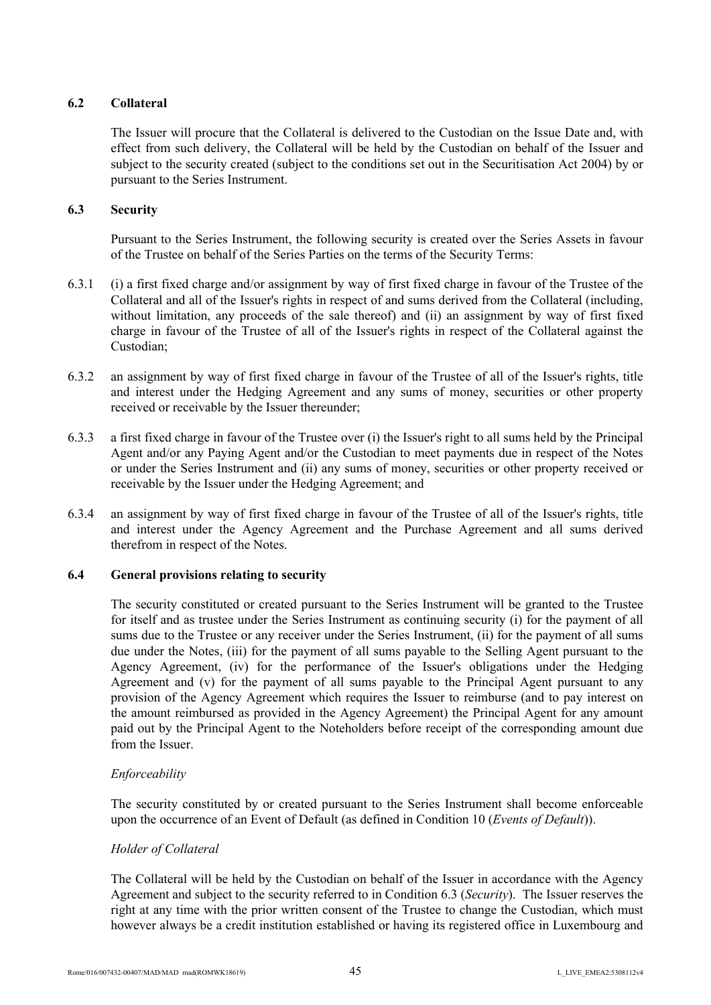# **6.2 Collateral**

The Issuer will procure that the Collateral is delivered to the Custodian on the Issue Date and, with effect from such delivery, the Collateral will be held by the Custodian on behalf of the Issuer and subject to the security created (subject to the conditions set out in the Securitisation Act 2004) by or pursuant to the Series Instrument.

### **6.3 Security**

Pursuant to the Series Instrument, the following security is created over the Series Assets in favour of the Trustee on behalf of the Series Parties on the terms of the Security Terms:

- 6.3.1 (i) a first fixed charge and/or assignment by way of first fixed charge in favour of the Trustee of the Collateral and all of the Issuer's rights in respect of and sums derived from the Collateral (including, without limitation, any proceeds of the sale thereof) and (ii) an assignment by way of first fixed charge in favour of the Trustee of all of the Issuer's rights in respect of the Collateral against the Custodian;
- 6.3.2 an assignment by way of first fixed charge in favour of the Trustee of all of the Issuer's rights, title and interest under the Hedging Agreement and any sums of money, securities or other property received or receivable by the Issuer thereunder;
- 6.3.3 a first fixed charge in favour of the Trustee over (i) the Issuer's right to all sums held by the Principal Agent and/or any Paying Agent and/or the Custodian to meet payments due in respect of the Notes or under the Series Instrument and (ii) any sums of money, securities or other property received or receivable by the Issuer under the Hedging Agreement; and
- 6.3.4 an assignment by way of first fixed charge in favour of the Trustee of all of the Issuer's rights, title and interest under the Agency Agreement and the Purchase Agreement and all sums derived therefrom in respect of the Notes.

### **6.4 General provisions relating to security**

The security constituted or created pursuant to the Series Instrument will be granted to the Trustee for itself and as trustee under the Series Instrument as continuing security (i) for the payment of all sums due to the Trustee or any receiver under the Series Instrument, (ii) for the payment of all sums due under the Notes, (iii) for the payment of all sums payable to the Selling Agent pursuant to the Agency Agreement, (iv) for the performance of the Issuer's obligations under the Hedging Agreement and (v) for the payment of all sums payable to the Principal Agent pursuant to any provision of the Agency Agreement which requires the Issuer to reimburse (and to pay interest on the amount reimbursed as provided in the Agency Agreement) the Principal Agent for any amount paid out by the Principal Agent to the Noteholders before receipt of the corresponding amount due from the Issuer.

### *Enforceability*

The security constituted by or created pursuant to the Series Instrument shall become enforceable upon the occurrence of an Event of Default (as defined in Condition 10 (*Events of Default*)).

### *Holder of Collateral*

The Collateral will be held by the Custodian on behalf of the Issuer in accordance with the Agency Agreement and subject to the security referred to in Condition 6.3 (*Security*). The Issuer reserves the right at any time with the prior written consent of the Trustee to change the Custodian, which must however always be a credit institution established or having its registered office in Luxembourg and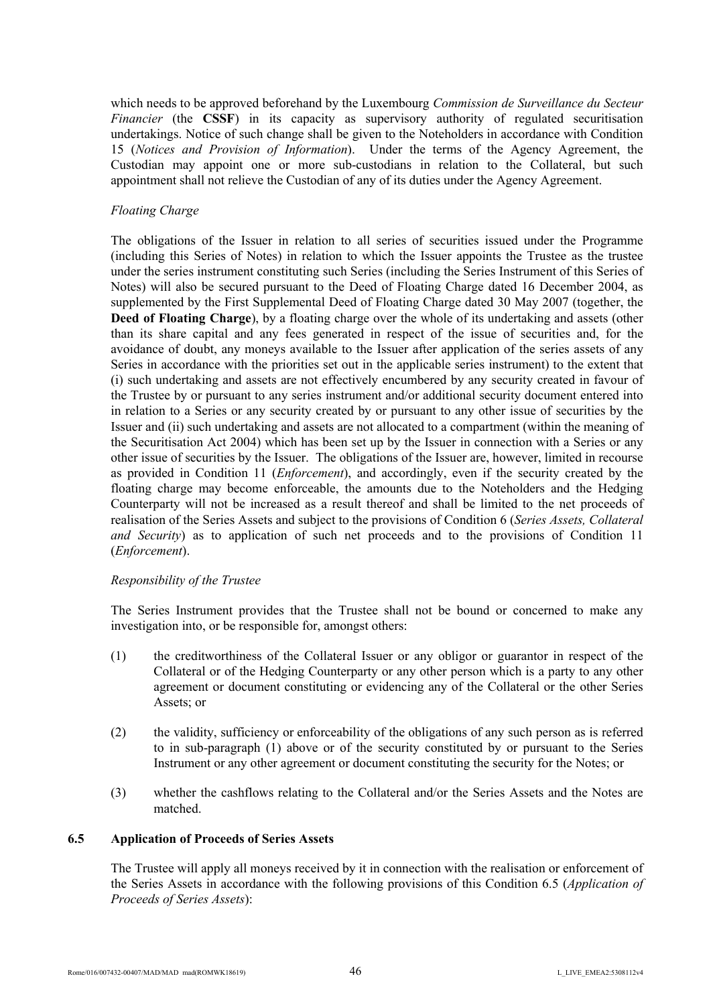which needs to be approved beforehand by the Luxembourg *Commission de Surveillance du Secteur Financier* (the **CSSF**) in its capacity as supervisory authority of regulated securitisation undertakings. Notice of such change shall be given to the Noteholders in accordance with Condition 15 (*Notices and Provision of Information*). Under the terms of the Agency Agreement, the Custodian may appoint one or more sub-custodians in relation to the Collateral, but such appointment shall not relieve the Custodian of any of its duties under the Agency Agreement.

# *Floating Charge*

The obligations of the Issuer in relation to all series of securities issued under the Programme (including this Series of Notes) in relation to which the Issuer appoints the Trustee as the trustee under the series instrument constituting such Series (including the Series Instrument of this Series of Notes) will also be secured pursuant to the Deed of Floating Charge dated 16 December 2004, as supplemented by the First Supplemental Deed of Floating Charge dated 30 May 2007 (together, the **Deed of Floating Charge**), by a floating charge over the whole of its undertaking and assets (other than its share capital and any fees generated in respect of the issue of securities and, for the avoidance of doubt, any moneys available to the Issuer after application of the series assets of any Series in accordance with the priorities set out in the applicable series instrument) to the extent that (i) such undertaking and assets are not effectively encumbered by any security created in favour of the Trustee by or pursuant to any series instrument and/or additional security document entered into in relation to a Series or any security created by or pursuant to any other issue of securities by the Issuer and (ii) such undertaking and assets are not allocated to a compartment (within the meaning of the Securitisation Act 2004) which has been set up by the Issuer in connection with a Series or any other issue of securities by the Issuer. The obligations of the Issuer are, however, limited in recourse as provided in Condition 11 (*Enforcement*), and accordingly, even if the security created by the floating charge may become enforceable, the amounts due to the Noteholders and the Hedging Counterparty will not be increased as a result thereof and shall be limited to the net proceeds of realisation of the Series Assets and subject to the provisions of Condition 6 (*Series Assets, Collateral and Security*) as to application of such net proceeds and to the provisions of Condition 11 (*Enforcement*).

### *Responsibility of the Trustee*

The Series Instrument provides that the Trustee shall not be bound or concerned to make any investigation into, or be responsible for, amongst others:

- (1) the creditworthiness of the Collateral Issuer or any obligor or guarantor in respect of the Collateral or of the Hedging Counterparty or any other person which is a party to any other agreement or document constituting or evidencing any of the Collateral or the other Series Assets; or
- (2) the validity, sufficiency or enforceability of the obligations of any such person as is referred to in sub-paragraph (1) above or of the security constituted by or pursuant to the Series Instrument or any other agreement or document constituting the security for the Notes; or
- (3) whether the cashflows relating to the Collateral and/or the Series Assets and the Notes are matched.

### **6.5 Application of Proceeds of Series Assets**

The Trustee will apply all moneys received by it in connection with the realisation or enforcement of the Series Assets in accordance with the following provisions of this Condition 6.5 (*Application of Proceeds of Series Assets*):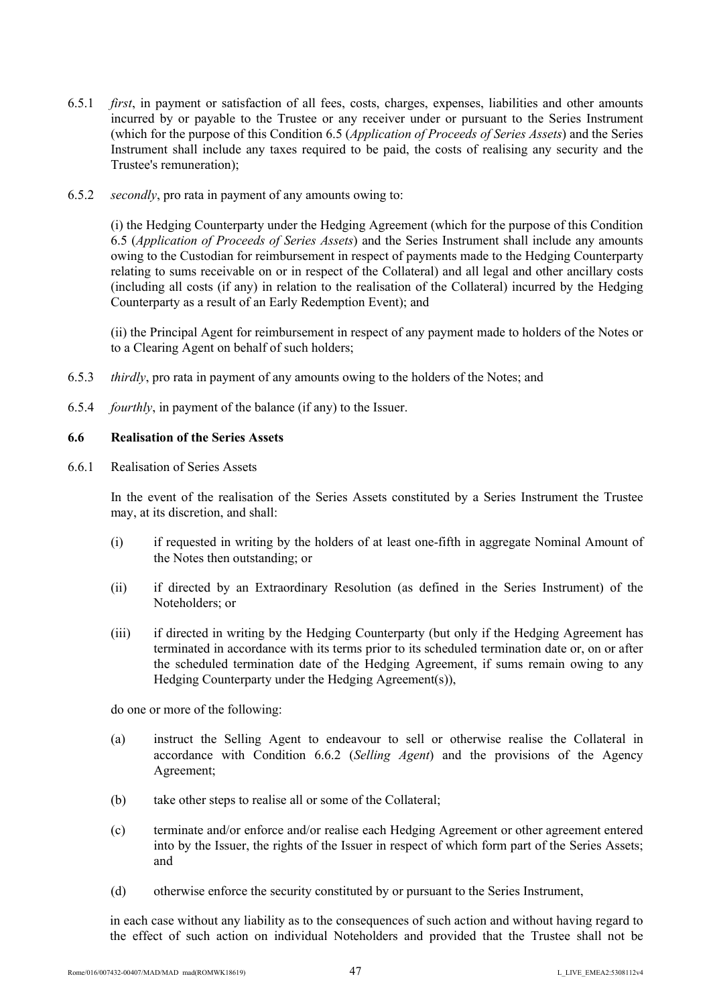- 6.5.1 *first*, in payment or satisfaction of all fees, costs, charges, expenses, liabilities and other amounts incurred by or payable to the Trustee or any receiver under or pursuant to the Series Instrument (which for the purpose of this Condition 6.5 (*Application of Proceeds of Series Assets*) and the Series Instrument shall include any taxes required to be paid, the costs of realising any security and the Trustee's remuneration);
- 6.5.2 *secondly*, pro rata in payment of any amounts owing to:

(i) the Hedging Counterparty under the Hedging Agreement (which for the purpose of this Condition 6.5 (*Application of Proceeds of Series Assets*) and the Series Instrument shall include any amounts owing to the Custodian for reimbursement in respect of payments made to the Hedging Counterparty relating to sums receivable on or in respect of the Collateral) and all legal and other ancillary costs (including all costs (if any) in relation to the realisation of the Collateral) incurred by the Hedging Counterparty as a result of an Early Redemption Event); and

(ii) the Principal Agent for reimbursement in respect of any payment made to holders of the Notes or to a Clearing Agent on behalf of such holders;

- 6.5.3 *thirdly*, pro rata in payment of any amounts owing to the holders of the Notes; and
- 6.5.4 *fourthly*, in payment of the balance (if any) to the Issuer.

# **6.6 Realisation of the Series Assets**

6.6.1 Realisation of Series Assets

In the event of the realisation of the Series Assets constituted by a Series Instrument the Trustee may, at its discretion, and shall:

- (i) if requested in writing by the holders of at least one-fifth in aggregate Nominal Amount of the Notes then outstanding; or
- (ii) if directed by an Extraordinary Resolution (as defined in the Series Instrument) of the Noteholders; or
- (iii) if directed in writing by the Hedging Counterparty (but only if the Hedging Agreement has terminated in accordance with its terms prior to its scheduled termination date or, on or after the scheduled termination date of the Hedging Agreement, if sums remain owing to any Hedging Counterparty under the Hedging Agreement(s)),

do one or more of the following:

- (a) instruct the Selling Agent to endeavour to sell or otherwise realise the Collateral in accordance with Condition 6.6.2 (*Selling Agent*) and the provisions of the Agency Agreement;
- (b) take other steps to realise all or some of the Collateral;
- (c) terminate and/or enforce and/or realise each Hedging Agreement or other agreement entered into by the Issuer, the rights of the Issuer in respect of which form part of the Series Assets; and
- (d) otherwise enforce the security constituted by or pursuant to the Series Instrument,

in each case without any liability as to the consequences of such action and without having regard to the effect of such action on individual Noteholders and provided that the Trustee shall not be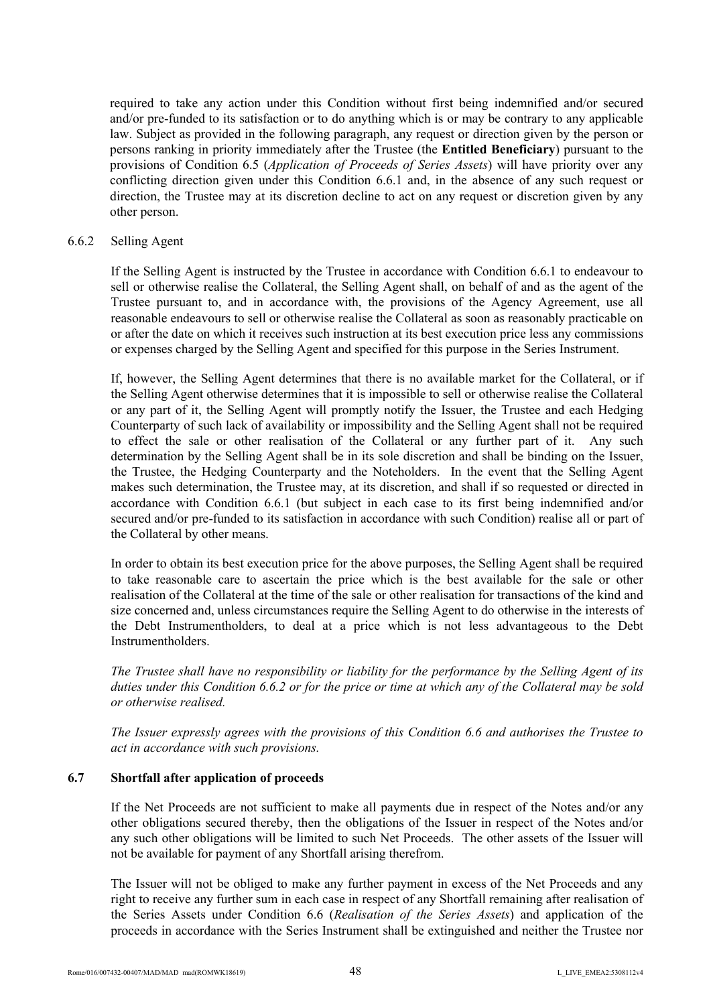required to take any action under this Condition without first being indemnified and/or secured and/or pre-funded to its satisfaction or to do anything which is or may be contrary to any applicable law. Subject as provided in the following paragraph, any request or direction given by the person or persons ranking in priority immediately after the Trustee (the **Entitled Beneficiary**) pursuant to the provisions of Condition 6.5 (*Application of Proceeds of Series Assets*) will have priority over any conflicting direction given under this Condition 6.6.1 and, in the absence of any such request or direction, the Trustee may at its discretion decline to act on any request or discretion given by any other person.

#### 6.6.2 Selling Agent

If the Selling Agent is instructed by the Trustee in accordance with Condition 6.6.1 to endeavour to sell or otherwise realise the Collateral, the Selling Agent shall, on behalf of and as the agent of the Trustee pursuant to, and in accordance with, the provisions of the Agency Agreement, use all reasonable endeavours to sell or otherwise realise the Collateral as soon as reasonably practicable on or after the date on which it receives such instruction at its best execution price less any commissions or expenses charged by the Selling Agent and specified for this purpose in the Series Instrument.

If, however, the Selling Agent determines that there is no available market for the Collateral, or if the Selling Agent otherwise determines that it is impossible to sell or otherwise realise the Collateral or any part of it, the Selling Agent will promptly notify the Issuer, the Trustee and each Hedging Counterparty of such lack of availability or impossibility and the Selling Agent shall not be required to effect the sale or other realisation of the Collateral or any further part of it. Any such determination by the Selling Agent shall be in its sole discretion and shall be binding on the Issuer, the Trustee, the Hedging Counterparty and the Noteholders. In the event that the Selling Agent makes such determination, the Trustee may, at its discretion, and shall if so requested or directed in accordance with Condition 6.6.1 (but subject in each case to its first being indemnified and/or secured and/or pre-funded to its satisfaction in accordance with such Condition) realise all or part of the Collateral by other means.

In order to obtain its best execution price for the above purposes, the Selling Agent shall be required to take reasonable care to ascertain the price which is the best available for the sale or other realisation of the Collateral at the time of the sale or other realisation for transactions of the kind and size concerned and, unless circumstances require the Selling Agent to do otherwise in the interests of the Debt Instrumentholders, to deal at a price which is not less advantageous to the Debt Instrumentholders.

*The Trustee shall have no responsibility or liability for the performance by the Selling Agent of its duties under this Condition 6.6.2 or for the price or time at which any of the Collateral may be sold or otherwise realised.*

*The Issuer expressly agrees with the provisions of this Condition 6.6 and authorises the Trustee to act in accordance with such provisions.*

# **6.7 Shortfall after application of proceeds**

If the Net Proceeds are not sufficient to make all payments due in respect of the Notes and/or any other obligations secured thereby, then the obligations of the Issuer in respect of the Notes and/or any such other obligations will be limited to such Net Proceeds. The other assets of the Issuer will not be available for payment of any Shortfall arising therefrom.

The Issuer will not be obliged to make any further payment in excess of the Net Proceeds and any right to receive any further sum in each case in respect of any Shortfall remaining after realisation of the Series Assets under Condition 6.6 (*Realisation of the Series Assets*) and application of the proceeds in accordance with the Series Instrument shall be extinguished and neither the Trustee nor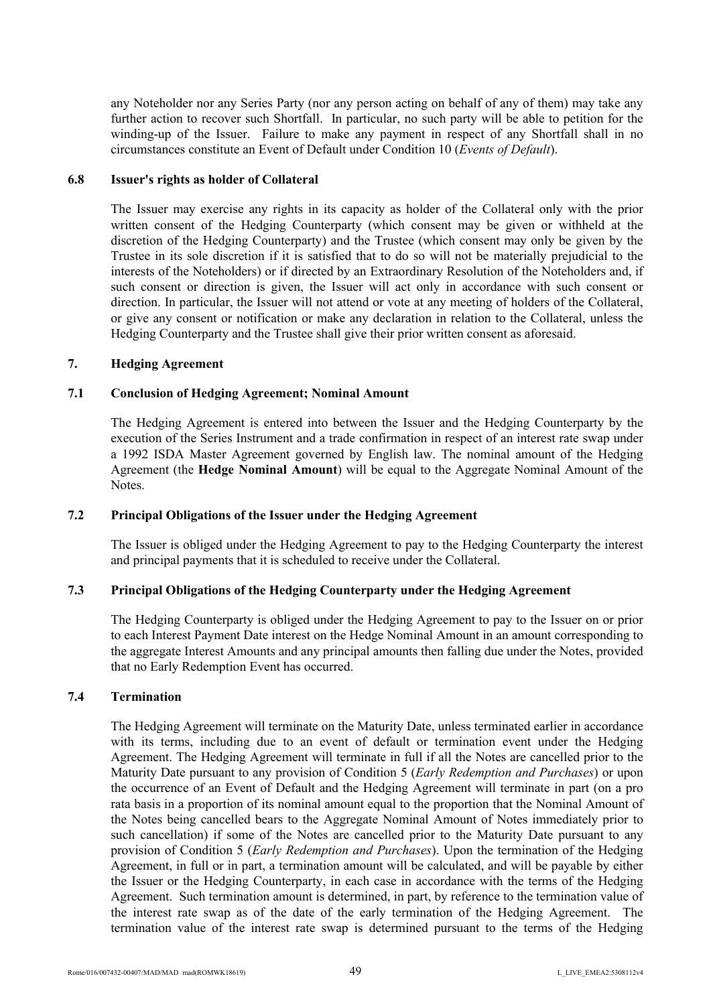any Noteholder nor any Series Party (nor any person acting on behalf of any of them) may take any further action to recover such Shortfall. In particular, no such party will be able to petition for the winding-up of the Issuer. Failure to make any payment in respect of any Shortfall shall in no circumstances constitute an Event of Default under Condition 10 (*Events of Default*).

#### **6.8 Issuer's rights as holder of Collateral**

The Issuer may exercise any rights in its capacity as holder of the Collateral only with the prior written consent of the Hedging Counterparty (which consent may be given or withheld at the discretion of the Hedging Counterparty) and the Trustee (which consent may only be given by the Trustee in its sole discretion if it is satisfied that to do so will not be materially prejudicial to the interests of the Noteholders) or if directed by an Extraordinary Resolution of the Noteholders and, if such consent or direction is given, the Issuer will act only in accordance with such consent or direction. In particular, the Issuer will not attend or vote at any meeting of holders of the Collateral, or give any consent or notification or make any declaration in relation to the Collateral, unless the Hedging Counterparty and the Trustee shall give their prior written consent as aforesaid.

#### **7. Hedging Agreement**

#### **7.1 Conclusion of Hedging Agreement; Nominal Amount**

The Hedging Agreement is entered into between the Issuer and the Hedging Counterparty by the execution of the Series Instrument and a trade confirmation in respect of an interest rate swap under a 1992 ISDA Master Agreement governed by English law. The nominal amount of the Hedging Agreement (the **Hedge Nominal Amount**) will be equal to the Aggregate Nominal Amount of the Notes.

# **7.2 Principal Obligations of the Issuer under the Hedging Agreement**

The Issuer is obliged under the Hedging Agreement to pay to the Hedging Counterparty the interest and principal payments that it is scheduled to receive under the Collateral.

### **7.3 Principal Obligations of the Hedging Counterparty under the Hedging Agreement**

The Hedging Counterparty is obliged under the Hedging Agreement to pay to the Issuer on or prior to each Interest Payment Date interest on the Hedge Nominal Amount in an amount corresponding to the aggregate Interest Amounts and any principal amounts then falling due under the Notes, provided that no Early Redemption Event has occurred.

# **7.4 Termination**

The Hedging Agreement will terminate on the Maturity Date, unless terminated earlier in accordance with its terms, including due to an event of default or termination event under the Hedging Agreement. The Hedging Agreement will terminate in full if all the Notes are cancelled prior to the Maturity Date pursuant to any provision of Condition 5 (*Early Redemption and Purchases*) or upon the occurrence of an Event of Default and the Hedging Agreement will terminate in part (on a pro rata basis in a proportion of its nominal amount equal to the proportion that the Nominal Amount of the Notes being cancelled bears to the Aggregate Nominal Amount of Notes immediately prior to such cancellation) if some of the Notes are cancelled prior to the Maturity Date pursuant to any provision of Condition 5 (*Early Redemption and Purchases*). Upon the termination of the Hedging Agreement, in full or in part, a termination amount will be calculated, and will be payable by either the Issuer or the Hedging Counterparty, in each case in accordance with the terms of the Hedging Agreement. Such termination amount is determined, in part, by reference to the termination value of the interest rate swap as of the date of the early termination of the Hedging Agreement. The termination value of the interest rate swap is determined pursuant to the terms of the Hedging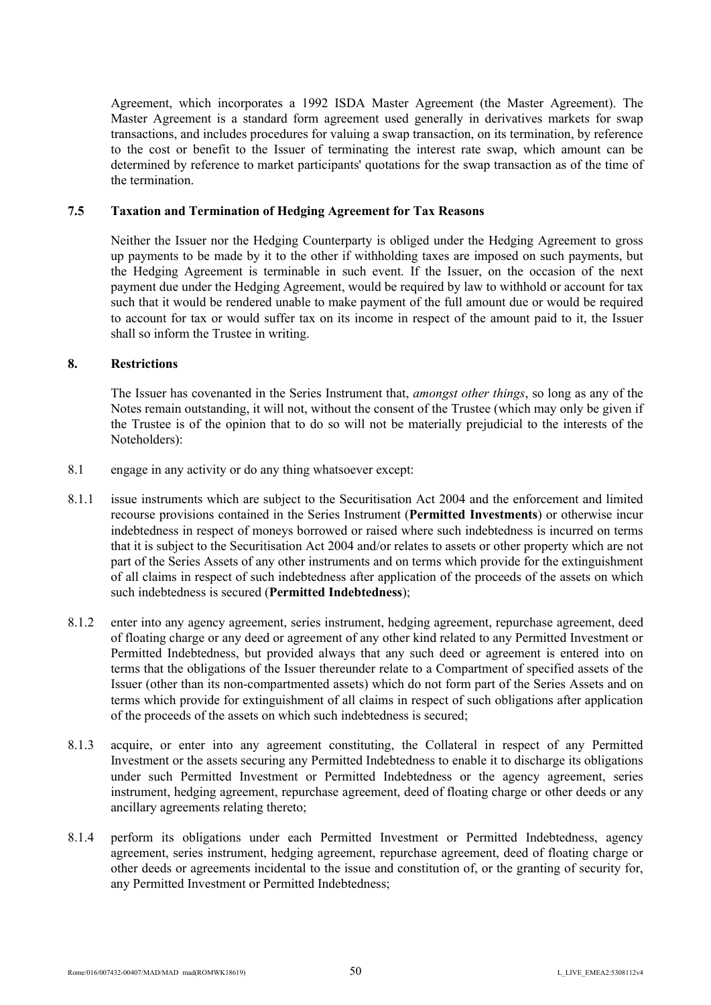Agreement, which incorporates a 1992 ISDA Master Agreement (the Master Agreement). The Master Agreement is a standard form agreement used generally in derivatives markets for swap transactions, and includes procedures for valuing a swap transaction, on its termination, by reference to the cost or benefit to the Issuer of terminating the interest rate swap, which amount can be determined by reference to market participants' quotations for the swap transaction as of the time of the termination.

#### **7.5 Taxation and Termination of Hedging Agreement for Tax Reasons**

Neither the Issuer nor the Hedging Counterparty is obliged under the Hedging Agreement to gross up payments to be made by it to the other if withholding taxes are imposed on such payments, but the Hedging Agreement is terminable in such event. If the Issuer, on the occasion of the next payment due under the Hedging Agreement, would be required by law to withhold or account for tax such that it would be rendered unable to make payment of the full amount due or would be required to account for tax or would suffer tax on its income in respect of the amount paid to it, the Issuer shall so inform the Trustee in writing.

#### **8. Restrictions**

The Issuer has covenanted in the Series Instrument that, *amongst other things*, so long as any of the Notes remain outstanding, it will not, without the consent of the Trustee (which may only be given if the Trustee is of the opinion that to do so will not be materially prejudicial to the interests of the Noteholders):

- 8.1 engage in any activity or do any thing whatsoever except:
- 8.1.1 issue instruments which are subject to the Securitisation Act 2004 and the enforcement and limited recourse provisions contained in the Series Instrument (**Permitted Investments**) or otherwise incur indebtedness in respect of moneys borrowed or raised where such indebtedness is incurred on terms that it is subject to the Securitisation Act 2004 and/or relates to assets or other property which are not part of the Series Assets of any other instruments and on terms which provide for the extinguishment of all claims in respect of such indebtedness after application of the proceeds of the assets on which such indebtedness is secured (**Permitted Indebtedness**);
- 8.1.2 enter into any agency agreement, series instrument, hedging agreement, repurchase agreement, deed of floating charge or any deed or agreement of any other kind related to any Permitted Investment or Permitted Indebtedness, but provided always that any such deed or agreement is entered into on terms that the obligations of the Issuer thereunder relate to a Compartment of specified assets of the Issuer (other than its non-compartmented assets) which do not form part of the Series Assets and on terms which provide for extinguishment of all claims in respect of such obligations after application of the proceeds of the assets on which such indebtedness is secured;
- 8.1.3 acquire, or enter into any agreement constituting, the Collateral in respect of any Permitted Investment or the assets securing any Permitted Indebtedness to enable it to discharge its obligations under such Permitted Investment or Permitted Indebtedness or the agency agreement, series instrument, hedging agreement, repurchase agreement, deed of floating charge or other deeds or any ancillary agreements relating thereto;
- 8.1.4 perform its obligations under each Permitted Investment or Permitted Indebtedness, agency agreement, series instrument, hedging agreement, repurchase agreement, deed of floating charge or other deeds or agreements incidental to the issue and constitution of, or the granting of security for, any Permitted Investment or Permitted Indebtedness;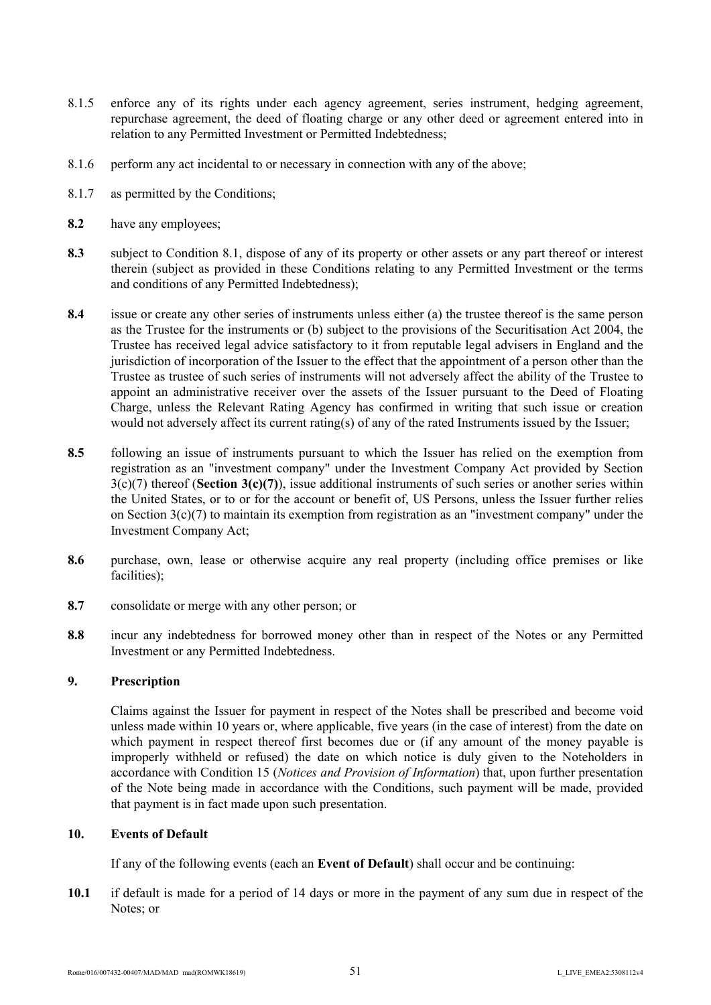- 8.1.5 enforce any of its rights under each agency agreement, series instrument, hedging agreement, repurchase agreement, the deed of floating charge or any other deed or agreement entered into in relation to any Permitted Investment or Permitted Indebtedness;
- 8.1.6 perform any act incidental to or necessary in connection with any of the above;
- 8.1.7 as permitted by the Conditions;
- **8.2** have any employees;
- **8.3** subject to Condition 8.1, dispose of any of its property or other assets or any part thereof or interest therein (subject as provided in these Conditions relating to any Permitted Investment or the terms and conditions of any Permitted Indebtedness);
- **8.4** issue or create any other series of instruments unless either (a) the trustee thereof is the same person as the Trustee for the instruments or (b) subject to the provisions of the Securitisation Act 2004, the Trustee has received legal advice satisfactory to it from reputable legal advisers in England and the jurisdiction of incorporation of the Issuer to the effect that the appointment of a person other than the Trustee as trustee of such series of instruments will not adversely affect the ability of the Trustee to appoint an administrative receiver over the assets of the Issuer pursuant to the Deed of Floating Charge, unless the Relevant Rating Agency has confirmed in writing that such issue or creation would not adversely affect its current rating(s) of any of the rated Instruments issued by the Issuer;
- **8.5** following an issue of instruments pursuant to which the Issuer has relied on the exemption from registration as an "investment company" under the Investment Company Act provided by Section 3(c)(7) thereof (**Section 3(c)(7)**), issue additional instruments of such series or another series within the United States, or to or for the account or benefit of, US Persons, unless the Issuer further relies on Section 3(c)(7) to maintain its exemption from registration as an "investment company" under the Investment Company Act;
- **8.6** purchase, own, lease or otherwise acquire any real property (including office premises or like facilities);
- **8.7** consolidate or merge with any other person; or
- **8.8** incur any indebtedness for borrowed money other than in respect of the Notes or any Permitted Investment or any Permitted Indebtedness.

#### **9. Prescription**

Claims against the Issuer for payment in respect of the Notes shall be prescribed and become void unless made within 10 years or, where applicable, five years (in the case of interest) from the date on which payment in respect thereof first becomes due or (if any amount of the money payable is improperly withheld or refused) the date on which notice is duly given to the Noteholders in accordance with Condition 15 (*Notices and Provision of Information*) that, upon further presentation of the Note being made in accordance with the Conditions, such payment will be made, provided that payment is in fact made upon such presentation.

#### **10. Events of Default**

If any of the following events (each an **Event of Default**) shall occur and be continuing:

**10.1** if default is made for a period of 14 days or more in the payment of any sum due in respect of the Notes: or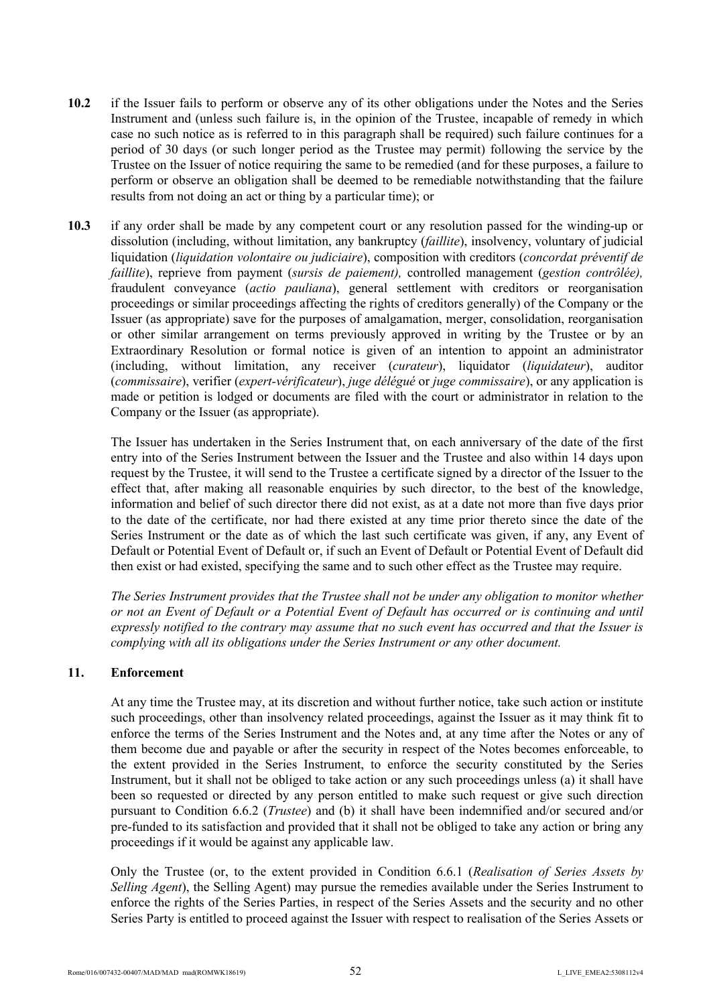- **10.2** if the Issuer fails to perform or observe any of its other obligations under the Notes and the Series Instrument and (unless such failure is, in the opinion of the Trustee, incapable of remedy in which case no such notice as is referred to in this paragraph shall be required) such failure continues for a period of 30 days (or such longer period as the Trustee may permit) following the service by the Trustee on the Issuer of notice requiring the same to be remedied (and for these purposes, a failure to perform or observe an obligation shall be deemed to be remediable notwithstanding that the failure results from not doing an act or thing by a particular time); or
- **10.3** if any order shall be made by any competent court or any resolution passed for the winding-up or dissolution (including, without limitation, any bankruptcy (*faillite*), insolvency, voluntary of judicial liquidation (*liquidation volontaire ou judiciaire*), composition with creditors (*concordat préventif de faillite*), reprieve from payment (*sursis de paiement),* controlled management (*gestion contrôlée),*  fraudulent conveyance (*actio pauliana*), general settlement with creditors or reorganisation proceedings or similar proceedings affecting the rights of creditors generally) of the Company or the Issuer (as appropriate) save for the purposes of amalgamation, merger, consolidation, reorganisation or other similar arrangement on terms previously approved in writing by the Trustee or by an Extraordinary Resolution or formal notice is given of an intention to appoint an administrator (including, without limitation, any receiver (*curateur*), liquidator (*liquidateur*), auditor (*commissaire*), verifier (*expert-vérificateur*), *juge délégué* or *juge commissaire*), or any application is made or petition is lodged or documents are filed with the court or administrator in relation to the Company or the Issuer (as appropriate).

The Issuer has undertaken in the Series Instrument that, on each anniversary of the date of the first entry into of the Series Instrument between the Issuer and the Trustee and also within 14 days upon request by the Trustee, it will send to the Trustee a certificate signed by a director of the Issuer to the effect that, after making all reasonable enquiries by such director, to the best of the knowledge, information and belief of such director there did not exist, as at a date not more than five days prior to the date of the certificate, nor had there existed at any time prior thereto since the date of the Series Instrument or the date as of which the last such certificate was given, if any, any Event of Default or Potential Event of Default or, if such an Event of Default or Potential Event of Default did then exist or had existed, specifying the same and to such other effect as the Trustee may require.

*The Series Instrument provides that the Trustee shall not be under any obligation to monitor whether or not an Event of Default or a Potential Event of Default has occurred or is continuing and until expressly notified to the contrary may assume that no such event has occurred and that the Issuer is complying with all its obligations under the Series Instrument or any other document.*

### **11. Enforcement**

At any time the Trustee may, at its discretion and without further notice, take such action or institute such proceedings, other than insolvency related proceedings, against the Issuer as it may think fit to enforce the terms of the Series Instrument and the Notes and, at any time after the Notes or any of them become due and payable or after the security in respect of the Notes becomes enforceable, to the extent provided in the Series Instrument, to enforce the security constituted by the Series Instrument, but it shall not be obliged to take action or any such proceedings unless (a) it shall have been so requested or directed by any person entitled to make such request or give such direction pursuant to Condition 6.6.2 (*Trustee*) and (b) it shall have been indemnified and/or secured and/or pre-funded to its satisfaction and provided that it shall not be obliged to take any action or bring any proceedings if it would be against any applicable law.

Only the Trustee (or, to the extent provided in Condition 6.6.1 (*Realisation of Series Assets by Selling Agent*), the Selling Agent) may pursue the remedies available under the Series Instrument to enforce the rights of the Series Parties, in respect of the Series Assets and the security and no other Series Party is entitled to proceed against the Issuer with respect to realisation of the Series Assets or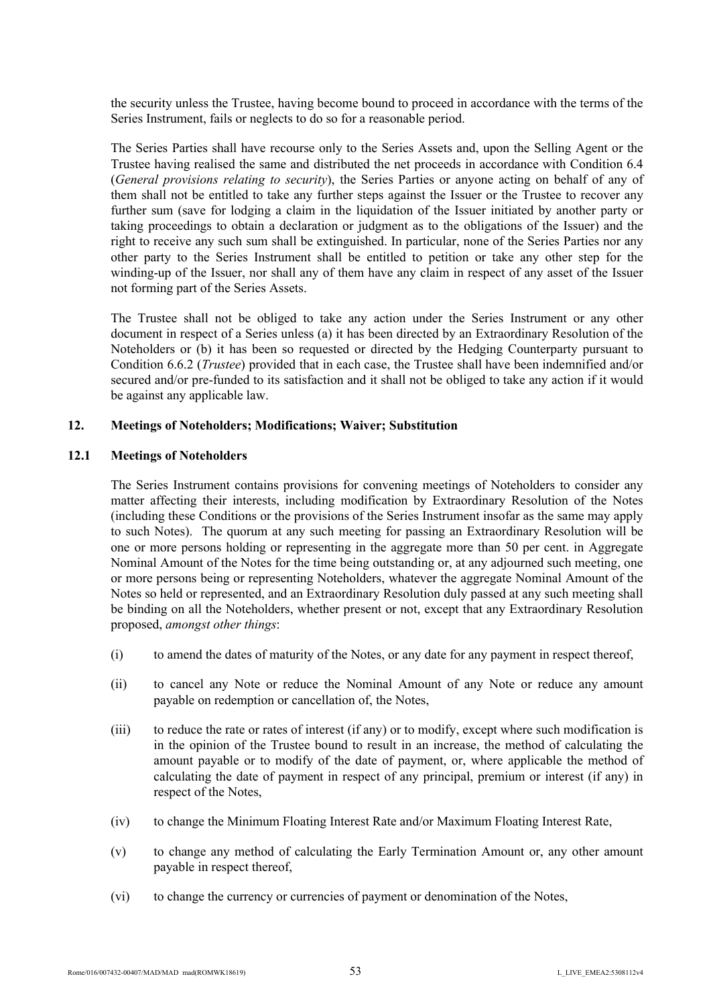the security unless the Trustee, having become bound to proceed in accordance with the terms of the Series Instrument, fails or neglects to do so for a reasonable period.

The Series Parties shall have recourse only to the Series Assets and, upon the Selling Agent or the Trustee having realised the same and distributed the net proceeds in accordance with Condition 6.4 (*General provisions relating to security*), the Series Parties or anyone acting on behalf of any of them shall not be entitled to take any further steps against the Issuer or the Trustee to recover any further sum (save for lodging a claim in the liquidation of the Issuer initiated by another party or taking proceedings to obtain a declaration or judgment as to the obligations of the Issuer) and the right to receive any such sum shall be extinguished. In particular, none of the Series Parties nor any other party to the Series Instrument shall be entitled to petition or take any other step for the winding-up of the Issuer, nor shall any of them have any claim in respect of any asset of the Issuer not forming part of the Series Assets.

The Trustee shall not be obliged to take any action under the Series Instrument or any other document in respect of a Series unless (a) it has been directed by an Extraordinary Resolution of the Noteholders or (b) it has been so requested or directed by the Hedging Counterparty pursuant to Condition 6.6.2 (*Trustee*) provided that in each case, the Trustee shall have been indemnified and/or secured and/or pre-funded to its satisfaction and it shall not be obliged to take any action if it would be against any applicable law.

#### **12. Meetings of Noteholders; Modifications; Waiver; Substitution**

### **12.1 Meetings of Noteholders**

The Series Instrument contains provisions for convening meetings of Noteholders to consider any matter affecting their interests, including modification by Extraordinary Resolution of the Notes (including these Conditions or the provisions of the Series Instrument insofar as the same may apply to such Notes). The quorum at any such meeting for passing an Extraordinary Resolution will be one or more persons holding or representing in the aggregate more than 50 per cent. in Aggregate Nominal Amount of the Notes for the time being outstanding or, at any adjourned such meeting, one or more persons being or representing Noteholders, whatever the aggregate Nominal Amount of the Notes so held or represented, and an Extraordinary Resolution duly passed at any such meeting shall be binding on all the Noteholders, whether present or not, except that any Extraordinary Resolution proposed, *amongst other things*:

- (i) to amend the dates of maturity of the Notes, or any date for any payment in respect thereof,
- (ii) to cancel any Note or reduce the Nominal Amount of any Note or reduce any amount payable on redemption or cancellation of, the Notes,
- (iii) to reduce the rate or rates of interest (if any) or to modify, except where such modification is in the opinion of the Trustee bound to result in an increase, the method of calculating the amount payable or to modify of the date of payment, or, where applicable the method of calculating the date of payment in respect of any principal, premium or interest (if any) in respect of the Notes,
- (iv) to change the Minimum Floating Interest Rate and/or Maximum Floating Interest Rate,
- (v) to change any method of calculating the Early Termination Amount or, any other amount payable in respect thereof,
- (vi) to change the currency or currencies of payment or denomination of the Notes,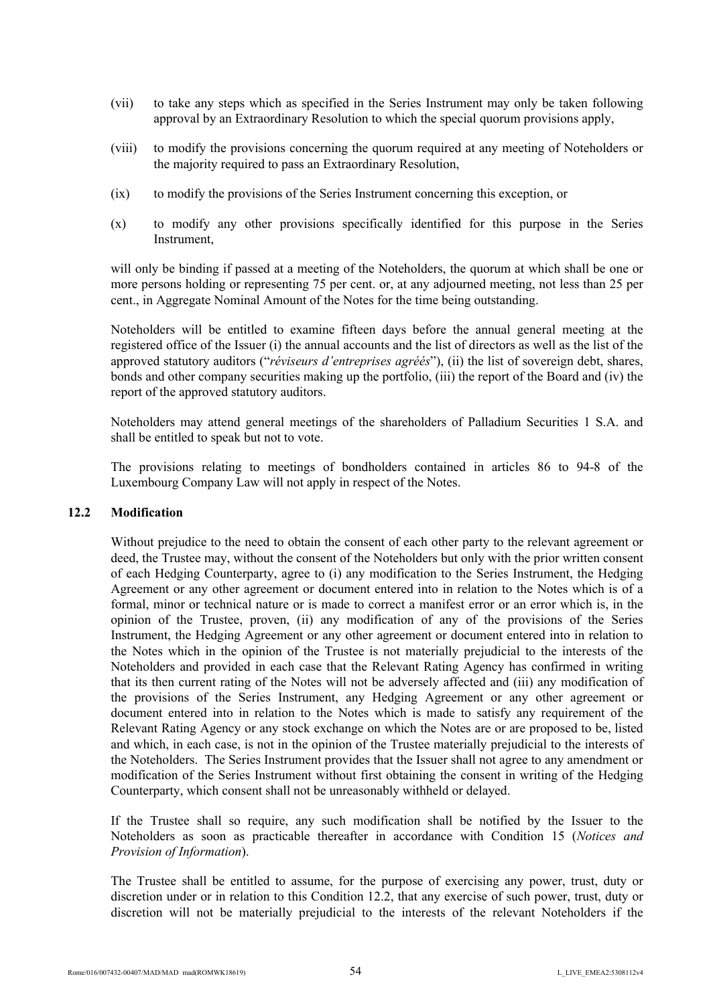- (vii) to take any steps which as specified in the Series Instrument may only be taken following approval by an Extraordinary Resolution to which the special quorum provisions apply,
- (viii) to modify the provisions concerning the quorum required at any meeting of Noteholders or the majority required to pass an Extraordinary Resolution,
- (ix) to modify the provisions of the Series Instrument concerning this exception, or
- (x) to modify any other provisions specifically identified for this purpose in the Series Instrument,

will only be binding if passed at a meeting of the Noteholders, the quorum at which shall be one or more persons holding or representing 75 per cent. or, at any adjourned meeting, not less than 25 per cent., in Aggregate Nominal Amount of the Notes for the time being outstanding.

Noteholders will be entitled to examine fifteen days before the annual general meeting at the registered office of the Issuer (i) the annual accounts and the list of directors as well as the list of the approved statutory auditors ("*réviseurs d'entreprises agréés*"), (ii) the list of sovereign debt, shares, bonds and other company securities making up the portfolio, (iii) the report of the Board and (iv) the report of the approved statutory auditors.

Noteholders may attend general meetings of the shareholders of Palladium Securities 1 S.A. and shall be entitled to speak but not to vote.

The provisions relating to meetings of bondholders contained in articles 86 to 94-8 of the Luxembourg Company Law will not apply in respect of the Notes.

#### **12.2 Modification**

Without prejudice to the need to obtain the consent of each other party to the relevant agreement or deed, the Trustee may, without the consent of the Noteholders but only with the prior written consent of each Hedging Counterparty, agree to (i) any modification to the Series Instrument, the Hedging Agreement or any other agreement or document entered into in relation to the Notes which is of a formal, minor or technical nature or is made to correct a manifest error or an error which is, in the opinion of the Trustee, proven, (ii) any modification of any of the provisions of the Series Instrument, the Hedging Agreement or any other agreement or document entered into in relation to the Notes which in the opinion of the Trustee is not materially prejudicial to the interests of the Noteholders and provided in each case that the Relevant Rating Agency has confirmed in writing that its then current rating of the Notes will not be adversely affected and (iii) any modification of the provisions of the Series Instrument, any Hedging Agreement or any other agreement or document entered into in relation to the Notes which is made to satisfy any requirement of the Relevant Rating Agency or any stock exchange on which the Notes are or are proposed to be, listed and which, in each case, is not in the opinion of the Trustee materially prejudicial to the interests of the Noteholders. The Series Instrument provides that the Issuer shall not agree to any amendment or modification of the Series Instrument without first obtaining the consent in writing of the Hedging Counterparty, which consent shall not be unreasonably withheld or delayed.

If the Trustee shall so require, any such modification shall be notified by the Issuer to the Noteholders as soon as practicable thereafter in accordance with Condition 15 (*Notices and Provision of Information*).

The Trustee shall be entitled to assume, for the purpose of exercising any power, trust, duty or discretion under or in relation to this Condition 12.2, that any exercise of such power, trust, duty or discretion will not be materially prejudicial to the interests of the relevant Noteholders if the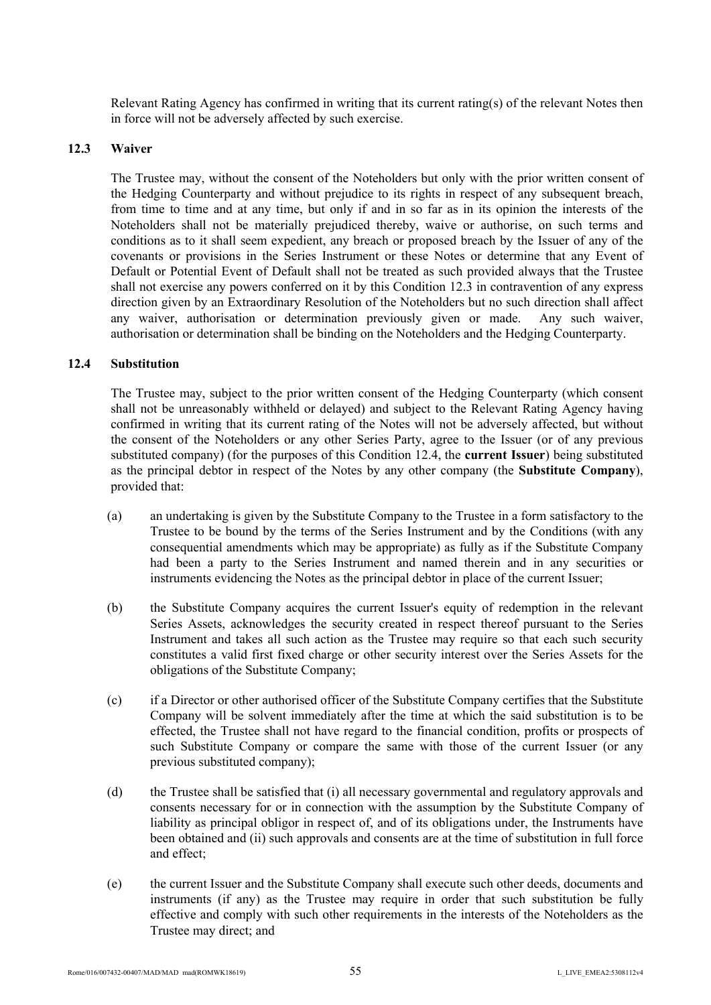Relevant Rating Agency has confirmed in writing that its current rating(s) of the relevant Notes then in force will not be adversely affected by such exercise.

#### **12.3 Waiver**

The Trustee may, without the consent of the Noteholders but only with the prior written consent of the Hedging Counterparty and without prejudice to its rights in respect of any subsequent breach, from time to time and at any time, but only if and in so far as in its opinion the interests of the Noteholders shall not be materially prejudiced thereby, waive or authorise, on such terms and conditions as to it shall seem expedient, any breach or proposed breach by the Issuer of any of the covenants or provisions in the Series Instrument or these Notes or determine that any Event of Default or Potential Event of Default shall not be treated as such provided always that the Trustee shall not exercise any powers conferred on it by this Condition 12.3 in contravention of any express direction given by an Extraordinary Resolution of the Noteholders but no such direction shall affect any waiver, authorisation or determination previously given or made. Any such waiver, authorisation or determination shall be binding on the Noteholders and the Hedging Counterparty.

#### **12.4 Substitution**

The Trustee may, subject to the prior written consent of the Hedging Counterparty (which consent shall not be unreasonably withheld or delayed) and subject to the Relevant Rating Agency having confirmed in writing that its current rating of the Notes will not be adversely affected, but without the consent of the Noteholders or any other Series Party, agree to the Issuer (or of any previous substituted company) (for the purposes of this Condition 12.4, the **current Issuer**) being substituted as the principal debtor in respect of the Notes by any other company (the **Substitute Company**), provided that:

- (a) an undertaking is given by the Substitute Company to the Trustee in a form satisfactory to the Trustee to be bound by the terms of the Series Instrument and by the Conditions (with any consequential amendments which may be appropriate) as fully as if the Substitute Company had been a party to the Series Instrument and named therein and in any securities or instruments evidencing the Notes as the principal debtor in place of the current Issuer;
- (b) the Substitute Company acquires the current Issuer's equity of redemption in the relevant Series Assets, acknowledges the security created in respect thereof pursuant to the Series Instrument and takes all such action as the Trustee may require so that each such security constitutes a valid first fixed charge or other security interest over the Series Assets for the obligations of the Substitute Company;
- (c) if a Director or other authorised officer of the Substitute Company certifies that the Substitute Company will be solvent immediately after the time at which the said substitution is to be effected, the Trustee shall not have regard to the financial condition, profits or prospects of such Substitute Company or compare the same with those of the current Issuer (or any previous substituted company);
- (d) the Trustee shall be satisfied that (i) all necessary governmental and regulatory approvals and consents necessary for or in connection with the assumption by the Substitute Company of liability as principal obligor in respect of, and of its obligations under, the Instruments have been obtained and (ii) such approvals and consents are at the time of substitution in full force and effect;
- (e) the current Issuer and the Substitute Company shall execute such other deeds, documents and instruments (if any) as the Trustee may require in order that such substitution be fully effective and comply with such other requirements in the interests of the Noteholders as the Trustee may direct; and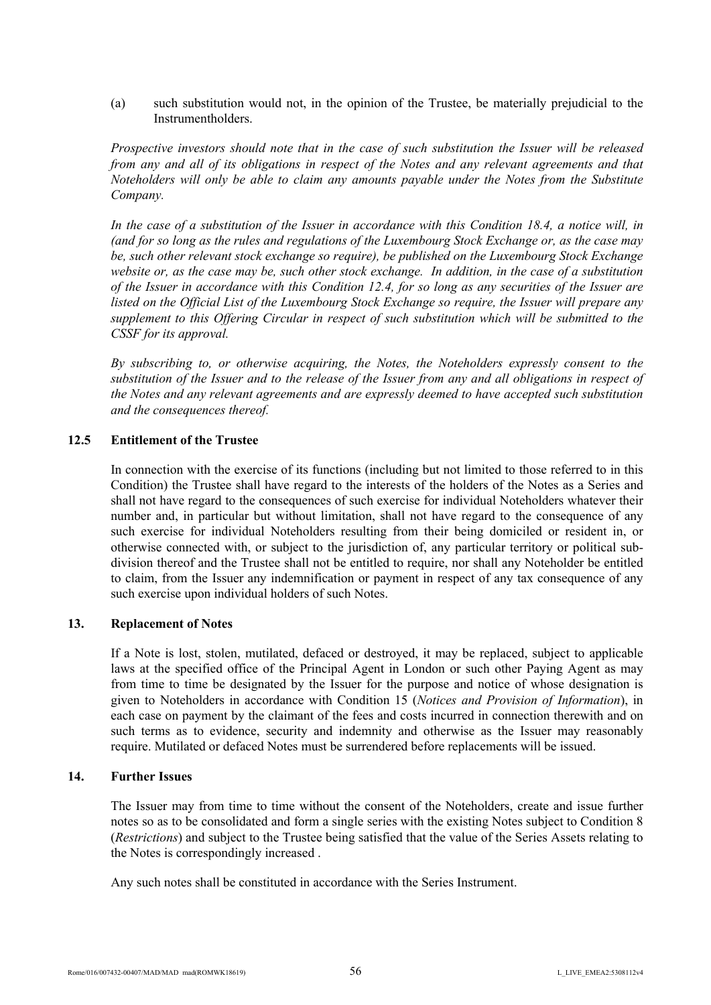(a) such substitution would not, in the opinion of the Trustee, be materially prejudicial to the **Instrumentholders** 

*Prospective investors should note that in the case of such substitution the Issuer will be released from any and all of its obligations in respect of the Notes and any relevant agreements and that Noteholders will only be able to claim any amounts payable under the Notes from the Substitute Company.*

*In the case of a substitution of the Issuer in accordance with this Condition 18.4, a notice will, in (and for so long as the rules and regulations of the Luxembourg Stock Exchange or, as the case may be, such other relevant stock exchange so require), be published on the Luxembourg Stock Exchange website or, as the case may be, such other stock exchange. In addition, in the case of a substitution of the Issuer in accordance with this Condition 12.4, for so long as any securities of the Issuer are listed on the Official List of the Luxembourg Stock Exchange so require, the Issuer will prepare any supplement to this Offering Circular in respect of such substitution which will be submitted to the CSSF for its approval.*

*By subscribing to, or otherwise acquiring, the Notes, the Noteholders expressly consent to the substitution of the Issuer and to the release of the Issuer from any and all obligations in respect of the Notes and any relevant agreements and are expressly deemed to have accepted such substitution and the consequences thereof.*

#### **12.5 Entitlement of the Trustee**

In connection with the exercise of its functions (including but not limited to those referred to in this Condition) the Trustee shall have regard to the interests of the holders of the Notes as a Series and shall not have regard to the consequences of such exercise for individual Noteholders whatever their number and, in particular but without limitation, shall not have regard to the consequence of any such exercise for individual Noteholders resulting from their being domiciled or resident in, or otherwise connected with, or subject to the jurisdiction of, any particular territory or political subdivision thereof and the Trustee shall not be entitled to require, nor shall any Noteholder be entitled to claim, from the Issuer any indemnification or payment in respect of any tax consequence of any such exercise upon individual holders of such Notes.

#### **13. Replacement of Notes**

If a Note is lost, stolen, mutilated, defaced or destroyed, it may be replaced, subject to applicable laws at the specified office of the Principal Agent in London or such other Paying Agent as may from time to time be designated by the Issuer for the purpose and notice of whose designation is given to Noteholders in accordance with Condition 15 (*Notices and Provision of Information*), in each case on payment by the claimant of the fees and costs incurred in connection therewith and on such terms as to evidence, security and indemnity and otherwise as the Issuer may reasonably require. Mutilated or defaced Notes must be surrendered before replacements will be issued.

#### **14. Further Issues**

The Issuer may from time to time without the consent of the Noteholders, create and issue further notes so as to be consolidated and form a single series with the existing Notes subject to Condition 8 (*Restrictions*) and subject to the Trustee being satisfied that the value of the Series Assets relating to the Notes is correspondingly increased .

Any such notes shall be constituted in accordance with the Series Instrument.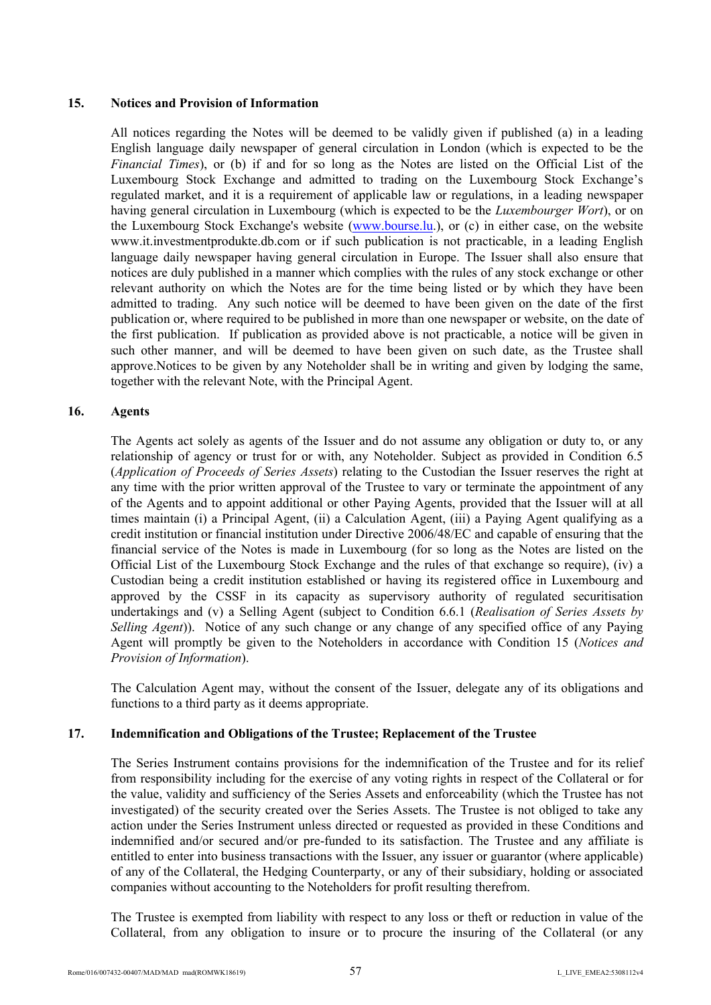### **15. Notices and Provision of Information**

All notices regarding the Notes will be deemed to be validly given if published (a) in a leading English language daily newspaper of general circulation in London (which is expected to be the *Financial Times*), or (b) if and for so long as the Notes are listed on the Official List of the Luxembourg Stock Exchange and admitted to trading on the Luxembourg Stock Exchange's regulated market, and it is a requirement of applicable law or regulations, in a leading newspaper having general circulation in Luxembourg (which is expected to be the *Luxembourger Wort*), or on the Luxembourg Stock Exchange's website (<www.bourse.>lu.), or (c) in either case, on the website w[ww.it.inv](www.it.in)estmentprodukte.db.com or if su[ch publication i](http://www.bourse.lu/)s not practicable, in a leading English [language daily newspaper having g](http://www.it.investmentprodukte.db.com/)eneral circulation in Europe. The Issuer shall also ensure that notices are duly published in a manner which complies with the rules of any stock exchange or other relevant authority on which the Notes are for the time being listed or by which they have been admitted to trading. Any such notice will be deemed to have been given on the date of the first publication or, where required to be published in more than one newspaper or website, on the date of the first publication. If publication as provided above is not practicable, a notice will be given in such other manner, and will be deemed to have been given on such date, as the Trustee shall approve.Notices to be given by any Noteholder shall be in writing and given by lodging the same, together with the relevant Note, with the Principal Agent.

### **16. Agents**

The Agents act solely as agents of the Issuer and do not assume any obligation or duty to, or any relationship of agency or trust for or with, any Noteholder. Subject as provided in Condition 6.5 (*Application of Proceeds of Series Assets*) relating to the Custodian the Issuer reserves the right at any time with the prior written approval of the Trustee to vary or terminate the appointment of any of the Agents and to appoint additional or other Paying Agents, provided that the Issuer will at all times maintain (i) a Principal Agent, (ii) a Calculation Agent, (iii) a Paying Agent qualifying as a credit institution or financial institution under Directive 2006/48/EC and capable of ensuring that the financial service of the Notes is made in Luxembourg (for so long as the Notes are listed on the Official List of the Luxembourg Stock Exchange and the rules of that exchange so require), (iv) a Custodian being a credit institution established or having its registered office in Luxembourg and approved by the CSSF in its capacity as supervisory authority of regulated securitisation undertakings and (v) a Selling Agent (subject to Condition 6.6.1 (*Realisation of Series Assets by Selling Agent*)). Notice of any such change or any change of any specified office of any Paying Agent will promptly be given to the Noteholders in accordance with Condition 15 (*Notices and Provision of Information*).

The Calculation Agent may, without the consent of the Issuer, delegate any of its obligations and functions to a third party as it deems appropriate.

# **17. Indemnification and Obligations of the Trustee; Replacement of the Trustee**

The Series Instrument contains provisions for the indemnification of the Trustee and for its relief from responsibility including for the exercise of any voting rights in respect of the Collateral or for the value, validity and sufficiency of the Series Assets and enforceability (which the Trustee has not investigated) of the security created over the Series Assets. The Trustee is not obliged to take any action under the Series Instrument unless directed or requested as provided in these Conditions and indemnified and/or secured and/or pre-funded to its satisfaction. The Trustee and any affiliate is entitled to enter into business transactions with the Issuer, any issuer or guarantor (where applicable) of any of the Collateral, the Hedging Counterparty, or any of their subsidiary, holding or associated companies without accounting to the Noteholders for profit resulting therefrom.

The Trustee is exempted from liability with respect to any loss or theft or reduction in value of the Collateral, from any obligation to insure or to procure the insuring of the Collateral (or any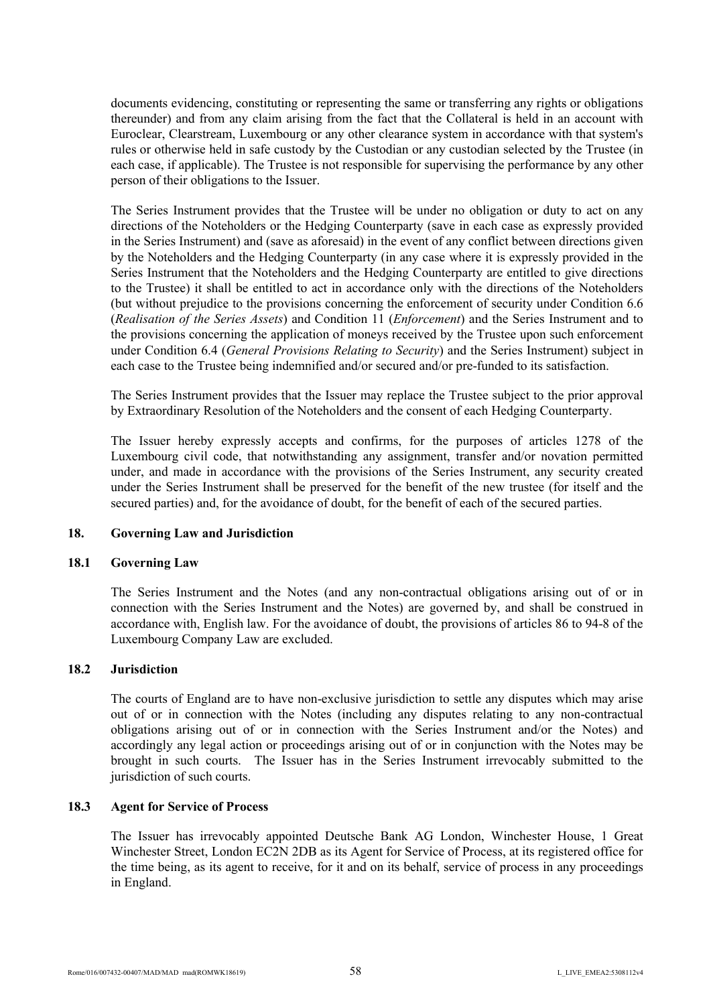documents evidencing, constituting or representing the same or transferring any rights or obligations thereunder) and from any claim arising from the fact that the Collateral is held in an account with Euroclear, Clearstream, Luxembourg or any other clearance system in accordance with that system's rules or otherwise held in safe custody by the Custodian or any custodian selected by the Trustee (in each case, if applicable). The Trustee is not responsible for supervising the performance by any other person of their obligations to the Issuer.

The Series Instrument provides that the Trustee will be under no obligation or duty to act on any directions of the Noteholders or the Hedging Counterparty (save in each case as expressly provided in the Series Instrument) and (save as aforesaid) in the event of any conflict between directions given by the Noteholders and the Hedging Counterparty (in any case where it is expressly provided in the Series Instrument that the Noteholders and the Hedging Counterparty are entitled to give directions to the Trustee) it shall be entitled to act in accordance only with the directions of the Noteholders (but without prejudice to the provisions concerning the enforcement of security under Condition 6.6 (*Realisation of the Series Assets*) and Condition 11 (*Enforcement*) and the Series Instrument and to the provisions concerning the application of moneys received by the Trustee upon such enforcement under Condition 6.4 (*General Provisions Relating to Security*) and the Series Instrument) subject in each case to the Trustee being indemnified and/or secured and/or pre-funded to its satisfaction.

The Series Instrument provides that the Issuer may replace the Trustee subject to the prior approval by Extraordinary Resolution of the Noteholders and the consent of each Hedging Counterparty.

The Issuer hereby expressly accepts and confirms, for the purposes of articles 1278 of the Luxembourg civil code, that notwithstanding any assignment, transfer and/or novation permitted under, and made in accordance with the provisions of the Series Instrument, any security created under the Series Instrument shall be preserved for the benefit of the new trustee (for itself and the secured parties) and, for the avoidance of doubt, for the benefit of each of the secured parties.

### **18. Governing Law and Jurisdiction**

#### **18.1 Governing Law**

The Series Instrument and the Notes (and any non-contractual obligations arising out of or in connection with the Series Instrument and the Notes) are governed by, and shall be construed in accordance with, English law. For the avoidance of doubt, the provisions of articles 86 to 94-8 of the Luxembourg Company Law are excluded.

#### **18.2 Jurisdiction**

The courts of England are to have non-exclusive jurisdiction to settle any disputes which may arise out of or in connection with the Notes (including any disputes relating to any non-contractual obligations arising out of or in connection with the Series Instrument and/or the Notes) and accordingly any legal action or proceedings arising out of or in conjunction with the Notes may be brought in such courts. The Issuer has in the Series Instrument irrevocably submitted to the jurisdiction of such courts.

### **18.3 Agent for Service of Process**

The Issuer has irrevocably appointed Deutsche Bank AG London, Winchester House, 1 Great Winchester Street, London EC2N 2DB as its Agent for Service of Process, at its registered office for the time being, as its agent to receive, for it and on its behalf, service of process in any proceedings in England.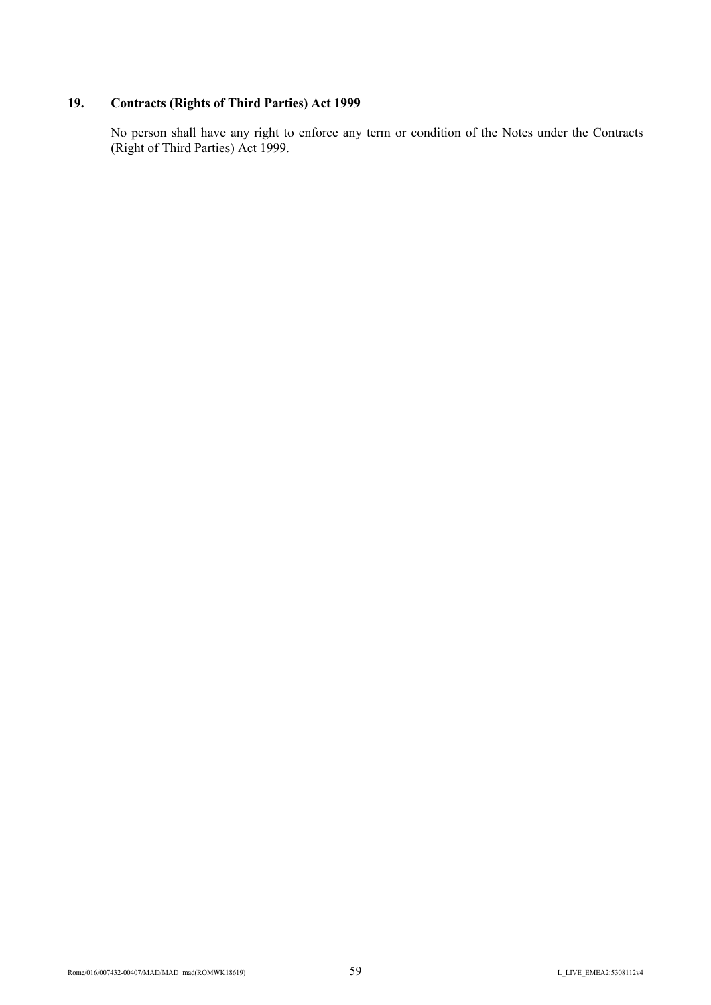# **19. Contracts (Rights of Third Parties) Act 1999**

No person shall have any right to enforce any term or condition of the Notes under the Contracts (Right of Third Parties) Act 1999.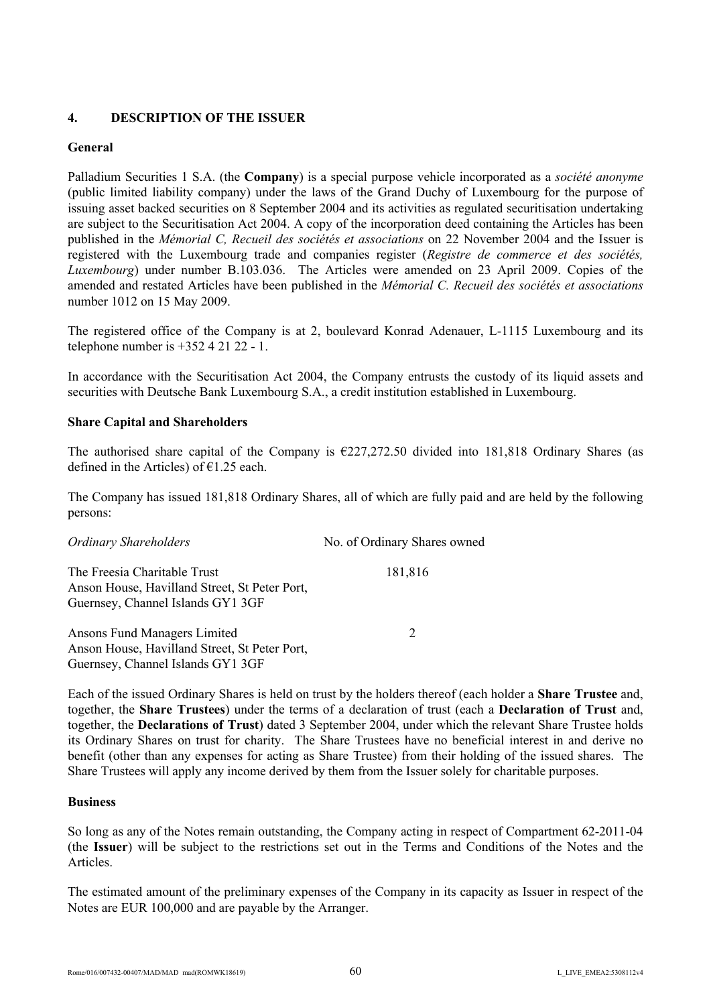# **4. DESCRIPTION OF THE ISSUER**

# **General**

Palladium Securities 1 S.A. (the **Company**) is a special purpose vehicle incorporated as a *société anonyme* (public limited liability company) under the laws of the Grand Duchy of Luxembourg for the purpose of issuing asset backed securities on 8 September 2004 and its activities as regulated securitisation undertaking are subject to the Securitisation Act 2004. A copy of the incorporation deed containing the Articles has been published in the *Mémorial C, Recueil des sociétés et associations* on 22 November 2004 and the Issuer is registered with the Luxembourg trade and companies register (*Registre de commerce et des sociétés, Luxembourg*) under number B.103.036. The Articles were amended on 23 April 2009. Copies of the amended and restated Articles have been published in the *Mémorial C. Recueil des sociétés et associations* number 1012 on 15 May 2009.

The registered office of the Company is at 2, boulevard Konrad Adenauer, L-1115 Luxembourg and its telephone number is  $+35242122 - 1$ .

In accordance with the Securitisation Act 2004, the Company entrusts the custody of its liquid assets and securities with Deutsche Bank Luxembourg S.A., a credit institution established in Luxembourg.

# **Share Capital and Shareholders**

The authorised share capital of the Company is  $\epsilon$ 227,272.50 divided into 181,818 Ordinary Shares (as defined in the Articles) of  $\epsilon$ 1.25 each.

The Company has issued 181,818 Ordinary Shares, all of which are fully paid and are held by the following persons:

| <b>Ordinary Shareholders</b>                                                                                       | No. of Ordinary Shares owned |
|--------------------------------------------------------------------------------------------------------------------|------------------------------|
| The Freesia Charitable Trust<br>Anson House, Havilland Street, St Peter Port,<br>Guernsey, Channel Islands GY1 3GF | 181,816                      |
| Ansons Fund Managers Limited<br>Anson House, Havilland Street, St Peter Port,<br>Guernsey, Channel Islands GY1 3GF | 2                            |

Each of the issued Ordinary Shares is held on trust by the holders thereof (each holder a **Share Trustee** and, together, the **Share Trustees**) under the terms of a declaration of trust (each a **Declaration of Trust** and, together, the **Declarations of Trust**) dated 3 September 2004, under which the relevant Share Trustee holds its Ordinary Shares on trust for charity. The Share Trustees have no beneficial interest in and derive no benefit (other than any expenses for acting as Share Trustee) from their holding of the issued shares. The Share Trustees will apply any income derived by them from the Issuer solely for charitable purposes.

### **Business**

So long as any of the Notes remain outstanding, the Company acting in respect of Compartment 62-2011-04 (the **Issuer**) will be subject to the restrictions set out in the Terms and Conditions of the Notes and the Articles.

The estimated amount of the preliminary expenses of the Company in its capacity as Issuer in respect of the Notes are EUR 100,000 and are payable by the Arranger.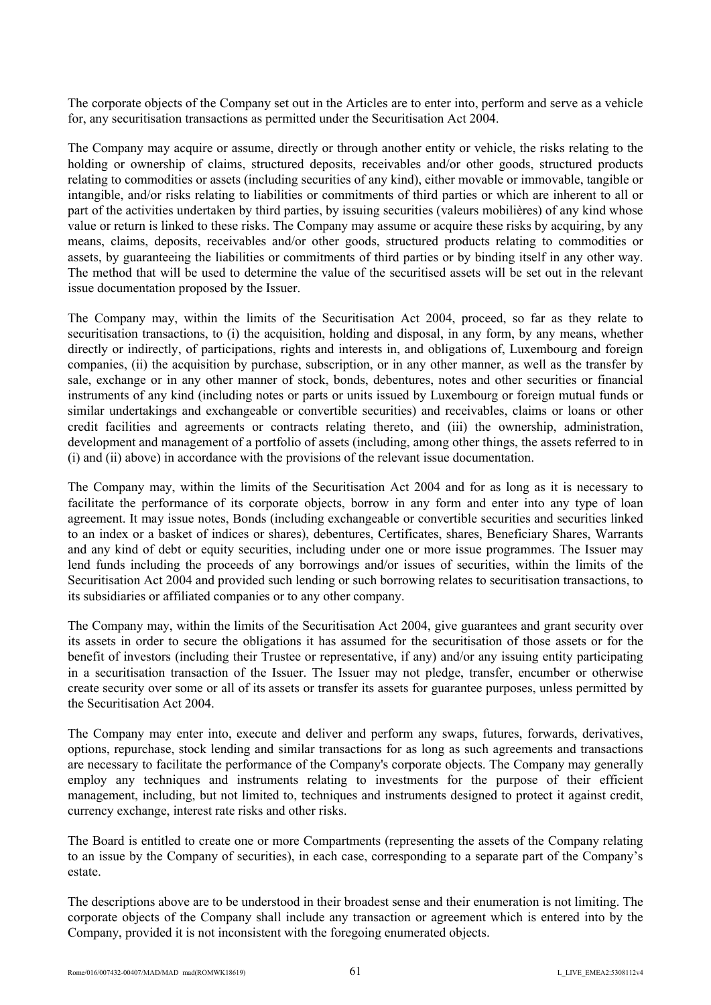The corporate objects of the Company set out in the Articles are to enter into, perform and serve as a vehicle for, any securitisation transactions as permitted under the Securitisation Act 2004.

The Company may acquire or assume, directly or through another entity or vehicle, the risks relating to the holding or ownership of claims, structured deposits, receivables and/or other goods, structured products relating to commodities or assets (including securities of any kind), either movable or immovable, tangible or intangible, and/or risks relating to liabilities or commitments of third parties or which are inherent to all or part of the activities undertaken by third parties, by issuing securities (valeurs mobilières) of any kind whose value or return is linked to these risks. The Company may assume or acquire these risks by acquiring, by any means, claims, deposits, receivables and/or other goods, structured products relating to commodities or assets, by guaranteeing the liabilities or commitments of third parties or by binding itself in any other way. The method that will be used to determine the value of the securitised assets will be set out in the relevant issue documentation proposed by the Issuer.

The Company may, within the limits of the Securitisation Act 2004, proceed, so far as they relate to securitisation transactions, to (i) the acquisition, holding and disposal, in any form, by any means, whether directly or indirectly, of participations, rights and interests in, and obligations of, Luxembourg and foreign companies, (ii) the acquisition by purchase, subscription, or in any other manner, as well as the transfer by sale, exchange or in any other manner of stock, bonds, debentures, notes and other securities or financial instruments of any kind (including notes or parts or units issued by Luxembourg or foreign mutual funds or similar undertakings and exchangeable or convertible securities) and receivables, claims or loans or other credit facilities and agreements or contracts relating thereto, and (iii) the ownership, administration, development and management of a portfolio of assets (including, among other things, the assets referred to in (i) and (ii) above) in accordance with the provisions of the relevant issue documentation.

The Company may, within the limits of the Securitisation Act 2004 and for as long as it is necessary to facilitate the performance of its corporate objects, borrow in any form and enter into any type of loan agreement. It may issue notes, Bonds (including exchangeable or convertible securities and securities linked to an index or a basket of indices or shares), debentures, Certificates, shares, Beneficiary Shares, Warrants and any kind of debt or equity securities, including under one or more issue programmes. The Issuer may lend funds including the proceeds of any borrowings and/or issues of securities, within the limits of the Securitisation Act 2004 and provided such lending or such borrowing relates to securitisation transactions, to its subsidiaries or affiliated companies or to any other company.

The Company may, within the limits of the Securitisation Act 2004, give guarantees and grant security over its assets in order to secure the obligations it has assumed for the securitisation of those assets or for the benefit of investors (including their Trustee or representative, if any) and/or any issuing entity participating in a securitisation transaction of the Issuer. The Issuer may not pledge, transfer, encumber or otherwise create security over some or all of its assets or transfer its assets for guarantee purposes, unless permitted by the Securitisation Act 2004.

The Company may enter into, execute and deliver and perform any swaps, futures, forwards, derivatives, options, repurchase, stock lending and similar transactions for as long as such agreements and transactions are necessary to facilitate the performance of the Company's corporate objects. The Company may generally employ any techniques and instruments relating to investments for the purpose of their efficient management, including, but not limited to, techniques and instruments designed to protect it against credit, currency exchange, interest rate risks and other risks.

The Board is entitled to create one or more Compartments (representing the assets of the Company relating to an issue by the Company of securities), in each case, corresponding to a separate part of the Company's estate.

The descriptions above are to be understood in their broadest sense and their enumeration is not limiting. The corporate objects of the Company shall include any transaction or agreement which is entered into by the Company, provided it is not inconsistent with the foregoing enumerated objects.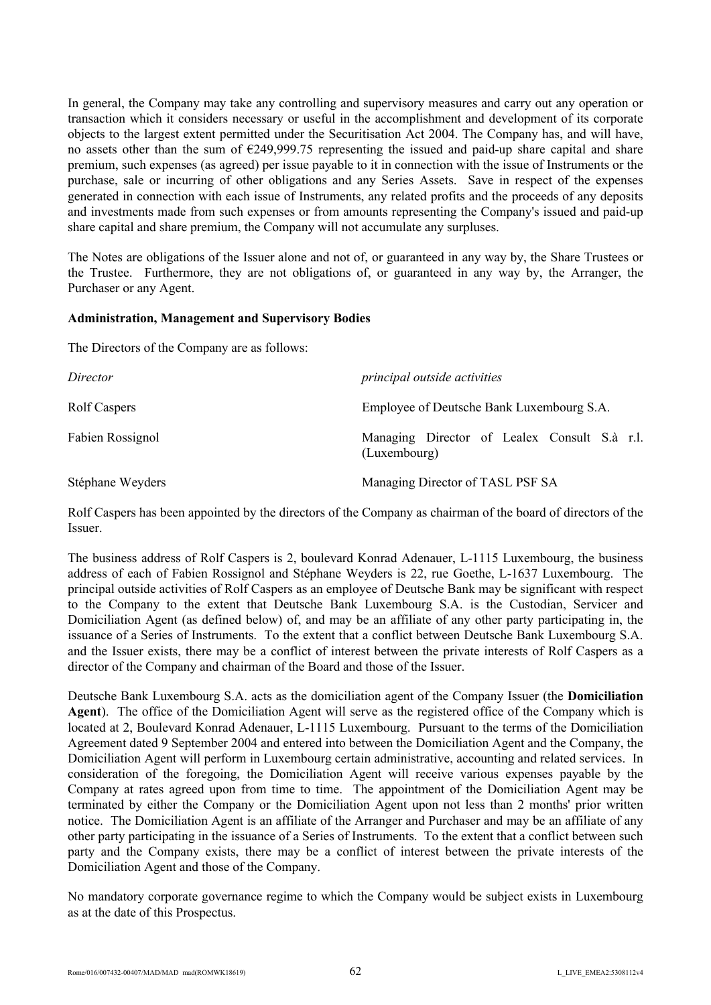In general, the Company may take any controlling and supervisory measures and carry out any operation or transaction which it considers necessary or useful in the accomplishment and development of its corporate objects to the largest extent permitted under the Securitisation Act 2004. The Company has, and will have, no assets other than the sum of €249,999.75 representing the issued and paid-up share capital and share premium, such expenses (as agreed) per issue payable to it in connection with the issue of Instruments or the purchase, sale or incurring of other obligations and any Series Assets. Save in respect of the expenses generated in connection with each issue of Instruments, any related profits and the proceeds of any deposits and investments made from such expenses or from amounts representing the Company's issued and paid-up share capital and share premium, the Company will not accumulate any surpluses.

The Notes are obligations of the Issuer alone and not of, or guaranteed in any way by, the Share Trustees or the Trustee. Furthermore, they are not obligations of, or guaranteed in any way by, the Arranger, the Purchaser or any Agent.

### **Administration, Management and Supervisory Bodies**

The Directors of the Company are as follows:

| Director         | principal outside activities                                 |
|------------------|--------------------------------------------------------------|
| Rolf Caspers     | Employee of Deutsche Bank Luxembourg S.A.                    |
| Fabien Rossignol | Managing Director of Lealex Consult S.à r.l.<br>(Luxembourg) |
| Stéphane Weyders | Managing Director of TASL PSF SA                             |

Rolf Caspers has been appointed by the directors of the Company as chairman of the board of directors of the Issuer.

The business address of Rolf Caspers is 2, boulevard Konrad Adenauer, L-1115 Luxembourg, the business address of each of Fabien Rossignol and Stéphane Weyders is 22, rue Goethe, L-1637 Luxembourg. The principal outside activities of Rolf Caspers as an employee of Deutsche Bank may be significant with respect to the Company to the extent that Deutsche Bank Luxembourg S.A. is the Custodian, Servicer and Domiciliation Agent (as defined below) of, and may be an affiliate of any other party participating in, the issuance of a Series of Instruments. To the extent that a conflict between Deutsche Bank Luxembourg S.A. and the Issuer exists, there may be a conflict of interest between the private interests of Rolf Caspers as a director of the Company and chairman of the Board and those of the Issuer.

Deutsche Bank Luxembourg S.A. acts as the domiciliation agent of the Company Issuer (the **Domiciliation Agent**). The office of the Domiciliation Agent will serve as the registered office of the Company which is located at 2, Boulevard Konrad Adenauer, L-1115 Luxembourg. Pursuant to the terms of the Domiciliation Agreement dated 9 September 2004 and entered into between the Domiciliation Agent and the Company, the Domiciliation Agent will perform in Luxembourg certain administrative, accounting and related services. In consideration of the foregoing, the Domiciliation Agent will receive various expenses payable by the Company at rates agreed upon from time to time. The appointment of the Domiciliation Agent may be terminated by either the Company or the Domiciliation Agent upon not less than 2 months' prior written notice. The Domiciliation Agent is an affiliate of the Arranger and Purchaser and may be an affiliate of any other party participating in the issuance of a Series of Instruments. To the extent that a conflict between such party and the Company exists, there may be a conflict of interest between the private interests of the Domiciliation Agent and those of the Company.

No mandatory corporate governance regime to which the Company would be subject exists in Luxembourg as at the date of this Prospectus.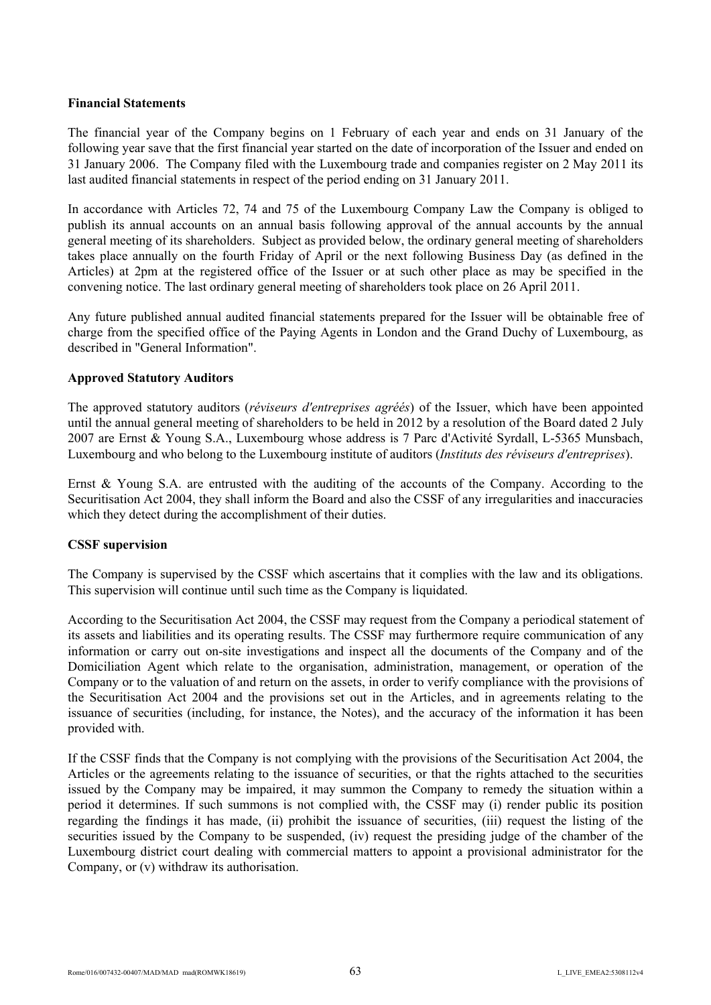### **Financial Statements**

The financial year of the Company begins on 1 February of each year and ends on 31 January of the following year save that the first financial year started on the date of incorporation of the Issuer and ended on 31 January 2006. The Company filed with the Luxembourg trade and companies register on 2 May 2011 its last audited financial statements in respect of the period ending on 31 January 2011.

In accordance with Articles 72, 74 and 75 of the Luxembourg Company Law the Company is obliged to publish its annual accounts on an annual basis following approval of the annual accounts by the annual general meeting of its shareholders. Subject as provided below, the ordinary general meeting of shareholders takes place annually on the fourth Friday of April or the next following Business Day (as defined in the Articles) at 2pm at the registered office of the Issuer or at such other place as may be specified in the convening notice. The last ordinary general meeting of shareholders took place on 26 April 2011.

Any future published annual audited financial statements prepared for the Issuer will be obtainable free of charge from the specified office of the Paying Agents in London and the Grand Duchy of Luxembourg, as described in "General Information".

# **Approved Statutory Auditors**

The approved statutory auditors (*réviseurs d'entreprises agréés*) of the Issuer, which have been appointed until the annual general meeting of shareholders to be held in 2012 by a resolution of the Board dated 2 July 2007 are Ernst & Young S.A., Luxembourg whose address is 7 Parc d'Activité Syrdall, L-5365 Munsbach, Luxembourg and who belong to the Luxembourg institute of auditors (*Instituts des réviseurs d'entreprises*).

Ernst & Young S.A. are entrusted with the auditing of the accounts of the Company. According to the Securitisation Act 2004, they shall inform the Board and also the CSSF of any irregularities and inaccuracies which they detect during the accomplishment of their duties.

### **CSSF supervision**

The Company is supervised by the CSSF which ascertains that it complies with the law and its obligations. This supervision will continue until such time as the Company is liquidated.

According to the Securitisation Act 2004, the CSSF may request from the Company a periodical statement of its assets and liabilities and its operating results. The CSSF may furthermore require communication of any information or carry out on-site investigations and inspect all the documents of the Company and of the Domiciliation Agent which relate to the organisation, administration, management, or operation of the Company or to the valuation of and return on the assets, in order to verify compliance with the provisions of the Securitisation Act 2004 and the provisions set out in the Articles, and in agreements relating to the issuance of securities (including, for instance, the Notes), and the accuracy of the information it has been provided with.

If the CSSF finds that the Company is not complying with the provisions of the Securitisation Act 2004, the Articles or the agreements relating to the issuance of securities, or that the rights attached to the securities issued by the Company may be impaired, it may summon the Company to remedy the situation within a period it determines. If such summons is not complied with, the CSSF may (i) render public its position regarding the findings it has made, (ii) prohibit the issuance of securities, (iii) request the listing of the securities issued by the Company to be suspended, (iv) request the presiding judge of the chamber of the Luxembourg district court dealing with commercial matters to appoint a provisional administrator for the Company, or (v) withdraw its authorisation.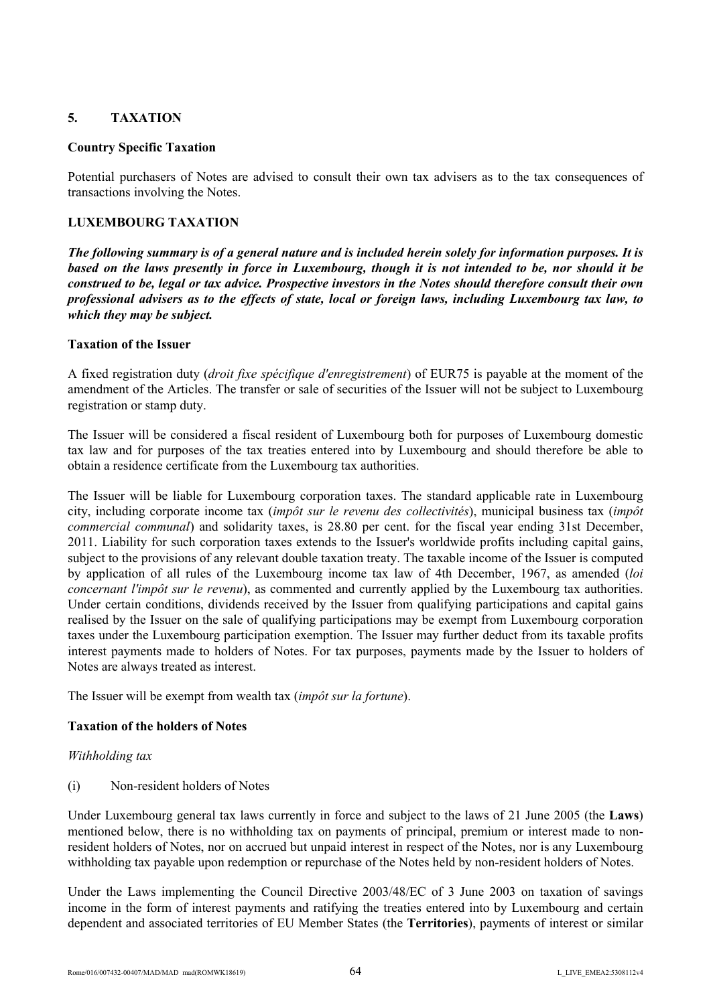# **5. TAXATION**

# **Country Specific Taxation**

Potential purchasers of Notes are advised to consult their own tax advisers as to the tax consequences of transactions involving the Notes.

# **LUXEMBOURG TAXATION**

*The following summary is of a general nature and is included herein solely for information purposes. It is based on the laws presently in force in Luxembourg, though it is not intended to be, nor should it be construed to be, legal or tax advice. Prospective investors in the Notes should therefore consult their own professional advisers as to the effects of state, local or foreign laws, including Luxembourg tax law, to which they may be subject.*

# **Taxation of the Issuer**

A fixed registration duty (*droit fixe spécifique d'enregistrement*) of EUR75 is payable at the moment of the amendment of the Articles. The transfer or sale of securities of the Issuer will not be subject to Luxembourg registration or stamp duty.

The Issuer will be considered a fiscal resident of Luxembourg both for purposes of Luxembourg domestic tax law and for purposes of the tax treaties entered into by Luxembourg and should therefore be able to obtain a residence certificate from the Luxembourg tax authorities.

The Issuer will be liable for Luxembourg corporation taxes. The standard applicable rate in Luxembourg city, including corporate income tax (*impôt sur le revenu des collectivités*), municipal business tax (*impôt commercial communal*) and solidarity taxes, is 28.80 per cent. for the fiscal year ending 31st December, 2011. Liability for such corporation taxes extends to the Issuer's worldwide profits including capital gains, subject to the provisions of any relevant double taxation treaty. The taxable income of the Issuer is computed by application of all rules of the Luxembourg income tax law of 4th December, 1967, as amended (*loi concernant l'impôt sur le revenu*), as commented and currently applied by the Luxembourg tax authorities. Under certain conditions, dividends received by the Issuer from qualifying participations and capital gains realised by the Issuer on the sale of qualifying participations may be exempt from Luxembourg corporation taxes under the Luxembourg participation exemption. The Issuer may further deduct from its taxable profits interest payments made to holders of Notes. For tax purposes, payments made by the Issuer to holders of Notes are always treated as interest.

The Issuer will be exempt from wealth tax (*impôt sur la fortune*).

# **Taxation of the holders of Notes**

### *Withholding tax*

(i) Non-resident holders of Notes

Under Luxembourg general tax laws currently in force and subject to the laws of 21 June 2005 (the **Laws**) mentioned below, there is no withholding tax on payments of principal, premium or interest made to nonresident holders of Notes, nor on accrued but unpaid interest in respect of the Notes, nor is any Luxembourg withholding tax payable upon redemption or repurchase of the Notes held by non-resident holders of Notes.

Under the Laws implementing the Council Directive 2003/48/EC of 3 June 2003 on taxation of savings income in the form of interest payments and ratifying the treaties entered into by Luxembourg and certain dependent and associated territories of EU Member States (the **Territories**), payments of interest or similar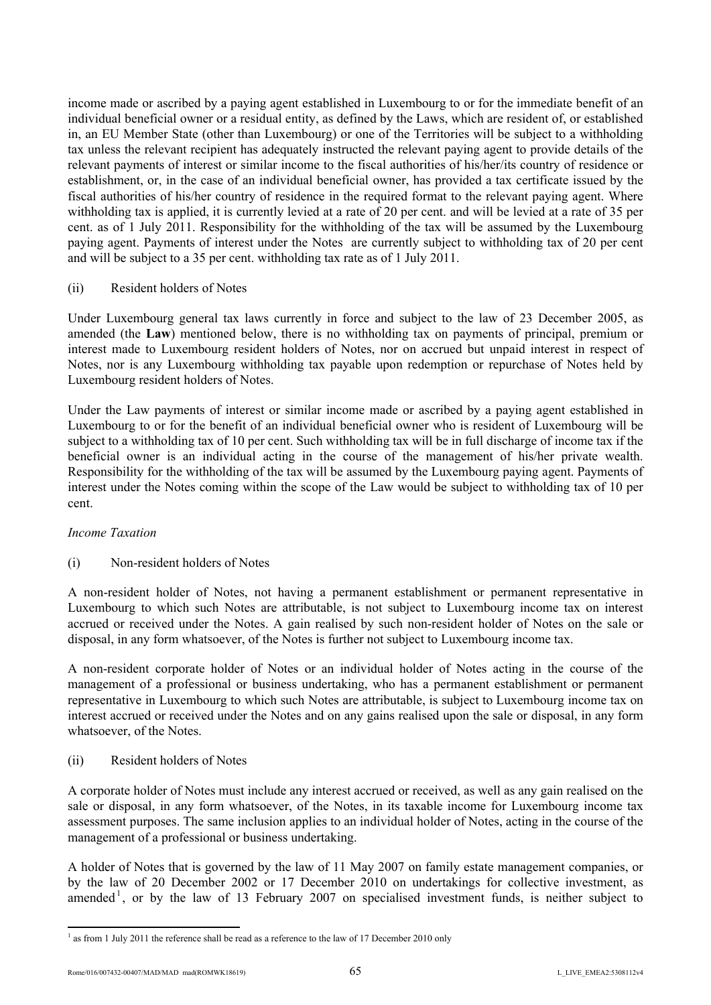income made or ascribed by a paying agent established in Luxembourg to or for the immediate benefit of an individual beneficial owner or a residual entity, as defined by the Laws, which are resident of, or established in, an EU Member State (other than Luxembourg) or one of the Territories will be subject to a withholding tax unless the relevant recipient has adequately instructed the relevant paying agent to provide details of the relevant payments of interest or similar income to the fiscal authorities of his/her/its country of residence or establishment, or, in the case of an individual beneficial owner, has provided a tax certificate issued by the fiscal authorities of his/her country of residence in the required format to the relevant paying agent. Where withholding tax is applied, it is currently levied at a rate of 20 per cent. and will be levied at a rate of 35 per cent. as of 1 July 2011. Responsibility for the withholding of the tax will be assumed by the Luxembourg paying agent. Payments of interest under the Notes are currently subject to withholding tax of 20 per cent and will be subject to a 35 per cent. withholding tax rate as of 1 July 2011.

### (ii) Resident holders of Notes

Under Luxembourg general tax laws currently in force and subject to the law of 23 December 2005, as amended (the **Law**) mentioned below, there is no withholding tax on payments of principal, premium or interest made to Luxembourg resident holders of Notes, nor on accrued but unpaid interest in respect of Notes, nor is any Luxembourg withholding tax payable upon redemption or repurchase of Notes held by Luxembourg resident holders of Notes.

Under the Law payments of interest or similar income made or ascribed by a paying agent established in Luxembourg to or for the benefit of an individual beneficial owner who is resident of Luxembourg will be subject to a withholding tax of 10 per cent. Such withholding tax will be in full discharge of income tax if the beneficial owner is an individual acting in the course of the management of his/her private wealth. Responsibility for the withholding of the tax will be assumed by the Luxembourg paying agent. Payments of interest under the Notes coming within the scope of the Law would be subject to withholding tax of 10 per cent.

### *Income Taxation*

### (i) Non-resident holders of Notes

A non-resident holder of Notes, not having a permanent establishment or permanent representative in Luxembourg to which such Notes are attributable, is not subject to Luxembourg income tax on interest accrued or received under the Notes. A gain realised by such non-resident holder of Notes on the sale or disposal, in any form whatsoever, of the Notes is further not subject to Luxembourg income tax.

A non-resident corporate holder of Notes or an individual holder of Notes acting in the course of the management of a professional or business undertaking, who has a permanent establishment or permanent representative in Luxembourg to which such Notes are attributable, is subject to Luxembourg income tax on interest accrued or received under the Notes and on any gains realised upon the sale or disposal, in any form whatsoever, of the Notes.

### (ii) Resident holders of Notes

A corporate holder of Notes must include any interest accrued or received, as well as any gain realised on the sale or disposal, in any form whatsoever, of the Notes, in its taxable income for Luxembourg income tax assessment purposes. The same inclusion applies to an individual holder of Notes, acting in the course of the management of a professional or business undertaking.

A holder of Notes that is governed by the law of 11 May 2007 on family estate management companies, or by the law of 20 December 2002 or 17 December 2010 on undertakings for collective investment, as amended<sup>1</sup>, or by the law of 13 February 2007 on specialised investment funds, is neither subject to

 $\overline{a}$ 

 $1$  as from 1 July 2011 the reference shall be read as a reference to the law of 17 December 2010 only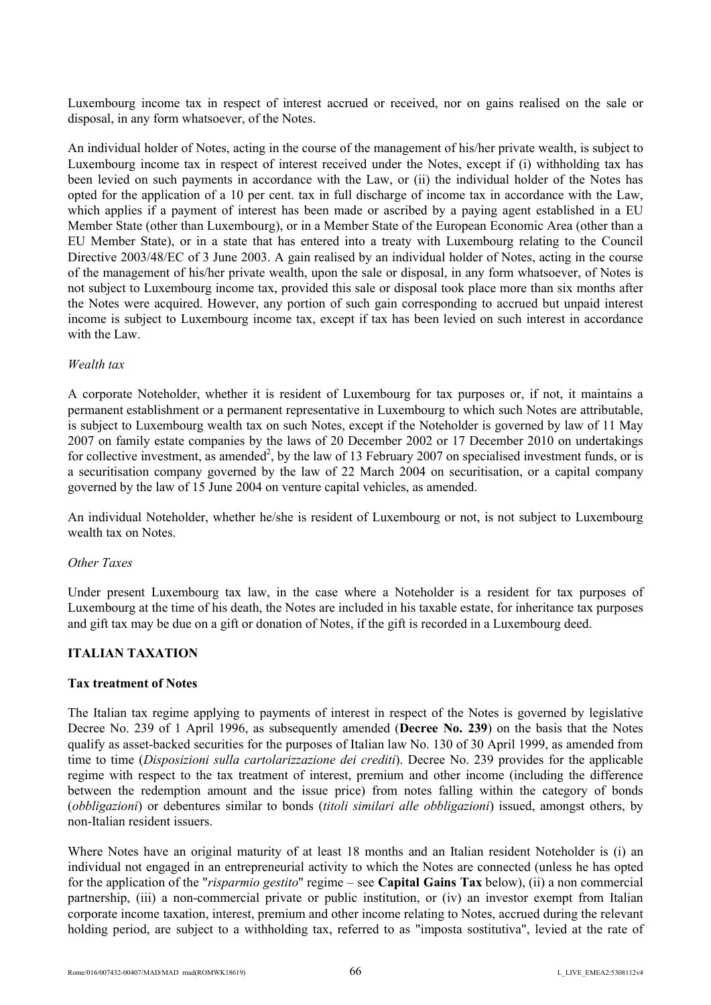Luxembourg income tax in respect of interest accrued or received, nor on gains realised on the sale or disposal, in any form whatsoever, of the Notes.

An individual holder of Notes, acting in the course of the management of his/her private wealth, is subject to Luxembourg income tax in respect of interest received under the Notes, except if (i) withholding tax has been levied on such payments in accordance with the Law, or (ii) the individual holder of the Notes has opted for the application of a 10 per cent. tax in full discharge of income tax in accordance with the Law, which applies if a payment of interest has been made or ascribed by a paying agent established in a EU Member State (other than Luxembourg), or in a Member State of the European Economic Area (other than a EU Member State), or in a state that has entered into a treaty with Luxembourg relating to the Council Directive 2003/48/EC of 3 June 2003. A gain realised by an individual holder of Notes, acting in the course of the management of his/her private wealth, upon the sale or disposal, in any form whatsoever, of Notes is not subject to Luxembourg income tax, provided this sale or disposal took place more than six months after the Notes were acquired. However, any portion of such gain corresponding to accrued but unpaid interest income is subject to Luxembourg income tax, except if tax has been levied on such interest in accordance with the Law.

#### *Wealth tax*

A corporate Noteholder, whether it is resident of Luxembourg for tax purposes or, if not, it maintains a permanent establishment or a permanent representative in Luxembourg to which such Notes are attributable, is subject to Luxembourg wealth tax on such Notes, except if the Noteholder is governed by law of 11 May 2007 on family estate companies by the laws of 20 December 2002 or 17 December 2010 on undertakings for collective investment, as amended<sup>2</sup>, by the law of 13 February 2007 on specialised investment funds, or is a securitisation company governed by the law of 22 March 2004 on securitisation, or a capital company governed by the law of 15 June 2004 on venture capital vehicles, as amended.

An individual Noteholder, whether he/she is resident of Luxembourg or not, is not subject to Luxembourg wealth tax on Notes.

#### *Other Taxes*

Under present Luxembourg tax law, in the case where a Noteholder is a resident for tax purposes of Luxembourg at the time of his death, the Notes are included in his taxable estate, for inheritance tax purposes and gift tax may be due on a gift or donation of Notes, if the gift is recorded in a Luxembourg deed.

### **ITALIAN TAXATION**

#### **Tax treatment of Notes**

The Italian tax regime applying to payments of interest in respect of the Notes is governed by legislative Decree No. 239 of 1 April 1996, as subsequently amended (**Decree No. 239**) on the basis that the Notes qualify as asset-backed securities for the purposes of Italian law No. 130 of 30 April 1999, as amended from time to time (*Disposizioni sulla cartolarizzazione dei crediti*). Decree No. 239 provides for the applicable regime with respect to the tax treatment of interest, premium and other income (including the difference between the redemption amount and the issue price) from notes falling within the category of bonds (*obbligazioni*) or debentures similar to bonds (*titoli similari alle obbligazioni*) issued, amongst others, by non-Italian resident issuers.

Where Notes have an original maturity of at least 18 months and an Italian resident Noteholder is (i) an individual not engaged in an entrepreneurial activity to which the Notes are connected (unless he has opted for the application of the "*risparmio gestito*" regime – see **Capital Gains Tax** below), (ii) a non commercial partnership, (iii) a non-commercial private or public institution, or (iv) an investor exempt from Italian corporate income taxation, interest, premium and other income relating to Notes, accrued during the relevant holding period, are subject to a withholding tax, referred to as "imposta sostitutiva", levied at the rate of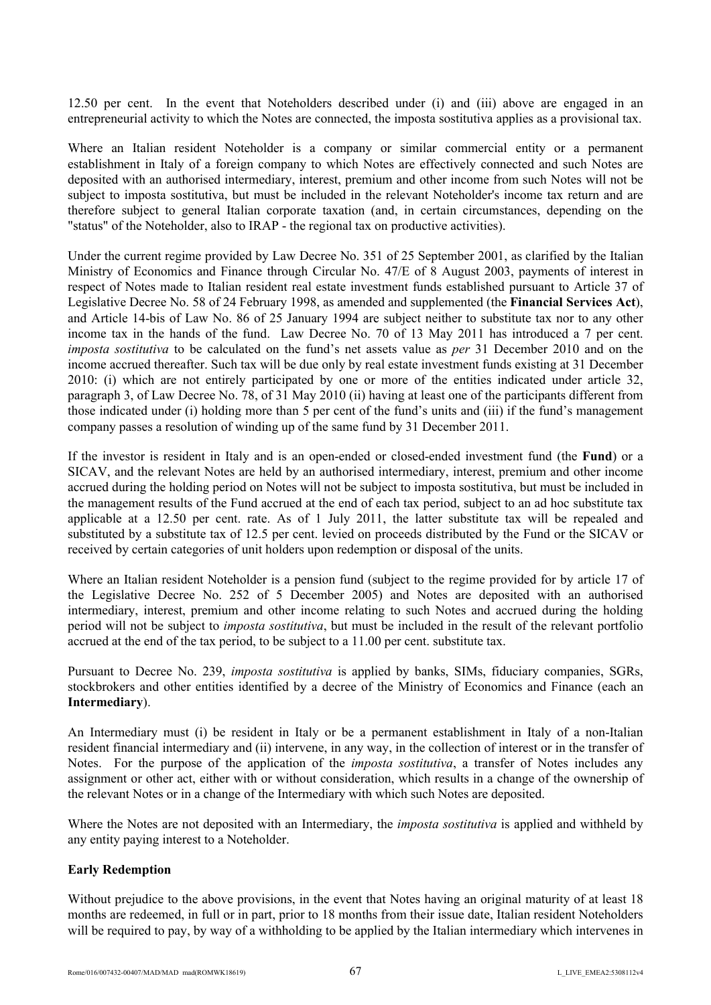12.50 per cent. In the event that Noteholders described under (i) and (iii) above are engaged in an entrepreneurial activity to which the Notes are connected, the imposta sostitutiva applies as a provisional tax.

Where an Italian resident Noteholder is a company or similar commercial entity or a permanent establishment in Italy of a foreign company to which Notes are effectively connected and such Notes are deposited with an authorised intermediary, interest, premium and other income from such Notes will not be subject to imposta sostitutiva, but must be included in the relevant Noteholder's income tax return and are therefore subject to general Italian corporate taxation (and, in certain circumstances, depending on the "status" of the Noteholder, also to IRAP - the regional tax on productive activities).

Under the current regime provided by Law Decree No. 351 of 25 September 2001, as clarified by the Italian Ministry of Economics and Finance through Circular No. 47/E of 8 August 2003, payments of interest in respect of Notes made to Italian resident real estate investment funds established pursuant to Article 37 of Legislative Decree No. 58 of 24 February 1998, as amended and supplemented (the **Financial Services Act**), and Article 14-bis of Law No. 86 of 25 January 1994 are subject neither to substitute tax nor to any other income tax in the hands of the fund. Law Decree No. 70 of 13 May 2011 has introduced a 7 per cent. *imposta sostitutiva* to be calculated on the fund's net assets value as *per* 31 December 2010 and on the income accrued thereafter. Such tax will be due only by real estate investment funds existing at 31 December 2010: (i) which are not entirely participated by one or more of the entities indicated under article 32, paragraph 3, of Law Decree No. 78, of 31 May 2010 (ii) having at least one of the participants different from those indicated under (i) holding more than 5 per cent of the fund's units and (iii) if the fund's management company passes a resolution of winding up of the same fund by 31 December 2011.

If the investor is resident in Italy and is an open-ended or closed-ended investment fund (the **Fund**) or a SICAV, and the relevant Notes are held by an authorised intermediary, interest, premium and other income accrued during the holding period on Notes will not be subject to imposta sostitutiva, but must be included in the management results of the Fund accrued at the end of each tax period, subject to an ad hoc substitute tax applicable at a 12.50 per cent. rate. As of 1 July 2011, the latter substitute tax will be repealed and substituted by a substitute tax of 12.5 per cent. levied on proceeds distributed by the Fund or the SICAV or received by certain categories of unit holders upon redemption or disposal of the units.

Where an Italian resident Noteholder is a pension fund (subject to the regime provided for by article 17 of the Legislative Decree No. 252 of 5 December 2005) and Notes are deposited with an authorised intermediary, interest, premium and other income relating to such Notes and accrued during the holding period will not be subject to *imposta sostitutiva*, but must be included in the result of the relevant portfolio accrued at the end of the tax period, to be subject to a 11.00 per cent. substitute tax.

Pursuant to Decree No. 239, *imposta sostitutiva* is applied by banks, SIMs, fiduciary companies, SGRs, stockbrokers and other entities identified by a decree of the Ministry of Economics and Finance (each an **Intermediary**).

An Intermediary must (i) be resident in Italy or be a permanent establishment in Italy of a non-Italian resident financial intermediary and (ii) intervene, in any way, in the collection of interest or in the transfer of Notes. For the purpose of the application of the *imposta sostitutiva*, a transfer of Notes includes any assignment or other act, either with or without consideration, which results in a change of the ownership of the relevant Notes or in a change of the Intermediary with which such Notes are deposited.

Where the Notes are not deposited with an Intermediary, the *imposta sostitutiva* is applied and withheld by any entity paying interest to a Noteholder.

### **Early Redemption**

Without prejudice to the above provisions, in the event that Notes having an original maturity of at least 18 months are redeemed, in full or in part, prior to 18 months from their issue date, Italian resident Noteholders will be required to pay, by way of a withholding to be applied by the Italian intermediary which intervenes in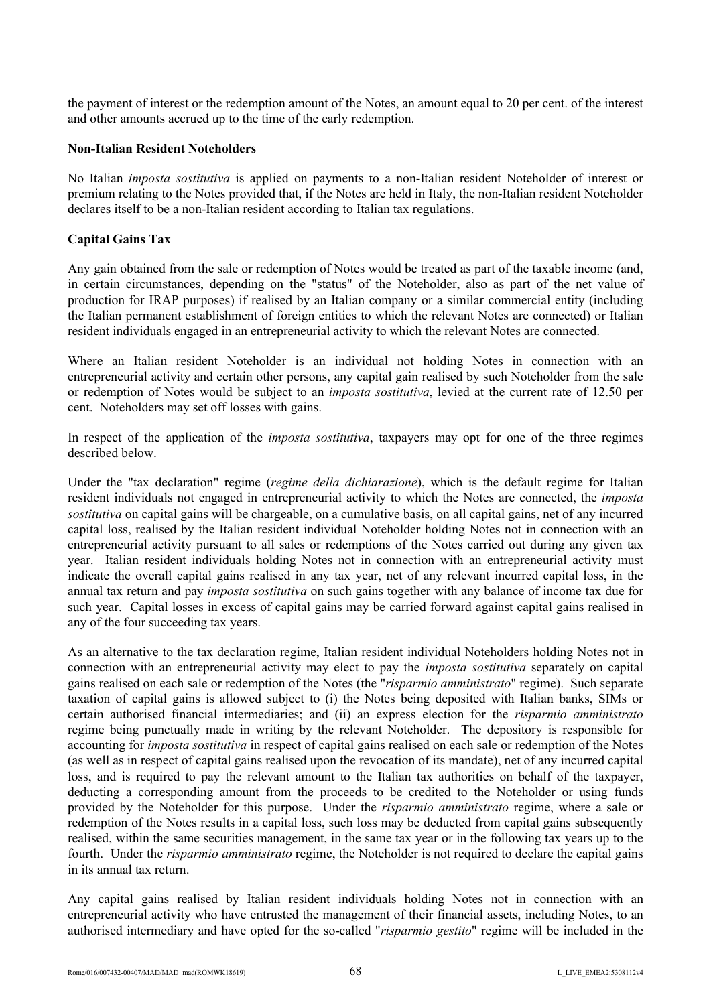the payment of interest or the redemption amount of the Notes, an amount equal to 20 per cent. of the interest and other amounts accrued up to the time of the early redemption.

#### **Non-Italian Resident Noteholders**

No Italian *imposta sostitutiva* is applied on payments to a non-Italian resident Noteholder of interest or premium relating to the Notes provided that, if the Notes are held in Italy, the non-Italian resident Noteholder declares itself to be a non-Italian resident according to Italian tax regulations.

### **Capital Gains Tax**

Any gain obtained from the sale or redemption of Notes would be treated as part of the taxable income (and, in certain circumstances, depending on the "status" of the Noteholder, also as part of the net value of production for IRAP purposes) if realised by an Italian company or a similar commercial entity (including the Italian permanent establishment of foreign entities to which the relevant Notes are connected) or Italian resident individuals engaged in an entrepreneurial activity to which the relevant Notes are connected.

Where an Italian resident Noteholder is an individual not holding Notes in connection with an entrepreneurial activity and certain other persons, any capital gain realised by such Noteholder from the sale or redemption of Notes would be subject to an *imposta sostitutiva*, levied at the current rate of 12.50 per cent. Noteholders may set off losses with gains.

In respect of the application of the *imposta sostitutiva*, taxpayers may opt for one of the three regimes described below.

Under the "tax declaration" regime (*regime della dichiarazione*), which is the default regime for Italian resident individuals not engaged in entrepreneurial activity to which the Notes are connected, the *imposta sostitutiva* on capital gains will be chargeable, on a cumulative basis, on all capital gains, net of any incurred capital loss, realised by the Italian resident individual Noteholder holding Notes not in connection with an entrepreneurial activity pursuant to all sales or redemptions of the Notes carried out during any given tax year. Italian resident individuals holding Notes not in connection with an entrepreneurial activity must indicate the overall capital gains realised in any tax year, net of any relevant incurred capital loss, in the annual tax return and pay *imposta sostitutiva* on such gains together with any balance of income tax due for such year. Capital losses in excess of capital gains may be carried forward against capital gains realised in any of the four succeeding tax years.

As an alternative to the tax declaration regime, Italian resident individual Noteholders holding Notes not in connection with an entrepreneurial activity may elect to pay the *imposta sostitutiva* separately on capital gains realised on each sale or redemption of the Notes (the "*risparmio amministrato*" regime). Such separate taxation of capital gains is allowed subject to (i) the Notes being deposited with Italian banks, SIMs or certain authorised financial intermediaries; and (ii) an express election for the *risparmio amministrato* regime being punctually made in writing by the relevant Noteholder. The depository is responsible for accounting for *imposta sostitutiva* in respect of capital gains realised on each sale or redemption of the Notes (as well as in respect of capital gains realised upon the revocation of its mandate), net of any incurred capital loss, and is required to pay the relevant amount to the Italian tax authorities on behalf of the taxpayer, deducting a corresponding amount from the proceeds to be credited to the Noteholder or using funds provided by the Noteholder for this purpose. Under the *risparmio amministrato* regime, where a sale or redemption of the Notes results in a capital loss, such loss may be deducted from capital gains subsequently realised, within the same securities management, in the same tax year or in the following tax years up to the fourth. Under the *risparmio amministrato* regime, the Noteholder is not required to declare the capital gains in its annual tax return.

Any capital gains realised by Italian resident individuals holding Notes not in connection with an entrepreneurial activity who have entrusted the management of their financial assets, including Notes, to an authorised intermediary and have opted for the so-called "*risparmio gestito*" regime will be included in the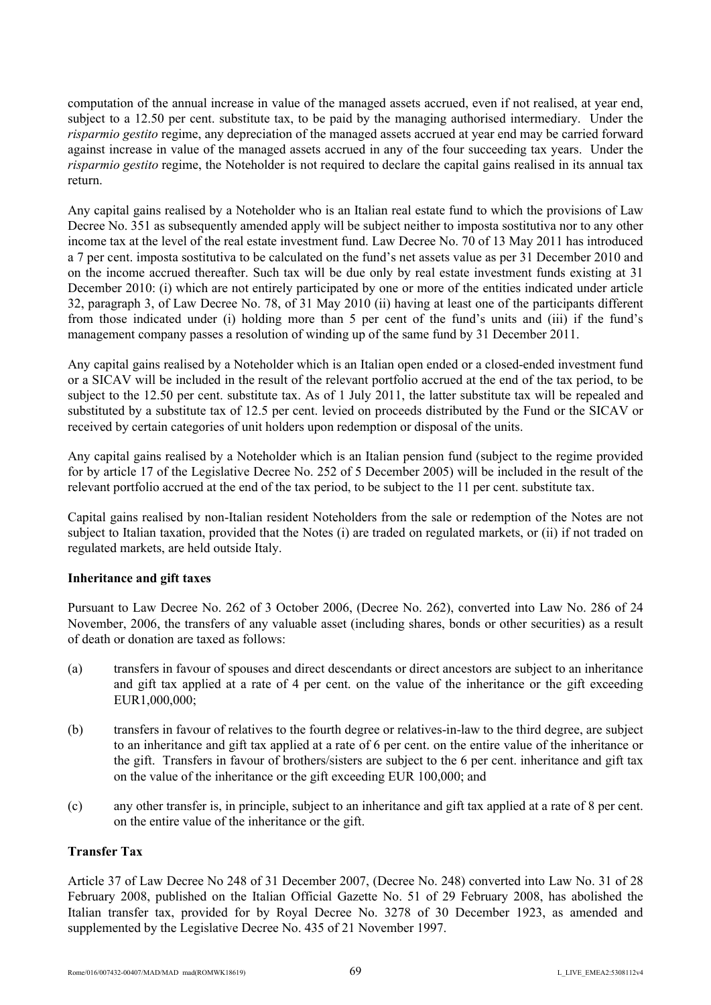computation of the annual increase in value of the managed assets accrued, even if not realised, at year end, subject to a 12.50 per cent. substitute tax, to be paid by the managing authorised intermediary. Under the *risparmio gestito* regime, any depreciation of the managed assets accrued at year end may be carried forward against increase in value of the managed assets accrued in any of the four succeeding tax years. Under the *risparmio gestito* regime, the Noteholder is not required to declare the capital gains realised in its annual tax return.

Any capital gains realised by a Noteholder who is an Italian real estate fund to which the provisions of Law Decree No. 351 as subsequently amended apply will be subject neither to imposta sostitutiva nor to any other income tax at the level of the real estate investment fund. Law Decree No. 70 of 13 May 2011 has introduced a 7 per cent. imposta sostitutiva to be calculated on the fund's net assets value as per 31 December 2010 and on the income accrued thereafter. Such tax will be due only by real estate investment funds existing at 31 December 2010: (i) which are not entirely participated by one or more of the entities indicated under article 32, paragraph 3, of Law Decree No. 78, of 31 May 2010 (ii) having at least one of the participants different from those indicated under (i) holding more than 5 per cent of the fund's units and (iii) if the fund's management company passes a resolution of winding up of the same fund by 31 December 2011.

Any capital gains realised by a Noteholder which is an Italian open ended or a closed-ended investment fund or a SICAV will be included in the result of the relevant portfolio accrued at the end of the tax period, to be subject to the 12.50 per cent. substitute tax. As of 1 July 2011, the latter substitute tax will be repealed and substituted by a substitute tax of 12.5 per cent. levied on proceeds distributed by the Fund or the SICAV or received by certain categories of unit holders upon redemption or disposal of the units.

Any capital gains realised by a Noteholder which is an Italian pension fund (subject to the regime provided for by article 17 of the Legislative Decree No. 252 of 5 December 2005) will be included in the result of the relevant portfolio accrued at the end of the tax period, to be subject to the 11 per cent. substitute tax.

Capital gains realised by non-Italian resident Noteholders from the sale or redemption of the Notes are not subject to Italian taxation, provided that the Notes (i) are traded on regulated markets, or (ii) if not traded on regulated markets, are held outside Italy.

# **Inheritance and gift taxes**

Pursuant to Law Decree No. 262 of 3 October 2006, (Decree No. 262), converted into Law No. 286 of 24 November, 2006, the transfers of any valuable asset (including shares, bonds or other securities) as a result of death or donation are taxed as follows:

- (a) transfers in favour of spouses and direct descendants or direct ancestors are subject to an inheritance and gift tax applied at a rate of 4 per cent. on the value of the inheritance or the gift exceeding EUR1,000,000;
- (b) transfers in favour of relatives to the fourth degree or relatives-in-law to the third degree, are subject to an inheritance and gift tax applied at a rate of 6 per cent. on the entire value of the inheritance or the gift. Transfers in favour of brothers/sisters are subject to the 6 per cent. inheritance and gift tax on the value of the inheritance or the gift exceeding EUR 100,000; and
- (c) any other transfer is, in principle, subject to an inheritance and gift tax applied at a rate of 8 per cent. on the entire value of the inheritance or the gift.

### **Transfer Tax**

Article 37 of Law Decree No 248 of 31 December 2007, (Decree No. 248) converted into Law No. 31 of 28 February 2008, published on the Italian Official Gazette No. 51 of 29 February 2008, has abolished the Italian transfer tax, provided for by Royal Decree No. 3278 of 30 December 1923, as amended and supplemented by the Legislative Decree No. 435 of 21 November 1997.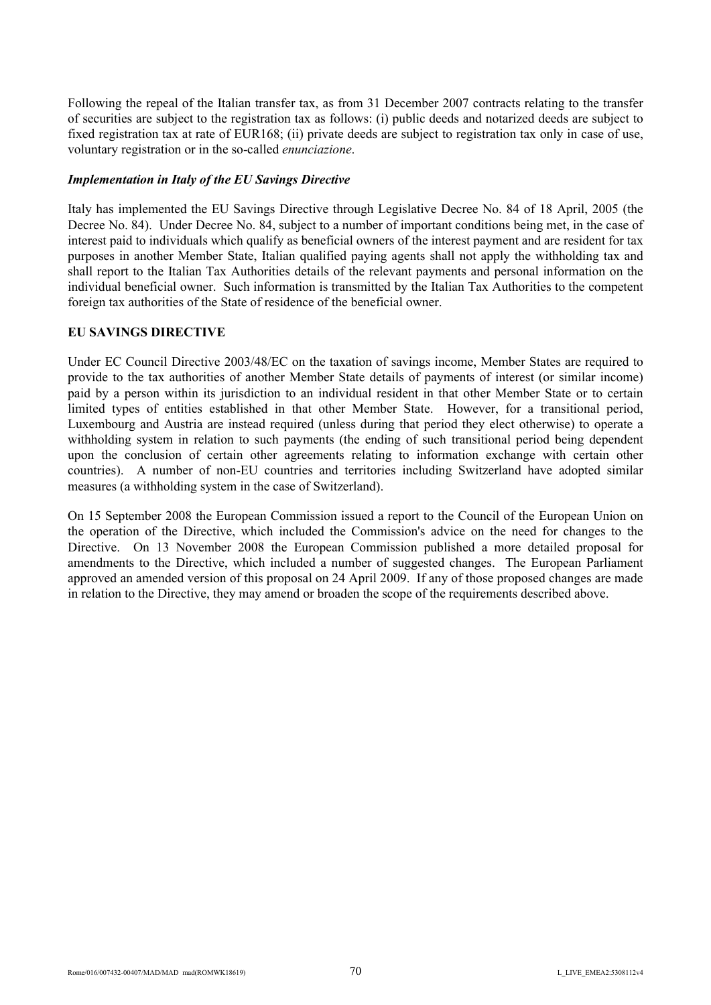Following the repeal of the Italian transfer tax, as from 31 December 2007 contracts relating to the transfer of securities are subject to the registration tax as follows: (i) public deeds and notarized deeds are subject to fixed registration tax at rate of EUR168; (ii) private deeds are subject to registration tax only in case of use, voluntary registration or in the so-called *enunciazione*.

### *Implementation in Italy of the EU Savings Directive*

Italy has implemented the EU Savings Directive through Legislative Decree No. 84 of 18 April, 2005 (the Decree No. 84). Under Decree No. 84, subject to a number of important conditions being met, in the case of interest paid to individuals which qualify as beneficial owners of the interest payment and are resident for tax purposes in another Member State, Italian qualified paying agents shall not apply the withholding tax and shall report to the Italian Tax Authorities details of the relevant payments and personal information on the individual beneficial owner. Such information is transmitted by the Italian Tax Authorities to the competent foreign tax authorities of the State of residence of the beneficial owner.

# **EU SAVINGS DIRECTIVE**

Under EC Council Directive 2003/48/EC on the taxation of savings income, Member States are required to provide to the tax authorities of another Member State details of payments of interest (or similar income) paid by a person within its jurisdiction to an individual resident in that other Member State or to certain limited types of entities established in that other Member State. However, for a transitional period, Luxembourg and Austria are instead required (unless during that period they elect otherwise) to operate a withholding system in relation to such payments (the ending of such transitional period being dependent upon the conclusion of certain other agreements relating to information exchange with certain other countries). A number of non-EU countries and territories including Switzerland have adopted similar measures (a withholding system in the case of Switzerland).

On 15 September 2008 the European Commission issued a report to the Council of the European Union on the operation of the Directive, which included the Commission's advice on the need for changes to the Directive. On 13 November 2008 the European Commission published a more detailed proposal for amendments to the Directive, which included a number of suggested changes. The European Parliament approved an amended version of this proposal on 24 April 2009. If any of those proposed changes are made in relation to the Directive, they may amend or broaden the scope of the requirements described above.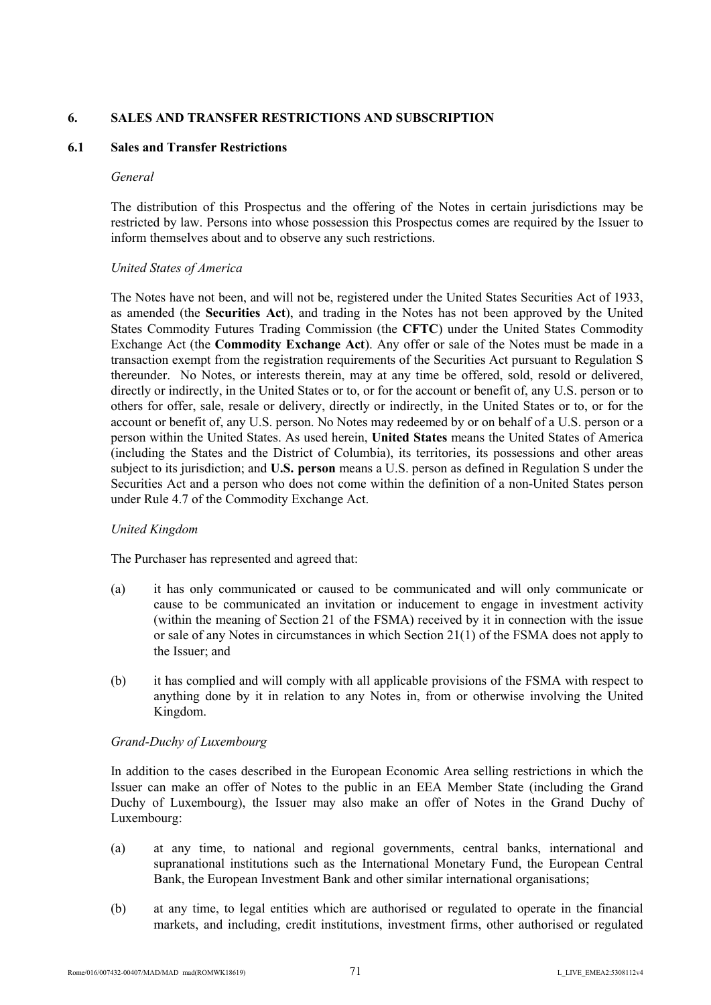### **6. SALES AND TRANSFER RESTRICTIONS AND SUBSCRIPTION**

### **6.1 Sales and Transfer Restrictions**

#### *General*

The distribution of this Prospectus and the offering of the Notes in certain jurisdictions may be restricted by law. Persons into whose possession this Prospectus comes are required by the Issuer to inform themselves about and to observe any such restrictions.

### *United States of America*

The Notes have not been, and will not be, registered under the United States Securities Act of 1933, as amended (the **Securities Act**), and trading in the Notes has not been approved by the United States Commodity Futures Trading Commission (the **CFTC**) under the United States Commodity Exchange Act (the **Commodity Exchange Act**). Any offer or sale of the Notes must be made in a transaction exempt from the registration requirements of the Securities Act pursuant to Regulation S thereunder. No Notes, or interests therein, may at any time be offered, sold, resold or delivered, directly or indirectly, in the United States or to, or for the account or benefit of, any U.S. person or to others for offer, sale, resale or delivery, directly or indirectly, in the United States or to, or for the account or benefit of, any U.S. person. No Notes may redeemed by or on behalf of a U.S. person or a person within the United States. As used herein, **United States** means the United States of America (including the States and the District of Columbia), its territories, its possessions and other areas subject to its jurisdiction; and **U.S. person** means a U.S. person as defined in Regulation S under the Securities Act and a person who does not come within the definition of a non-United States person under Rule 4.7 of the Commodity Exchange Act.

### *United Kingdom*

The Purchaser has represented and agreed that:

- (a) it has only communicated or caused to be communicated and will only communicate or cause to be communicated an invitation or inducement to engage in investment activity (within the meaning of Section 21 of the FSMA) received by it in connection with the issue or sale of any Notes in circumstances in which Section 21(1) of the FSMA does not apply to the Issuer<sup>,</sup> and
- (b) it has complied and will comply with all applicable provisions of the FSMA with respect to anything done by it in relation to any Notes in, from or otherwise involving the United Kingdom.

### *Grand-Duchy of Luxembourg*

In addition to the cases described in the European Economic Area selling restrictions in which the Issuer can make an offer of Notes to the public in an EEA Member State (including the Grand Duchy of Luxembourg), the Issuer may also make an offer of Notes in the Grand Duchy of Luxembourg:

- (a) at any time, to national and regional governments, central banks, international and supranational institutions such as the International Monetary Fund, the European Central Bank, the European Investment Bank and other similar international organisations;
- (b) at any time, to legal entities which are authorised or regulated to operate in the financial markets, and including, credit institutions, investment firms, other authorised or regulated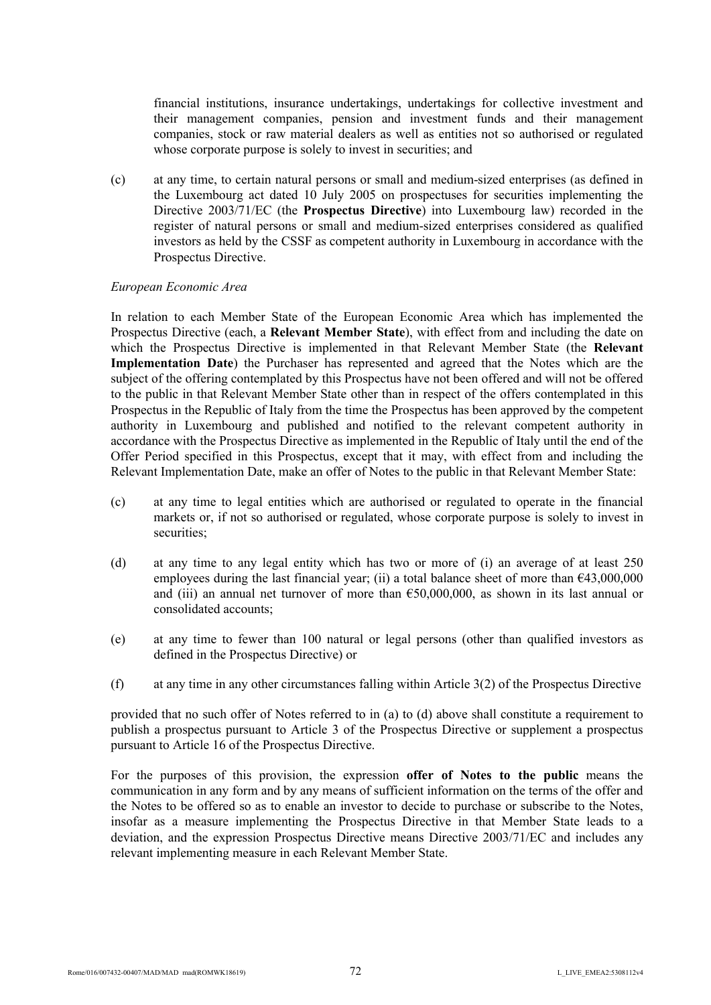financial institutions, insurance undertakings, undertakings for collective investment and their management companies, pension and investment funds and their management companies, stock or raw material dealers as well as entities not so authorised or regulated whose corporate purpose is solely to invest in securities; and

(c) at any time, to certain natural persons or small and medium-sized enterprises (as defined in the Luxembourg act dated 10 July 2005 on prospectuses for securities implementing the Directive 2003/71/EC (the **Prospectus Directive**) into Luxembourg law) recorded in the register of natural persons or small and medium-sized enterprises considered as qualified investors as held by the CSSF as competent authority in Luxembourg in accordance with the Prospectus Directive.

#### *European Economic Area*

In relation to each Member State of the European Economic Area which has implemented the Prospectus Directive (each, a **Relevant Member State**), with effect from and including the date on which the Prospectus Directive is implemented in that Relevant Member State (the **Relevant Implementation Date**) the Purchaser has represented and agreed that the Notes which are the subject of the offering contemplated by this Prospectus have not been offered and will not be offered to the public in that Relevant Member State other than in respect of the offers contemplated in this Prospectus in the Republic of Italy from the time the Prospectus has been approved by the competent authority in Luxembourg and published and notified to the relevant competent authority in accordance with the Prospectus Directive as implemented in the Republic of Italy until the end of the Offer Period specified in this Prospectus, except that it may, with effect from and including the Relevant Implementation Date, make an offer of Notes to the public in that Relevant Member State:

- (c) at any time to legal entities which are authorised or regulated to operate in the financial markets or, if not so authorised or regulated, whose corporate purpose is solely to invest in securities;
- (d) at any time to any legal entity which has two or more of (i) an average of at least 250 employees during the last financial year; (ii) a total balance sheet of more than  $643,000,000$ and (iii) an annual net turnover of more than  $650,000,000$ , as shown in its last annual or consolidated accounts;
- (e) at any time to fewer than 100 natural or legal persons (other than qualified investors as defined in the Prospectus Directive) or
- (f) at any time in any other circumstances falling within Article 3(2) of the Prospectus Directive

provided that no such offer of Notes referred to in (a) to (d) above shall constitute a requirement to publish a prospectus pursuant to Article 3 of the Prospectus Directive or supplement a prospectus pursuant to Article 16 of the Prospectus Directive.

For the purposes of this provision, the expression **offer of Notes to the public** means the communication in any form and by any means of sufficient information on the terms of the offer and the Notes to be offered so as to enable an investor to decide to purchase or subscribe to the Notes, insofar as a measure implementing the Prospectus Directive in that Member State leads to a deviation, and the expression Prospectus Directive means Directive 2003/71/EC and includes any relevant implementing measure in each Relevant Member State.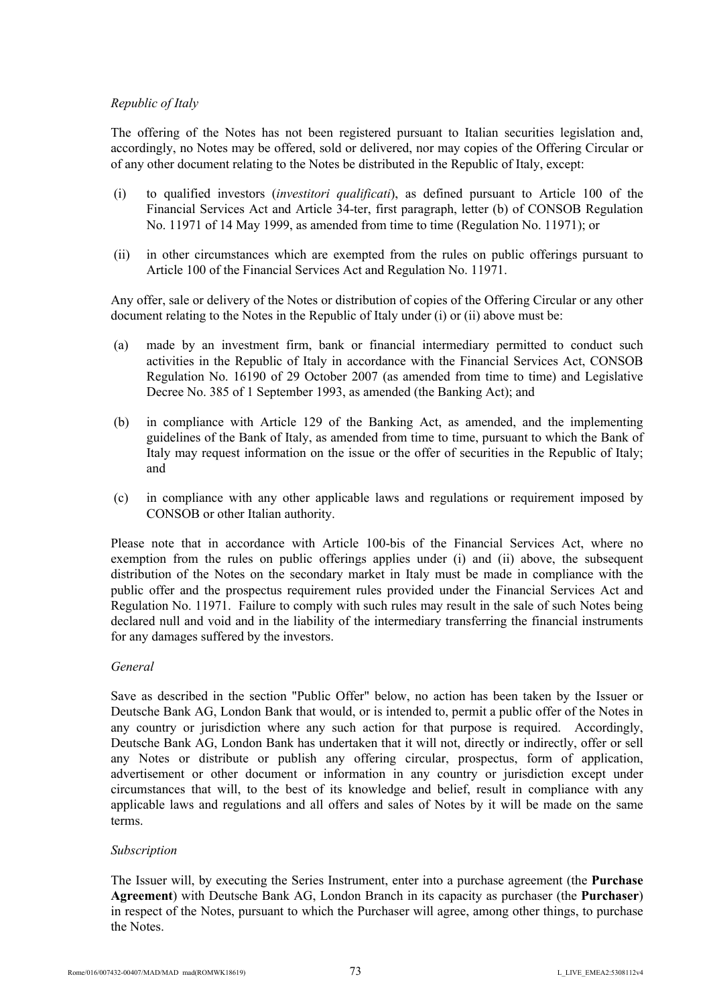# *Republic of Italy*

The offering of the Notes has not been registered pursuant to Italian securities legislation and, accordingly, no Notes may be offered, sold or delivered, nor may copies of the Offering Circular or of any other document relating to the Notes be distributed in the Republic of Italy, except:

- (i) to qualified investors (*investitori qualificati*), as defined pursuant to Article 100 of the Financial Services Act and Article 34-ter, first paragraph, letter (b) of CONSOB Regulation No. 11971 of 14 May 1999, as amended from time to time (Regulation No. 11971); or
- (ii) in other circumstances which are exempted from the rules on public offerings pursuant to Article 100 of the Financial Services Act and Regulation No. 11971.

Any offer, sale or delivery of the Notes or distribution of copies of the Offering Circular or any other document relating to the Notes in the Republic of Italy under (i) or (ii) above must be:

- (a) made by an investment firm, bank or financial intermediary permitted to conduct such activities in the Republic of Italy in accordance with the Financial Services Act, CONSOB Regulation No. 16190 of 29 October 2007 (as amended from time to time) and Legislative Decree No. 385 of 1 September 1993, as amended (the Banking Act); and
- (b) in compliance with Article 129 of the Banking Act, as amended, and the implementing guidelines of the Bank of Italy, as amended from time to time, pursuant to which the Bank of Italy may request information on the issue or the offer of securities in the Republic of Italy; and
- (c) in compliance with any other applicable laws and regulations or requirement imposed by CONSOB or other Italian authority.

Please note that in accordance with Article 100-bis of the Financial Services Act, where no exemption from the rules on public offerings applies under (i) and (ii) above, the subsequent distribution of the Notes on the secondary market in Italy must be made in compliance with the public offer and the prospectus requirement rules provided under the Financial Services Act and Regulation No. 11971. Failure to comply with such rules may result in the sale of such Notes being declared null and void and in the liability of the intermediary transferring the financial instruments for any damages suffered by the investors.

## *General*

Save as described in the section "Public Offer" below, no action has been taken by the Issuer or Deutsche Bank AG, London Bank that would, or is intended to, permit a public offer of the Notes in any country or jurisdiction where any such action for that purpose is required. Accordingly, Deutsche Bank AG, London Bank has undertaken that it will not, directly or indirectly, offer or sell any Notes or distribute or publish any offering circular, prospectus, form of application, advertisement or other document or information in any country or jurisdiction except under circumstances that will, to the best of its knowledge and belief, result in compliance with any applicable laws and regulations and all offers and sales of Notes by it will be made on the same terms.

# *Subscription*

The Issuer will, by executing the Series Instrument, enter into a purchase agreement (the **Purchase Agreement**) with Deutsche Bank AG, London Branch in its capacity as purchaser (the **Purchaser**) in respect of the Notes, pursuant to which the Purchaser will agree, among other things, to purchase the Notes.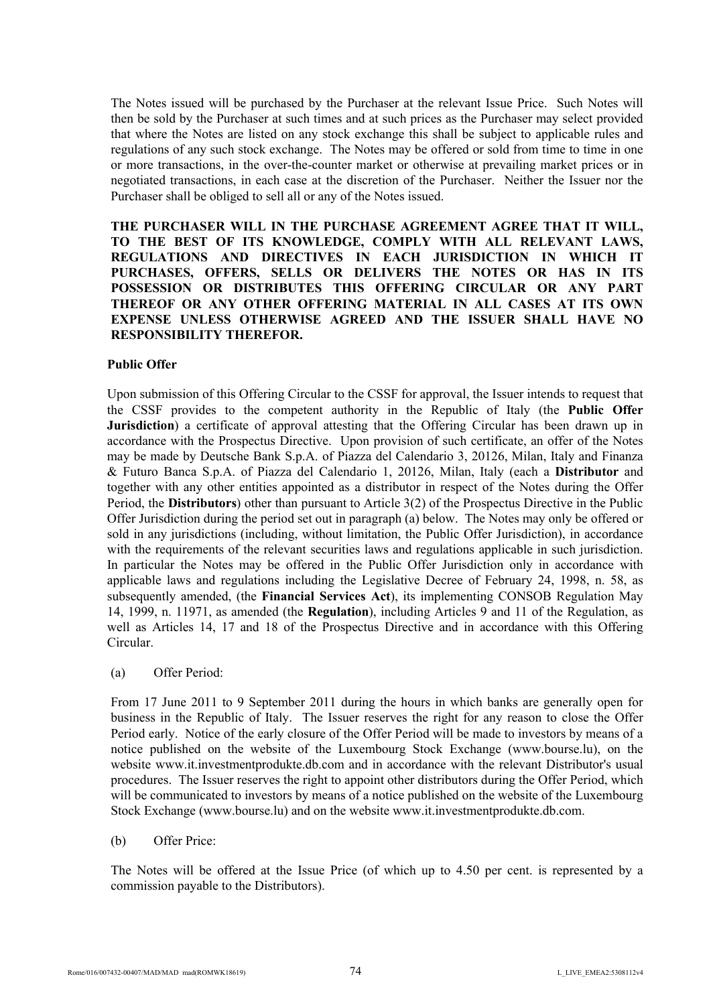The Notes issued will be purchased by the Purchaser at the relevant Issue Price. Such Notes will then be sold by the Purchaser at such times and at such prices as the Purchaser may select provided that where the Notes are listed on any stock exchange this shall be subject to applicable rules and regulations of any such stock exchange. The Notes may be offered or sold from time to time in one or more transactions, in the over-the-counter market or otherwise at prevailing market prices or in negotiated transactions, in each case at the discretion of the Purchaser. Neither the Issuer nor the Purchaser shall be obliged to sell all or any of the Notes issued.

**THE PURCHASER WILL IN THE PURCHASE AGREEMENT AGREE THAT IT WILL, TO THE BEST OF ITS KNOWLEDGE, COMPLY WITH ALL RELEVANT LAWS, REGULATIONS AND DIRECTIVES IN EACH JURISDICTION IN WHICH IT PURCHASES, OFFERS, SELLS OR DELIVERS THE NOTES OR HAS IN ITS POSSESSION OR DISTRIBUTES THIS OFFERING CIRCULAR OR ANY PART THEREOF OR ANY OTHER OFFERING MATERIAL IN ALL CASES AT ITS OWN EXPENSE UNLESS OTHERWISE AGREED AND THE ISSUER SHALL HAVE NO RESPONSIBILITY THEREFOR.**

## **Public Offer**

Upon submission of this Offering Circular to the CSSF for approval, the Issuer intends to request that the CSSF provides to the competent authority in the Republic of Italy (the **Public Offer Jurisdiction**) a certificate of approval attesting that the Offering Circular has been drawn up in accordance with the Prospectus Directive. Upon provision of such certificate, an offer of the Notes may be made by Deutsche Bank S.p.A. of Piazza del Calendario 3, 20126, Milan, Italy and Finanza & Futuro Banca S.p.A. of Piazza del Calendario 1, 20126, Milan, Italy (each a **Distributor** and together with any other entities appointed as a distributor in respect of the Notes during the Offer Period, the **Distributors**) other than pursuant to Article 3(2) of the Prospectus Directive in the Public Offer Jurisdiction during the period set out in paragraph (a) below. The Notes may only be offered or sold in any jurisdictions (including, without limitation, the Public Offer Jurisdiction), in accordance with the requirements of the relevant securities laws and regulations applicable in such jurisdiction. In particular the Notes may be offered in the Public Offer Jurisdiction only in accordance with applicable laws and regulations including the Legislative Decree of February 24, 1998, n. 58, as subsequently amended, (the **Financial Services Act**), its implementing CONSOB Regulation May 14, 1999, n. 11971, as amended (the **Regulation**), including Articles 9 and 11 of the Regulation, as well as Articles 14, 17 and 18 of the Prospectus Directive and in accordance with this Offering Circular.

(a) Offer Period:

From 17 June 2011 to 9 September 2011 during the hours in which banks are generally open for business in the Republic of Italy. The Issuer reserves the right for any reason to close the Offer Period early. Notice of the early closure of the Offer Period will be made to investors by means of a notice published on the website of the Luxembourg Stock Exchange (<www.bourse.>lu), on the website <www.it.in>vestmentprodukte.db.com and in accordance with the relevant Distributor's usual procedures. The Issuer reserves the right to appoint other distributors during the Offer Period, which will be communicated to investors by means of a notice published on the website of the Luxembourg Stock Exchange (w[ww.bourse.lu](www.bourse.)) and on the website www.it.investmentprodukte.db.com.

(b) Offer Price:

The Notes will be offered at the Issue Price (of which up to 4.50 per cent. is represented by a commission payable to the Distributors).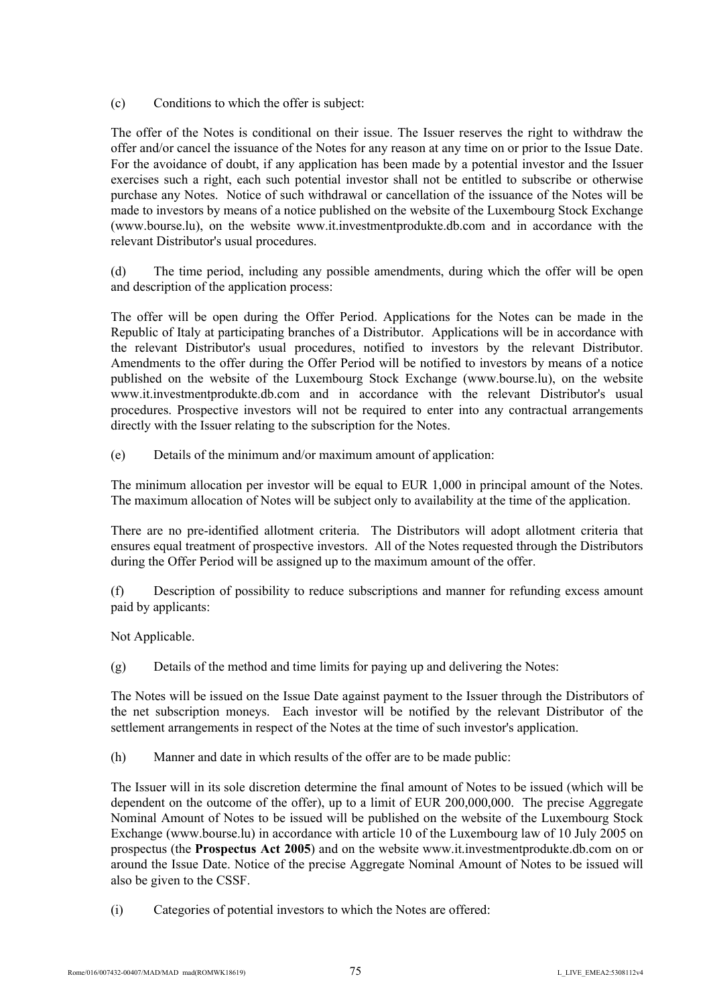(c) Conditions to which the offer is subject:

The offer of the Notes is conditional on their issue. The Issuer reserves the right to withdraw the offer and/or cancel the issuance of the Notes for any reason at any time on or prior to the Issue Date. For the avoidance of doubt, if any application has been made by a potential investor and the Issuer exercises such a right, each such potential investor shall not be entitled to subscribe or otherwise purchase any Notes. Notice of such withdrawal or cancellation of the issuance of the Notes will be made to investors by means of a notice published on the website of the Luxembourg Stock Exchange (<www.bourse.>lu), on the website <www.it.in>vestmentprodukte.db.com and in accordance with the relevant Distributor's usual procedures.

(d) The time period, including any possible amendments, during which the offer will be open and description of the application process:

The offer will be open during the Offer Period. Applications for the Notes can be made in the Republic of Italy at participating branches of a Distributor. Applications will be in accordance with the relevant Distributor's usual procedures, notified to investors by the relevant Distributor. Amendments to the offer during the Offer Period will be notified to investors by means of a notice published on the website of the Luxembourg Stock Exchange (w[ww.bourse.](www.bourse.)lu), on the website w[ww.it.inv](www.it.in)estmentprodukte.db.com and in accordance with the relevant Distributor's usual procedures. Prospective investors will not be required to enter into any contractual arrangements directly with the Issuer relating to the subscription for the Notes.

(e) Details of the minimum and/or maximum amount of application:

The minimum allocation per investor will be equal to EUR 1,000 in principal amount of the Notes. The maximum allocation of Notes will be subject only to availability at the time of the application.

There are no pre-identified allotment criteria. The Distributors will adopt allotment criteria that ensures equal treatment of prospective investors. All of the Notes requested through the Distributors during the Offer Period will be assigned up to the maximum amount of the offer.

(f) Description of possibility to reduce subscriptions and manner for refunding excess amount paid by applicants:

Not Applicable.

(g) Details of the method and time limits for paying up and delivering the Notes:

The Notes will be issued on the Issue Date against payment to the Issuer through the Distributors of the net subscription moneys. Each investor will be notified by the relevant Distributor of the settlement arrangements in respect of the Notes at the time of such investor's application.

(h) Manner and date in which results of the offer are to be made public:

The Issuer will in its sole discretion determine the final amount of Notes to be issued (which will be dependent on the outcome of the offer), up to a limit of EUR 200,000,000. The precise Aggregate Nominal Amount of Notes to be issued will be published on the website of the Luxembourg Stock Exchange (w[ww.bourse.l](www.bourse.)u) in accordance with article 10 of the Luxembourg law of 10 July 2005 on prospectus (the **Prospectus Act 2005**) and on the website w[ww.it.inv](www.it.in)estmentprodukte.db.com on or around the Issue Date. Notice of the precise Aggregate Nominal Amount of Notes to be issued will also be given to the CSSF.

(i) Categories of potential investors to which the Notes are offered: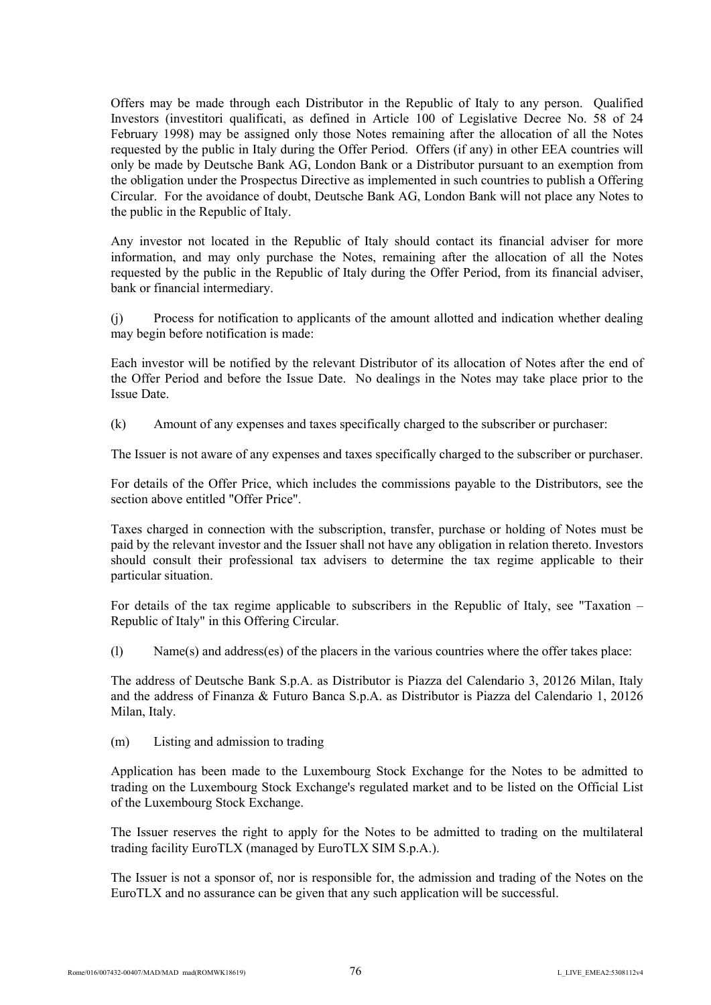Offers may be made through each Distributor in the Republic of Italy to any person. Qualified Investors (investitori qualificati, as defined in Article 100 of Legislative Decree No. 58 of 24 February 1998) may be assigned only those Notes remaining after the allocation of all the Notes requested by the public in Italy during the Offer Period. Offers (if any) in other EEA countries will only be made by Deutsche Bank AG, London Bank or a Distributor pursuant to an exemption from the obligation under the Prospectus Directive as implemented in such countries to publish a Offering Circular. For the avoidance of doubt, Deutsche Bank AG, London Bank will not place any Notes to the public in the Republic of Italy.

Any investor not located in the Republic of Italy should contact its financial adviser for more information, and may only purchase the Notes, remaining after the allocation of all the Notes requested by the public in the Republic of Italy during the Offer Period, from its financial adviser, bank or financial intermediary.

(j) Process for notification to applicants of the amount allotted and indication whether dealing may begin before notification is made:

Each investor will be notified by the relevant Distributor of its allocation of Notes after the end of the Offer Period and before the Issue Date. No dealings in the Notes may take place prior to the Issue Date.

(k) Amount of any expenses and taxes specifically charged to the subscriber or purchaser:

The Issuer is not aware of any expenses and taxes specifically charged to the subscriber or purchaser.

For details of the Offer Price, which includes the commissions payable to the Distributors, see the section above entitled "Offer Price".

Taxes charged in connection with the subscription, transfer, purchase or holding of Notes must be paid by the relevant investor and the Issuer shall not have any obligation in relation thereto. Investors should consult their professional tax advisers to determine the tax regime applicable to their particular situation.

For details of the tax regime applicable to subscribers in the Republic of Italy, see "Taxation – Republic of Italy" in this Offering Circular.

(l) Name(s) and address(es) of the placers in the various countries where the offer takes place:

The address of Deutsche Bank S.p.A. as Distributor is Piazza del Calendario 3, 20126 Milan, Italy and the address of Finanza & Futuro Banca S.p.A. as Distributor is Piazza del Calendario 1, 20126 Milan, Italy.

(m) Listing and admission to trading

Application has been made to the Luxembourg Stock Exchange for the Notes to be admitted to trading on the Luxembourg Stock Exchange's regulated market and to be listed on the Official List of the Luxembourg Stock Exchange.

The Issuer reserves the right to apply for the Notes to be admitted to trading on the multilateral trading facility EuroTLX (managed by EuroTLX SIM S.p.A.).

The Issuer is not a sponsor of, nor is responsible for, the admission and trading of the Notes on the EuroTLX and no assurance can be given that any such application will be successful.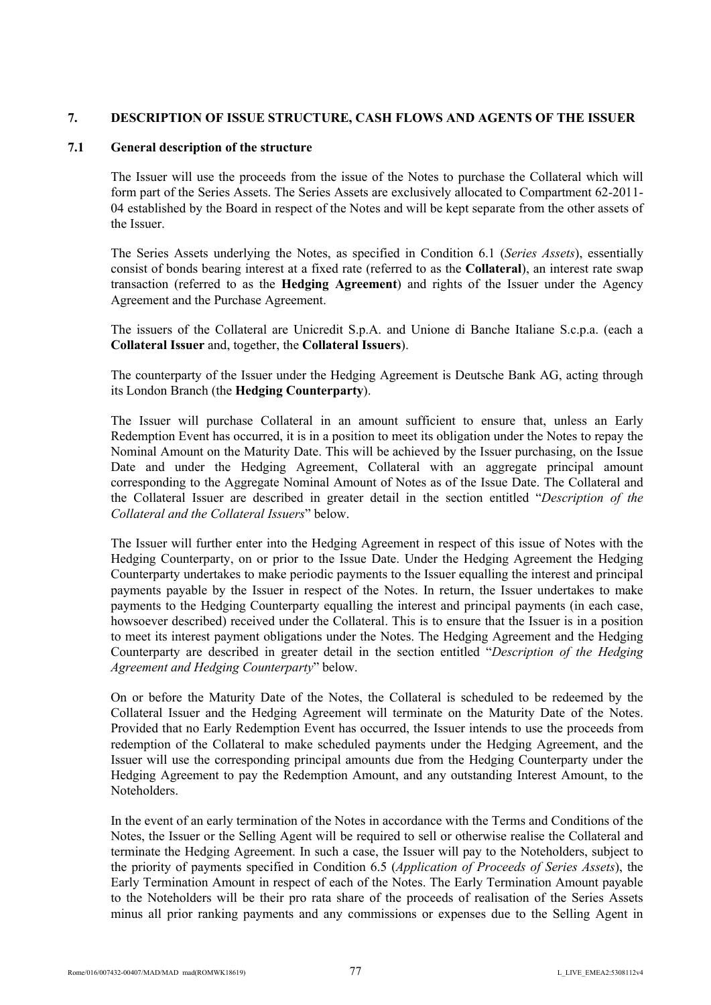# **7. DESCRIPTION OF ISSUE STRUCTURE, CASH FLOWS AND AGENTS OF THE ISSUER**

## **7.1 General description of the structure**

The Issuer will use the proceeds from the issue of the Notes to purchase the Collateral which will form part of the Series Assets. The Series Assets are exclusively allocated to Compartment 62-2011- 04 established by the Board in respect of the Notes and will be kept separate from the other assets of the Issuer.

The Series Assets underlying the Notes, as specified in Condition 6.1 (*Series Assets*), essentially consist of bonds bearing interest at a fixed rate (referred to as the **Collateral**), an interest rate swap transaction (referred to as the **Hedging Agreement**) and rights of the Issuer under the Agency Agreement and the Purchase Agreement.

The issuers of the Collateral are Unicredit S.p.A. and Unione di Banche Italiane S.c.p.a. (each a **Collateral Issuer** and, together, the **Collateral Issuers**).

The counterparty of the Issuer under the Hedging Agreement is Deutsche Bank AG, acting through its London Branch (the **Hedging Counterparty**).

The Issuer will purchase Collateral in an amount sufficient to ensure that, unless an Early Redemption Event has occurred, it is in a position to meet its obligation under the Notes to repay the Nominal Amount on the Maturity Date. This will be achieved by the Issuer purchasing, on the Issue Date and under the Hedging Agreement, Collateral with an aggregate principal amount corresponding to the Aggregate Nominal Amount of Notes as of the Issue Date. The Collateral and the Collateral Issuer are described in greater detail in the section entitled "*Description of the Collateral and the Collateral Issuers*" below.

The Issuer will further enter into the Hedging Agreement in respect of this issue of Notes with the Hedging Counterparty, on or prior to the Issue Date. Under the Hedging Agreement the Hedging Counterparty undertakes to make periodic payments to the Issuer equalling the interest and principal payments payable by the Issuer in respect of the Notes. In return, the Issuer undertakes to make payments to the Hedging Counterparty equalling the interest and principal payments (in each case, howsoever described) received under the Collateral. This is to ensure that the Issuer is in a position to meet its interest payment obligations under the Notes. The Hedging Agreement and the Hedging Counterparty are described in greater detail in the section entitled "*Description of the Hedging Agreement and Hedging Counterparty*" below.

On or before the Maturity Date of the Notes, the Collateral is scheduled to be redeemed by the Collateral Issuer and the Hedging Agreement will terminate on the Maturity Date of the Notes. Provided that no Early Redemption Event has occurred, the Issuer intends to use the proceeds from redemption of the Collateral to make scheduled payments under the Hedging Agreement, and the Issuer will use the corresponding principal amounts due from the Hedging Counterparty under the Hedging Agreement to pay the Redemption Amount, and any outstanding Interest Amount, to the Noteholders.

In the event of an early termination of the Notes in accordance with the Terms and Conditions of the Notes, the Issuer or the Selling Agent will be required to sell or otherwise realise the Collateral and terminate the Hedging Agreement. In such a case, the Issuer will pay to the Noteholders, subject to the priority of payments specified in Condition 6.5 (*Application of Proceeds of Series Assets*), the Early Termination Amount in respect of each of the Notes. The Early Termination Amount payable to the Noteholders will be their pro rata share of the proceeds of realisation of the Series Assets minus all prior ranking payments and any commissions or expenses due to the Selling Agent in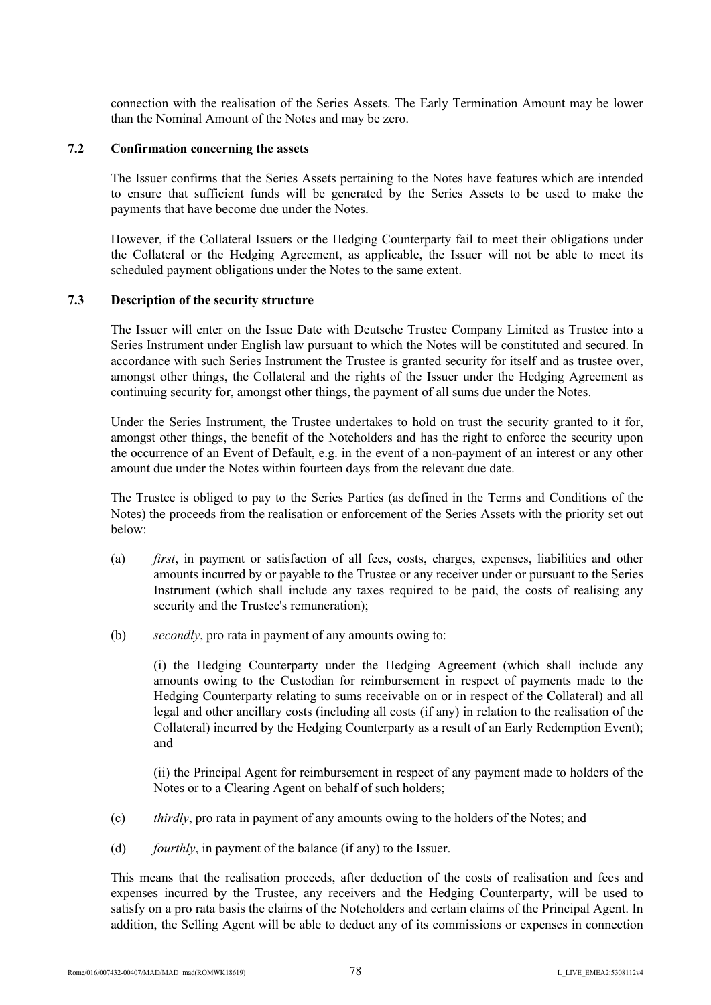connection with the realisation of the Series Assets. The Early Termination Amount may be lower than the Nominal Amount of the Notes and may be zero.

#### **7.2 Confirmation concerning the assets**

The Issuer confirms that the Series Assets pertaining to the Notes have features which are intended to ensure that sufficient funds will be generated by the Series Assets to be used to make the payments that have become due under the Notes.

However, if the Collateral Issuers or the Hedging Counterparty fail to meet their obligations under the Collateral or the Hedging Agreement, as applicable, the Issuer will not be able to meet its scheduled payment obligations under the Notes to the same extent.

## **7.3 Description of the security structure**

The Issuer will enter on the Issue Date with Deutsche Trustee Company Limited as Trustee into a Series Instrument under English law pursuant to which the Notes will be constituted and secured. In accordance with such Series Instrument the Trustee is granted security for itself and as trustee over, amongst other things, the Collateral and the rights of the Issuer under the Hedging Agreement as continuing security for, amongst other things, the payment of all sums due under the Notes.

Under the Series Instrument, the Trustee undertakes to hold on trust the security granted to it for, amongst other things, the benefit of the Noteholders and has the right to enforce the security upon the occurrence of an Event of Default, e.g. in the event of a non-payment of an interest or any other amount due under the Notes within fourteen days from the relevant due date.

The Trustee is obliged to pay to the Series Parties (as defined in the Terms and Conditions of the Notes) the proceeds from the realisation or enforcement of the Series Assets with the priority set out below:

- (a) *first*, in payment or satisfaction of all fees, costs, charges, expenses, liabilities and other amounts incurred by or payable to the Trustee or any receiver under or pursuant to the Series Instrument (which shall include any taxes required to be paid, the costs of realising any security and the Trustee's remuneration);
- (b) *secondly*, pro rata in payment of any amounts owing to:

(i) the Hedging Counterparty under the Hedging Agreement (which shall include any amounts owing to the Custodian for reimbursement in respect of payments made to the Hedging Counterparty relating to sums receivable on or in respect of the Collateral) and all legal and other ancillary costs (including all costs (if any) in relation to the realisation of the Collateral) incurred by the Hedging Counterparty as a result of an Early Redemption Event); and

(ii) the Principal Agent for reimbursement in respect of any payment made to holders of the Notes or to a Clearing Agent on behalf of such holders;

- (c) *thirdly*, pro rata in payment of any amounts owing to the holders of the Notes; and
- (d) *fourthly*, in payment of the balance (if any) to the Issuer.

This means that the realisation proceeds, after deduction of the costs of realisation and fees and expenses incurred by the Trustee, any receivers and the Hedging Counterparty, will be used to satisfy on a pro rata basis the claims of the Noteholders and certain claims of the Principal Agent. In addition, the Selling Agent will be able to deduct any of its commissions or expenses in connection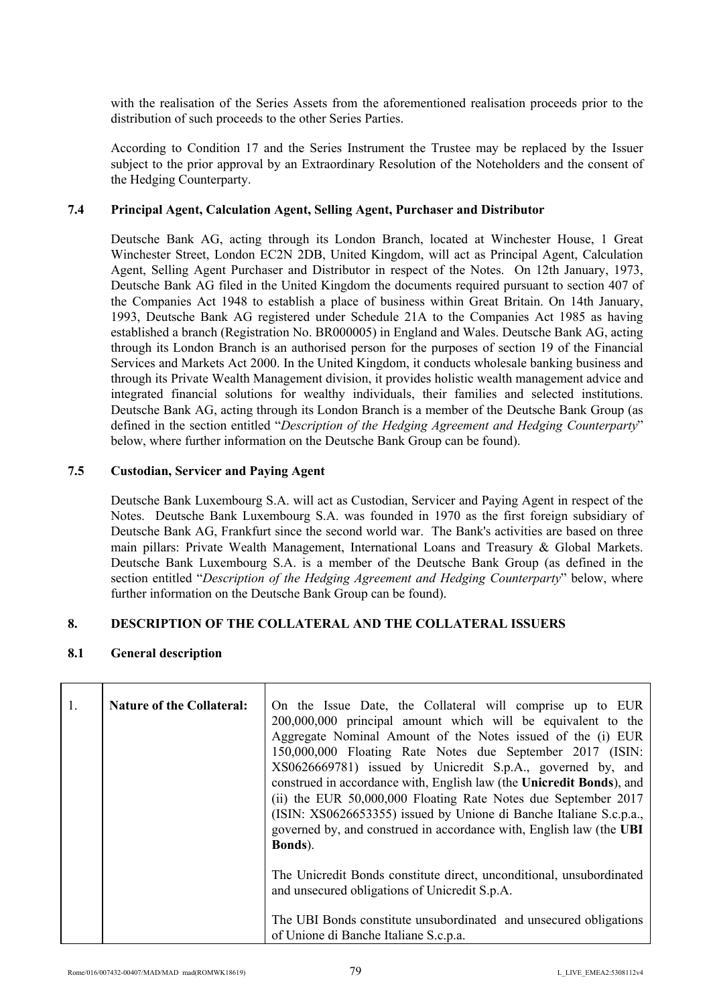with the realisation of the Series Assets from the aforementioned realisation proceeds prior to the distribution of such proceeds to the other Series Parties.

According to Condition 17 and the Series Instrument the Trustee may be replaced by the Issuer subject to the prior approval by an Extraordinary Resolution of the Noteholders and the consent of the Hedging Counterparty.

#### **7.4 Principal Agent, Calculation Agent, Selling Agent, Purchaser and Distributor**

Deutsche Bank AG, acting through its London Branch, located at Winchester House, 1 Great Winchester Street, London EC2N 2DB, United Kingdom, will act as Principal Agent, Calculation Agent, Selling Agent Purchaser and Distributor in respect of the Notes. On 12th January, 1973, Deutsche Bank AG filed in the United Kingdom the documents required pursuant to section 407 of the Companies Act 1948 to establish a place of business within Great Britain. On 14th January, 1993, Deutsche Bank AG registered under Schedule 21A to the Companies Act 1985 as having established a branch (Registration No. BR000005) in England and Wales. Deutsche Bank AG, acting through its London Branch is an authorised person for the purposes of section 19 of the Financial Services and Markets Act 2000. In the United Kingdom, it conducts wholesale banking business and through its Private Wealth Management division, it provides holistic wealth management advice and integrated financial solutions for wealthy individuals, their families and selected institutions. Deutsche Bank AG, acting through its London Branch is a member of the Deutsche Bank Group (as defined in the section entitled "*Description of the Hedging Agreement and Hedging Counterparty*" below, where further information on the Deutsche Bank Group can be found).

## **7.5 Custodian, Servicer and Paying Agent**

Deutsche Bank Luxembourg S.A. will act as Custodian, Servicer and Paying Agent in respect of the Notes. Deutsche Bank Luxembourg S.A. was founded in 1970 as the first foreign subsidiary of Deutsche Bank AG, Frankfurt since the second world war. The Bank's activities are based on three main pillars: Private Wealth Management, International Loans and Treasury & Global Markets. Deutsche Bank Luxembourg S.A. is a member of the Deutsche Bank Group (as defined in the section entitled "*Description of the Hedging Agreement and Hedging Counterparty*" below, where further information on the Deutsche Bank Group can be found).

## **8. DESCRIPTION OF THE COLLATERAL AND THE COLLATERAL ISSUERS**

## **8.1 General description**

| $\mathbf{1}$ . | <b>Nature of the Collateral:</b> | On the Issue Date, the Collateral will comprise up to EUR<br>200,000,000 principal amount which will be equivalent to the<br>Aggregate Nominal Amount of the Notes issued of the (i) EUR<br>150,000,000 Floating Rate Notes due September 2017 (ISIN:<br>XS0626669781) issued by Unicredit S.p.A., governed by, and<br>construed in accordance with, English law (the Unicredit Bonds), and<br>(ii) the EUR 50,000,000 Floating Rate Notes due September 2017<br>(ISIN: XS0626653355) issued by Unione di Banche Italiane S.c.p.a.,<br>governed by, and construed in accordance with, English law (the UBI<br>Bonds). |
|----------------|----------------------------------|-----------------------------------------------------------------------------------------------------------------------------------------------------------------------------------------------------------------------------------------------------------------------------------------------------------------------------------------------------------------------------------------------------------------------------------------------------------------------------------------------------------------------------------------------------------------------------------------------------------------------|
|                |                                  | The Unicredit Bonds constitute direct, unconditional, unsubordinated<br>and unsecured obligations of Unicredit S.p.A.<br>The UBI Bonds constitute unsubordinated and unsecured obligations<br>of Unione di Banche Italiane S.c.p.a.                                                                                                                                                                                                                                                                                                                                                                                   |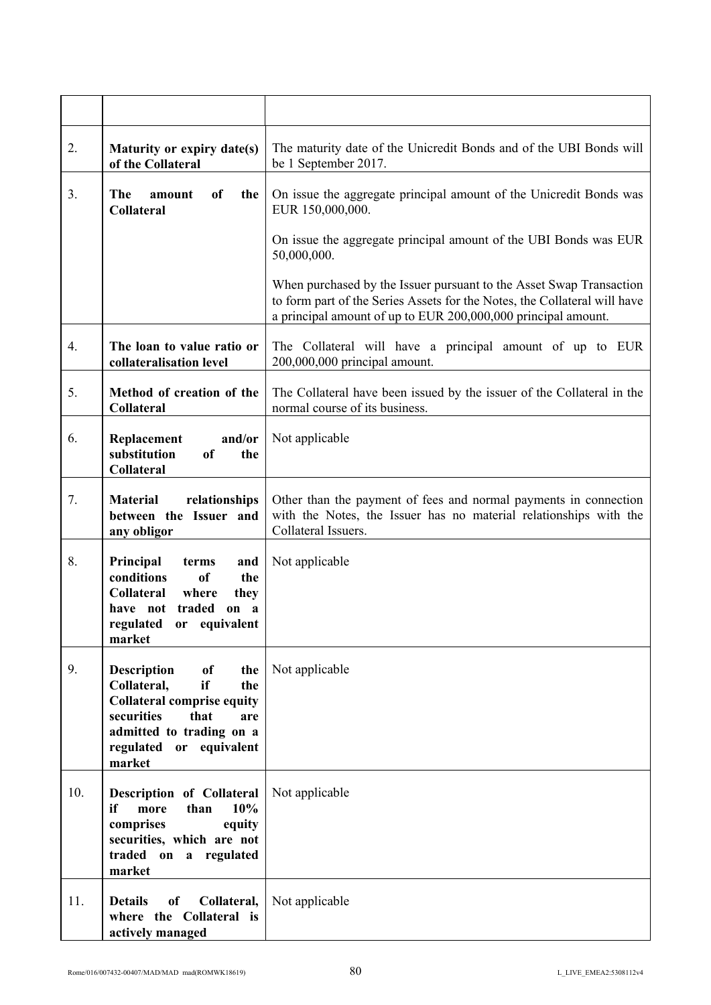| 2.  | Maturity or expiry date(s)<br>of the Collateral                                                                                                                                                | The maturity date of the Unicredit Bonds and of the UBI Bonds will<br>be 1 September 2017.                                                                                                                        |
|-----|------------------------------------------------------------------------------------------------------------------------------------------------------------------------------------------------|-------------------------------------------------------------------------------------------------------------------------------------------------------------------------------------------------------------------|
| 3.  | The<br><sub>of</sub><br>the<br>amount<br><b>Collateral</b>                                                                                                                                     | On issue the aggregate principal amount of the Unicredit Bonds was<br>EUR 150,000,000.                                                                                                                            |
|     |                                                                                                                                                                                                | On issue the aggregate principal amount of the UBI Bonds was EUR<br>50,000,000.                                                                                                                                   |
|     |                                                                                                                                                                                                | When purchased by the Issuer pursuant to the Asset Swap Transaction<br>to form part of the Series Assets for the Notes, the Collateral will have<br>a principal amount of up to EUR 200,000,000 principal amount. |
| 4.  | The loan to value ratio or<br>collateralisation level                                                                                                                                          | The Collateral will have a principal amount of up to EUR<br>200,000,000 principal amount.                                                                                                                         |
| 5.  | Method of creation of the<br><b>Collateral</b>                                                                                                                                                 | The Collateral have been issued by the issuer of the Collateral in the<br>normal course of its business.                                                                                                          |
| 6.  | and/or<br>Replacement<br>substitution<br><sub>of</sub><br>the<br><b>Collateral</b>                                                                                                             | Not applicable                                                                                                                                                                                                    |
| 7.  | <b>Material</b><br>relationships<br>between the Issuer and<br>any obligor                                                                                                                      | Other than the payment of fees and normal payments in connection<br>with the Notes, the Issuer has no material relationships with the<br>Collateral Issuers.                                                      |
| 8.  | Principal<br>and<br>terms<br><sub>of</sub><br>conditions<br>the<br>Collateral<br>where<br>they<br>traded<br>have not<br>on a<br>regulated<br>or equivalent<br>market                           | Not applicable                                                                                                                                                                                                    |
| 9.  | <b>Description</b><br>of<br>the<br>if<br>Collateral,<br>the<br><b>Collateral comprise equity</b><br>securities<br>that<br>are<br>admitted to trading on a<br>regulated or equivalent<br>market | Not applicable                                                                                                                                                                                                    |
| 10. | Description of Collateral<br>more<br>10%<br>than<br>if<br>comprises<br>equity<br>securities, which are not<br>traded on a regulated<br>market                                                  | Not applicable                                                                                                                                                                                                    |
| 11. | Collateral,<br><b>Details</b><br>of<br>where the Collateral is<br>actively managed                                                                                                             | Not applicable                                                                                                                                                                                                    |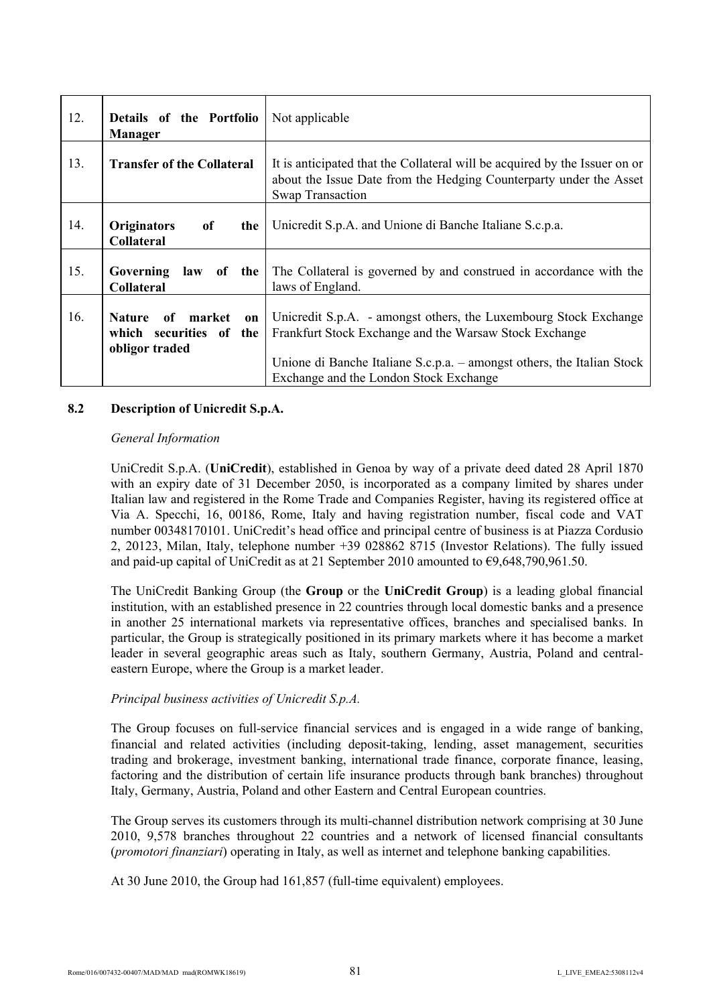| 12. | Details of the Portfolio<br><b>Manager</b>                                    | Not applicable                                                                                                                                                                                                                                 |
|-----|-------------------------------------------------------------------------------|------------------------------------------------------------------------------------------------------------------------------------------------------------------------------------------------------------------------------------------------|
| 13. | <b>Transfer of the Collateral</b>                                             | It is anticipated that the Collateral will be acquired by the Issuer on or<br>about the Issue Date from the Hedging Counterparty under the Asset<br><b>Swap Transaction</b>                                                                    |
| 14. | <b>Originators</b><br>of<br>the<br><b>Collateral</b>                          | Unicredit S.p.A. and Unione di Banche Italiane S.c.p.a.                                                                                                                                                                                        |
| 15. | Governing<br>law of the<br><b>Collateral</b>                                  | The Collateral is governed by and construed in accordance with the<br>laws of England.                                                                                                                                                         |
| 16. | of market<br><b>Nature</b><br>on<br>which securities of the<br>obligor traded | Unicredit S.p.A. - amongst others, the Luxembourg Stock Exchange<br>Frankfurt Stock Exchange and the Warsaw Stock Exchange<br>Unione di Banche Italiane S.c.p.a. – amongst others, the Italian Stock<br>Exchange and the London Stock Exchange |

## **8.2 Description of Unicredit S.p.A.**

#### *General Information*

UniCredit S.p.A. (**UniCredit**), established in Genoa by way of a private deed dated 28 April 1870 with an expiry date of 31 December 2050, is incorporated as a company limited by shares under Italian law and registered in the Rome Trade and Companies Register, having its registered office at Via A. Specchi, 16, 00186, Rome, Italy and having registration number, fiscal code and VAT number 00348170101. UniCredit's head office and principal centre of business is at Piazza Cordusio 2, 20123, Milan, Italy, telephone number +39 028862 8715 (Investor Relations). The fully issued and paid-up capital of UniCredit as at 21 September 2010 amounted to  $\epsilon$ 9,648,790,961.50.

The UniCredit Banking Group (the **Group** or the **UniCredit Group**) is a leading global financial institution, with an established presence in 22 countries through local domestic banks and a presence in another 25 international markets via representative offices, branches and specialised banks. In particular, the Group is strategically positioned in its primary markets where it has become a market leader in several geographic areas such as Italy, southern Germany, Austria, Poland and centraleastern Europe, where the Group is a market leader.

#### *Principal business activities of Unicredit S.p.A.*

The Group focuses on full-service financial services and is engaged in a wide range of banking, financial and related activities (including deposit-taking, lending, asset management, securities trading and brokerage, investment banking, international trade finance, corporate finance, leasing, factoring and the distribution of certain life insurance products through bank branches) throughout Italy, Germany, Austria, Poland and other Eastern and Central European countries.

The Group serves its customers through its multi-channel distribution network comprising at 30 June 2010, 9,578 branches throughout 22 countries and a network of licensed financial consultants (*promotori finanziari*) operating in Italy, as well as internet and telephone banking capabilities.

At 30 June 2010, the Group had 161,857 (full-time equivalent) employees.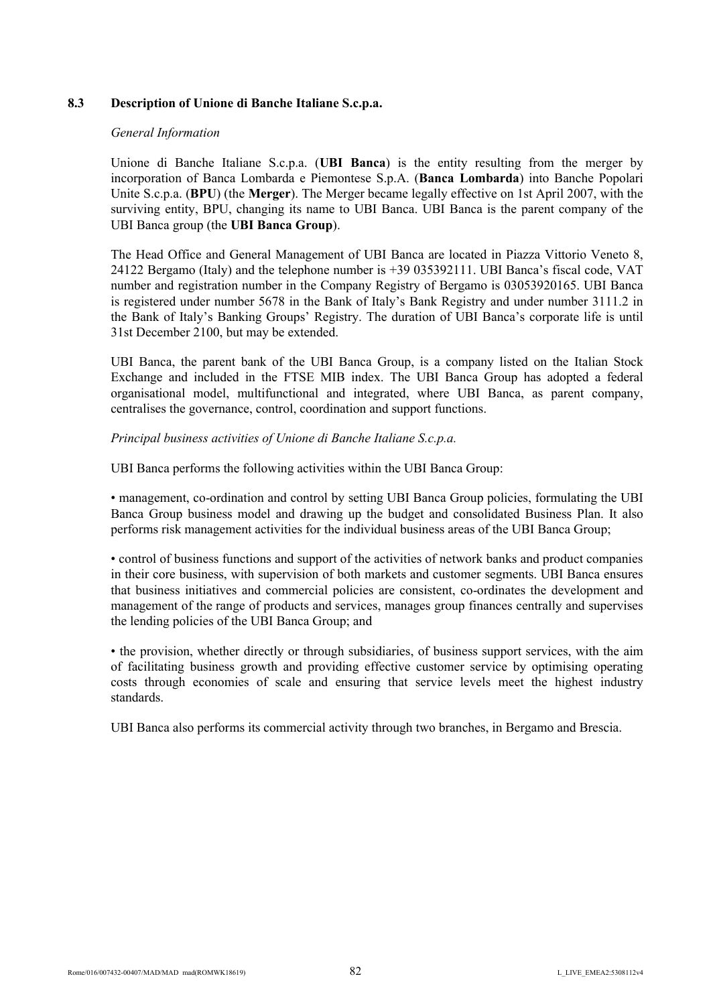# **8.3 Description of Unione di Banche Italiane S.c.p.a.**

## *General Information*

Unione di Banche Italiane S.c.p.a. (**UBI Banca**) is the entity resulting from the merger by incorporation of Banca Lombarda e Piemontese S.p.A. (**Banca Lombarda**) into Banche Popolari Unite S.c.p.a. (**BPU**) (the **Merger**). The Merger became legally effective on 1st April 2007, with the surviving entity, BPU, changing its name to UBI Banca. UBI Banca is the parent company of the UBI Banca group (the **UBI Banca Group**).

The Head Office and General Management of UBI Banca are located in Piazza Vittorio Veneto 8, 24122 Bergamo (Italy) and the telephone number is +39 035392111. UBI Banca's fiscal code, VAT number and registration number in the Company Registry of Bergamo is 03053920165. UBI Banca is registered under number 5678 in the Bank of Italy's Bank Registry and under number 3111.2 in the Bank of Italy's Banking Groups' Registry. The duration of UBI Banca's corporate life is until 31st December 2100, but may be extended.

UBI Banca, the parent bank of the UBI Banca Group, is a company listed on the Italian Stock Exchange and included in the FTSE MIB index. The UBI Banca Group has adopted a federal organisational model, multifunctional and integrated, where UBI Banca, as parent company, centralises the governance, control, coordination and support functions.

# *Principal business activities of Unione di Banche Italiane S.c.p.a.*

UBI Banca performs the following activities within the UBI Banca Group:

• management, co-ordination and control by setting UBI Banca Group policies, formulating the UBI Banca Group business model and drawing up the budget and consolidated Business Plan. It also performs risk management activities for the individual business areas of the UBI Banca Group;

• control of business functions and support of the activities of network banks and product companies in their core business, with supervision of both markets and customer segments. UBI Banca ensures that business initiatives and commercial policies are consistent, co-ordinates the development and management of the range of products and services, manages group finances centrally and supervises the lending policies of the UBI Banca Group; and

• the provision, whether directly or through subsidiaries, of business support services, with the aim of facilitating business growth and providing effective customer service by optimising operating costs through economies of scale and ensuring that service levels meet the highest industry standards.

UBI Banca also performs its commercial activity through two branches, in Bergamo and Brescia.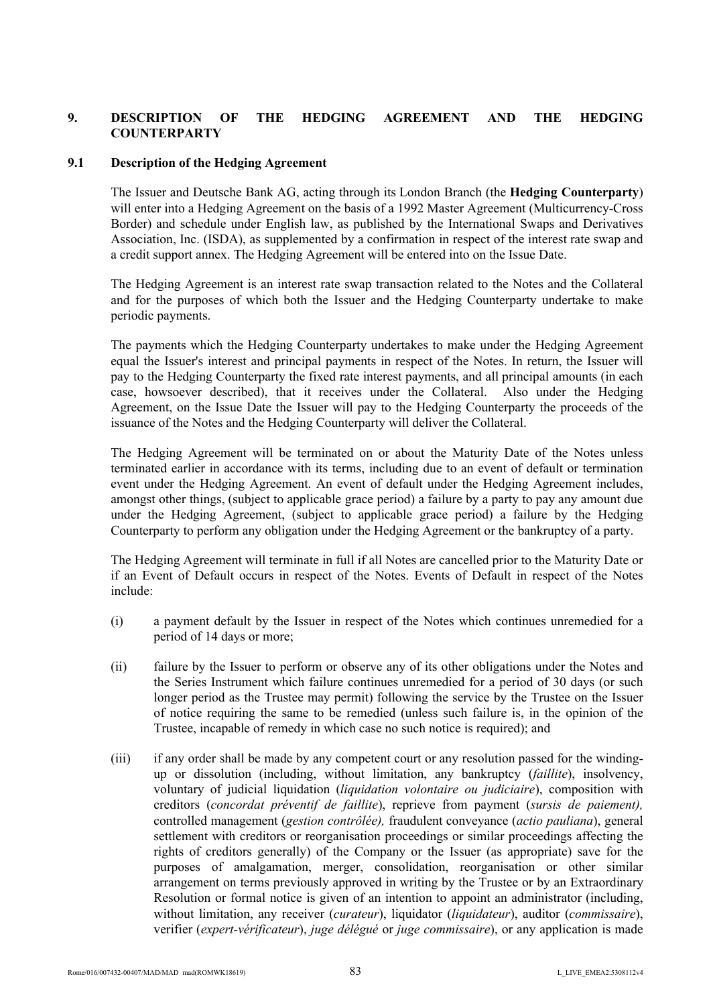# **9. DESCRIPTION OF THE HEDGING AGREEMENT AND THE HEDGING COUNTERPARTY**

## **9.1 Description of the Hedging Agreement**

The Issuer and Deutsche Bank AG, acting through its London Branch (the **Hedging Counterparty**) will enter into a Hedging Agreement on the basis of a 1992 Master Agreement (Multicurrency-Cross Border) and schedule under English law, as published by the International Swaps and Derivatives Association, Inc. (ISDA), as supplemented by a confirmation in respect of the interest rate swap and a credit support annex. The Hedging Agreement will be entered into on the Issue Date.

The Hedging Agreement is an interest rate swap transaction related to the Notes and the Collateral and for the purposes of which both the Issuer and the Hedging Counterparty undertake to make periodic payments.

The payments which the Hedging Counterparty undertakes to make under the Hedging Agreement equal the Issuer's interest and principal payments in respect of the Notes. In return, the Issuer will pay to the Hedging Counterparty the fixed rate interest payments, and all principal amounts (in each case, howsoever described), that it receives under the Collateral. Also under the Hedging Agreement, on the Issue Date the Issuer will pay to the Hedging Counterparty the proceeds of the issuance of the Notes and the Hedging Counterparty will deliver the Collateral.

The Hedging Agreement will be terminated on or about the Maturity Date of the Notes unless terminated earlier in accordance with its terms, including due to an event of default or termination event under the Hedging Agreement. An event of default under the Hedging Agreement includes, amongst other things, (subject to applicable grace period) a failure by a party to pay any amount due under the Hedging Agreement, (subject to applicable grace period) a failure by the Hedging Counterparty to perform any obligation under the Hedging Agreement or the bankruptcy of a party.

The Hedging Agreement will terminate in full if all Notes are cancelled prior to the Maturity Date or if an Event of Default occurs in respect of the Notes. Events of Default in respect of the Notes include:

- (i) a payment default by the Issuer in respect of the Notes which continues unremedied for a period of 14 days or more;
- (ii) failure by the Issuer to perform or observe any of its other obligations under the Notes and the Series Instrument which failure continues unremedied for a period of 30 days (or such longer period as the Trustee may permit) following the service by the Trustee on the Issuer of notice requiring the same to be remedied (unless such failure is, in the opinion of the Trustee, incapable of remedy in which case no such notice is required); and
- (iii) if any order shall be made by any competent court or any resolution passed for the windingup or dissolution (including, without limitation, any bankruptcy (*faillite*), insolvency, voluntary of judicial liquidation (*liquidation volontaire ou judiciaire*), composition with creditors (*concordat préventif de faillite*), reprieve from payment (*sursis de paiement),*  controlled management (*gestion contrôlée),* fraudulent conveyance (*actio pauliana*), general settlement with creditors or reorganisation proceedings or similar proceedings affecting the rights of creditors generally) of the Company or the Issuer (as appropriate) save for the purposes of amalgamation, merger, consolidation, reorganisation or other similar arrangement on terms previously approved in writing by the Trustee or by an Extraordinary Resolution or formal notice is given of an intention to appoint an administrator (including, without limitation, any receiver (*curateur*), liquidator (*liquidateur*), auditor (*commissaire*), verifier (*expert-vérificateur*), *juge délégué* or *juge commissaire*), or any application is made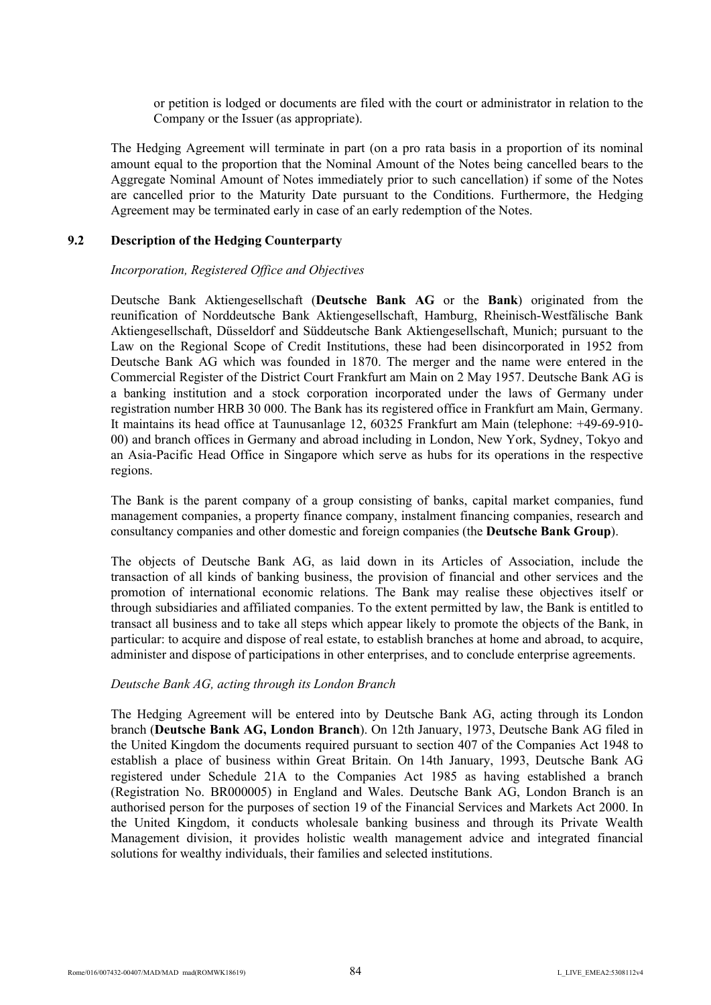or petition is lodged or documents are filed with the court or administrator in relation to the Company or the Issuer (as appropriate).

The Hedging Agreement will terminate in part (on a pro rata basis in a proportion of its nominal amount equal to the proportion that the Nominal Amount of the Notes being cancelled bears to the Aggregate Nominal Amount of Notes immediately prior to such cancellation) if some of the Notes are cancelled prior to the Maturity Date pursuant to the Conditions. Furthermore, the Hedging Agreement may be terminated early in case of an early redemption of the Notes.

## **9.2 Description of the Hedging Counterparty**

## *Incorporation, Registered Office and Objectives*

Deutsche Bank Aktiengesellschaft (**Deutsche Bank AG** or the **Bank**) originated from the reunification of Norddeutsche Bank Aktiengesellschaft, Hamburg, Rheinisch-Westfälische Bank Aktiengesellschaft, Düsseldorf and Süddeutsche Bank Aktiengesellschaft, Munich; pursuant to the Law on the Regional Scope of Credit Institutions, these had been disincorporated in 1952 from Deutsche Bank AG which was founded in 1870. The merger and the name were entered in the Commercial Register of the District Court Frankfurt am Main on 2 May 1957. Deutsche Bank AG is a banking institution and a stock corporation incorporated under the laws of Germany under registration number HRB 30 000. The Bank has its registered office in Frankfurt am Main, Germany. It maintains its head office at Taunusanlage 12, 60325 Frankfurt am Main (telephone: +49-69-910- 00) and branch offices in Germany and abroad including in London, New York, Sydney, Tokyo and an Asia-Pacific Head Office in Singapore which serve as hubs for its operations in the respective regions.

The Bank is the parent company of a group consisting of banks, capital market companies, fund management companies, a property finance company, instalment financing companies, research and consultancy companies and other domestic and foreign companies (the **Deutsche Bank Group**).

The objects of Deutsche Bank AG, as laid down in its Articles of Association, include the transaction of all kinds of banking business, the provision of financial and other services and the promotion of international economic relations. The Bank may realise these objectives itself or through subsidiaries and affiliated companies. To the extent permitted by law, the Bank is entitled to transact all business and to take all steps which appear likely to promote the objects of the Bank, in particular: to acquire and dispose of real estate, to establish branches at home and abroad, to acquire, administer and dispose of participations in other enterprises, and to conclude enterprise agreements.

## *Deutsche Bank AG, acting through its London Branch*

The Hedging Agreement will be entered into by Deutsche Bank AG, acting through its London branch (**Deutsche Bank AG, London Branch**). On 12th January, 1973, Deutsche Bank AG filed in the United Kingdom the documents required pursuant to section 407 of the Companies Act 1948 to establish a place of business within Great Britain. On 14th January, 1993, Deutsche Bank AG registered under Schedule 21A to the Companies Act 1985 as having established a branch (Registration No. BR000005) in England and Wales. Deutsche Bank AG, London Branch is an authorised person for the purposes of section 19 of the Financial Services and Markets Act 2000. In the United Kingdom, it conducts wholesale banking business and through its Private Wealth Management division, it provides holistic wealth management advice and integrated financial solutions for wealthy individuals, their families and selected institutions.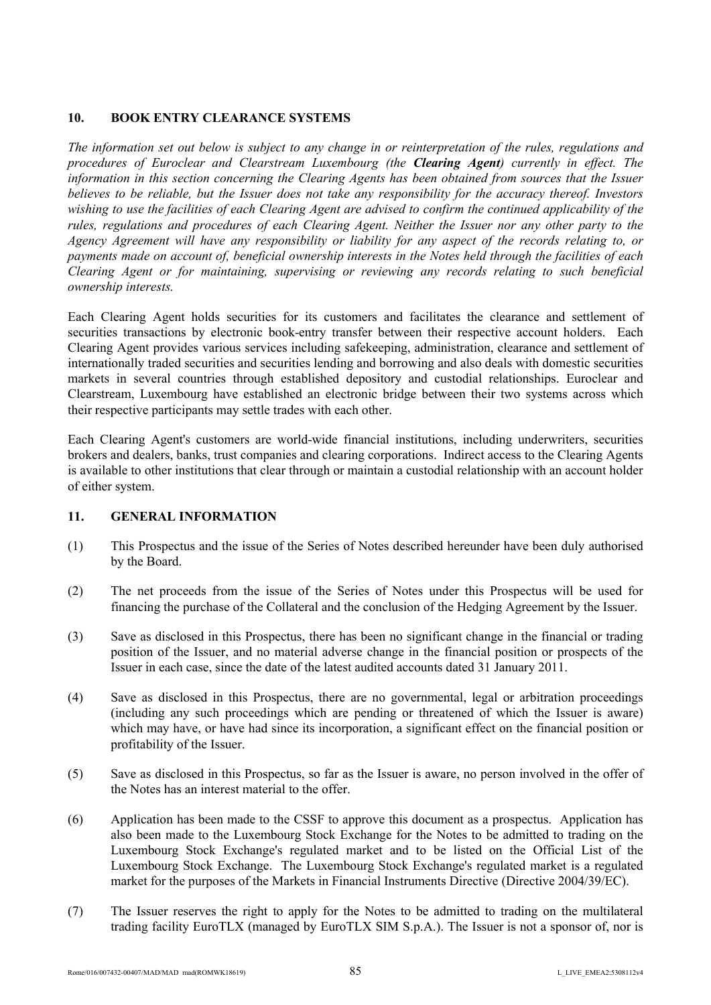# **10. BOOK ENTRY CLEARANCE SYSTEMS**

*The information set out below is subject to any change in or reinterpretation of the rules, regulations and procedures of Euroclear and Clearstream Luxembourg (the Clearing Agent) currently in effect. The information in this section concerning the Clearing Agents has been obtained from sources that the Issuer believes to be reliable, but the Issuer does not take any responsibility for the accuracy thereof. Investors wishing to use the facilities of each Clearing Agent are advised to confirm the continued applicability of the rules, regulations and procedures of each Clearing Agent. Neither the Issuer nor any other party to the Agency Agreement will have any responsibility or liability for any aspect of the records relating to, or payments made on account of, beneficial ownership interests in the Notes held through the facilities of each Clearing Agent or for maintaining, supervising or reviewing any records relating to such beneficial ownership interests.*

Each Clearing Agent holds securities for its customers and facilitates the clearance and settlement of securities transactions by electronic book-entry transfer between their respective account holders. Each Clearing Agent provides various services including safekeeping, administration, clearance and settlement of internationally traded securities and securities lending and borrowing and also deals with domestic securities markets in several countries through established depository and custodial relationships. Euroclear and Clearstream, Luxembourg have established an electronic bridge between their two systems across which their respective participants may settle trades with each other.

Each Clearing Agent's customers are world-wide financial institutions, including underwriters, securities brokers and dealers, banks, trust companies and clearing corporations. Indirect access to the Clearing Agents is available to other institutions that clear through or maintain a custodial relationship with an account holder of either system.

# **11. GENERAL INFORMATION**

- (1) This Prospectus and the issue of the Series of Notes described hereunder have been duly authorised by the Board.
- (2) The net proceeds from the issue of the Series of Notes under this Prospectus will be used for financing the purchase of the Collateral and the conclusion of the Hedging Agreement by the Issuer.
- (3) Save as disclosed in this Prospectus, there has been no significant change in the financial or trading position of the Issuer, and no material adverse change in the financial position or prospects of the Issuer in each case, since the date of the latest audited accounts dated 31 January 2011.
- (4) Save as disclosed in this Prospectus, there are no governmental, legal or arbitration proceedings (including any such proceedings which are pending or threatened of which the Issuer is aware) which may have, or have had since its incorporation, a significant effect on the financial position or profitability of the Issuer.
- (5) Save as disclosed in this Prospectus, so far as the Issuer is aware, no person involved in the offer of the Notes has an interest material to the offer.
- (6) Application has been made to the CSSF to approve this document as a prospectus. Application has also been made to the Luxembourg Stock Exchange for the Notes to be admitted to trading on the Luxembourg Stock Exchange's regulated market and to be listed on the Official List of the Luxembourg Stock Exchange. The Luxembourg Stock Exchange's regulated market is a regulated market for the purposes of the Markets in Financial Instruments Directive (Directive 2004/39/EC).
- (7) The Issuer reserves the right to apply for the Notes to be admitted to trading on the multilateral trading facility EuroTLX (managed by EuroTLX SIM S.p.A.). The Issuer is not a sponsor of, nor is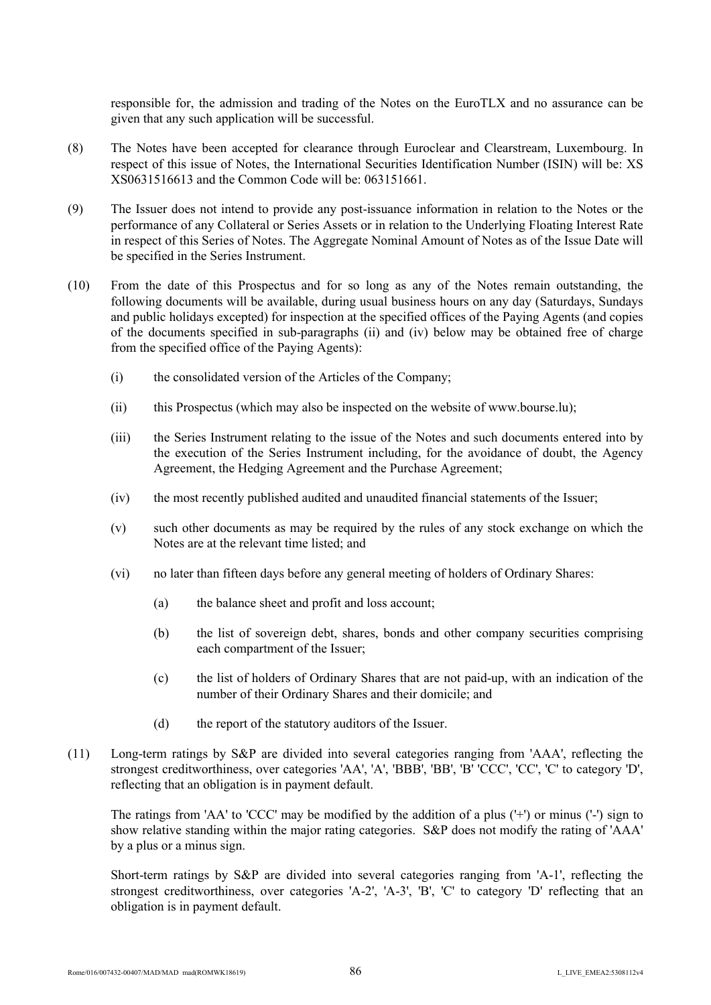responsible for, the admission and trading of the Notes on the EuroTLX and no assurance can be given that any such application will be successful.

- (8) The Notes have been accepted for clearance through Euroclear and Clearstream, Luxembourg. In respect of this issue of Notes, the International Securities Identification Number (ISIN) will be: XS XS0631516613 and the Common Code will be: 063151661.
- (9) The Issuer does not intend to provide any post-issuance information in relation to the Notes or the performance of any Collateral or Series Assets or in relation to the Underlying Floating Interest Rate in respect of this Series of Notes. The Aggregate Nominal Amount of Notes as of the Issue Date will be specified in the Series Instrument.
- (10) From the date of this Prospectus and for so long as any of the Notes remain outstanding, the following documents will be available, during usual business hours on any day (Saturdays, Sundays and public holidays excepted) for inspection at the specified offices of the Paying Agents (and copies of the documents specified in sub-paragraphs (ii) and (iv) below may be obtained free of charge from the specified office of the Paying Agents):
	- (i) the consolidated version of the Articles of the Company;
	- (ii) this Prospectus (which may also be inspected on the website of w[ww.bourse.l](www.bourse.)u);
	- (iii) the Series Instrument relating to the issue of the Notes and such documents entered into by the execution of the Series Instrument including, for the avoidance of doubt, the Agency Agreement, the Hedging Agreement and the Purchase Agreement;
	- (iv) the most recently published audited and unaudited financial statements of the Issuer;
	- (v) such other documents as may be required by the rules of any stock exchange on which the Notes are at the relevant time listed; and
	- (vi) no later than fifteen days before any general meeting of holders of Ordinary Shares:
		- (a) the balance sheet and profit and loss account;
		- (b) the list of sovereign debt, shares, bonds and other company securities comprising each compartment of the Issuer;
		- (c) the list of holders of Ordinary Shares that are not paid-up, with an indication of the number of their Ordinary Shares and their domicile; and
		- (d) the report of the statutory auditors of the Issuer.
- (11) Long-term ratings by S&P are divided into several categories ranging from 'AAA', reflecting the strongest creditworthiness, over categories 'AA', 'A', 'BBB', 'BB', 'B' 'CCC', 'CC', 'C' to category 'D', reflecting that an obligation is in payment default.

The ratings from 'AA' to 'CCC' may be modified by the addition of a plus ('+') or minus ('-') sign to show relative standing within the major rating categories. S&P does not modify the rating of 'AAA' by a plus or a minus sign.

Short-term ratings by S&P are divided into several categories ranging from 'A-1', reflecting the strongest creditworthiness, over categories 'A-2', 'A-3', 'B', 'C' to category 'D' reflecting that an obligation is in payment default.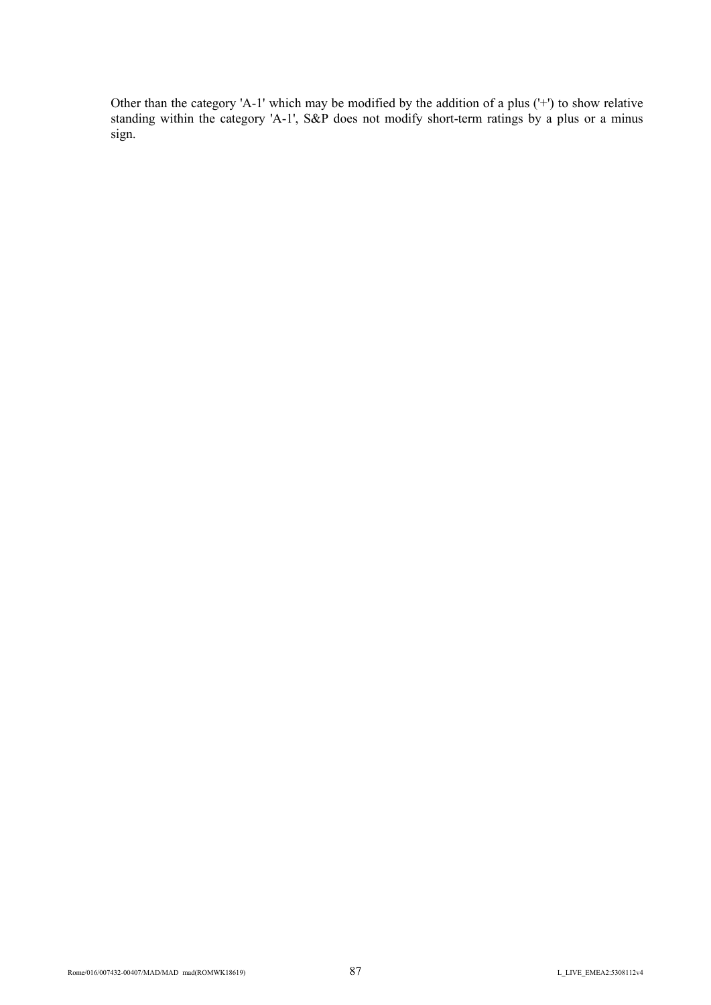Other than the category 'A-1' which may be modified by the addition of a plus ('+') to show relative standing within the category 'A-1', S&P does not modify short-term ratings by a plus or a minus sign.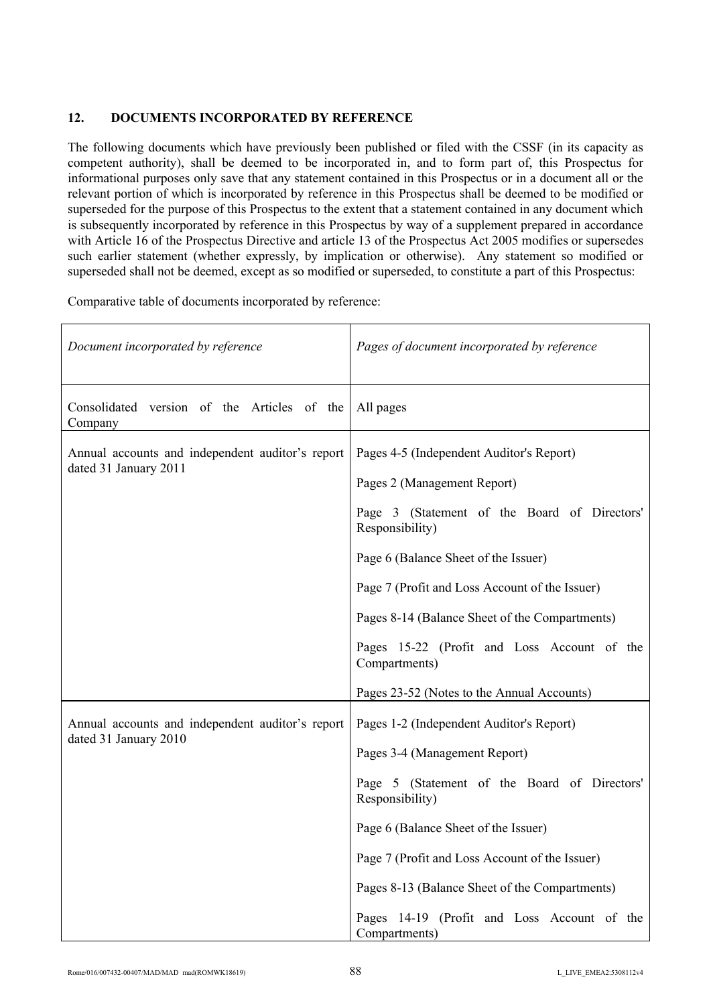# **12. DOCUMENTS INCORPORATED BY REFERENCE**

The following documents which have previously been published or filed with the CSSF (in its capacity as competent authority), shall be deemed to be incorporated in, and to form part of, this Prospectus for informational purposes only save that any statement contained in this Prospectus or in a document all or the relevant portion of which is incorporated by reference in this Prospectus shall be deemed to be modified or superseded for the purpose of this Prospectus to the extent that a statement contained in any document which is subsequently incorporated by reference in this Prospectus by way of a supplement prepared in accordance with Article 16 of the Prospectus Directive and article 13 of the Prospectus Act 2005 modifies or supersedes such earlier statement (whether expressly, by implication or otherwise). Any statement so modified or superseded shall not be deemed, except as so modified or superseded, to constitute a part of this Prospectus:

Comparative table of documents incorporated by reference:

| Document incorporated by reference                                        | Pages of document incorporated by reference                                                                                                                                                                                                                                                                                                                                                          |
|---------------------------------------------------------------------------|------------------------------------------------------------------------------------------------------------------------------------------------------------------------------------------------------------------------------------------------------------------------------------------------------------------------------------------------------------------------------------------------------|
| Consolidated version of the Articles of the<br>Company                    | All pages                                                                                                                                                                                                                                                                                                                                                                                            |
| Annual accounts and independent auditor's report<br>dated 31 January 2011 | Pages 4-5 (Independent Auditor's Report)<br>Pages 2 (Management Report)<br>Page 3 (Statement of the Board of Directors'<br>Responsibility)<br>Page 6 (Balance Sheet of the Issuer)<br>Page 7 (Profit and Loss Account of the Issuer)<br>Pages 8-14 (Balance Sheet of the Compartments)<br>Pages 15-22 (Profit and Loss Account of the<br>Compartments)<br>Pages 23-52 (Notes to the Annual Accounts) |
| Annual accounts and independent auditor's report<br>dated 31 January 2010 | Pages 1-2 (Independent Auditor's Report)<br>Pages 3-4 (Management Report)<br>Page 5 (Statement of the Board of Directors'<br>Responsibility)<br>Page 6 (Balance Sheet of the Issuer)<br>Page 7 (Profit and Loss Account of the Issuer)<br>Pages 8-13 (Balance Sheet of the Compartments)<br>Pages 14-19 (Profit and Loss Account of the<br>Compartments)                                             |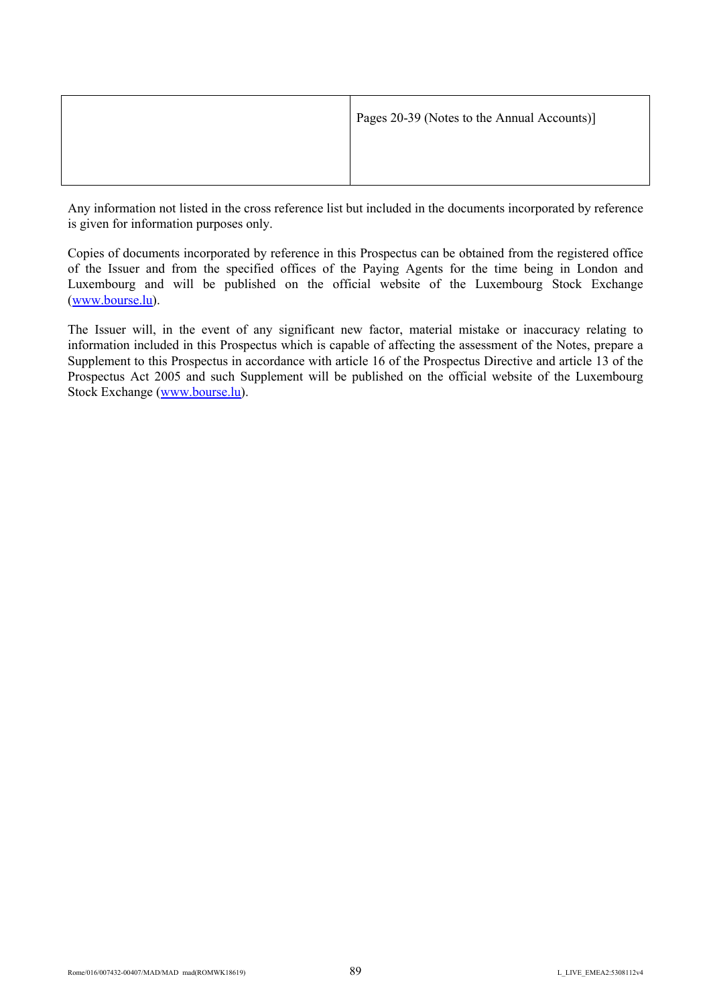| Pages 20-39 (Notes to the Annual Accounts)] |
|---------------------------------------------|
|                                             |

Any information not listed in the cross reference list but included in the documents incorporated by reference is given for information purposes only.

Copies of documents incorporated by reference in this Prospectus can be obtained from the registered office of the Issuer and from the specified offices of the Paying Agents for the time being in London and Luxembourg and will be published on the official website of the Luxembourg Stock Exchange [\(](http://www.bourse.lu/)<www.bourse.>[lu](http://www.bourse.lu/)).

The Issuer will, in the event of any significant new factor, material mistake or inaccuracy relating to information included in this Prospectus which is capable of affecting the assessment of the Notes, prepare a Supplement to this Prospectus in accordance with article 16 of the Prospectus Directive and article 13 of the Prospectus Act 2005 and such Supplement will be published on the official website of the Luxembourg Stock Exchange [\(](http://www.bourse.lu/)<www.bourse.>[lu](http://www.bourse.lu/)).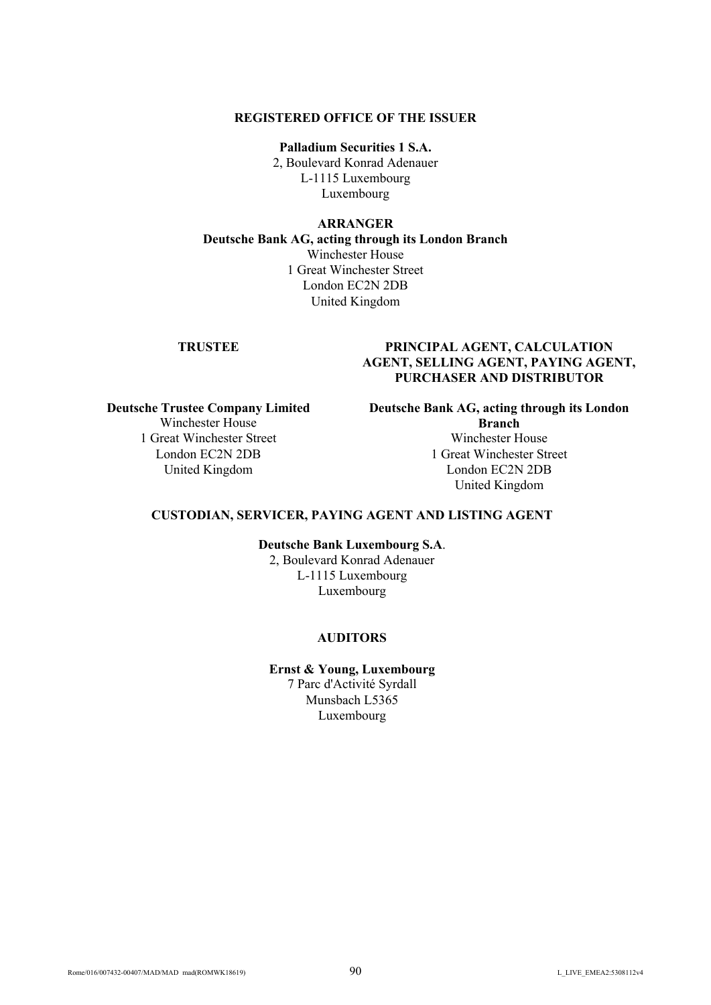## **REGISTERED OFFICE OF THE ISSUER**

**Palladium Securities 1 S.A.** 2, Boulevard Konrad Adenauer L-1115 Luxembourg Luxembourg

#### **ARRANGER**

**Deutsche Bank AG, acting through its London Branch** Winchester House 1 Great Winchester Street London EC2N 2DB United Kingdom

# **TRUSTEE PRINCIPAL AGENT, CALCULATION AGENT, SELLING AGENT, PAYING AGENT, PURCHASER AND DISTRIBUTOR**

**Deutsche Trustee Company Limited** Winchester House 1 Great Winchester Street London EC2N 2DB United Kingdom

**Deutsche Bank AG, acting through its London Branch** Winchester House

1 Great Winchester Street London EC2N 2DB United Kingdom

# **CUSTODIAN, SERVICER, PAYING AGENT AND LISTING AGENT**

**Deutsche Bank Luxembourg S.A**.

2, Boulevard Konrad Adenauer L-1115 Luxembourg Luxembourg

## **AUDITORS**

**Ernst & Young, Luxembourg** 7 Parc d'Activité Syrdall Munsbach L5365 Luxembourg

Rome/016/007432-00407/MAD/MAD mad(ROMWK18619)  $90$  L LIVE EMEA2:5308112v4